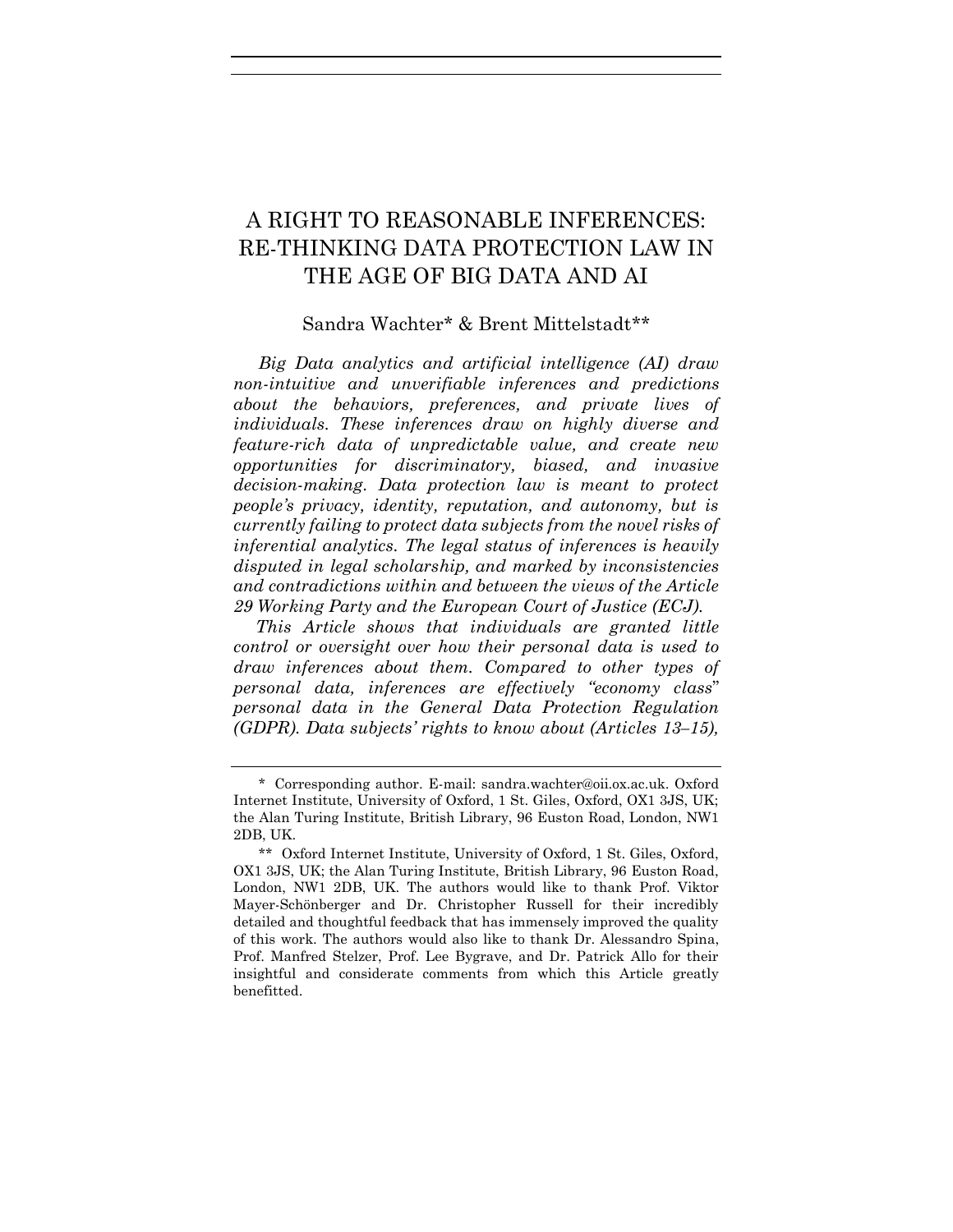# A RIGHT TO REASONABLE INFERENCES: RE-THINKING DATA PROTECTION LAW IN THE AGE OF BIG DATA AND AI

## Sandra Wachter\* & Brent Mittelstadt\*\*

*Big Data analytics and artificial intelligence (AI) draw non-intuitive and unverifiable inferences and predictions about the behaviors, preferences, and private lives of individuals. These inferences draw on highly diverse and feature-rich data of unpredictable value, and create new opportunities for discriminatory, biased, and invasive decision-making. Data protection law is meant to protect people's privacy, identity, reputation, and autonomy, but is currently failing to protect data subjects from the novel risks of inferential analytics. The legal status of inferences is heavily disputed in legal scholarship, and marked by inconsistencies and contradictions within and between the views of the Article 29 Working Party and the European Court of Justice (ECJ).*

*This Article shows that individuals are granted little control or oversight over how their personal data is used to draw inferences about them. Compared to other types of personal data, inferences are effectively "economy class*" *personal data in the General Data Protection Regulation (GDPR). Data subjects' rights to know about (Articles 13–15),* 

<sup>\*</sup> Corresponding author. E-mail: sandra.wachter@oii.ox.ac.uk. Oxford Internet Institute, University of Oxford, 1 St. Giles, Oxford, OX1 3JS, UK; the Alan Turing Institute, British Library, 96 Euston Road, London, NW1 2DB, UK.

<sup>\*\*</sup> Oxford Internet Institute, University of Oxford, 1 St. Giles, Oxford, OX1 3JS, UK; the Alan Turing Institute, British Library, 96 Euston Road, London, NW1 2DB, UK. The authors would like to thank Prof. Viktor Mayer-Schönberger and Dr. Christopher Russell for their incredibly detailed and thoughtful feedback that has immensely improved the quality of this work. The authors would also like to thank Dr. Alessandro Spina, Prof. Manfred Stelzer, Prof. Lee Bygrave, and Dr. Patrick Allo for their insightful and considerate comments from which this Article greatly benefitted.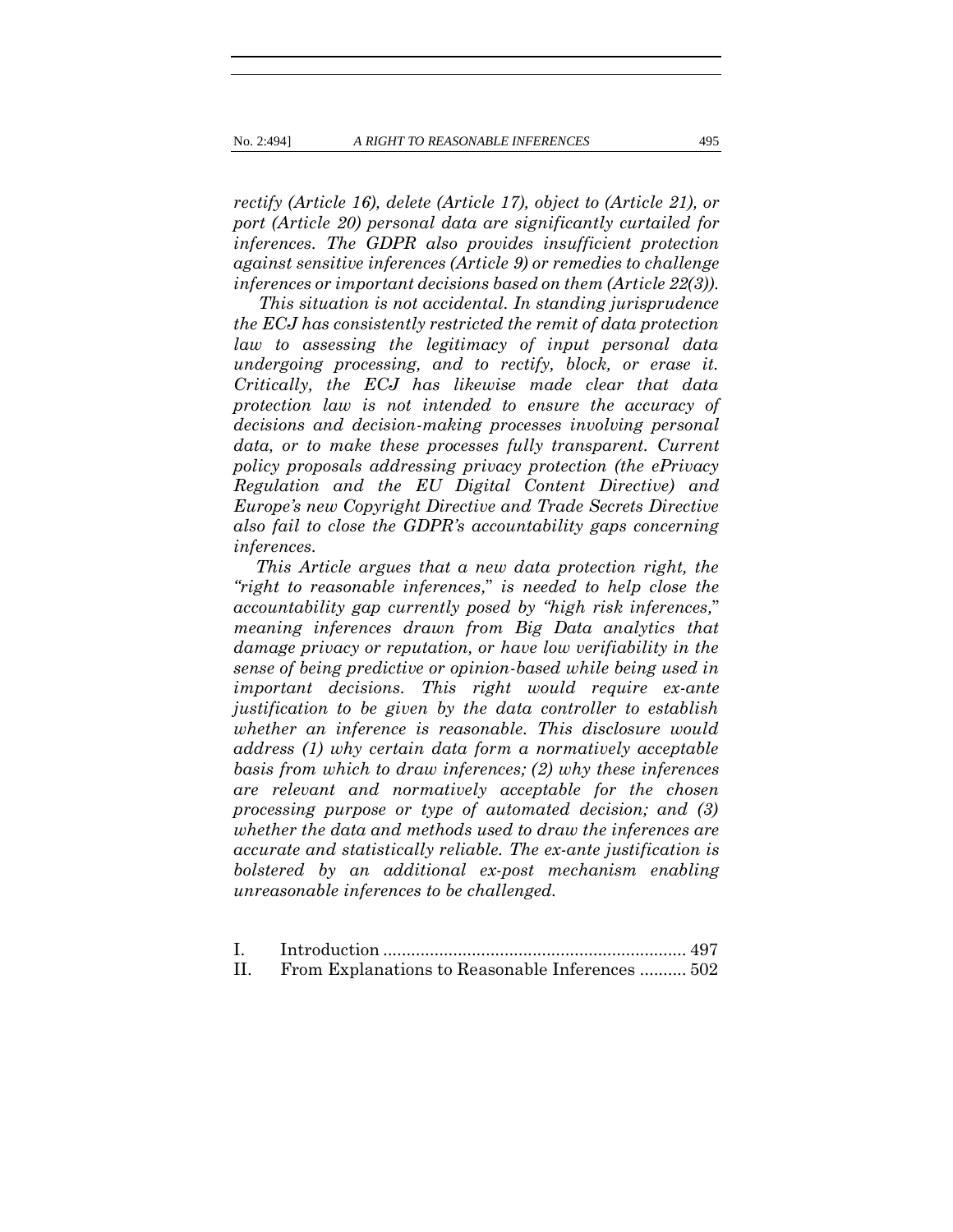*rectify (Article 16), delete (Article 17), object to (Article 21), or port (Article 20) personal data are significantly curtailed for inferences. The GDPR also provides insufficient protection against sensitive inferences (Article 9) or remedies to challenge inferences or important decisions based on them (Article 22(3)).*

*This situation is not accidental. In standing jurisprudence the ECJ has consistently restricted the remit of data protection law to assessing the legitimacy of input personal data undergoing processing, and to rectify, block, or erase it. Critically, the ECJ has likewise made clear that data protection law is not intended to ensure the accuracy of decisions and decision-making processes involving personal data, or to make these processes fully transparent. Current policy proposals addressing privacy protection (the ePrivacy Regulation and the EU Digital Content Directive) and Europe's new Copyright Directive and Trade Secrets Directive also fail to close the GDPR's accountability gaps concerning inferences.* 

*This Article argues that a new data protection right, the "right to reasonable inferences,*" *is needed to help close the accountability gap currently posed by "high risk inferences,*" *meaning inferences drawn from Big Data analytics that damage privacy or reputation, or have low verifiability in the sense of being predictive or opinion-based while being used in important decisions. This right would require ex-ante justification to be given by the data controller to establish whether an inference is reasonable. This disclosure would address (1) why certain data form a normatively acceptable basis from which to draw inferences; (2) why these inferences are relevant and normatively acceptable for the chosen processing purpose or type of automated decision; and (3) whether the data and methods used to draw the inferences are accurate and statistically reliable. The ex-ante justification is bolstered by an additional ex-post mechanism enabling unreasonable inferences to be challenged.*

| II. | From Explanations to Reasonable Inferences  502 |  |
|-----|-------------------------------------------------|--|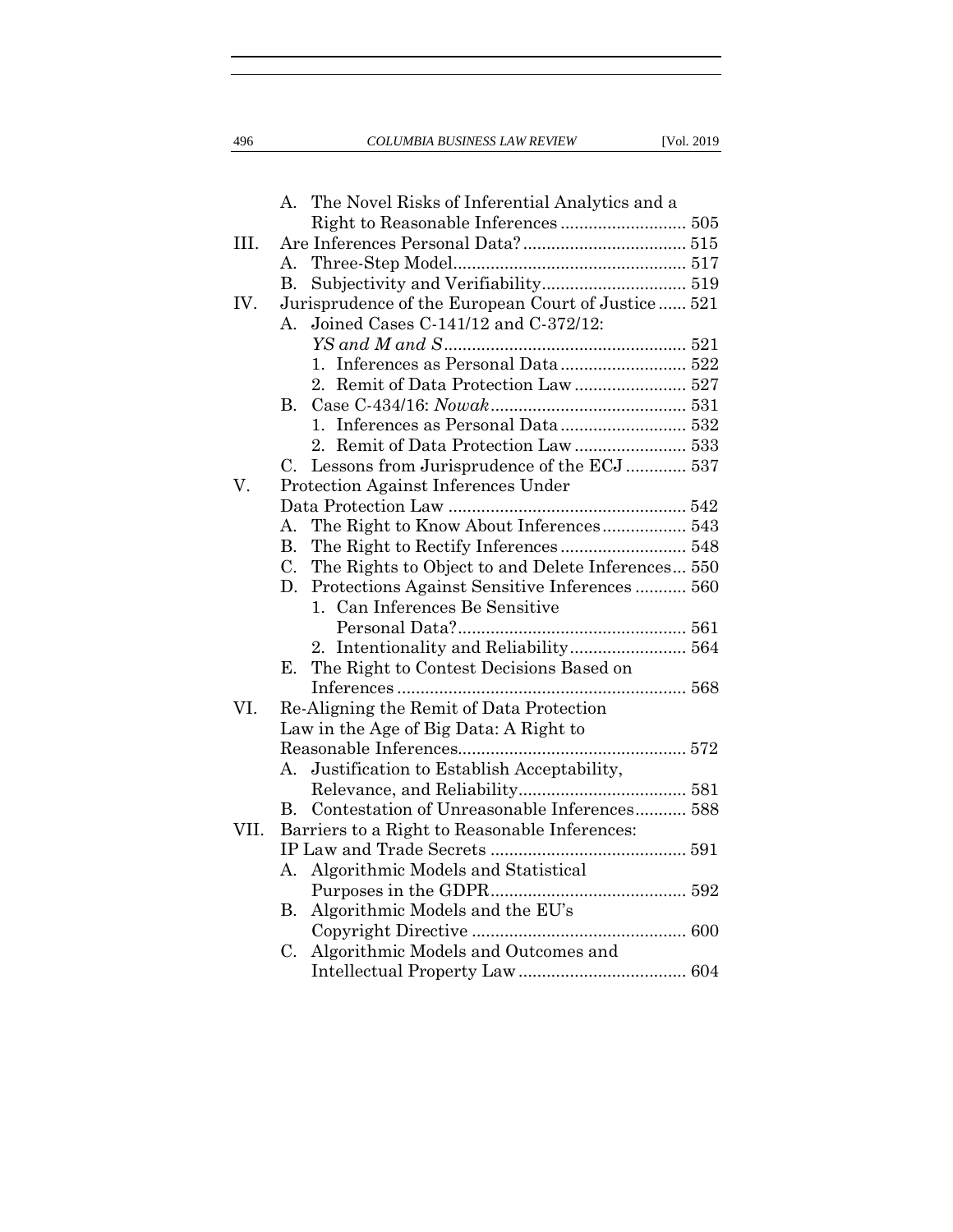496 *COLUMBIA BUSINESS LAW REVIEW* [Vol. 2019

|      | The Novel Risks of Inferential Analytics and a<br>А.             |  |
|------|------------------------------------------------------------------|--|
|      |                                                                  |  |
| III. |                                                                  |  |
|      |                                                                  |  |
|      | B.                                                               |  |
| IV.  | Jurisprudence of the European Court of Justice 521               |  |
|      | Joined Cases C-141/12 and C-372/12:<br>$A_{\cdot}$               |  |
|      |                                                                  |  |
|      | 1.                                                               |  |
|      | Remit of Data Protection Law  527<br>$2_{\cdot}$                 |  |
|      | $\rm B_{\cdot}$                                                  |  |
|      | $1_{-}$                                                          |  |
|      |                                                                  |  |
|      | Lessons from Jurisprudence of the ECJ  537<br>C.                 |  |
| V.   | Protection Against Inferences Under                              |  |
|      |                                                                  |  |
|      | The Right to Know About Inferences 543<br>А.                     |  |
|      | В.                                                               |  |
|      | The Rights to Object to and Delete Inferences 550<br>$C_{\cdot}$ |  |
|      | Protections Against Sensitive Inferences 560<br>D.               |  |
|      | 1. Can Inferences Be Sensitive                                   |  |
|      |                                                                  |  |
|      | 2.                                                               |  |
|      | The Right to Contest Decisions Based on<br>Ε.                    |  |
|      |                                                                  |  |
| VI.  | Re-Aligning the Remit of Data Protection                         |  |
|      | Law in the Age of Big Data: A Right to                           |  |
|      |                                                                  |  |
|      | Justification to Establish Acceptability,<br>$A_{\cdot}$         |  |
|      |                                                                  |  |
|      | Contestation of Unreasonable Inferences 588<br>$\mathbf{B}$      |  |
| VII. | Barriers to a Right to Reasonable Inferences:                    |  |
|      |                                                                  |  |
|      | Algorithmic Models and Statistical<br>А.                         |  |
|      |                                                                  |  |
|      | Algorithmic Models and the EU's<br><b>B.</b>                     |  |
|      |                                                                  |  |
|      | Algorithmic Models and Outcomes and<br>C.                        |  |
|      |                                                                  |  |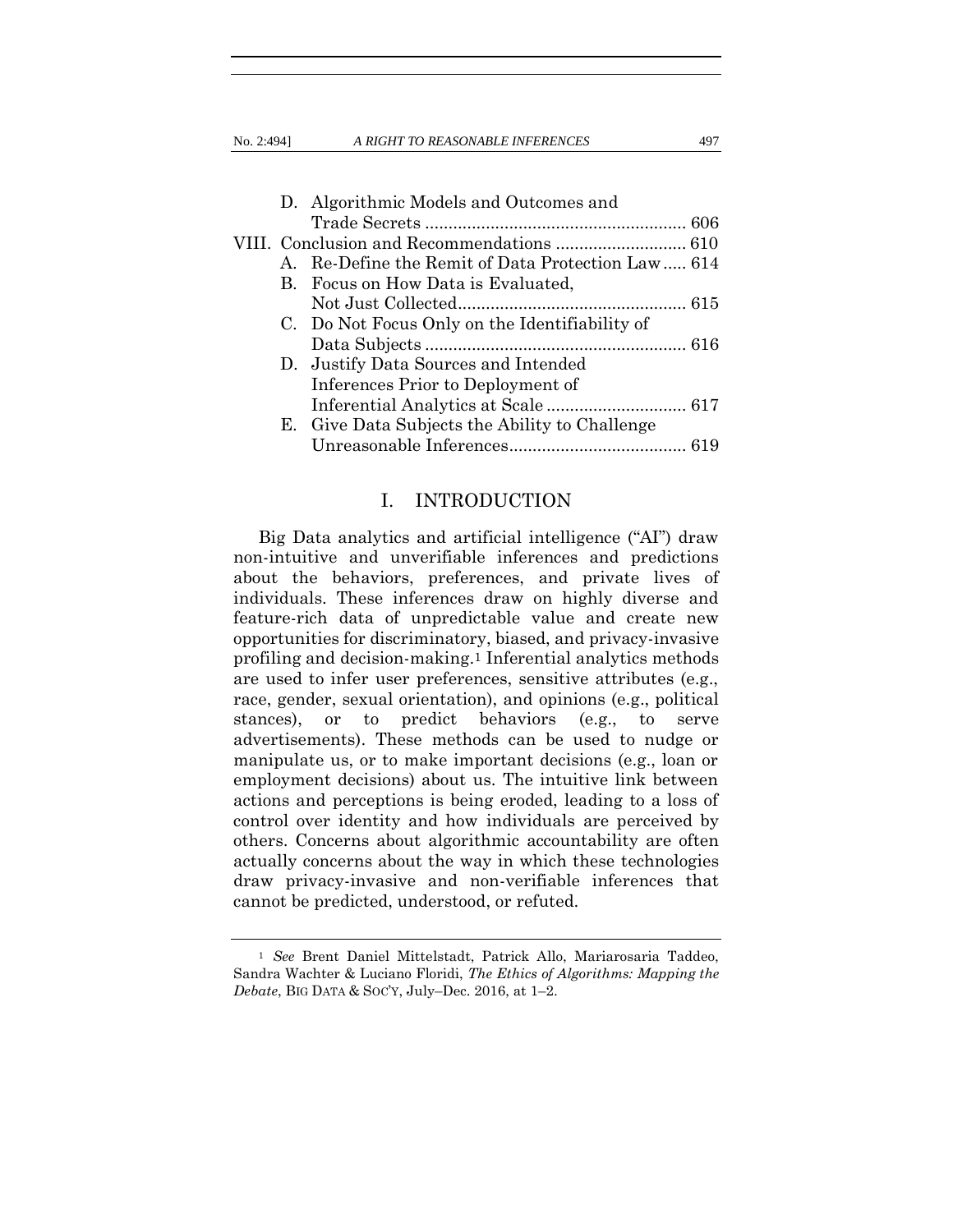No. 2:494] *A RIGHT TO REASONABLE INFERENCES* 497

|  | D. Algorithmic Models and Outcomes and            |  |
|--|---------------------------------------------------|--|
|  |                                                   |  |
|  |                                                   |  |
|  | A. Re-Define the Remit of Data Protection Law 614 |  |
|  | B. Focus on How Data is Evaluated,                |  |
|  |                                                   |  |
|  | C. Do Not Focus Only on the Identifiability of    |  |
|  |                                                   |  |
|  | D. Justify Data Sources and Intended              |  |
|  | Inferences Prior to Deployment of                 |  |
|  |                                                   |  |
|  | E. Give Data Subjects the Ability to Challenge    |  |
|  |                                                   |  |

## <span id="page-3-0"></span>I. INTRODUCTION

Big Data analytics and artificial intelligence ("AI") draw non-intuitive and unverifiable inferences and predictions about the behaviors, preferences, and private lives of individuals. These inferences draw on highly diverse and feature-rich data of unpredictable value and create new opportunities for discriminatory, biased, and privacy-invasive profiling and decision-making.1 Inferential analytics methods are used to infer user preferences, sensitive attributes (e.g., race, gender, sexual orientation), and opinions (e.g., political stances), or to predict behaviors (e.g., to serve advertisements). These methods can be used to nudge or manipulate us, or to make important decisions (e.g., loan or employment decisions) about us. The intuitive link between actions and perceptions is being eroded, leading to a loss of control over identity and how individuals are perceived by others. Concerns about algorithmic accountability are often actually concerns about the way in which these technologies draw privacy-invasive and non-verifiable inferences that cannot be predicted, understood, or refuted.

<sup>1</sup> *See* Brent Daniel Mittelstadt, Patrick Allo, Mariarosaria Taddeo, Sandra Wachter & Luciano Floridi, *The Ethics of Algorithms: Mapping the Debate*, BIG DATA & SOC'Y, July–Dec. 2016, at 1–2.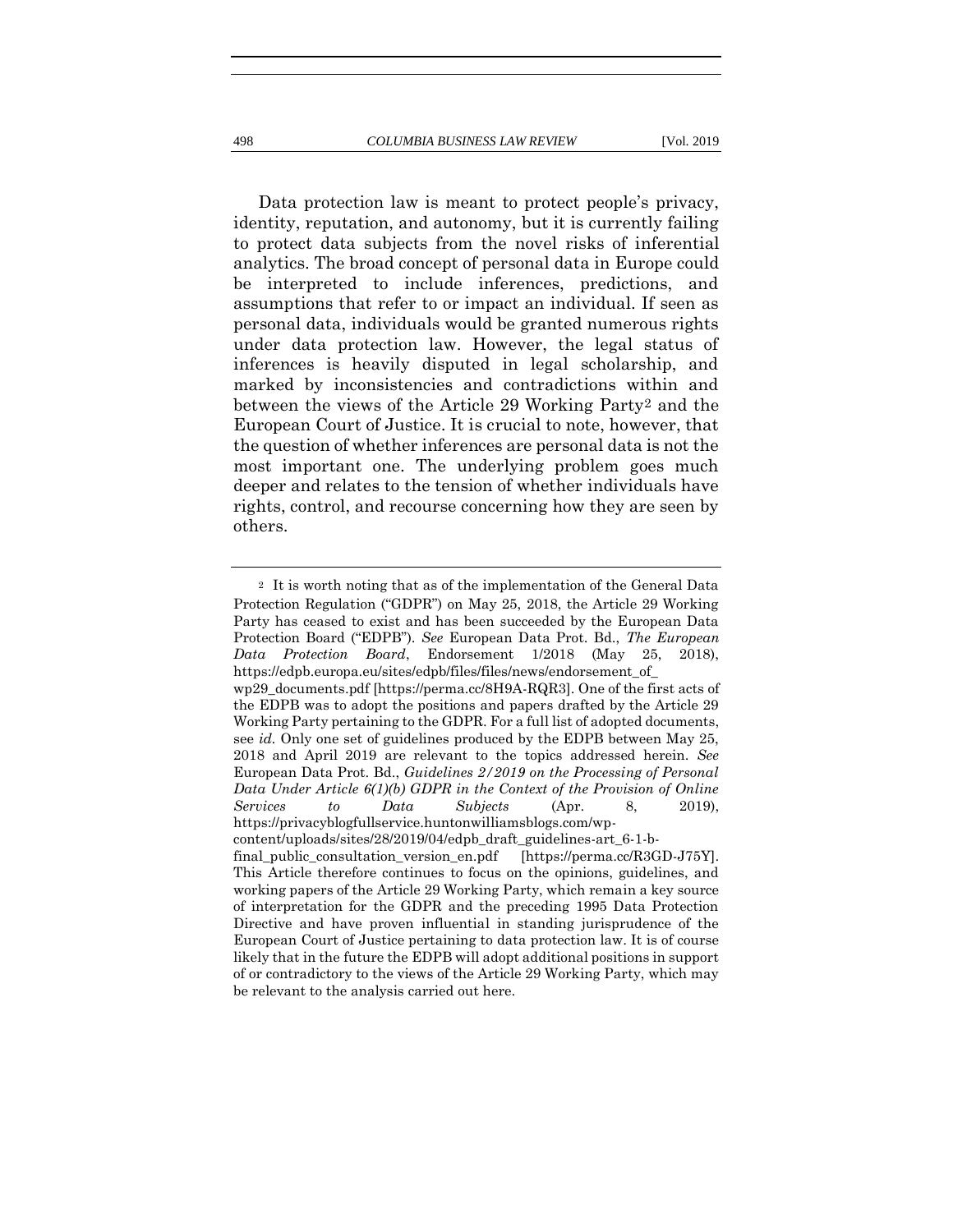Data protection law is meant to protect people's privacy, identity, reputation, and autonomy, but it is currently failing to protect data subjects from the novel risks of inferential analytics. The broad concept of personal data in Europe could be interpreted to include inferences, predictions, and assumptions that refer to or impact an individual. If seen as personal data, individuals would be granted numerous rights under data protection law. However, the legal status of inferences is heavily disputed in legal scholarship, and marked by inconsistencies and contradictions within and between the views of the Article 29 Working Party2 and the European Court of Justice. It is crucial to note, however, that the question of whether inferences are personal data is not the most important one. The underlying problem goes much deeper and relates to the tension of whether individuals have rights, control, and recourse concerning how they are seen by others.

<sup>2</sup> It is worth noting that as of the implementation of the General Data Protection Regulation ("GDPR") on May 25, 2018, the Article 29 Working Party has ceased to exist and has been succeeded by the European Data Protection Board ("EDPB"). *See* European Data Prot. Bd., *The European Data Protection Board*, Endorsement 1/2018 (May 25, 2018), https://edpb.europa.eu/sites/edpb/files/files/news/endorsement\_of\_ wp29\_documents.pdf [https://perma.cc/8H9A-RQR3]. One of the first acts of the EDPB was to adopt the positions and papers drafted by the Article 29 Working Party pertaining to the GDPR. For a full list of adopted documents, see *id.* Only one set of guidelines produced by the EDPB between May 25, 2018 and April 2019 are relevant to the topics addressed herein. *See* European Data Prot. Bd., *Guidelines 2/2019 on the Processing of Personal Data Under Article 6(1)(b) GDPR in the Context of the Provision of Online Services to Data Subjects* (Apr. 8, 2019), https://privacyblogfullservice.huntonwilliamsblogs.com/wpcontent/uploads/sites/28/2019/04/edpb\_draft\_guidelines-art\_6-1-bfinal\_public\_consultation\_version\_en.pdf [https://perma.cc/R3GD-J75Y]. This Article therefore continues to focus on the opinions, guidelines, and

working papers of the Article 29 Working Party, which remain a key source of interpretation for the GDPR and the preceding 1995 Data Protection Directive and have proven influential in standing jurisprudence of the European Court of Justice pertaining to data protection law. It is of course likely that in the future the EDPB will adopt additional positions in support of or contradictory to the views of the Article 29 Working Party, which may be relevant to the analysis carried out here.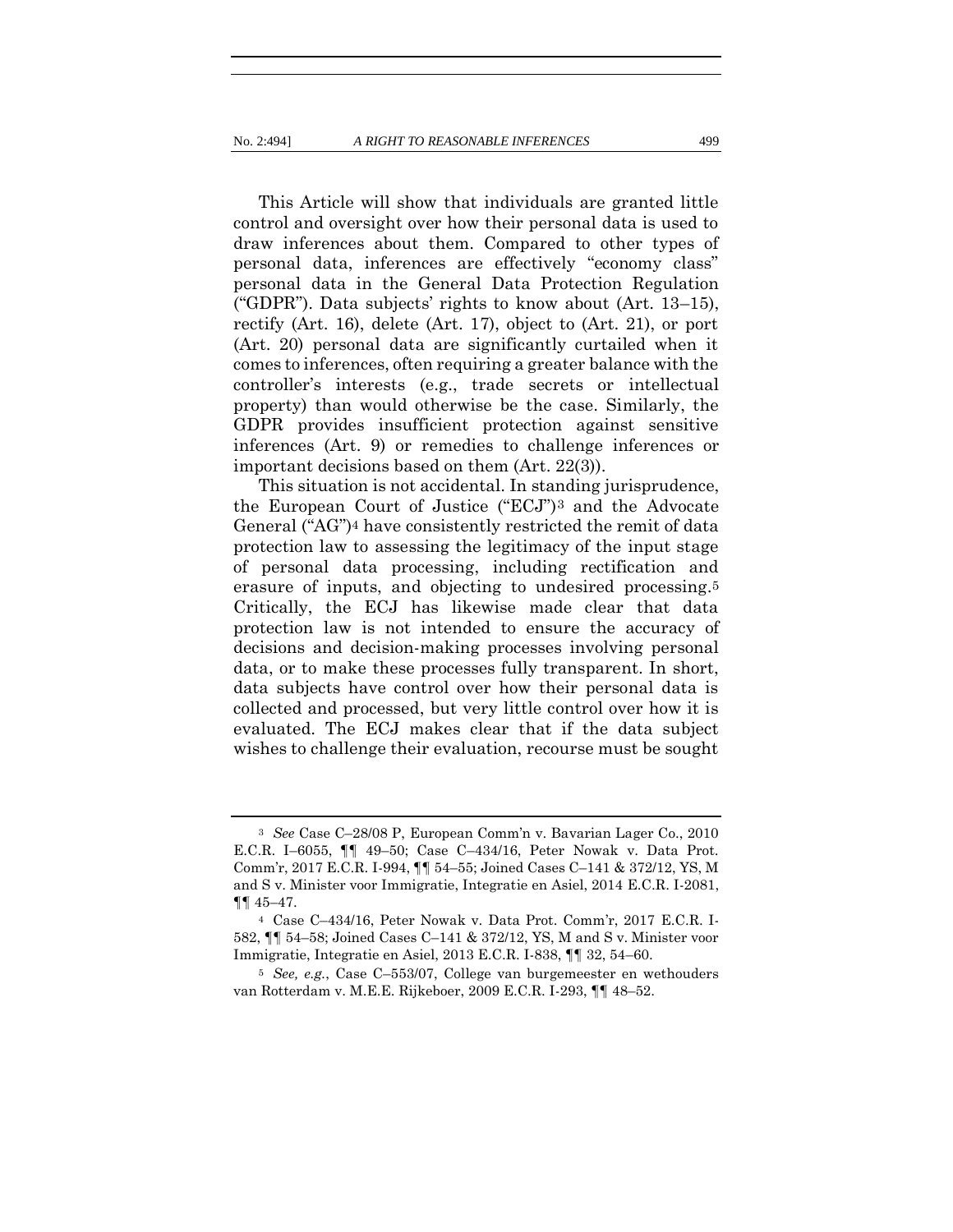This Article will show that individuals are granted little control and oversight over how their personal data is used to draw inferences about them. Compared to other types of personal data, inferences are effectively "economy class" personal data in the General Data Protection Regulation ("GDPR"). Data subjects' rights to know about (Art. 13–15), rectify (Art. 16), delete (Art. 17), object to (Art. 21), or port (Art. 20) personal data are significantly curtailed when it comes to inferences, often requiring a greater balance with the controller's interests (e.g., trade secrets or intellectual property) than would otherwise be the case. Similarly, the GDPR provides insufficient protection against sensitive inferences (Art. 9) or remedies to challenge inferences or important decisions based on them (Art. 22(3)).

<span id="page-5-1"></span><span id="page-5-0"></span>This situation is not accidental. In standing jurisprudence, the European Court of Justice ("ECJ")3 and the Advocate General ("AG")4 have consistently restricted the remit of data protection law to assessing the legitimacy of the input stage of personal data processing, including rectification and erasure of inputs, and objecting to undesired processing.5 Critically, the ECJ has likewise made clear that data protection law is not intended to ensure the accuracy of decisions and decision-making processes involving personal data, or to make these processes fully transparent. In short, data subjects have control over how their personal data is collected and processed, but very little control over how it is evaluated. The ECJ makes clear that if the data subject wishes to challenge their evaluation, recourse must be sought

<sup>3</sup> *See* Case C–28/08 P, European Comm'n v. Bavarian Lager Co., 2010 E.C.R. I–6055, ¶¶ 49–50; Case C–434/16, Peter Nowak v. Data Prot. Comm'r, 2017 E.C.R. I-994, ¶¶ 54–55; Joined Cases C–141 & 372/12, YS, M and S v. Minister voor Immigratie, Integratie en Asiel, 2014 E.C.R. I-2081,  $\P\P$  45–47.

<sup>4</sup> Case C–434/16, Peter Nowak v. Data Prot. Comm'r, 2017 E.C.R. I-582, ¶¶ 54–58; Joined Cases C–141 & 372/12, YS, M and S v. Minister voor Immigratie, Integratie en Asiel, 2013 E.C.R. I-838, ¶¶ 32, 54–60.

<sup>5</sup> *See, e.g.*, Case C–553/07, College van burgemeester en wethouders van Rotterdam v. M.E.E. Rijkeboer, 2009 E.C.R. I-293, ¶¶ 48–52.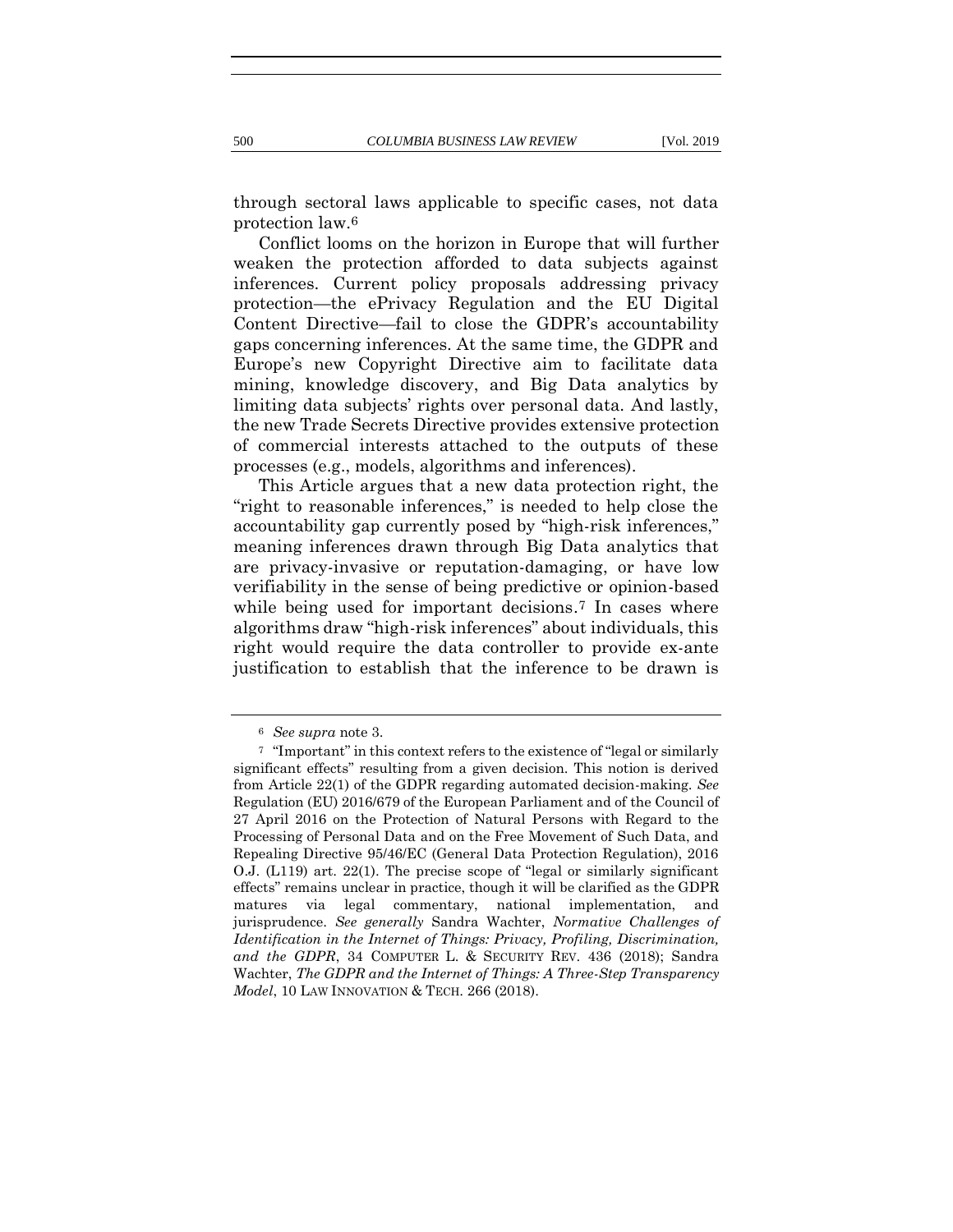through sectoral laws applicable to specific cases, not data protection law.6

Conflict looms on the horizon in Europe that will further weaken the protection afforded to data subjects against inferences. Current policy proposals addressing privacy protection—the ePrivacy Regulation and the EU Digital Content Directive—fail to close the GDPR's accountability gaps concerning inferences. At the same time, the GDPR and Europe's new Copyright Directive aim to facilitate data mining, knowledge discovery, and Big Data analytics by limiting data subjects' rights over personal data. And lastly, the new Trade Secrets Directive provides extensive protection of commercial interests attached to the outputs of these processes (e.g., models, algorithms and inferences).

This Article argues that a new data protection right, the "right to reasonable inferences," is needed to help close the accountability gap currently posed by "high-risk inferences," meaning inferences drawn through Big Data analytics that are privacy-invasive or reputation-damaging, or have low verifiability in the sense of being predictive or opinion-based while being used for important decisions.<sup>7</sup> In cases where algorithms draw "high-risk inferences" about individuals, this right would require the data controller to provide ex-ante justification to establish that the inference to be drawn is

<span id="page-6-0"></span><sup>6</sup> *See supra* not[e 3.](#page-5-0)

<sup>7</sup> "Important" in this context refers to the existence of "legal or similarly significant effects" resulting from a given decision. This notion is derived from Article 22(1) of the GDPR regarding automated decision-making. *See* Regulation (EU) 2016/679 of the European Parliament and of the Council of 27 April 2016 on the Protection of Natural Persons with Regard to the Processing of Personal Data and on the Free Movement of Such Data, and Repealing Directive 95/46/EC (General Data Protection Regulation), 2016 O.J. (L119) art. 22(1). The precise scope of "legal or similarly significant effects" remains unclear in practice, though it will be clarified as the GDPR matures via legal commentary, national implementation, and jurisprudence. *See generally* Sandra Wachter, *Normative Challenges of Identification in the Internet of Things: Privacy, Profiling, Discrimination, and the GDPR*, 34 COMPUTER L. & SECURITY REV. 436 (2018); Sandra Wachter, *The GDPR and the Internet of Things: A Three-Step Transparency Model*, 10 LAW INNOVATION & TECH. 266 (2018).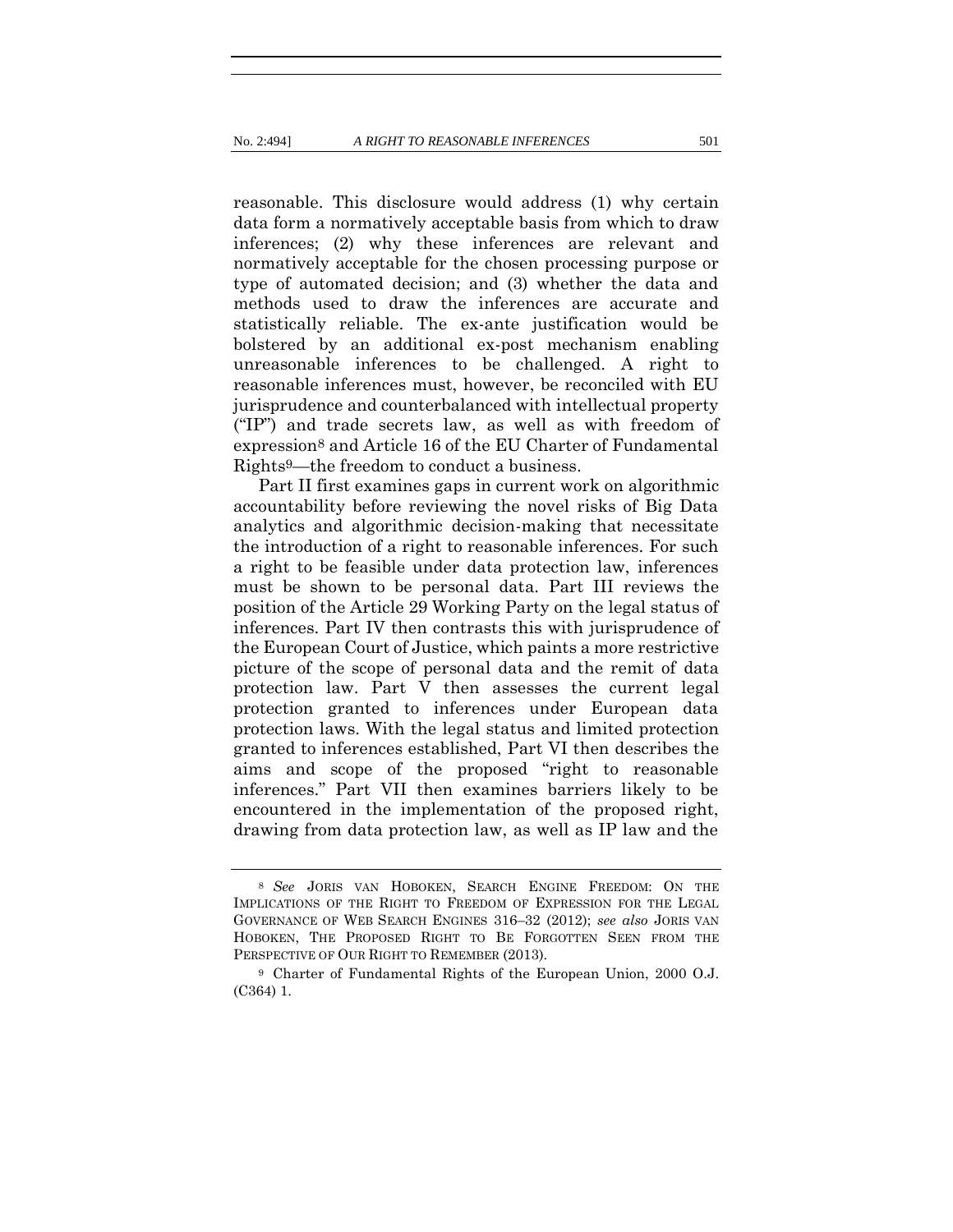reasonable. This disclosure would address (1) why certain data form a normatively acceptable basis from which to draw inferences; (2) why these inferences are relevant and normatively acceptable for the chosen processing purpose or type of automated decision; and (3) whether the data and methods used to draw the inferences are accurate and statistically reliable. The ex-ante justification would be bolstered by an additional ex-post mechanism enabling unreasonable inferences to be challenged. A right to reasonable inferences must, however, be reconciled with EU jurisprudence and counterbalanced with intellectual property ("IP") and trade secrets law, as well as with freedom of expression8 and Article 16 of the EU Charter of Fundamental Rights9—the freedom to conduct a business.

<span id="page-7-0"></span>Part II first examines gaps in current work on algorithmic accountability before reviewing the novel risks of Big Data analytics and algorithmic decision-making that necessitate the introduction of a right to reasonable inferences. For such a right to be feasible under data protection law, inferences must be shown to be personal data. Part III reviews the position of the Article 29 Working Party on the legal status of inferences. Part IV then contrasts this with jurisprudence of the European Court of Justice, which paints a more restrictive picture of the scope of personal data and the remit of data protection law. Part V then assesses the current legal protection granted to inferences under European data protection laws. With the legal status and limited protection granted to inferences established, Part VI then describes the aims and scope of the proposed "right to reasonable inferences." Part VII then examines barriers likely to be encountered in the implementation of the proposed right, drawing from data protection law, as well as IP law and the

<sup>8</sup> *See* JORIS VAN HOBOKEN, SEARCH ENGINE FREEDOM: ON THE IMPLICATIONS OF THE RIGHT TO FREEDOM OF EXPRESSION FOR THE LEGAL GOVERNANCE OF WEB SEARCH ENGINES 316–32 (2012); *see also* JORIS VAN HOBOKEN, THE PROPOSED RIGHT TO BE FORGOTTEN SEEN FROM THE PERSPECTIVE OF OUR RIGHT TO REMEMBER (2013).

<sup>9</sup> Charter of Fundamental Rights of the European Union, 2000 O.J. (C364) 1.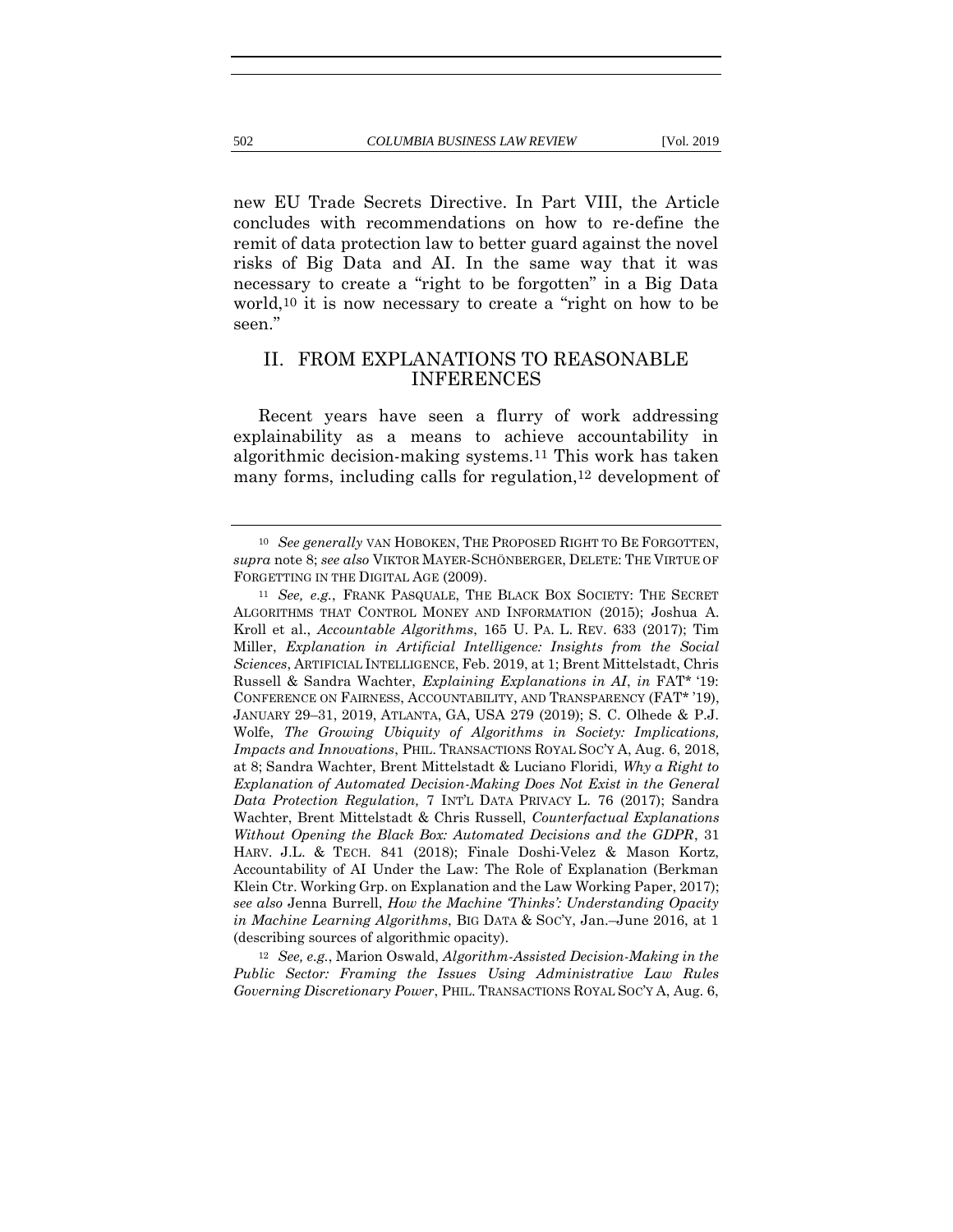new EU Trade Secrets Directive. In Part VIII, the Article concludes with recommendations on how to re-define the remit of data protection law to better guard against the novel risks of Big Data and AI. In the same way that it was necessary to create a "right to be forgotten" in a Big Data world,10 it is now necessary to create a "right on how to be seen."

## <span id="page-8-0"></span>II. FROM EXPLANATIONS TO REASONABLE INFERENCES

Recent years have seen a flurry of work addressing explainability as a means to achieve accountability in algorithmic decision-making systems.11 This work has taken many forms, including calls for regulation,12 development of

<sup>12</sup> *See, e.g.*, Marion Oswald, *Algorithm-Assisted Decision-Making in the Public Sector: Framing the Issues Using Administrative Law Rules Governing Discretionary Power*, PHIL. TRANSACTIONS ROYAL SOC'Y A, Aug. 6,

<sup>10</sup> *See generally* VAN HOBOKEN, THE PROPOSED RIGHT TO BE FORGOTTEN, *supra* not[e 8;](#page-7-0) *see also* VIKTOR MAYER-SCHÖNBERGER, DELETE: THE VIRTUE OF FORGETTING IN THE DIGITAL AGE (2009).

<sup>11</sup> *See, e.g.*, FRANK PASQUALE, THE BLACK BOX SOCIETY: THE SECRET ALGORITHMS THAT CONTROL MONEY AND INFORMATION (2015); Joshua A. Kroll et al., *Accountable Algorithms*, 165 U. PA. L. REV. 633 (2017); Tim Miller, *Explanation in Artificial Intelligence: Insights from the Social Sciences*, ARTIFICIAL INTELLIGENCE, Feb. 2019, at 1; Brent Mittelstadt, Chris Russell & Sandra Wachter, *Explaining Explanations in AI*, *in* FAT\* '19: CONFERENCE ON FAIRNESS, ACCOUNTABILITY, AND TRANSPARENCY (FAT\* '19), JANUARY 29–31, 2019, ATLANTA, GA, USA 279 (2019); S. C. Olhede & P.J. Wolfe, *The Growing Ubiquity of Algorithms in Society: Implications, Impacts and Innovations*, PHIL. TRANSACTIONS ROYAL SOC'Y A, Aug. 6, 2018, at 8; Sandra Wachter, Brent Mittelstadt & Luciano Floridi, *Why a Right to Explanation of Automated Decision-Making Does Not Exist in the General Data Protection Regulation,* 7 INT'L DATA PRIVACY L. 76 (2017); Sandra Wachter, Brent Mittelstadt & Chris Russell, *Counterfactual Explanations Without Opening the Black Box: Automated Decisions and the GDPR*, 31 HARV. J.L. & TECH. 841 (2018); Finale Doshi-Velez & Mason Kortz, Accountability of AI Under the Law: The Role of Explanation (Berkman Klein Ctr. Working Grp. on Explanation and the Law Working Paper, 2017); *see also* Jenna Burrell, *How the Machine 'Thinks': Understanding Opacity in Machine Learning Algorithms*, BIG DATA & SOC'Y, Jan.–June 2016, at 1 (describing sources of algorithmic opacity).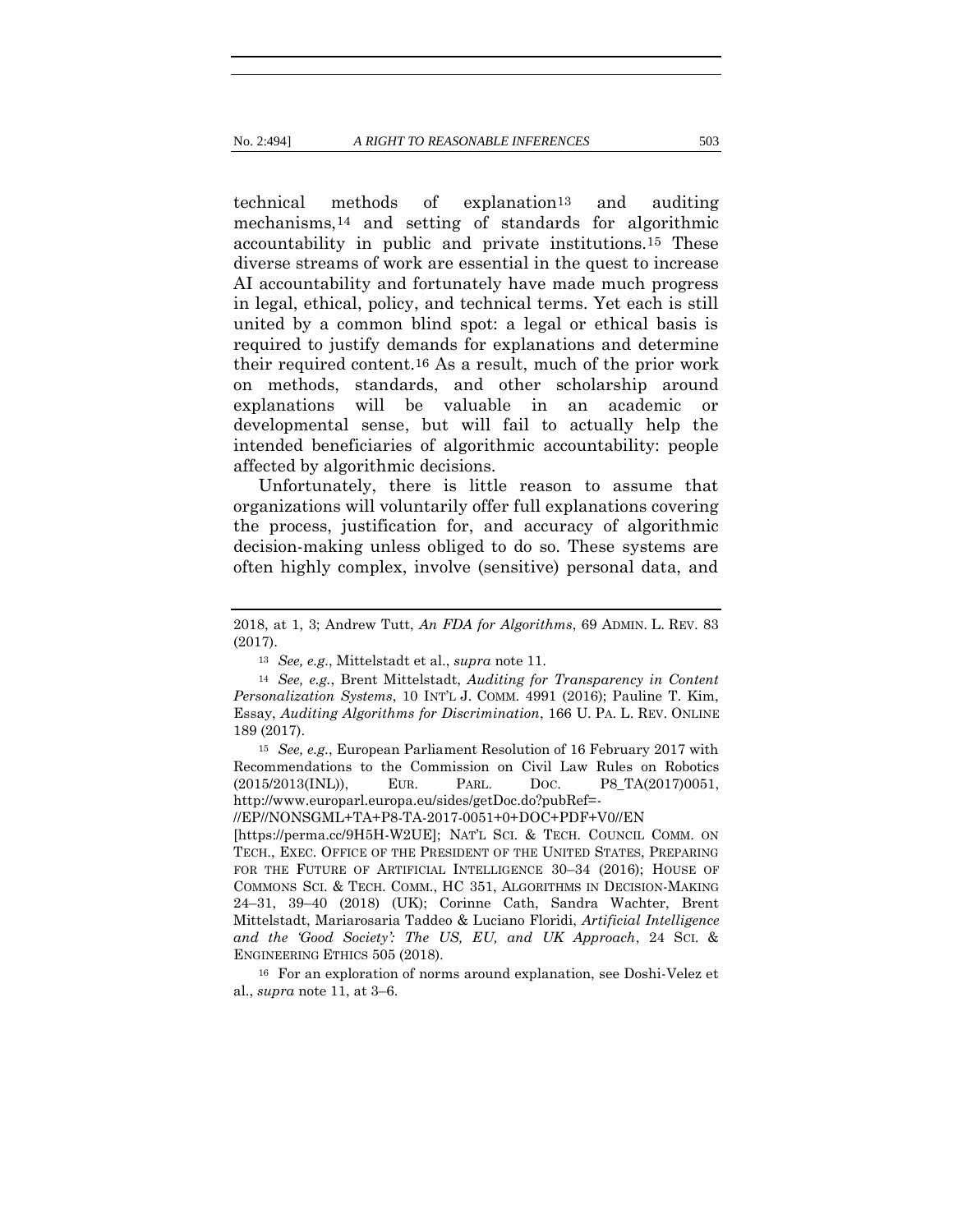technical methods of explanation13 and auditing mechanisms,14 and setting of standards for algorithmic accountability in public and private institutions.15 These diverse streams of work are essential in the quest to increase AI accountability and fortunately have made much progress in legal, ethical, policy, and technical terms. Yet each is still united by a common blind spot: a legal or ethical basis is required to justify demands for explanations and determine their required content.16 As a result, much of the prior work on methods, standards, and other scholarship around explanations will be valuable in an academic or developmental sense, but will fail to actually help the intended beneficiaries of algorithmic accountability: people affected by algorithmic decisions.

Unfortunately, there is little reason to assume that organizations will voluntarily offer full explanations covering the process, justification for, and accuracy of algorithmic decision-making unless obliged to do so. These systems are often highly complex, involve (sensitive) personal data, and

<sup>13</sup> *See, e.g.*, Mittelstadt et al., *supra* not[e 11.](#page-8-0)

<sup>15</sup> *See, e.g.*, European Parliament Resolution of 16 February 2017 with Recommendations to the Commission on Civil Law Rules on Robotics (2015/2013(INL)), EUR. PARL. DOC. P8\_TA(2017)0051, http://www.europarl.europa.eu/sides/getDoc.do?pubRef=-

//EP//NONSGML+TA+P8-TA-2017-0051+0+DOC+PDF+V0//EN

[https://perma.cc/9H5H-W2UE]; NAT'L SCI. & TECH. COUNCIL COMM. ON TECH., EXEC. OFFICE OF THE PRESIDENT OF THE UNITED STATES, PREPARING FOR THE FUTURE OF ARTIFICIAL INTELLIGENCE 30-34 (2016); HOUSE OF COMMONS SCI. & TECH. COMM., HC 351, ALGORITHMS IN DECISION-MAKING 24–31, 39–40 (2018) (UK); Corinne Cath, Sandra Wachter, Brent Mittelstadt, Mariarosaria Taddeo & Luciano Floridi, *Artificial Intelligence and the 'Good Society': The US, EU, and UK Approach*, 24 SCI. & ENGINEERING ETHICS 505 (2018).

<sup>16</sup> For an exploration of norms around explanation, see Doshi-Velez et al., *supra* note [11,](#page-8-0) at 3–6.

<sup>2018,</sup> at 1, 3; Andrew Tutt, *An FDA for Algorithms*, 69 ADMIN. L. REV. 83 (2017).

<sup>14</sup> *See, e.g.*, Brent Mittelstadt, *Auditing for Transparency in Content Personalization Systems*, 10 INT'L J. COMM. 4991 (2016); Pauline T. Kim, Essay, *Auditing Algorithms for Discrimination*, 166 U. PA. L. REV. ONLINE 189 (2017).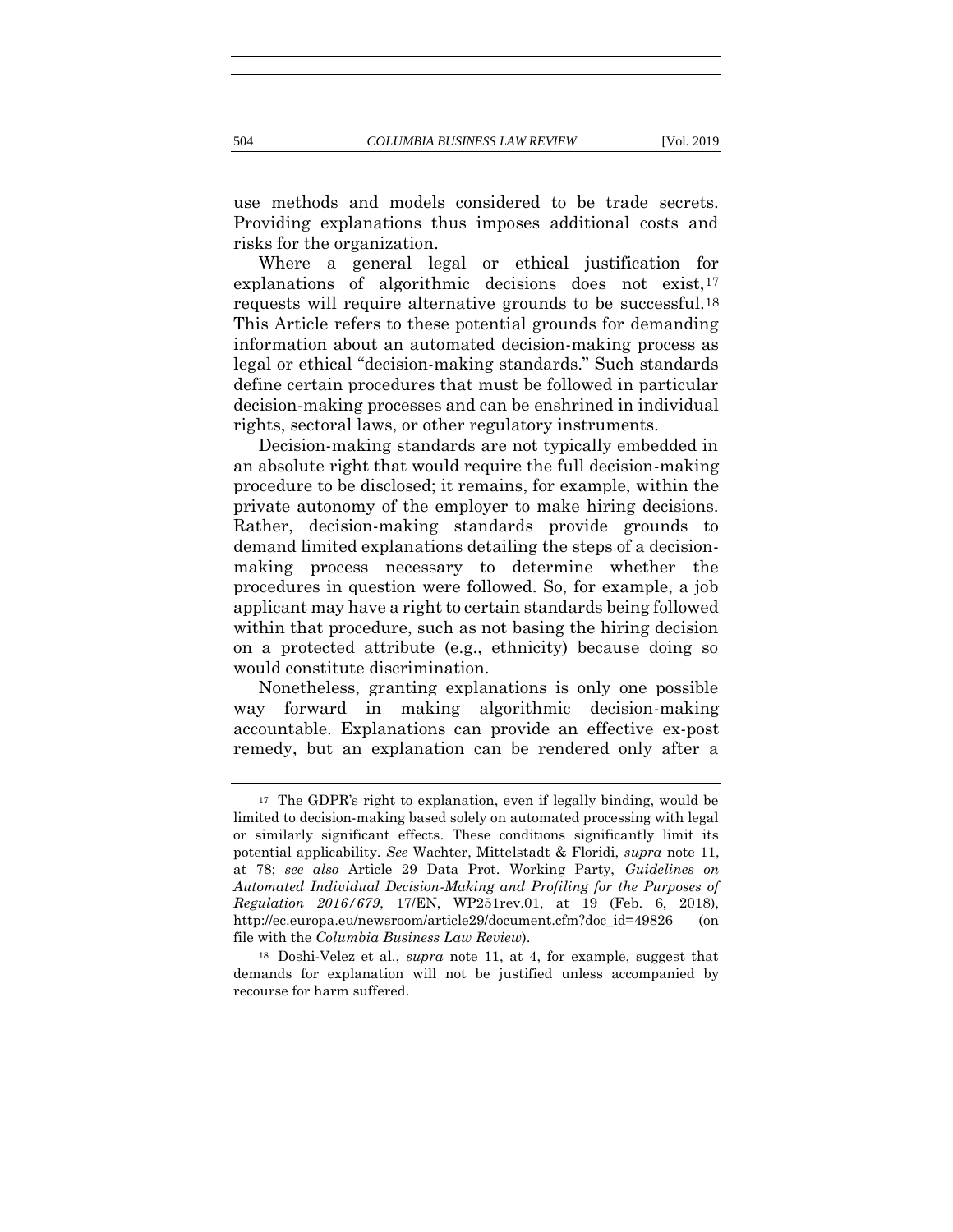use methods and models considered to be trade secrets. Providing explanations thus imposes additional costs and risks for the organization.

<span id="page-10-0"></span>Where a general legal or ethical justification for explanations of algorithmic decisions does not exist, 17 requests will require alternative grounds to be successful.18 This Article refers to these potential grounds for demanding information about an automated decision-making process as legal or ethical "decision-making standards." Such standards define certain procedures that must be followed in particular decision-making processes and can be enshrined in individual rights, sectoral laws, or other regulatory instruments.

Decision-making standards are not typically embedded in an absolute right that would require the full decision-making procedure to be disclosed; it remains, for example, within the private autonomy of the employer to make hiring decisions. Rather, decision-making standards provide grounds to demand limited explanations detailing the steps of a decisionmaking process necessary to determine whether the procedures in question were followed. So, for example, a job applicant may have a right to certain standards being followed within that procedure, such as not basing the hiring decision on a protected attribute (e.g., ethnicity) because doing so would constitute discrimination.

Nonetheless, granting explanations is only one possible way forward in making algorithmic decision-making accountable. Explanations can provide an effective ex-post remedy, but an explanation can be rendered only after a

<sup>17</sup> The GDPR's right to explanation, even if legally binding, would be limited to decision-making based solely on automated processing with legal or similarly significant effects. These conditions significantly limit its potential applicability. *See* Wachter, Mittelstadt & Floridi, *supra* note [11,](#page-8-0) at 78; *see also* Article 29 Data Prot. Working Party, *Guidelines on Automated Individual Decision-Making and Profiling for the Purposes of Regulation 2016/679*, 17/EN, WP251rev.01, at 19 (Feb. 6, 2018), http://ec.europa.eu/newsroom/article29/document.cfm?doc\_id=49826 (on file with the *Columbia Business Law Review*).

<sup>18</sup> Doshi-Velez et al., *supra* note [11,](#page-8-0) at 4, for example, suggest that demands for explanation will not be justified unless accompanied by recourse for harm suffered.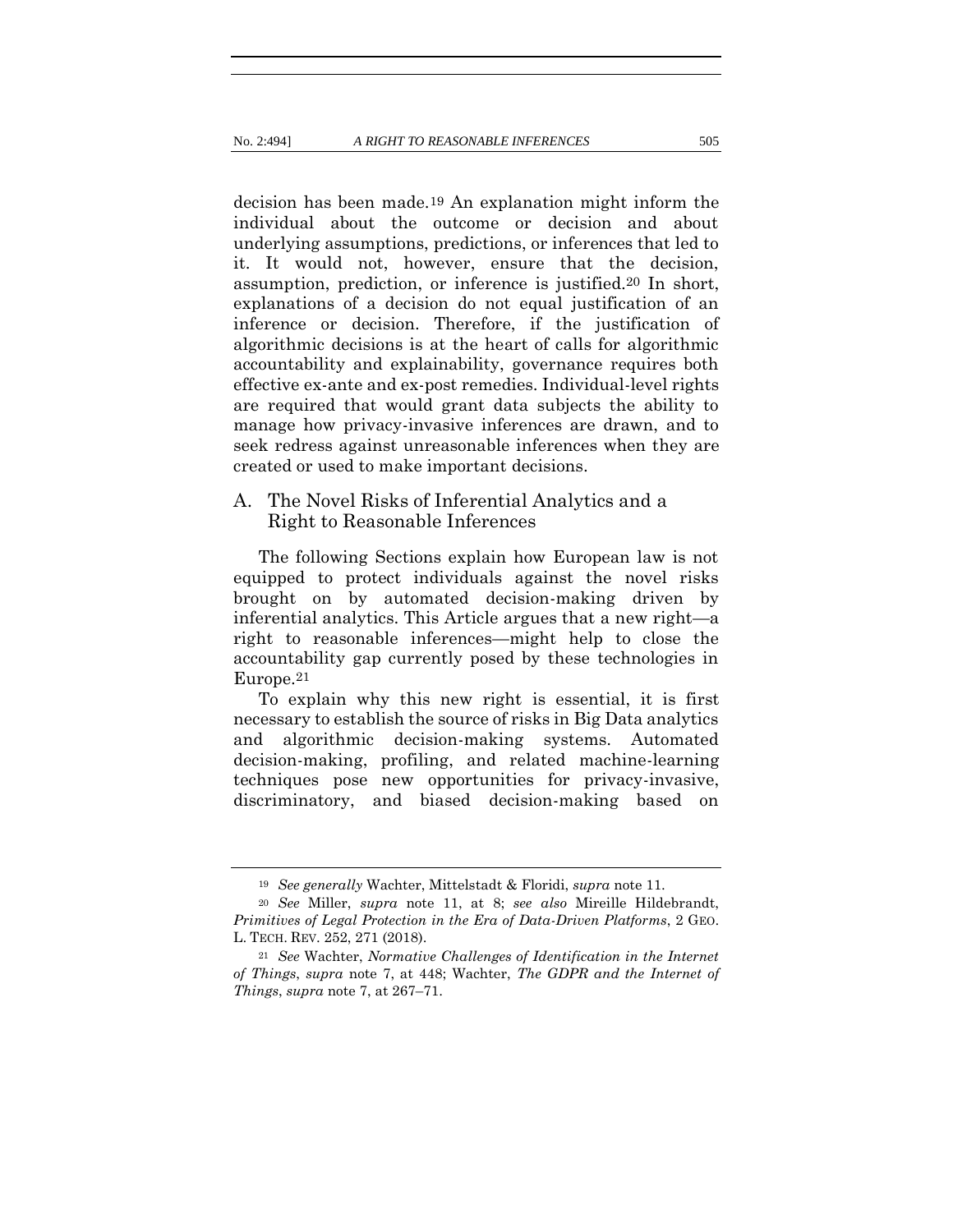<span id="page-11-0"></span>decision has been made.19 An explanation might inform the individual about the outcome or decision and about underlying assumptions, predictions, or inferences that led to it. It would not, however, ensure that the decision, assumption, prediction, or inference is justified.20 In short, explanations of a decision do not equal justification of an inference or decision. Therefore, if the justification of algorithmic decisions is at the heart of calls for algorithmic accountability and explainability, governance requires both effective ex-ante and ex-post remedies. Individual-level rights are required that would grant data subjects the ability to manage how privacy-invasive inferences are drawn, and to seek redress against unreasonable inferences when they are created or used to make important decisions.

## A. The Novel Risks of Inferential Analytics and a Right to Reasonable Inferences

The following Sections explain how European law is not equipped to protect individuals against the novel risks brought on by automated decision-making driven by inferential analytics. This Article argues that a new right—a right to reasonable inferences—might help to close the accountability gap currently posed by these technologies in Europe.21

To explain why this new right is essential, it is first necessary to establish the source of risks in Big Data analytics and algorithmic decision-making systems. Automated decision-making, profiling, and related machine-learning techniques pose new opportunities for privacy-invasive, discriminatory, and biased decision-making based on

<sup>19</sup> *See generally* Wachter, Mittelstadt & Floridi, *supra* note [11.](#page-8-0)

<sup>20</sup> *See* Miller, *supra* note [11,](#page-8-0) at 8; *see also* Mireille Hildebrandt, *Primitives of Legal Protection in the Era of Data-Driven Platforms*, 2 GEO. L. TECH. REV. 252, 271 (2018).

<sup>21</sup> *See* Wachter, *Normative Challenges of Identification in the Internet of Things*, *supra* note [7,](#page-6-0) at 448; Wachter, *The GDPR and the Internet of Things*, *supra* note [7,](#page-6-0) at 267–71.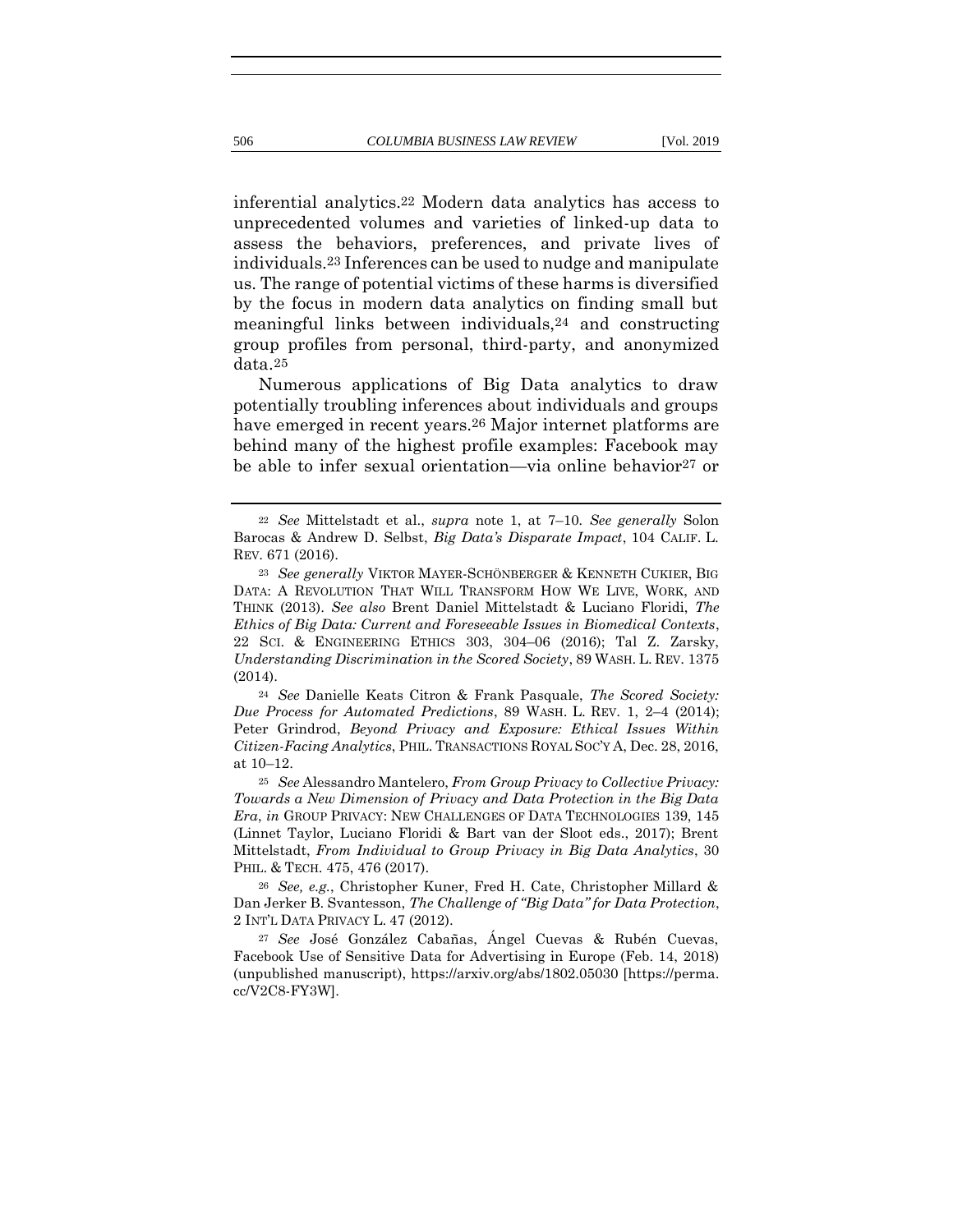<span id="page-12-0"></span>inferential analytics.22 Modern data analytics has access to unprecedented volumes and varieties of linked-up data to assess the behaviors, preferences, and private lives of individuals.23 Inferences can be used to nudge and manipulate us. The range of potential victims of these harms is diversified by the focus in modern data analytics on finding small but meaningful links between individuals,24 and constructing group profiles from personal, third-party, and anonymized data.25

<span id="page-12-1"></span>Numerous applications of Big Data analytics to draw potentially troubling inferences about individuals and groups have emerged in recent years.26 Major internet platforms are behind many of the highest profile examples: Facebook may be able to infer sexual orientation—via online behavior<sup>27</sup> or

<sup>24</sup> *See* Danielle Keats Citron & Frank Pasquale, *The Scored Society: Due Process for Automated Predictions*, 89 WASH. L. REV. 1, 2–4 (2014); Peter Grindrod, *Beyond Privacy and Exposure: Ethical Issues Within Citizen-Facing Analytics*, PHIL. TRANSACTIONS ROYAL SOC'Y A, Dec. 28, 2016, at 10–12.

<sup>25</sup> *See* Alessandro Mantelero, *From Group Privacy to Collective Privacy: Towards a New Dimension of Privacy and Data Protection in the Big Data Era*, *in* GROUP PRIVACY: NEW CHALLENGES OF DATA TECHNOLOGIES 139, 145 (Linnet Taylor, Luciano Floridi & Bart van der Sloot eds., 2017); Brent Mittelstadt, *From Individual to Group Privacy in Big Data Analytics*, 30 PHIL. & TECH. 475, 476 (2017).

<sup>26</sup> *See, e.g.*, Christopher Kuner, Fred H. Cate, Christopher Millard & Dan Jerker B. Svantesson, *The Challenge of "Big Data" for Data Protection*, 2 INT'L DATA PRIVACY L. 47 (2012).

<sup>27</sup> *See* José González Cabañas, Ángel Cuevas & Rubén Cuevas, Facebook Use of Sensitive Data for Advertising in Europe (Feb. 14, 2018) (unpublished manuscript), https://arxiv.org/abs/1802.05030 [https://perma. cc/V2C8-FY3W].

<sup>22</sup> *See* Mittelstadt et al., *supra* note [1,](#page-3-0) at 7–10*. See generally* Solon Barocas & Andrew D. Selbst, *Big Data's Disparate Impact*, 104 CALIF. L. REV. 671 (2016).

<sup>23</sup> *See generally* VIKTOR MAYER-SCHÖNBERGER & KENNETH CUKIER, BIG DATA: A REVOLUTION THAT WILL TRANSFORM HOW WE LIVE, WORK, AND THINK (2013). *See also* Brent Daniel Mittelstadt & Luciano Floridi, *The Ethics of Big Data: Current and Foreseeable Issues in Biomedical Contexts*, 22 SCI. & ENGINEERING ETHICS 303, 304–06 (2016); Tal Z. Zarsky, *Understanding Discrimination in the Scored Society*, 89 WASH. L. REV. 1375 (2014).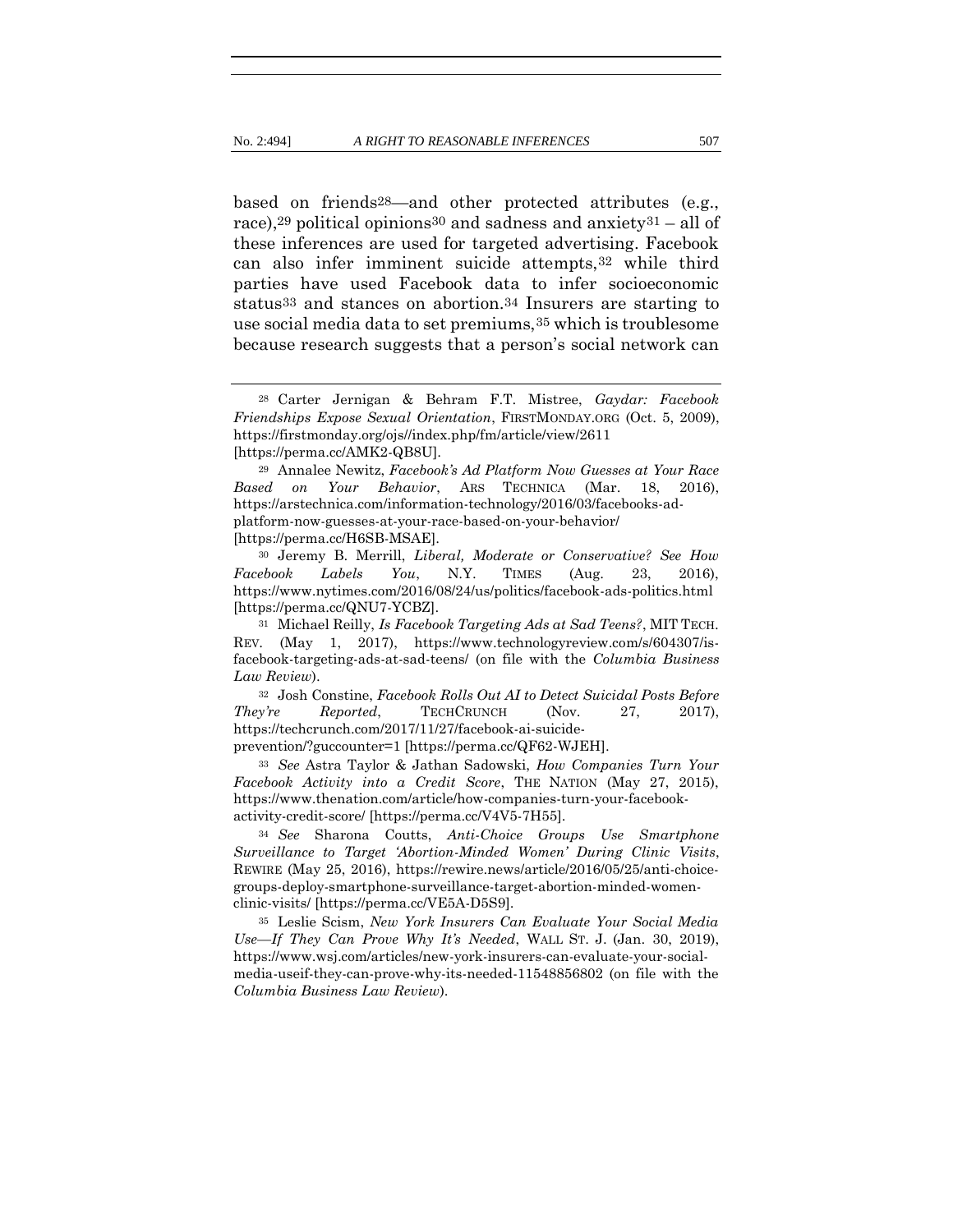based on friends28—and other protected attributes (e.g., race),<sup>29</sup> political opinions<sup>30</sup> and sadness and anxiety<sup>31</sup> – all of these inferences are used for targeted advertising. Facebook can also infer imminent suicide attempts,32 while third parties have used Facebook data to infer socioeconomic status33 and stances on abortion.34 Insurers are starting to use social media data to set premiums,35 which is troublesome because research suggests that a person's social network can

<sup>30</sup> Jeremy B. Merrill, *Liberal, Moderate or Conservative? See How Facebook Labels You*, N.Y. TIMES (Aug. 23, 2016), https://www.nytimes.com/2016/08/24/us/politics/facebook-ads-politics.html [https://perma.cc/QNU7-YCBZ].

<sup>32</sup> Josh Constine, *Facebook Rolls Out AI to Detect Suicidal Posts Before They're Reported*, **TECHCRUNCH** (Nov. 27, 2017), https://techcrunch.com/2017/11/27/facebook-ai-suicide-

prevention/?guccounter=1 [https://perma.cc/QF62-WJEH].

<sup>33</sup> *See* Astra Taylor & Jathan Sadowski, *How Companies Turn Your Facebook Activity into a Credit Score*, THE NATION (May 27, 2015), https://www.thenation.com/article/how-companies-turn-your-facebookactivity-credit-score/ [https://perma.cc/V4V5-7H55].

<sup>34</sup> *See* Sharona Coutts, *Anti-Choice Groups Use Smartphone Surveillance to Target 'Abortion-Minded Women' During Clinic Visits*, REWIRE (May 25, 2016), https://rewire.news/article/2016/05/25/anti-choicegroups-deploy-smartphone-surveillance-target-abortion-minded-womenclinic-visits/ [https://perma.cc/VE5A-D5S9].

<sup>35</sup> Leslie Scism, *New York Insurers Can Evaluate Your Social Media Use—If They Can Prove Why It's Needed*, WALL ST. J. (Jan. 30, 2019), https://www.wsj.com/articles/new-york-insurers-can-evaluate-your-socialmedia-useif-they-can-prove-why-its-needed-11548856802 (on file with the *Columbia Business Law Review*).

<sup>28</sup> Carter Jernigan & Behram F.T. Mistree, *Gaydar: Facebook Friendships Expose Sexual Orientation*, FIRSTMONDAY.ORG (Oct. 5, 2009), https://firstmonday.org/ojs//index.php/fm/article/view/2611 [\[https://perma.cc/AMK2-QB8U\]](https://perma.cc/AMK2-QB8U).

<sup>29</sup> Annalee Newitz, *Facebook's Ad Platform Now Guesses at Your Race Based on Your Behavior*, ARS TECHNICA (Mar. 18, 2016), https://arstechnica.com/information-technology/2016/03/facebooks-adplatform-now-guesses-at-your-race-based-on-your-behavior/ [https://perma.cc/H6SB-MSAE].

<sup>31</sup> Michael Reilly, *Is Facebook Targeting Ads at Sad Teens?*, MIT TECH. REV. (May 1, 2017), https://www.technologyreview.com/s/604307/isfacebook-targeting-ads-at-sad-teens/ (on file with the *Columbia Business Law Review*).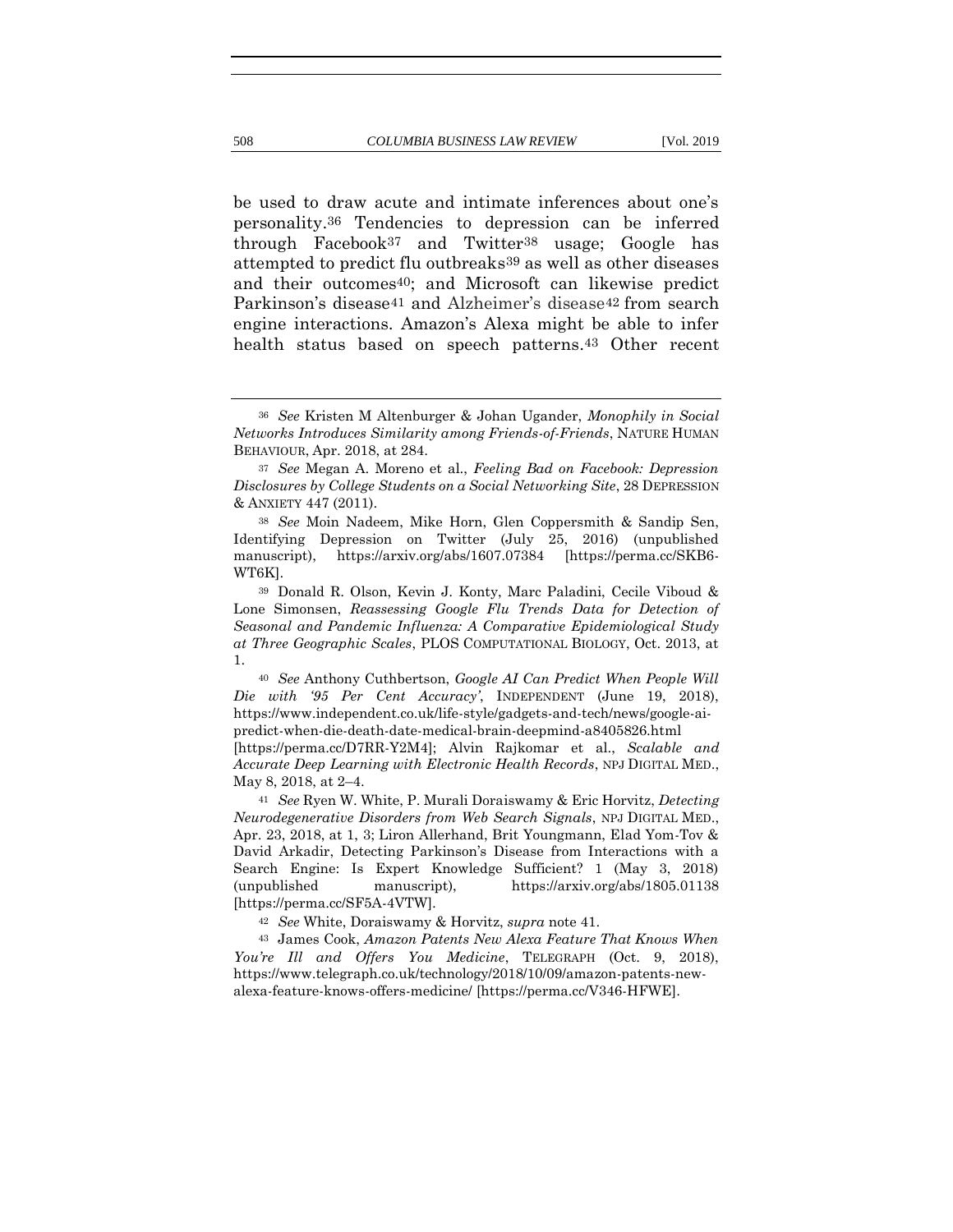<span id="page-14-0"></span>be used to draw acute and intimate inferences about one's personality.36 Tendencies to depression can be inferred through Facebook37 and Twitter38 usage; Google has attempted to predict flu outbreaks39 as well as other diseases and their outcomes40; and Microsoft can likewise predict Parkinson's disease<sup>41</sup> and Alzheimer's disease<sup>42</sup> from search engine interactions. Amazon's Alexa might be able to infer health status based on speech patterns.<sup>43</sup> Other recent

<sup>40</sup> *See* Anthony Cuthbertson, *Google AI Can Predict When People Will Die with '95 Per Cent Accuracy'*, INDEPENDENT (June 19, 2018), https://www.independent.co.uk/life-style/gadgets-and-tech/news/google-aipredict-when-die-death-date-medical-brain-deepmind-a8405826.html

[https://perma.cc/D7RR-Y2M4]; Alvin Rajkomar et al., *Scalable and Accurate Deep Learning with Electronic Health Records*, NPJ DIGITAL MED., May 8, 2018, at 2–4.

<sup>41</sup> *See* Ryen W. White, P. Murali Doraiswamy & Eric Horvitz, *Detecting Neurodegenerative Disorders from Web Search Signals*, NPJ DIGITAL MED., Apr. 23, 2018, at 1, 3; Liron Allerhand, Brit Youngmann, Elad Yom-Tov & David Arkadir, Detecting Parkinson's Disease from Interactions with a Search Engine: Is Expert Knowledge Sufficient? 1 (May 3, 2018) (unpublished manuscript), https://arxiv.org/abs/1805.01138 [https://perma.cc/SF5A-4VTW].

<sup>42</sup> *See* White, Doraiswamy & Horvitz, *supra* note [41.](#page-14-0)

<sup>43</sup> James Cook, *Amazon Patents New Alexa Feature That Knows When You're Ill and Offers You Medicine*, TELEGRAPH (Oct. 9, 2018), https://www.telegraph.co.uk/technology/2018/10/09/amazon-patents-newalexa-feature-knows-offers-medicine/ [https://perma.cc/V346-HFWE].

<sup>36</sup> *See* Kristen M Altenburger & Johan Ugander, *Monophily in Social Networks Introduces Similarity among Friends-of-Friends*, NATURE HUMAN BEHAVIOUR, Apr. 2018, at 284.

<sup>37</sup> *See* Megan A. Moreno et al., *Feeling Bad on Facebook: Depression Disclosures by College Students on a Social Networking Site*, 28 DEPRESSION & ANXIETY 447 (2011).

<sup>38</sup> *See* Moin Nadeem, Mike Horn, Glen Coppersmith & Sandip Sen, Identifying Depression on Twitter (July 25, 2016) (unpublished manuscript), https://arxiv.org/abs/1607.07384 [https://perma.cc/SKB6- WT6K].

<sup>39</sup> Donald R. Olson, Kevin J. Konty, Marc Paladini, Cecile Viboud & Lone Simonsen, *Reassessing Google Flu Trends Data for Detection of Seasonal and Pandemic Influenza: A Comparative Epidemiological Study at Three Geographic Scales*, PLOS COMPUTATIONAL BIOLOGY, Oct. 2013, at 1.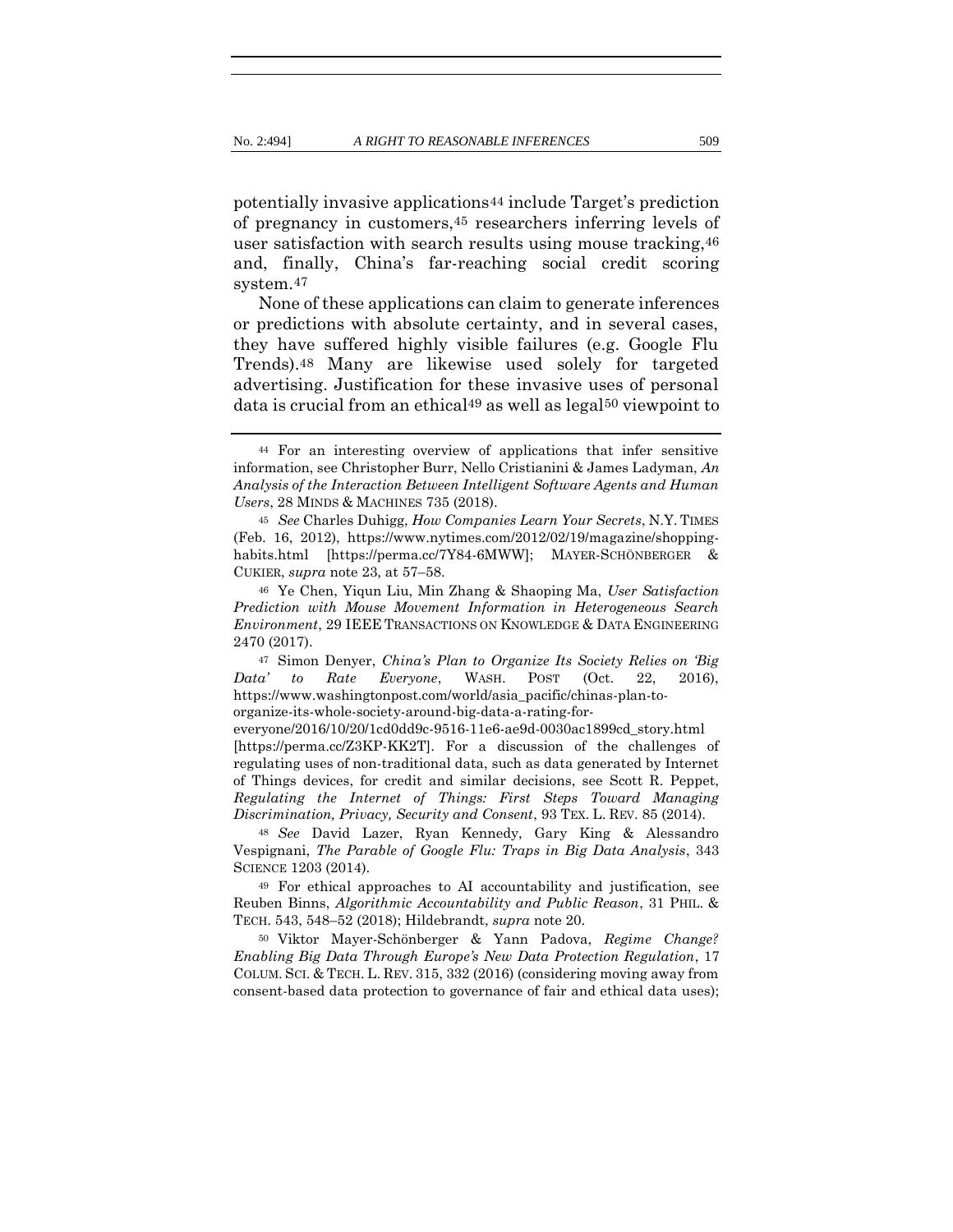potentially invasive applications44 include Target's prediction of pregnancy in customers,45 researchers inferring levels of user satisfaction with search results using mouse tracking,46 and, finally, China's far-reaching social credit scoring system.47

None of these applications can claim to generate inferences or predictions with absolute certainty, and in several cases, they have suffered highly visible failures (e.g. Google Flu Trends).48 Many are likewise used solely for targeted advertising. Justification for these invasive uses of personal data is crucial from an ethical49 as well as legal50 viewpoint to

everyone/2016/10/20/1cd0dd9c-9516-11e6-ae9d-0030ac1899cd\_story.html

[https://perma.cc/Z3KP-KK2T]. For a discussion of the challenges of regulating uses of non-traditional data, such as data generated by Internet of Things devices, for credit and similar decisions, see Scott R. Peppet, *Regulating the Internet of Things: First Steps Toward Managing Discrimination, Privacy, Security and Consent*, 93 TEX. L. REV. 85 (2014).

<sup>48</sup> *See* David Lazer, Ryan Kennedy, Gary King & Alessandro Vespignani, *The Parable of Google Flu: Traps in Big Data Analysis*, 343 SCIENCE 1203 (2014).

<sup>49</sup> For ethical approaches to AI accountability and justification, see Reuben Binns, *Algorithmic Accountability and Public Reason*, 31 PHIL. & TECH. 543, 548–52 (2018); Hildebrandt, *supra* not[e 20.](#page-11-0)

<sup>50</sup> Viktor Mayer-Schönberger & Yann Padova, *Regime Change? Enabling Big Data Through Europe's New Data Protection Regulation*, 17 COLUM. SCI. & TECH. L. REV. 315, 332 (2016) (considering moving away from consent-based data protection to governance of fair and ethical data uses);

<sup>44</sup> For an interesting overview of applications that infer sensitive information, see Christopher Burr, Nello Cristianini & James Ladyman, *An Analysis of the Interaction Between Intelligent Software Agents and Human Users*, 28 MINDS & MACHINES 735 (2018).

<sup>45</sup> *See* Charles Duhigg, *How Companies Learn Your Secrets*, N.Y. TIMES (Feb. 16, 2012), https://www.nytimes.com/2012/02/19/magazine/shoppinghabits.html [https://perma.cc/7Y84-6MWW]; MAYER-SCHÖNBERGER & CUKIER, *supra* not[e 23,](#page-12-0) at 57–58.

<sup>46</sup> Ye Chen, Yiqun Liu, Min Zhang & Shaoping Ma, *User Satisfaction Prediction with Mouse Movement Information in Heterogeneous Search Environment*, 29 IEEE TRANSACTIONS ON KNOWLEDGE & DATA ENGINEERING 2470 (2017).

<sup>47</sup> Simon Denyer, *China's Plan to Organize Its Society Relies on 'Big Data' to Rate Everyone*, WASH. POST (Oct. 22, 2016), https://www.washingtonpost.com/world/asia\_pacific/chinas-plan-toorganize-its-whole-society-around-big-data-a-rating-for-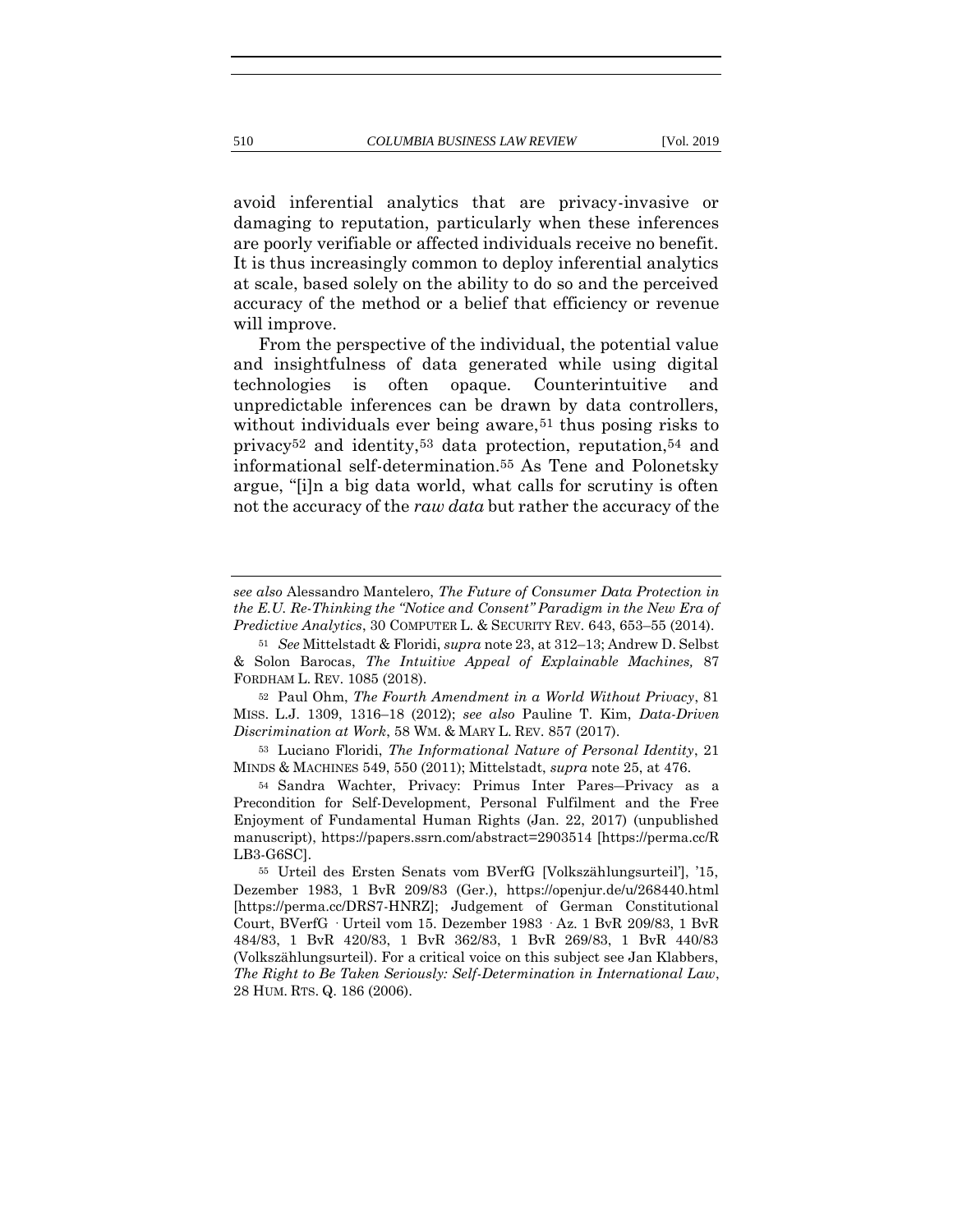avoid inferential analytics that are privacy-invasive or damaging to reputation, particularly when these inferences are poorly verifiable or affected individuals receive no benefit. It is thus increasingly common to deploy inferential analytics at scale, based solely on the ability to do so and the perceived accuracy of the method or a belief that efficiency or revenue will improve.

<span id="page-16-0"></span>From the perspective of the individual, the potential value and insightfulness of data generated while using digital technologies is often opaque. Counterintuitive and unpredictable inferences can be drawn by data controllers, without individuals ever being aware,<sup>51</sup> thus posing risks to privacy52 and identity,53 data protection, reputation,54 and informational self-determination.55 As Tene and Polonetsky argue, "[i]n a big data world, what calls for scrutiny is often not the accuracy of the *raw data* but rather the accuracy of the

<sup>52</sup> Paul Ohm, *The Fourth Amendment in a World Without Privacy*, 81 MISS. L.J. 1309, 1316–18 (2012); *see also* Pauline T. Kim, *Data-Driven Discrimination at Work*, 58 WM. & MARY L. REV. 857 (2017).

<sup>53</sup> Luciano Floridi, *The Informational Nature of Personal Identity*, 21 MINDS & MACHINES 549, 550 (2011); Mittelstadt, *supra* not[e 25,](#page-12-1) at 476.

<sup>54</sup> Sandra Wachter, Privacy: Primus Inter Pares―Privacy as a Precondition for Self-Development, Personal Fulfilment and the Free Enjoyment of Fundamental Human Rights (Jan. 22, 2017) (unpublished manuscript), https://papers.ssrn.com/abstract=2903514 [https://perma.cc/R LB3-G6SC].

*see also* Alessandro Mantelero, *The Future of Consumer Data Protection in the E.U. Re-Thinking the "Notice and Consent" Paradigm in the New Era of Predictive Analytics*, 30 COMPUTER L. & SECURITY REV. 643, 653–55 (2014).

<sup>51</sup> *See* Mittelstadt & Floridi, *supra* not[e 23,](#page-12-0) at 312–13; Andrew D. Selbst & Solon Barocas, *The Intuitive Appeal of Explainable Machines,* 87 FORDHAM L. REV. 1085 (2018).

<sup>55</sup> Urteil des Ersten Senats vom BVerfG [Volkszählungsurteil'], '15, Dezember 1983, 1 BvR 209/83 (Ger.), https://openjur.de/u/268440.html [https://perma.cc/DRS7-HNRZ]; Judgement of German Constitutional Court, BVerfG · Urteil vom 15. Dezember 1983 · Az. 1 BvR 209/83, 1 BvR 484/83, 1 BvR 420/83, 1 BvR 362/83, 1 BvR 269/83, 1 BvR 440/83 (Volkszählungsurteil). For a critical voice on this subject see Jan Klabbers, *The Right to Be Taken Seriously: Self-Determination in International Law*, 28 HUM. RTS. Q. 186 (2006).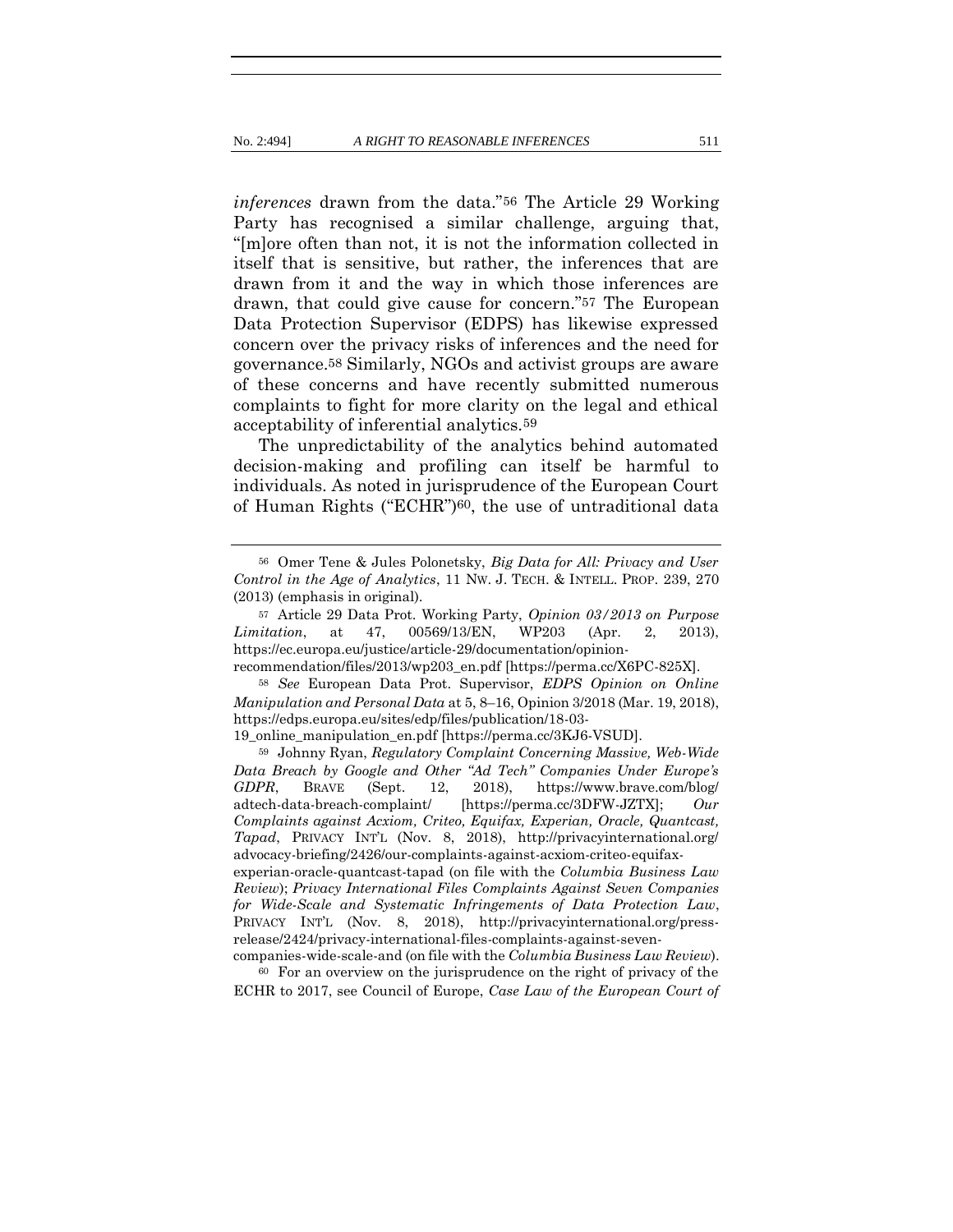<span id="page-17-0"></span>*inferences* drawn from the data."56 The Article 29 Working Party has recognised a similar challenge, arguing that, "[m]ore often than not, it is not the information collected in itself that is sensitive, but rather, the inferences that are drawn from it and the way in which those inferences are drawn, that could give cause for concern."57 The European Data Protection Supervisor (EDPS) has likewise expressed concern over the privacy risks of inferences and the need for governance.58 Similarly, NGOs and activist groups are aware of these concerns and have recently submitted numerous complaints to fight for more clarity on the legal and ethical acceptability of inferential analytics.59

The unpredictability of the analytics behind automated decision-making and profiling can itself be harmful to individuals. As noted in jurisprudence of the European Court of Human Rights ("ECHR")60, the use of untraditional data

<sup>56</sup> Omer Tene & Jules Polonetsky, *Big Data for All: Privacy and User Control in the Age of Analytics*, 11 NW. J. TECH. & INTELL. PROP. 239, 270 (2013) (emphasis in original).

<sup>57</sup> Article 29 Data Prot. Working Party, *Opinion 03/2013 on Purpose Limitation*, at 47, 00569/13/EN, WP203 (Apr. 2, 2013), https://ec.europa.eu/justice/article-29/documentation/opinion-

recommendation/files/2013/wp203\_en.pdf [https://perma.cc/X6PC-825X].

<sup>58</sup> *See* European Data Prot. Supervisor, *EDPS Opinion on Online Manipulation and Personal Data* at 5, 8–16, Opinion 3/2018 (Mar. 19, 2018), https://edps.europa.eu/sites/edp/files/publication/18-03-

<sup>19</sup>\_online\_manipulation\_en.pdf [https://perma.cc/3KJ6-VSUD].

<sup>59</sup> Johnny Ryan, *Regulatory Complaint Concerning Massive, Web-Wide Data Breach by Google and Other "Ad Tech" Companies Under Europe's GDPR*, BRAVE (Sept. 12, 2018), https://www.brave.com/blog/ adtech-data-breach-complaint/ [https://perma.cc/3DFW-JZTX]; *Our Complaints against Acxiom, Criteo, Equifax, Experian, Oracle, Quantcast, Tapad*, PRIVACY INT'L (Nov. 8, 2018), http://privacyinternational.org/ advocacy-briefing/2426/our-complaints-against-acxiom-criteo-equifaxexperian-oracle-quantcast-tapad (on file with the *Columbia Business Law Review*); *Privacy International Files Complaints Against Seven Companies for Wide-Scale and Systematic Infringements of Data Protection Law*, PRIVACY INT'L (Nov. 8, 2018), http://privacyinternational.org/pressrelease/2424/privacy-international-files-complaints-against-seven-

companies-wide-scale-and (on file with the *Columbia Business Law Review*). <sup>60</sup> For an overview on the jurisprudence on the right of privacy of the

ECHR to 2017, see Council of Europe, *Case Law of the European Court of*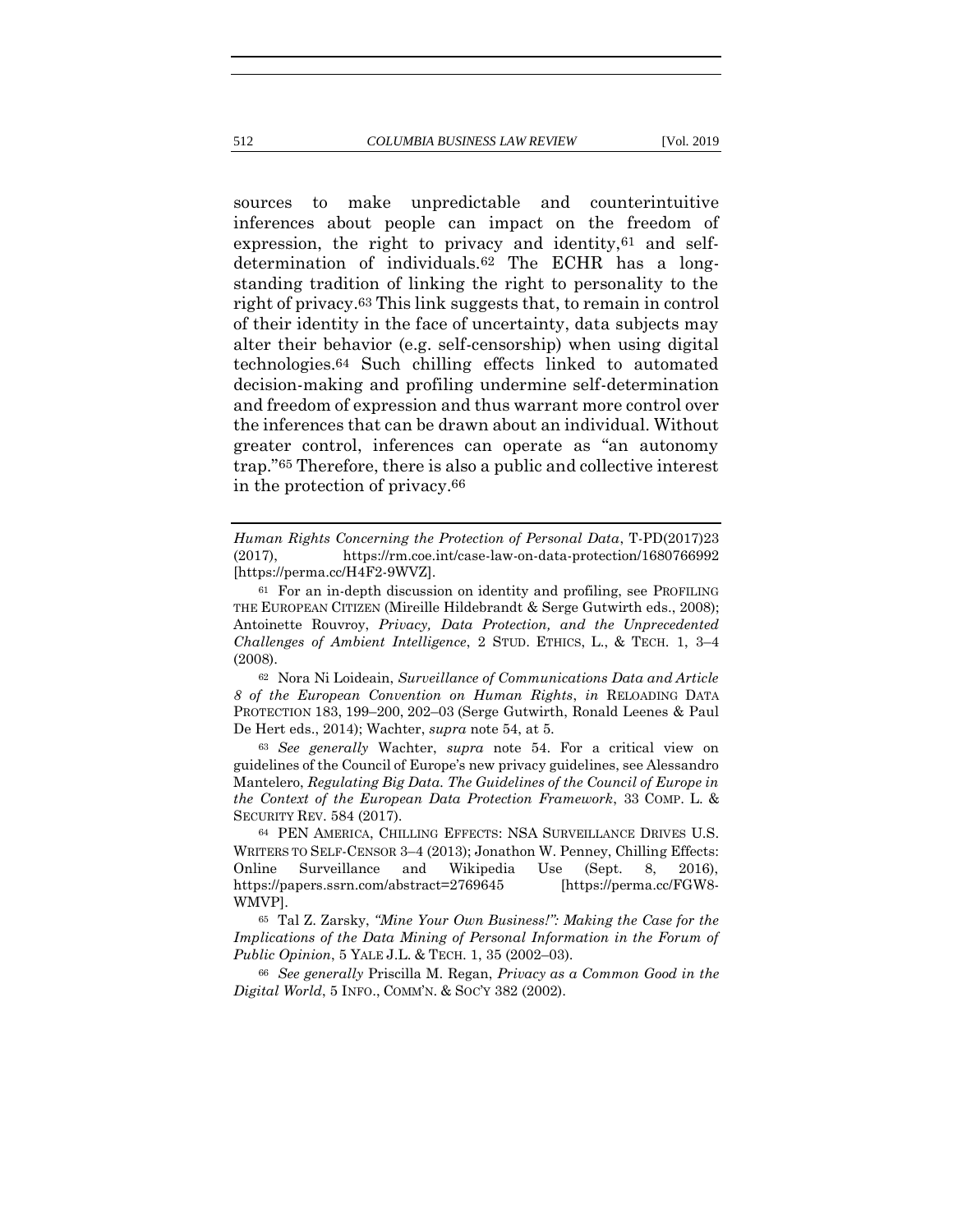sources to make unpredictable and counterintuitive inferences about people can impact on the freedom of expression, the right to privacy and identity,  $61$  and selfdetermination of individuals.62 The ECHR has a longstanding tradition of linking the right to personality to the right of privacy.63 This link suggests that, to remain in control of their identity in the face of uncertainty, data subjects may alter their behavior (e.g. self-censorship) when using digital technologies.64 Such chilling effects linked to automated decision-making and profiling undermine self-determination and freedom of expression and thus warrant more control over the inferences that can be drawn about an individual. Without greater control, inferences can operate as "an autonomy trap."65 Therefore, there is also a public and collective interest in the protection of privacy.66

<sup>62</sup> Nora Ni Loideain, *Surveillance of Communications Data and Article 8 of the European Convention on Human Rights*, *in* RELOADING DATA PROTECTION 183, 199–200, 202–03 (Serge Gutwirth, Ronald Leenes & Paul De Hert eds., 2014); Wachter, *supra* not[e 54,](#page-16-0) at 5.

<sup>63</sup> *See generally* Wachter, *supra* note [54.](#page-16-0) For a critical view on guidelines of the Council of Europe's new privacy guidelines, see Alessandro Mantelero, *Regulating Big Data. The Guidelines of the Council of Europe in the Context of the European Data Protection Framework*, 33 COMP. L. & SECURITY REV. 584 (2017).

<sup>64</sup> PEN AMERICA, CHILLING EFFECTS: NSA SURVEILLANCE DRIVES U.S. WRITERS TO SELF-CENSOR 3–4 (2013); Jonathon W. Penney, Chilling Effects: Online Surveillance and Wikipedia Use (Sept. 8, 2016), https://papers.ssrn.com/abstract=2769645 [https://perma.cc/FGW8- WMVP].

<sup>65</sup> Tal Z. Zarsky, *"Mine Your Own Business!": Making the Case for the Implications of the Data Mining of Personal Information in the Forum of Public Opinion*, 5 YALE J.L. & TECH. 1, 35 (2002–03).

<sup>66</sup> *See generally* Priscilla M. Regan, *Privacy as a Common Good in the Digital World*, 5 INFO., COMM'N. & SOC'Y 382 (2002).

*Human Rights Concerning the Protection of Personal Data*, T-PD(2017)23 (2017), https://rm.coe.int/case-law-on-data-protection/1680766992 [https://perma.cc/H4F2-9WVZ].

<sup>61</sup> For an in-depth discussion on identity and profiling, see PROFILING THE EUROPEAN CITIZEN (Mireille Hildebrandt & Serge Gutwirth eds., 2008); Antoinette Rouvroy, *Privacy, Data Protection, and the Unprecedented Challenges of Ambient Intelligence*, 2 STUD. ETHICS, L., & TECH. 1, 3–4 (2008).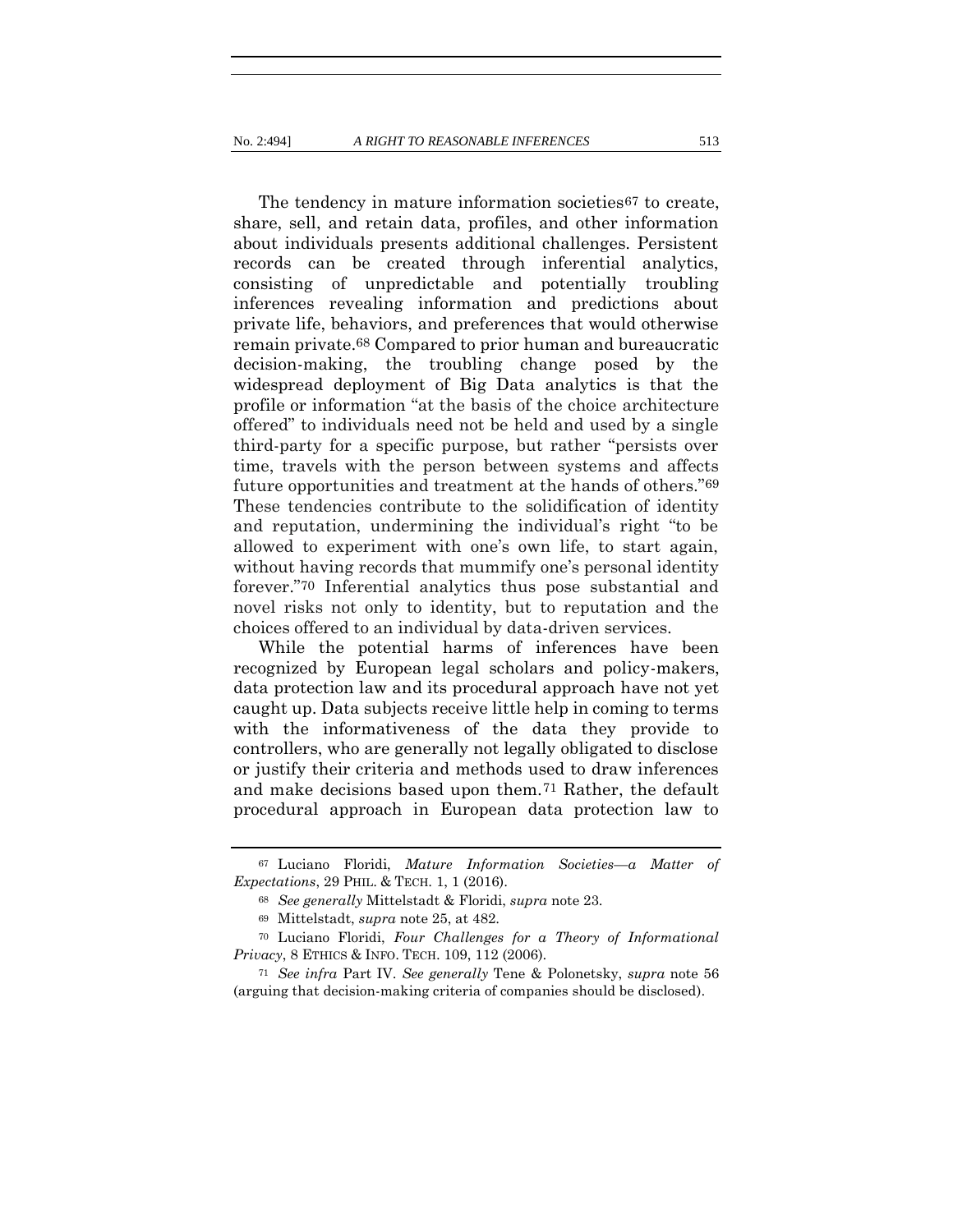The tendency in mature information societies<sup>67</sup> to create, share, sell, and retain data, profiles, and other information about individuals presents additional challenges. Persistent records can be created through inferential analytics, consisting of unpredictable and potentially troubling inferences revealing information and predictions about private life, behaviors, and preferences that would otherwise remain private.68 Compared to prior human and bureaucratic decision-making, the troubling change posed by the widespread deployment of Big Data analytics is that the profile or information "at the basis of the choice architecture offered" to individuals need not be held and used by a single third-party for a specific purpose, but rather "persists over time, travels with the person between systems and affects future opportunities and treatment at the hands of others."69 These tendencies contribute to the solidification of identity and reputation, undermining the individual's right "to be allowed to experiment with one's own life, to start again, without having records that mummify one's personal identity forever."70 Inferential analytics thus pose substantial and novel risks not only to identity, but to reputation and the choices offered to an individual by data-driven services.

While the potential harms of inferences have been recognized by European legal scholars and policy-makers, data protection law and its procedural approach have not yet caught up. Data subjects receive little help in coming to terms with the informativeness of the data they provide to controllers, who are generally not legally obligated to disclose or justify their criteria and methods used to draw inferences and make decisions based upon them.71 Rather, the default procedural approach in European data protection law to

<sup>67</sup> Luciano Floridi, *Mature Information Societies—a Matter of Expectations*, 29 PHIL. & TECH. 1, 1 (2016).

<sup>68</sup> *See generally* Mittelstadt & Floridi, *supra* note [23.](#page-12-0)

<sup>69</sup> Mittelstadt, *supra* not[e 25,](#page-12-1) at 482.

<sup>70</sup> Luciano Floridi, *Four Challenges for a Theory of Informational Privacy*, 8 ETHICS & INFO. TECH. 109, 112 (2006).

<sup>71</sup> *See infra* Part IV. *See generally* Tene & Polonetsky, *supra* note [56](#page-17-0) (arguing that decision-making criteria of companies should be disclosed).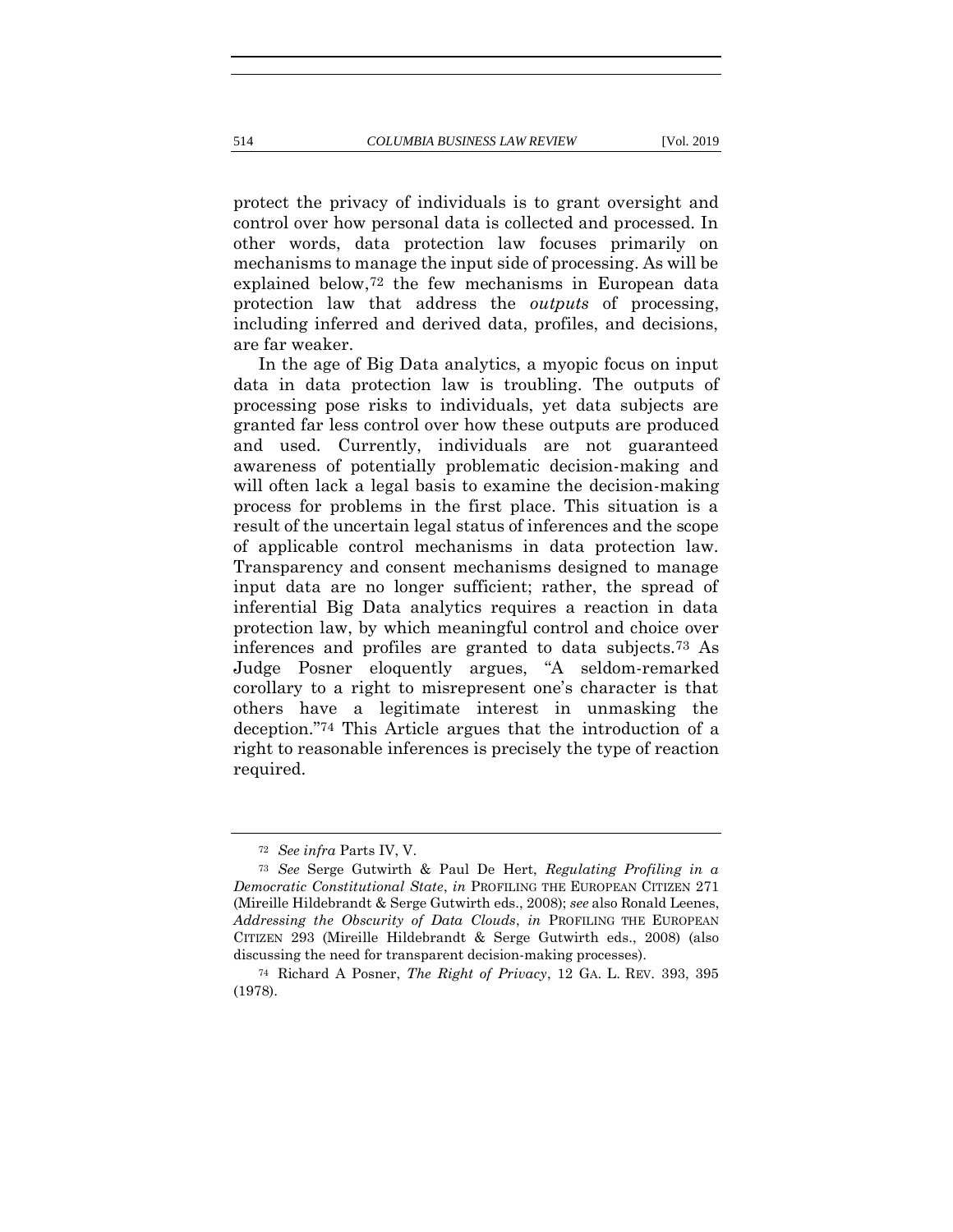protect the privacy of individuals is to grant oversight and control over how personal data is collected and processed. In other words, data protection law focuses primarily on mechanisms to manage the input side of processing. As will be explained below,72 the few mechanisms in European data protection law that address the *outputs* of processing, including inferred and derived data, profiles, and decisions, are far weaker.

In the age of Big Data analytics, a myopic focus on input data in data protection law is troubling. The outputs of processing pose risks to individuals, yet data subjects are granted far less control over how these outputs are produced and used. Currently, individuals are not guaranteed awareness of potentially problematic decision-making and will often lack a legal basis to examine the decision-making process for problems in the first place. This situation is a result of the uncertain legal status of inferences and the scope of applicable control mechanisms in data protection law. Transparency and consent mechanisms designed to manage input data are no longer sufficient; rather, the spread of inferential Big Data analytics requires a reaction in data protection law, by which meaningful control and choice over inferences and profiles are granted to data subjects.73 As Judge Posner eloquently argues, "A seldom-remarked corollary to a right to misrepresent one's character is that others have a legitimate interest in unmasking the deception."74 This Article argues that the introduction of a right to reasonable inferences is precisely the type of reaction required.

<sup>72</sup> *See infra* Parts IV, V.

<sup>73</sup> *See* Serge Gutwirth & Paul De Hert, *Regulating Profiling in a Democratic Constitutional State*, *in* PROFILING THE EUROPEAN CITIZEN 271 (Mireille Hildebrandt & Serge Gutwirth eds., 2008); *see* also Ronald Leenes, *Addressing the Obscurity of Data Clouds*, *in* PROFILING THE EUROPEAN CITIZEN 293 (Mireille Hildebrandt & Serge Gutwirth eds., 2008) (also discussing the need for transparent decision-making processes).

<sup>74</sup> Richard A Posner, *The Right of Privacy*, 12 GA. L. REV. 393, 395 (1978).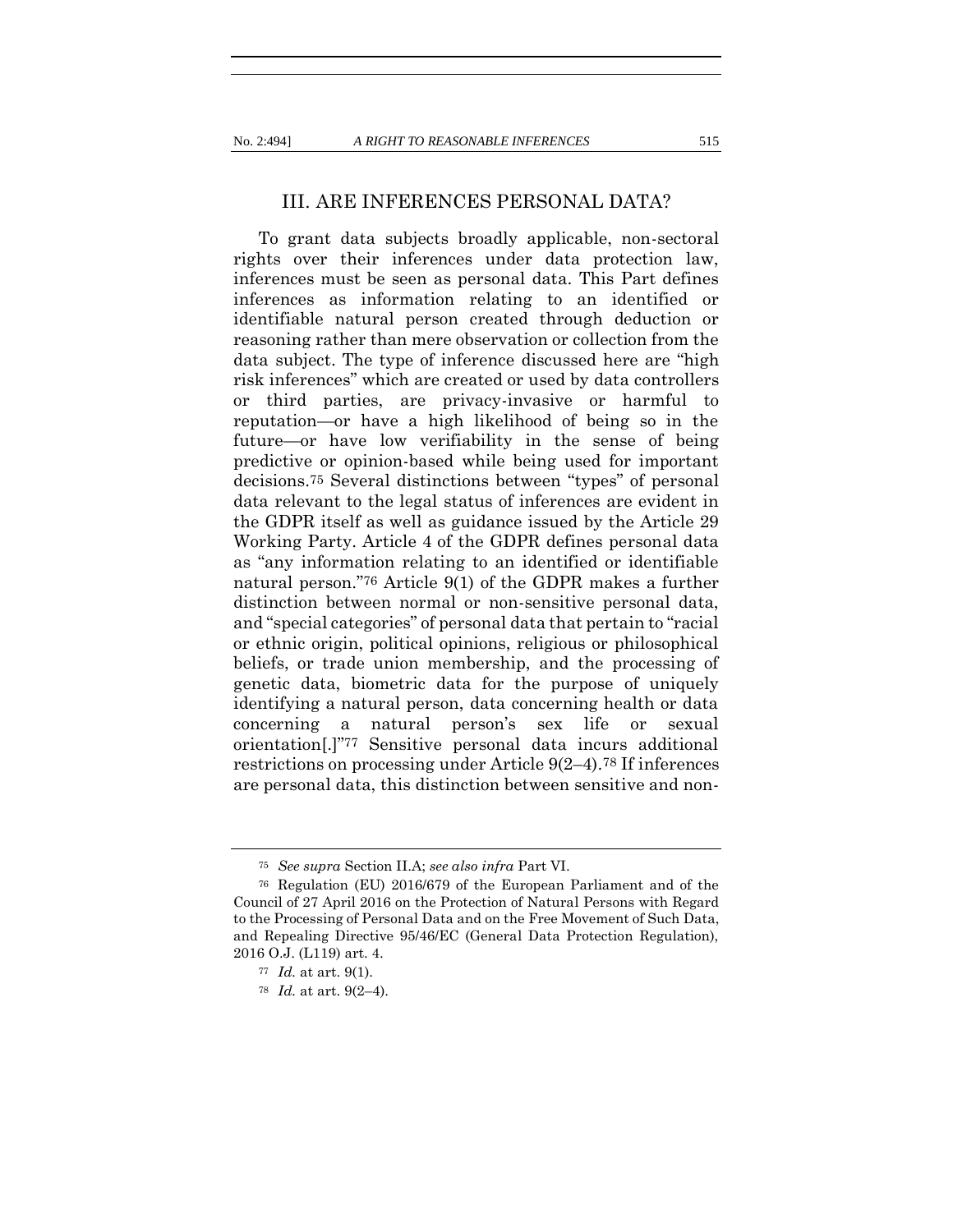#### III. ARE INFERENCES PERSONAL DATA?

To grant data subjects broadly applicable, non-sectoral rights over their inferences under data protection law, inferences must be seen as personal data. This Part defines inferences as information relating to an identified or identifiable natural person created through deduction or reasoning rather than mere observation or collection from the data subject. The type of inference discussed here are "high risk inferences" which are created or used by data controllers or third parties, are privacy-invasive or harmful to reputation—or have a high likelihood of being so in the future—or have low verifiability in the sense of being predictive or opinion-based while being used for important decisions.75 Several distinctions between "types" of personal data relevant to the legal status of inferences are evident in the GDPR itself as well as guidance issued by the Article 29 Working Party. Article 4 of the GDPR defines personal data as "any information relating to an identified or identifiable natural person."76 Article 9(1) of the GDPR makes a further distinction between normal or non-sensitive personal data, and "special categories" of personal data that pertain to "racial or ethnic origin, political opinions, religious or philosophical beliefs, or trade union membership, and the processing of genetic data, biometric data for the purpose of uniquely identifying a natural person, data concerning health or data concerning a natural person's sex life or sexual orientation[.]"77 Sensitive personal data incurs additional restrictions on processing under Article 9(2–4).78 If inferences are personal data, this distinction between sensitive and non-

<sup>75</sup> *See supra* Section II.A; *see also infra* Part VI.

<sup>76</sup> Regulation (EU) 2016/679 of the European Parliament and of the Council of 27 April 2016 on the Protection of Natural Persons with Regard to the Processing of Personal Data and on the Free Movement of Such Data, and Repealing Directive 95/46/EC (General Data Protection Regulation), 2016 O.J. (L119) art. 4.

<sup>77</sup> *Id.* at art. 9(1).

<sup>78</sup> *Id.* at art. 9(2–4).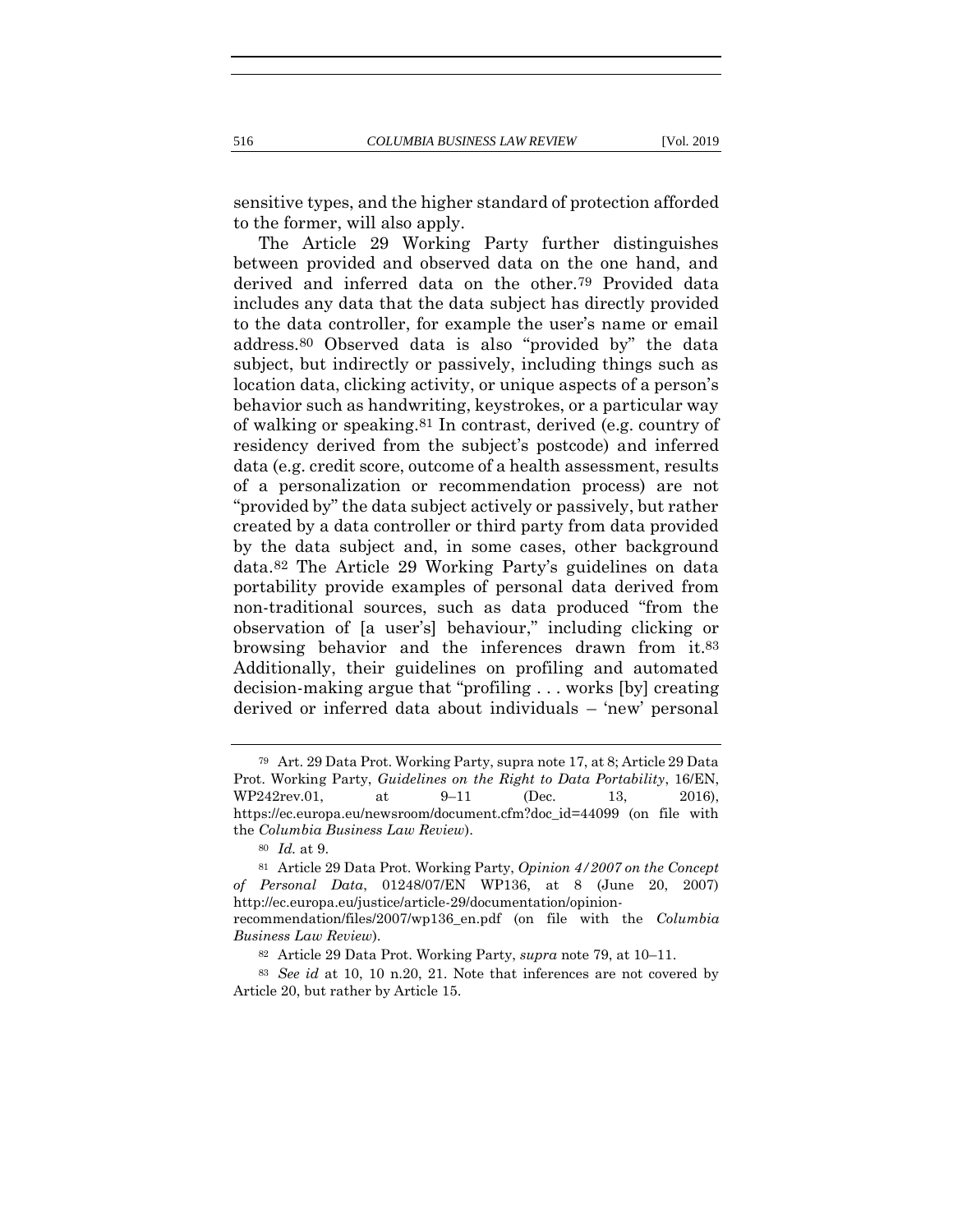sensitive types, and the higher standard of protection afforded to the former, will also apply.

<span id="page-22-1"></span><span id="page-22-0"></span>The Article 29 Working Party further distinguishes between provided and observed data on the one hand, and derived and inferred data on the other.79 Provided data includes any data that the data subject has directly provided to the data controller, for example the user's name or email address.80 Observed data is also "provided by" the data subject, but indirectly or passively, including things such as location data, clicking activity, or unique aspects of a person's behavior such as handwriting, keystrokes, or a particular way of walking or speaking.81 In contrast, derived (e.g. country of residency derived from the subject's postcode) and inferred data (e.g. credit score, outcome of a health assessment, results of a personalization or recommendation process) are not "provided by" the data subject actively or passively, but rather created by a data controller or third party from data provided by the data subject and, in some cases, other background data.82 The Article 29 Working Party's guidelines on data portability provide examples of personal data derived from non-traditional sources, such as data produced "from the observation of [a user's] behaviour," including clicking or browsing behavior and the inferences drawn from it.83 Additionally, their guidelines on profiling and automated decision-making argue that "profiling . . . works [by] creating derived or inferred data about individuals – 'new' personal

<sup>79</sup> Art. 29 Data Prot. Working Party, supra not[e 17,](#page-10-0) at 8; Article 29 Data Prot. Working Party, *Guidelines on the Right to Data Portability*, 16/EN, WP242rev.01, at 9–11 (Dec. 13, 2016), https://ec.europa.eu/newsroom/document.cfm?doc\_id=44099 (on file with the *Columbia Business Law Review*).

<sup>80</sup> *Id.* at 9.

<sup>81</sup> Article 29 Data Prot. Working Party, *Opinion 4/2007 on the Concept of Personal Data*, 01248/07/EN WP136, at 8 (June 20, 2007) http://ec.europa.eu/justice/article-29/documentation/opinionrecommendation/files/2007/wp136\_en.pdf (on file with the *Columbia* 

*Business Law Review*).

<sup>82</sup> Article 29 Data Prot. Working Party, *supra* note [79,](#page-22-0) at 10–11.

<sup>83</sup> *See id* at 10, 10 n.20, 21. Note that inferences are not covered by Article 20, but rather by Article 15.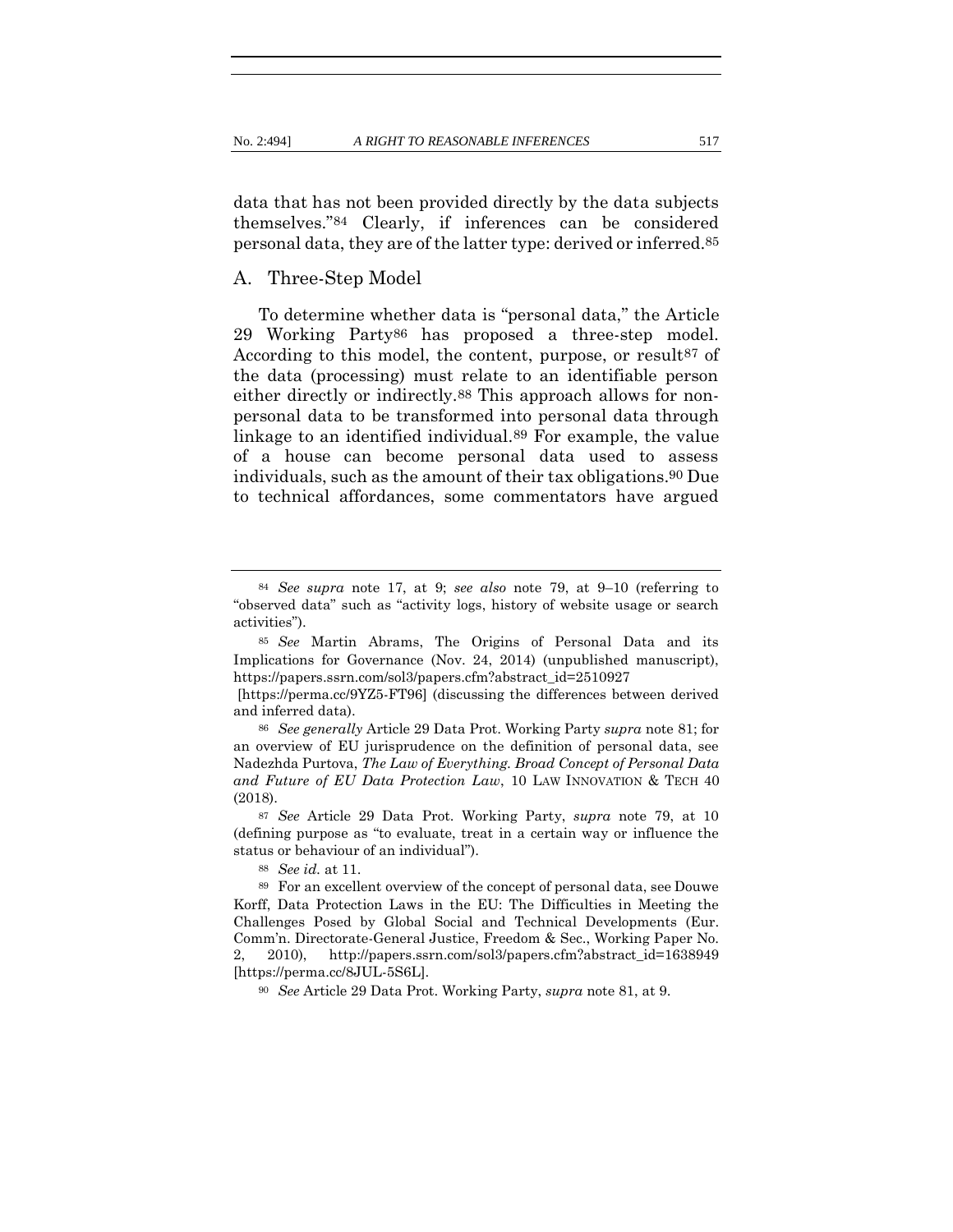data that has not been provided directly by the data subjects themselves."84 Clearly, if inferences can be considered personal data, they are of the latter type: derived or inferred.85

#### A. Three-Step Model

<span id="page-23-1"></span><span id="page-23-0"></span>To determine whether data is "personal data," the Article 29 Working Party86 has proposed a three-step model. According to this model, the content, purpose, or result<sup>87</sup> of the data (processing) must relate to an identifiable person either directly or indirectly.88 This approach allows for nonpersonal data to be transformed into personal data through linkage to an identified individual.89 For example, the value of a house can become personal data used to assess individuals, such as the amount of their tax obligations.90 Due to technical affordances, some commentators have argued

<sup>84</sup> *See supra* note [17,](#page-10-0) at 9; *see also* note [79,](#page-22-0) at 9–10 (referring to "observed data" such as "activity logs, history of website usage or search activities").

<sup>85</sup> *See* Martin Abrams, The Origins of Personal Data and its Implications for Governance (Nov. 24, 2014) (unpublished manuscript), [https://papers.ssrn.com/sol3/papers.cfm?abstract\\_id=2510927](https://papers.ssrn.com/sol3/papers.cfm?abstract_id=2510927)

[<sup>\[</sup>https://perma.cc/9YZ5-FT96\]](https://perma.cc/9YZ5-FT96) (discussing the differences between derived and inferred data).

<sup>86</sup> *See generally* Article 29 Data Prot. Working Party *supra* note [81;](#page-22-1) for an overview of EU jurisprudence on the definition of personal data, see Nadezhda Purtova, *The Law of Everything. Broad Concept of Personal Data and Future of EU Data Protection Law*, 10 LAW INNOVATION & TECH 40 (2018).

<sup>87</sup> *See* Article 29 Data Prot. Working Party, *supra* note [79,](#page-22-0) at 10 (defining purpose as "to evaluate, treat in a certain way or influence the status or behaviour of an individual").

<sup>88</sup> *See id.* at 11.

<sup>89</sup> For an excellent overview of the concept of personal data, see Douwe Korff, Data Protection Laws in the EU: The Difficulties in Meeting the Challenges Posed by Global Social and Technical Developments (Eur. Comm'n. Directorate-General Justice, Freedom & Sec., Working Paper No. 2, 2010), http://papers.ssrn.com/sol3/papers.cfm?abstract\_id=1638949 [https://perma.cc/8JUL-5S6L].

<sup>90</sup> *See* Article 29 Data Prot. Working Party, *supra* note [81,](#page-22-1) at 9.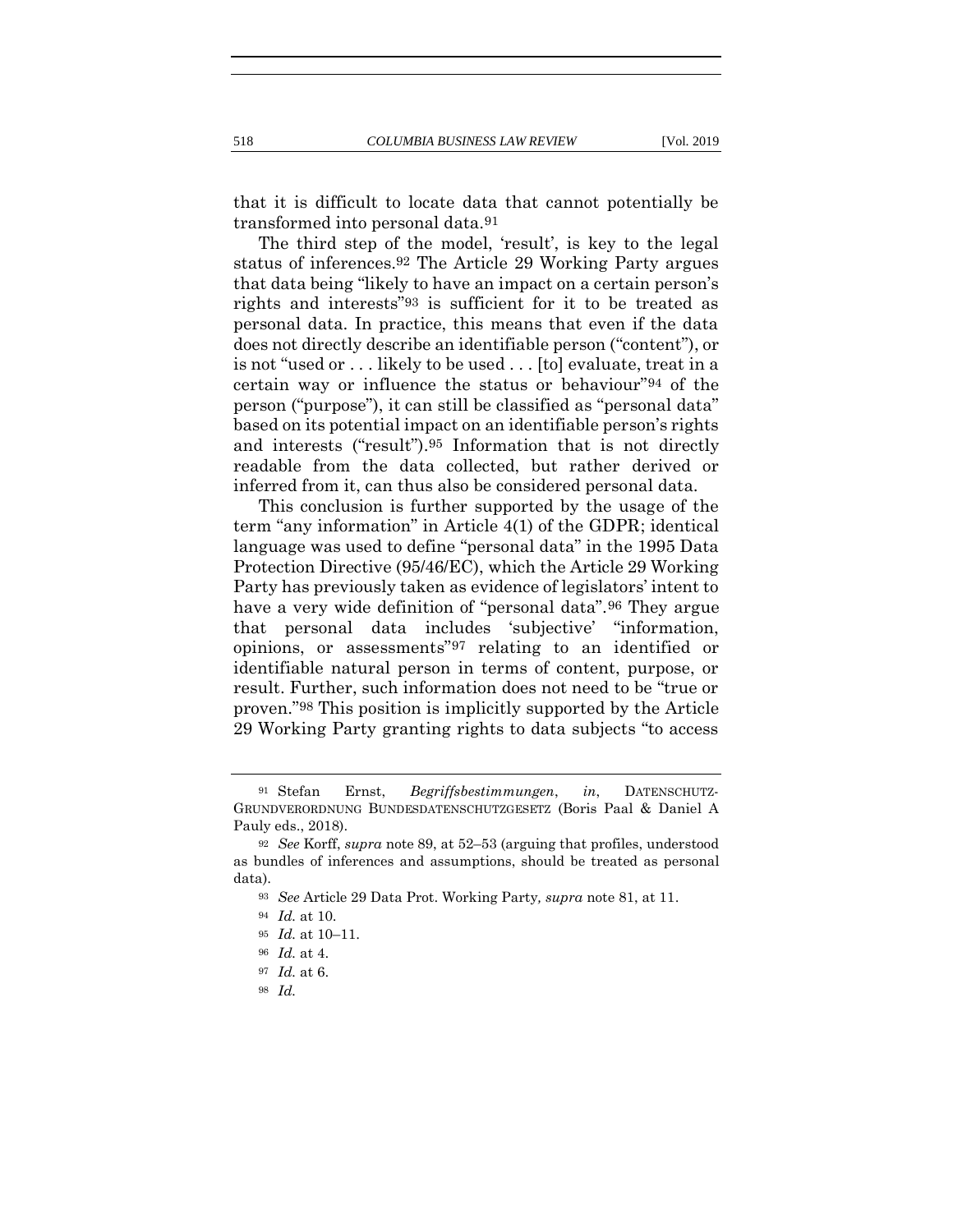<span id="page-24-0"></span>that it is difficult to locate data that cannot potentially be transformed into personal data.91

The third step of the model, 'result', is key to the legal status of inferences.92 The Article 29 Working Party argues that data being "likely to have an impact on a certain person's rights and interests"93 is sufficient for it to be treated as personal data. In practice, this means that even if the data does not directly describe an identifiable person ("content"), or is not "used or . . . likely to be used . . . [to] evaluate, treat in a certain way or influence the status or behaviour"94 of the person ("purpose"), it can still be classified as "personal data" based on its potential impact on an identifiable person's rights and interests ("result").95 Information that is not directly readable from the data collected, but rather derived or inferred from it, can thus also be considered personal data.

This conclusion is further supported by the usage of the term "any information" in Article 4(1) of the GDPR; identical language was used to define "personal data" in the 1995 Data Protection Directive (95/46/EC), which the Article 29 Working Party has previously taken as evidence of legislators' intent to have a very wide definition of "personal data".<sup>96</sup> They argue that personal data includes 'subjective' "information, opinions, or assessments"97 relating to an identified or identifiable natural person in terms of content, purpose, or result. Further, such information does not need to be "true or proven."98 This position is implicitly supported by the Article 29 Working Party granting rights to data subjects "to access

<sup>91</sup> Stefan Ernst, *Begriffsbestimmungen*, *in*, DATENSCHUTZ-GRUNDVERORDNUNG BUNDESDATENSCHUTZGESETZ (Boris Paal & Daniel A Pauly eds., 2018).

<sup>92</sup> *See* Korff, *supra* not[e 89,](#page-23-0) at 52–53 (arguing that profiles, understood as bundles of inferences and assumptions, should be treated as personal data).

<sup>93</sup> *See* Article 29 Data Prot. Working Party*, supra* note [81,](#page-22-1) at 11.

<sup>94</sup> *Id.* at 10.

<sup>95</sup> *Id.* at 10–11.

<sup>96</sup> *Id.* at 4.

<sup>97</sup> *Id.* at 6.

<sup>98</sup> *Id.*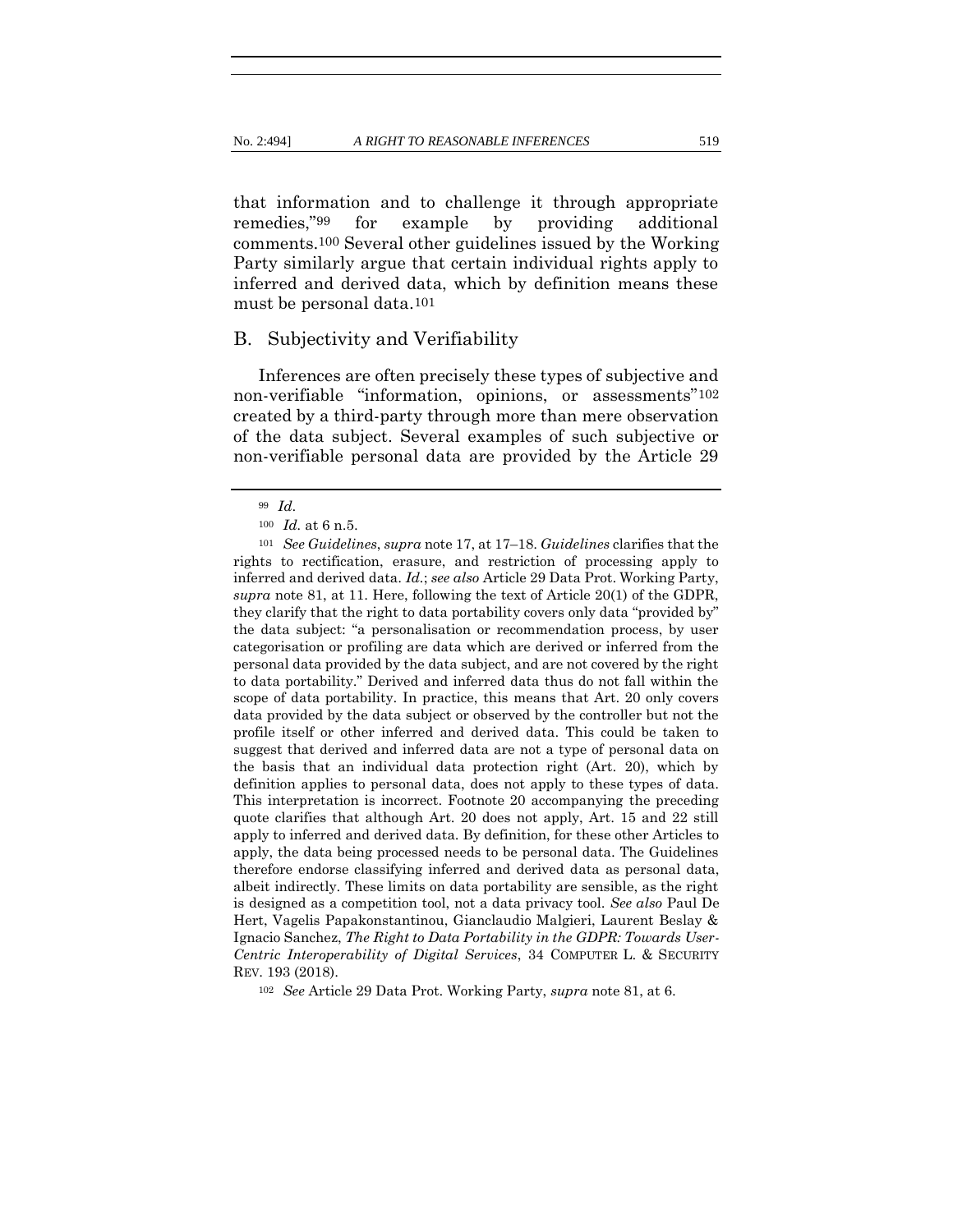that information and to challenge it through appropriate remedies,"99 for example by providing additional comments.100 Several other guidelines issued by the Working Party similarly argue that certain individual rights apply to inferred and derived data, which by definition means these must be personal data.101

#### B. Subjectivity and Verifiability

Inferences are often precisely these types of subjective and non-verifiable "information, opinions, or assessments"<sup>102</sup> created by a third-party through more than mere observation of the data subject. Several examples of such subjective or non-verifiable personal data are provided by the Article 29

<sup>102</sup> *See* Article 29 Data Prot. Working Party, *supra* note [81,](#page-22-1) at 6.

<sup>99</sup> *Id*.

<sup>100</sup> *Id.* at 6 n.5.

<sup>101</sup> *See Guidelines*, *supra* note [17,](#page-10-0) at 17–18. *Guidelines* clarifies that the rights to rectification, erasure, and restriction of processing apply to inferred and derived data. *Id.*; *see also* Article 29 Data Prot. Working Party, *supra* note [81,](#page-22-1) at 11. Here, following the text of Article 20(1) of the GDPR, they clarify that the right to data portability covers only data "provided by" the data subject: "a personalisation or recommendation process, by user categorisation or profiling are data which are derived or inferred from the personal data provided by the data subject, and are not covered by the right to data portability." Derived and inferred data thus do not fall within the scope of data portability. In practice, this means that Art. 20 only covers data provided by the data subject or observed by the controller but not the profile itself or other inferred and derived data. This could be taken to suggest that derived and inferred data are not a type of personal data on the basis that an individual data protection right (Art. 20), which by definition applies to personal data, does not apply to these types of data. This interpretation is incorrect. Footnote 20 accompanying the preceding quote clarifies that although Art. 20 does not apply, Art. 15 and 22 still apply to inferred and derived data. By definition, for these other Articles to apply, the data being processed needs to be personal data. The Guidelines therefore endorse classifying inferred and derived data as personal data, albeit indirectly. These limits on data portability are sensible, as the right is designed as a competition tool, not a data privacy tool. *See also* Paul De Hert, Vagelis Papakonstantinou, Gianclaudio Malgieri, Laurent Beslay & Ignacio Sanchez, *The Right to Data Portability in the GDPR: Towards User-Centric Interoperability of Digital Services*, 34 COMPUTER L. & SECURITY REV. 193 (2018).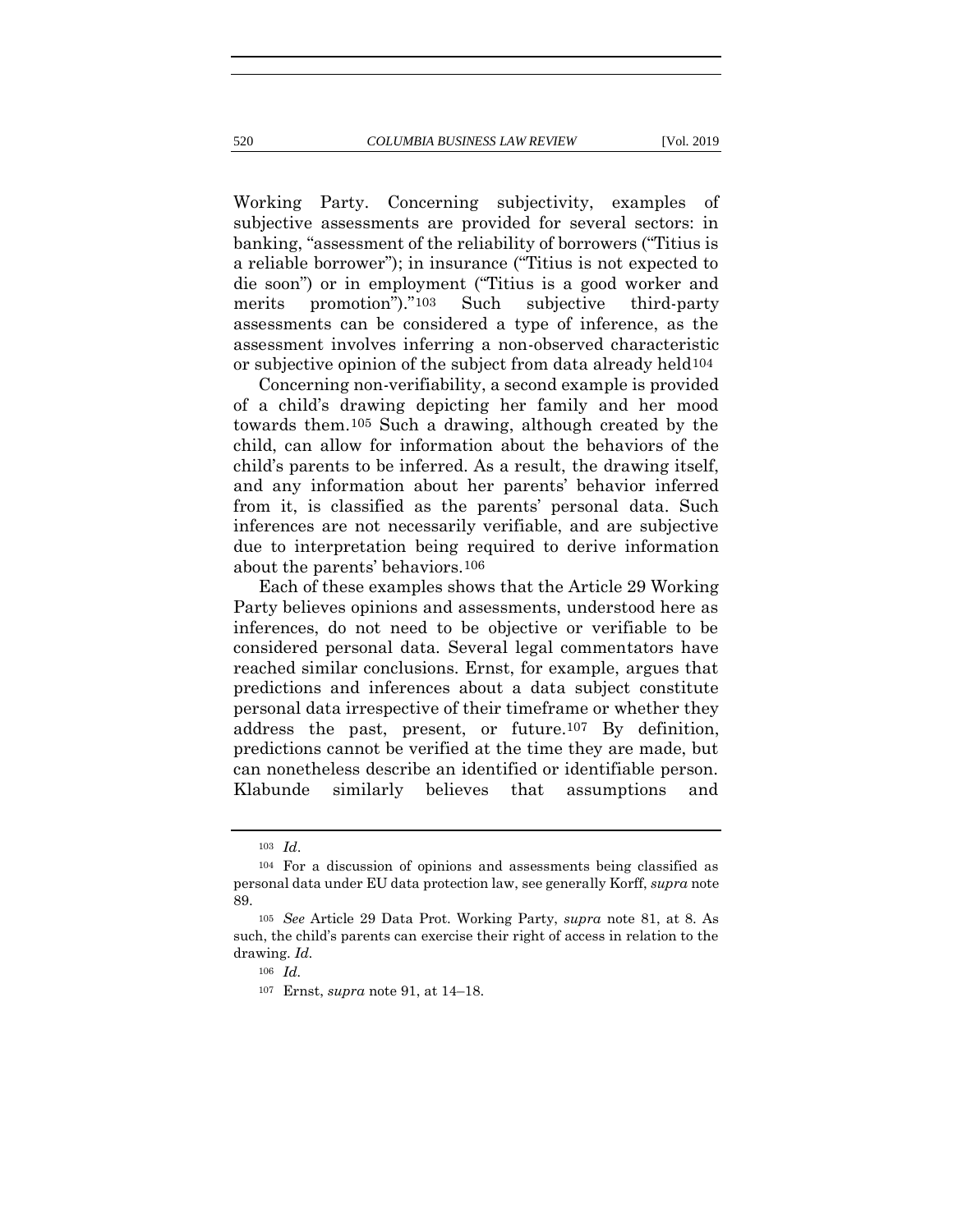Working Party. Concerning subjectivity, examples of subjective assessments are provided for several sectors: in banking, "assessment of the reliability of borrowers ("Titius is a reliable borrower"); in insurance ("Titius is not expected to die soon") or in employment ("Titius is a good worker and merits promotion")."103 Such subjective third-party assessments can be considered a type of inference, as the assessment involves inferring a non-observed characteristic or subjective opinion of the subject from data already held104

Concerning non-verifiability, a second example is provided of a child's drawing depicting her family and her mood towards them.105 Such a drawing, although created by the child, can allow for information about the behaviors of the child's parents to be inferred. As a result, the drawing itself, and any information about her parents' behavior inferred from it, is classified as the parents' personal data. Such inferences are not necessarily verifiable, and are subjective due to interpretation being required to derive information about the parents' behaviors.106

Each of these examples shows that the Article 29 Working Party believes opinions and assessments, understood here as inferences, do not need to be objective or verifiable to be considered personal data. Several legal commentators have reached similar conclusions. Ernst, for example, argues that predictions and inferences about a data subject constitute personal data irrespective of their timeframe or whether they address the past, present, or future.107 By definition, predictions cannot be verified at the time they are made, but can nonetheless describe an identified or identifiable person. Klabunde similarly believes that assumptions and

<sup>103</sup> *Id*.

<sup>104</sup> For a discussion of opinions and assessments being classified as personal data under EU data protection law, see generally Korff, *supra* note [89.](#page-23-0)

<sup>105</sup> *See* Article 29 Data Prot. Working Party, *supra* note [81,](#page-22-1) at 8. As such, the child's parents can exercise their right of access in relation to the drawing. *Id.*

<sup>106</sup> *Id.*

<sup>107</sup> Ernst, *supra* not[e 91,](#page-24-0) at 14–18.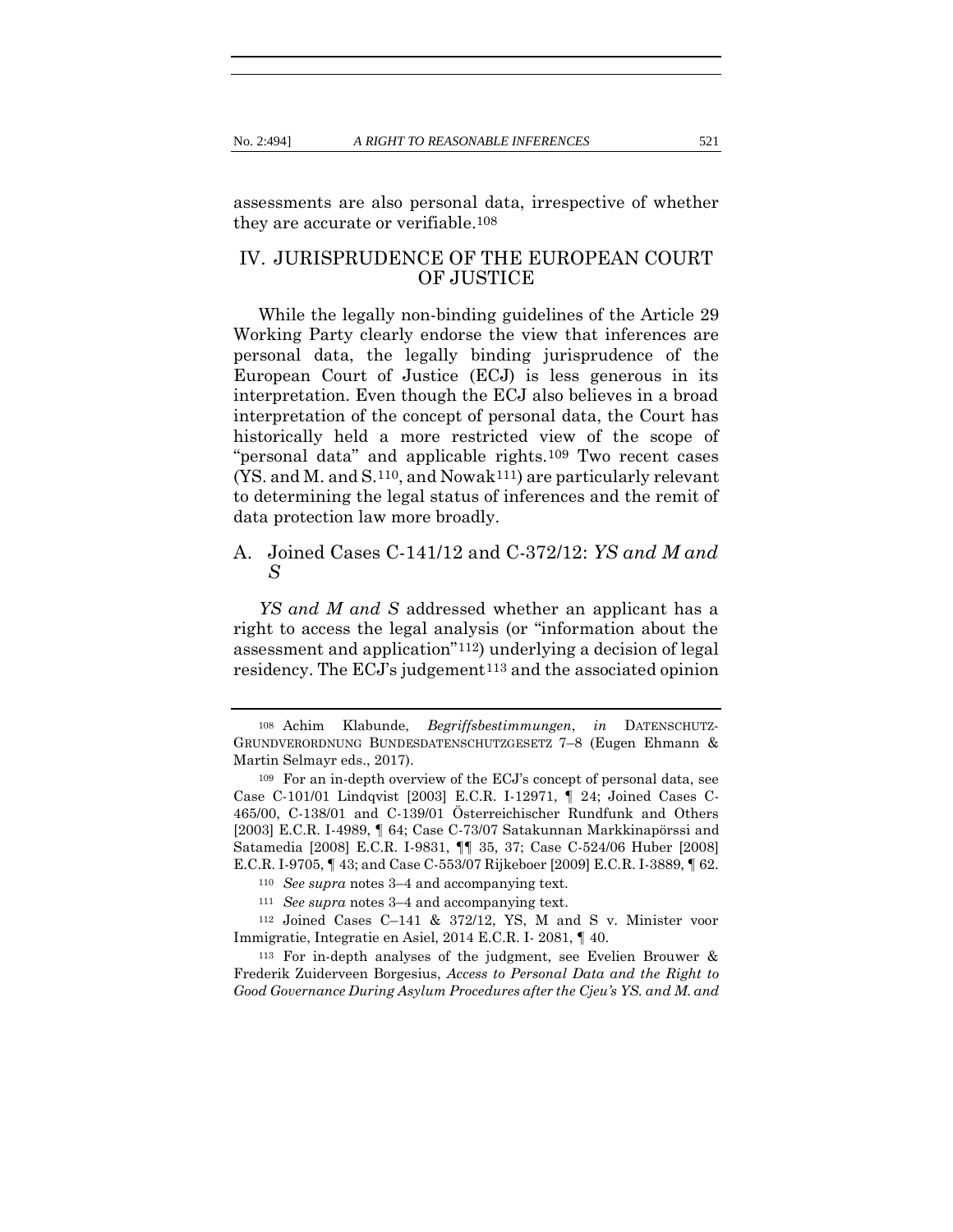assessments are also personal data, irrespective of whether they are accurate or verifiable.108

## IV. JURISPRUDENCE OF THE EUROPEAN COURT OF JUSTICE

While the legally non-binding guidelines of the Article 29 Working Party clearly endorse the view that inferences are personal data, the legally binding jurisprudence of the European Court of Justice (ECJ) is less generous in its interpretation. Even though the ECJ also believes in a broad interpretation of the concept of personal data, the Court has historically held a more restricted view of the scope of "personal data" and applicable rights.109 Two recent cases (YS. and M. and S.110, and Nowak111) are particularly relevant to determining the legal status of inferences and the remit of data protection law more broadly.

## A. Joined Cases C-141/12 and C-372/12: *YS and M and S*

*YS and M and S* addressed whether an applicant has a right to access the legal analysis (or "information about the assessment and application"112) underlying a decision of legal residency. The  $ECJ$ 's judgement<sup>113</sup> and the associated opinion

<sup>108</sup> Achim Klabunde, *Begriffsbestimmungen*, *in* DATENSCHUTZ-GRUNDVERORDNUNG BUNDESDATENSCHUTZGESETZ 7–8 (Eugen Ehmann & Martin Selmayr eds., 2017).

<sup>109</sup> For an in-depth overview of the ECJ's concept of personal data, see Case C-101/01 Lindqvist [2003] E.C.R. I-12971, ¶ 24; Joined Cases C-465/00, C-138/01 and C-139/01 Österreichischer Rundfunk and Others [2003] E.C.R. I-4989, ¶ 64; Case C-73/07 Satakunnan Markkinapörssi and Satamedia [2008] E.C.R. I-9831, ¶¶ 35, 37; Case C-524/06 Huber [2008] E.C.R. I-9705, ¶ 43; and Case C-553/07 Rijkeboer [2009] E.C.R. I-3889, ¶ 62.

<sup>110</sup> *See supra* note[s 3](#page-5-0)–[4](#page-5-1) and accompanying text.

<sup>111</sup> *See supra* note[s 3](#page-5-0)–[4](#page-5-1) and accompanying text.

<sup>112</sup> Joined Cases C–141 & 372/12, YS, M and S v. Minister voor Immigratie, Integratie en Asiel, 2014 E.C.R. I- 2081, ¶ 40.

<sup>113</sup> For in-depth analyses of the judgment, see Evelien Brouwer & Frederik Zuiderveen Borgesius, *Access to Personal Data and the Right to Good Governance During Asylum Procedures after the Cjeu's YS. and M. and*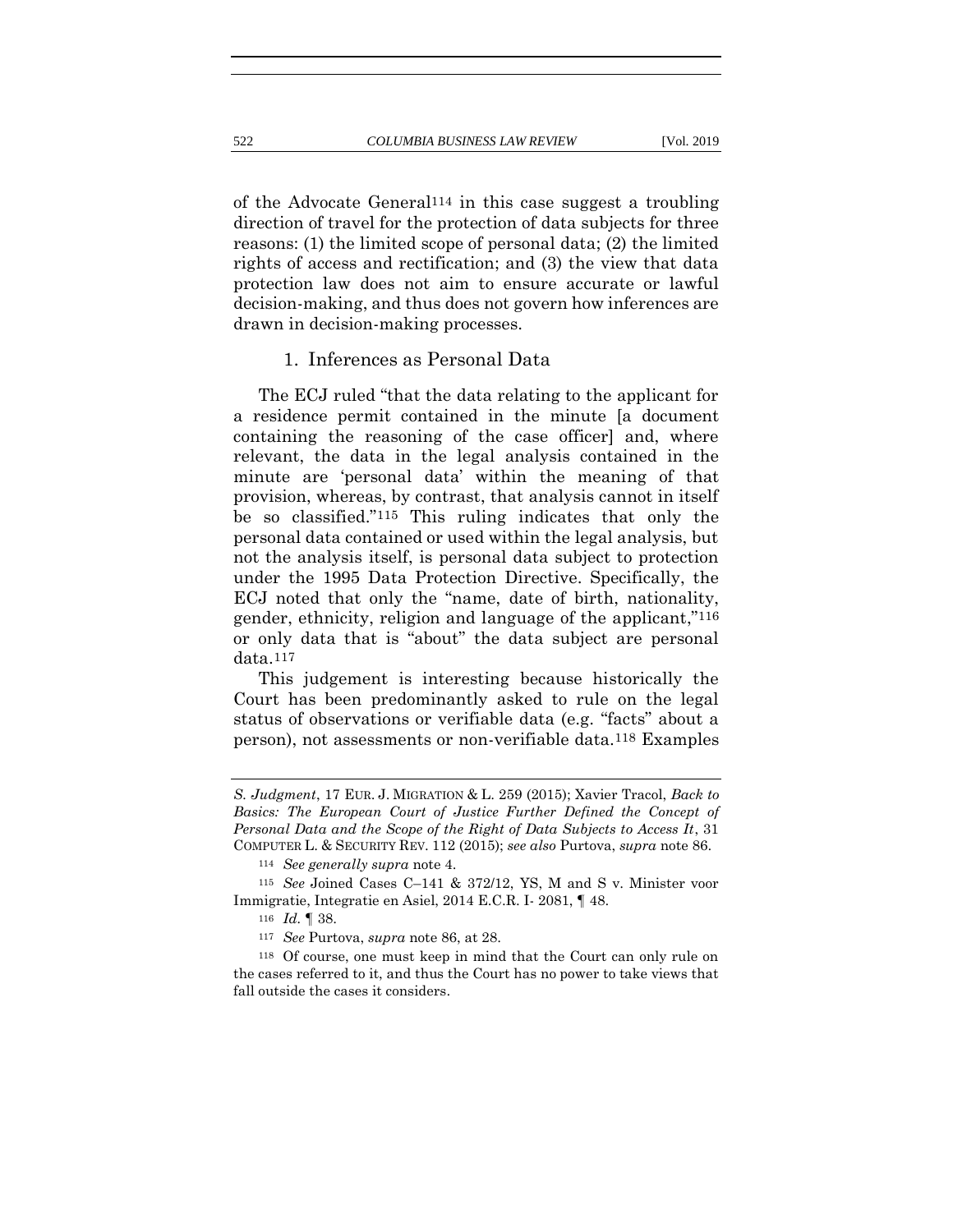of the Advocate General114 in this case suggest a troubling direction of travel for the protection of data subjects for three reasons: (1) the limited scope of personal data; (2) the limited rights of access and rectification; and (3) the view that data protection law does not aim to ensure accurate or lawful decision-making, and thus does not govern how inferences are drawn in decision-making processes.

#### 1. Inferences as Personal Data

The ECJ ruled "that the data relating to the applicant for a residence permit contained in the minute [a document containing the reasoning of the case officer] and, where relevant, the data in the legal analysis contained in the minute are 'personal data' within the meaning of that provision, whereas, by contrast, that analysis cannot in itself be so classified."115 This ruling indicates that only the personal data contained or used within the legal analysis, but not the analysis itself, is personal data subject to protection under the 1995 Data Protection Directive. Specifically, the ECJ noted that only the "name, date of birth, nationality, gender, ethnicity, religion and language of the applicant,"116 or only data that is "about" the data subject are personal data.117

This judgement is interesting because historically the Court has been predominantly asked to rule on the legal status of observations or verifiable data (e.g. "facts" about a person), not assessments or non-verifiable data.118 Examples

*S. Judgment*, 17 EUR. J. MIGRATION & L. 259 (2015); Xavier Tracol, *Back to Basics: The European Court of Justice Further Defined the Concept of Personal Data and the Scope of the Right of Data Subjects to Access It*, 31 COMPUTER L. & SECURITY REV. 112 (2015); *see also* Purtova, *supra* not[e 86.](#page-23-1)

<sup>114</sup> *See generally supra* note [4.](#page-5-1)

<sup>115</sup> *See* Joined Cases C–141 & 372/12, YS, M and S v. Minister voor Immigratie, Integratie en Asiel, 2014 E.C.R. I- 2081, ¶ 48.

<sup>116</sup> *Id.* ¶ 38.

<sup>117</sup> *See* Purtova, *supra* not[e 86,](#page-23-1) at 28.

<sup>118</sup> Of course, one must keep in mind that the Court can only rule on the cases referred to it, and thus the Court has no power to take views that fall outside the cases it considers.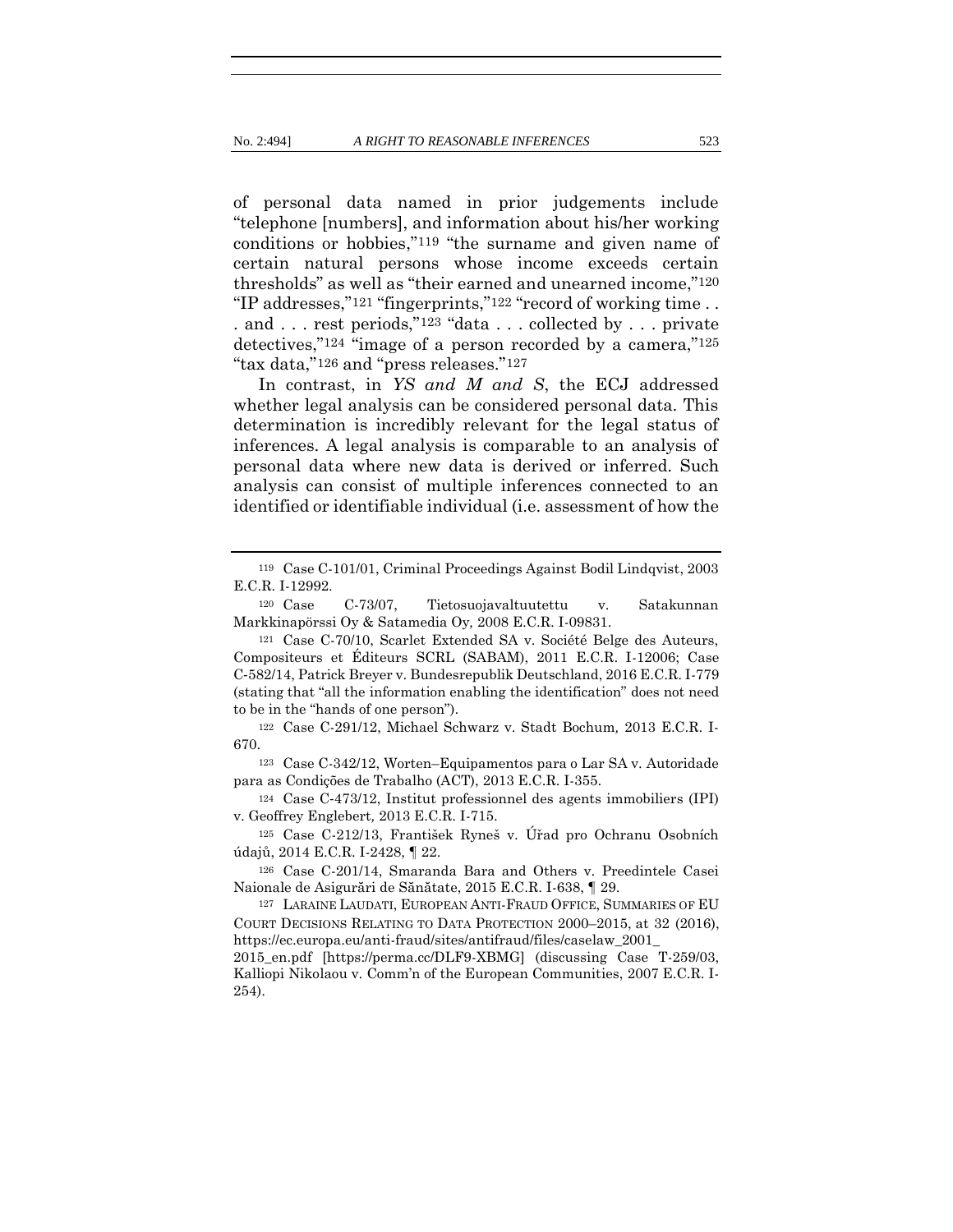of personal data named in prior judgements include "telephone [numbers], and information about his/her working conditions or hobbies,"119 "the surname and given name of certain natural persons whose income exceeds certain thresholds" as well as "their earned and unearned income,"120 "IP addresses,"121 "fingerprints,"122 "record of working time . . . and . . . rest periods,"<sup>123</sup> "data . . . collected by . . . private detectives,"124 "image of a person recorded by a camera,"125 "tax data,"126 and "press releases."127

In contrast, in *YS and M and S*, the ECJ addressed whether legal analysis can be considered personal data. This determination is incredibly relevant for the legal status of inferences. A legal analysis is comparable to an analysis of personal data where new data is derived or inferred. Such analysis can consist of multiple inferences connected to an identified or identifiable individual (i.e. assessment of how the

<sup>119</sup> Case C-101/01, Criminal Proceedings Against Bodil Lindqvist, 2003 E.C.R. I-12992.

<sup>120</sup> Case C-73/07, Tietosuojavaltuutettu v. Satakunnan Markkinapörssi Oy & Satamedia Oy*,* 2008 E.C.R. I-09831.

<sup>121</sup> Case C-70/10, Scarlet Extended SA v. Société Belge des Auteurs, Compositeurs et Éditeurs SCRL (SABAM), 2011 E.C.R. I-12006; Case C‑582/14, Patrick Breyer v. Bundesrepublik Deutschland, 2016 E.C.R. I-779 (stating that "all the information enabling the identification" does not need to be in the "hands of one person").

<sup>122</sup> Case C-291/12, Michael Schwarz v. Stadt Bochum*,* 2013 E.C.R. I-670.

<sup>123</sup> Case C-342/12, Worten–Equipamentos para o Lar SA v. Autoridade para as Condições de Trabalho (ACT), 2013 E.C.R. I-355.

<sup>124</sup> Case C‑473/12, Institut professionnel des agents immobiliers (IPI) v. Geoffrey Englebert*,* 2013 E.C.R. I-715.

<sup>125</sup> Case C-212/13, František Ryneš v. Úřad pro Ochranu Osobních údajů, 2014 E.C.R. I-2428, ¶ 22.

<sup>126</sup> Case C-201/14, Smaranda Bara and Others v. Preedintele Casei Naionale de Asigurări de Sănătate, 2015 E.C.R. I-638, ¶ 29.

<sup>127</sup> LARAINE LAUDATI, EUROPEAN ANTI-FRAUD OFFICE, SUMMARIES OF EU COURT DECISIONS RELATING TO DATA PROTECTION 2000–2015, at 32 (2016), https://ec.europa.eu/anti-fraud/sites/antifraud/files/caselaw\_2001\_

<sup>2015</sup>\_en.pdf [https://perma.cc/DLF9-XBMG] (discussing Case T-259/03, Kalliopi Nikolaou v. Comm'n of the European Communities, 2007 E.C.R. I-254).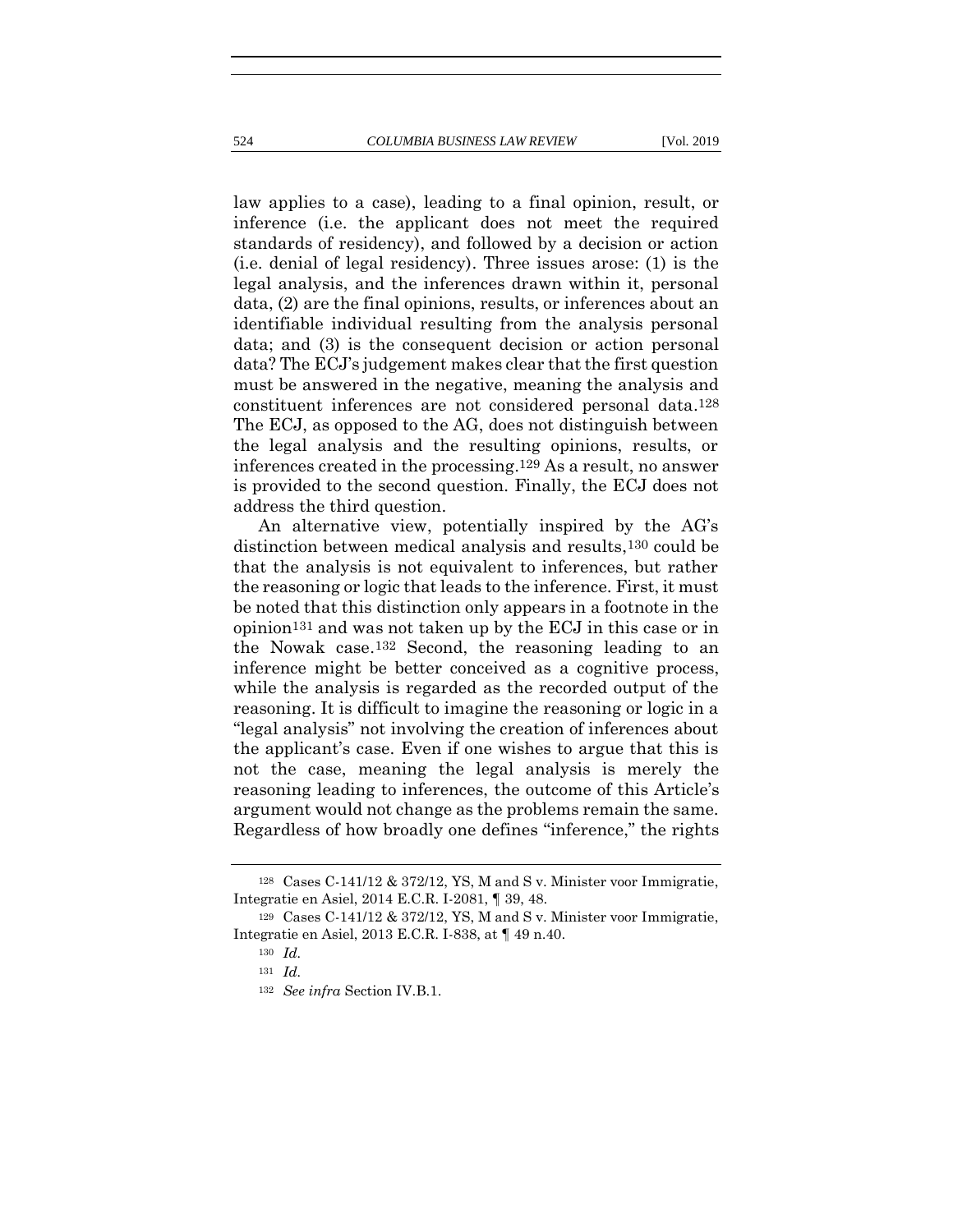law applies to a case), leading to a final opinion, result, or inference (i.e. the applicant does not meet the required standards of residency), and followed by a decision or action (i.e. denial of legal residency). Three issues arose: (1) is the legal analysis, and the inferences drawn within it, personal data, (2) are the final opinions, results, or inferences about an identifiable individual resulting from the analysis personal data; and (3) is the consequent decision or action personal data? The ECJ's judgement makes clear that the first question must be answered in the negative, meaning the analysis and constituent inferences are not considered personal data.128 The ECJ, as opposed to the AG, does not distinguish between the legal analysis and the resulting opinions, results, or inferences created in the processing.129 As a result, no answer is provided to the second question. Finally, the ECJ does not address the third question.

An alternative view, potentially inspired by the AG's distinction between medical analysis and results,130 could be that the analysis is not equivalent to inferences, but rather the reasoning or logic that leads to the inference. First, it must be noted that this distinction only appears in a footnote in the opinion131 and was not taken up by the ECJ in this case or in the Nowak case.132 Second, the reasoning leading to an inference might be better conceived as a cognitive process, while the analysis is regarded as the recorded output of the reasoning. It is difficult to imagine the reasoning or logic in a "legal analysis" not involving the creation of inferences about the applicant's case. Even if one wishes to argue that this is not the case, meaning the legal analysis is merely the reasoning leading to inferences, the outcome of this Article's argument would not change as the problems remain the same. Regardless of how broadly one defines "inference," the rights

<sup>128</sup> Cases C-141/12 & 372/12, YS, M and S v. Minister voor Immigratie, Integratie en Asiel, 2014 E.C.R. I-2081, ¶ 39, 48.

<sup>129</sup> Cases C-141/12 & 372/12, YS, M and S v. Minister voor Immigratie, Integratie en Asiel, 2013 E.C.R. I-838, at ¶ 49 n.40.

<sup>130</sup> *Id.*

<sup>131</sup> *Id.*

<sup>132</sup> *See infra* Section IV.B.1.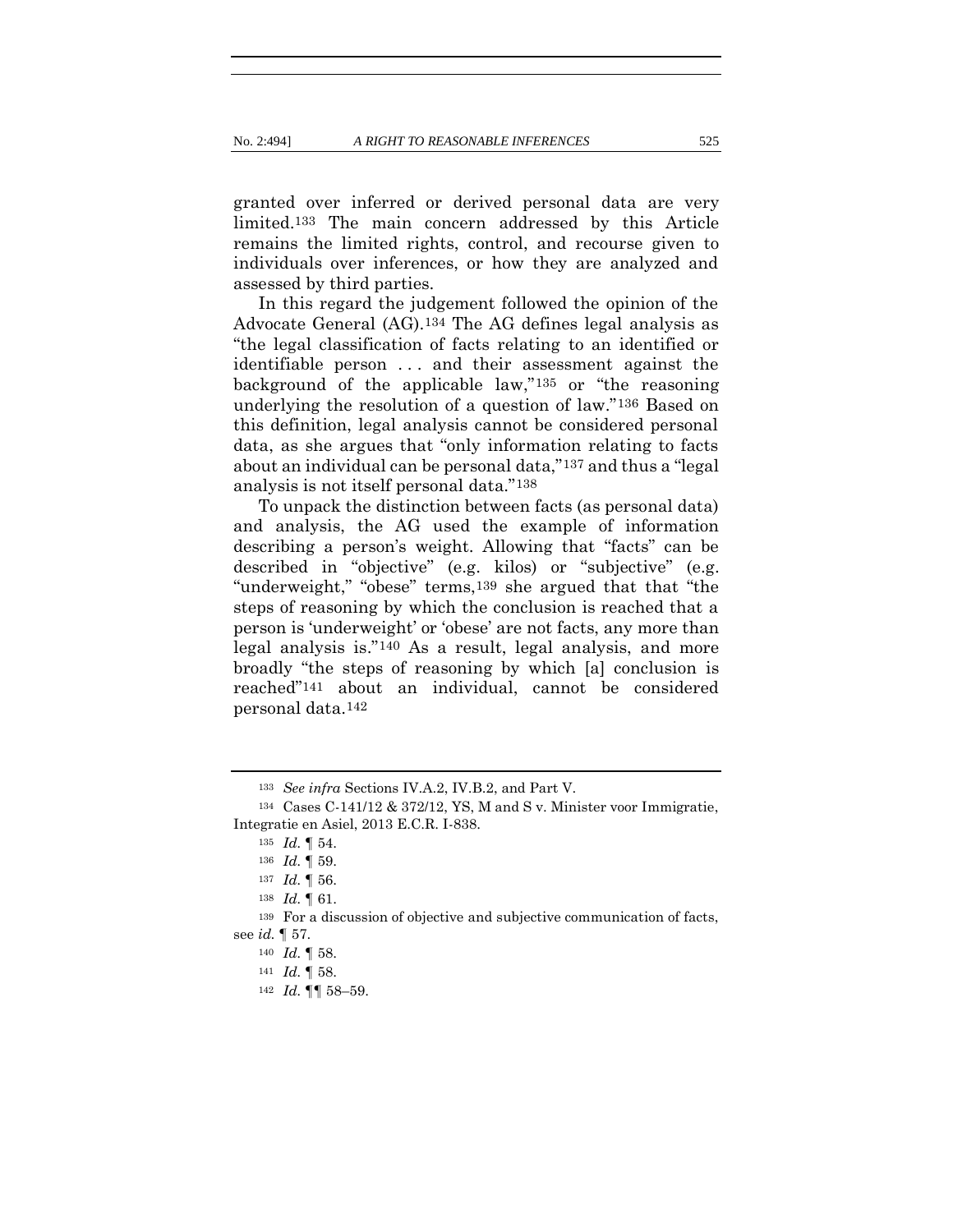granted over inferred or derived personal data are very limited.133 The main concern addressed by this Article remains the limited rights, control, and recourse given to individuals over inferences, or how they are analyzed and assessed by third parties.

In this regard the judgement followed the opinion of the Advocate General (AG).134 The AG defines legal analysis as "the legal classification of facts relating to an identified or identifiable person . . . and their assessment against the background of the applicable law,"135 or "the reasoning underlying the resolution of a question of law."136 Based on this definition, legal analysis cannot be considered personal data, as she argues that "only information relating to facts about an individual can be personal data,"137 and thus a "legal analysis is not itself personal data."138

To unpack the distinction between facts (as personal data) and analysis, the AG used the example of information describing a person's weight. Allowing that "facts" can be described in "objective" (e.g. kilos) or "subjective" (e.g. "underweight," "obese" terms,139 she argued that that "the steps of reasoning by which the conclusion is reached that a person is 'underweight' or 'obese' are not facts, any more than legal analysis is."140 As a result, legal analysis, and more broadly "the steps of reasoning by which [a] conclusion is reached"141 about an individual, cannot be considered personal data.142

<sup>133</sup> *See infra* Sections IV.A.2, IV.B.2, and Part V.

<sup>134</sup> Cases C-141/12 & 372/12, YS, M and S v. Minister voor Immigratie, Integratie en Asiel, 2013 E.C.R. I-838.

<sup>135</sup> *Id.* ¶ 54.

<sup>136</sup> *Id.* ¶ 59.

<sup>137</sup> *Id.* ¶ 56.

<sup>138</sup> *Id.* ¶ 61.

<sup>139</sup> For a discussion of objective and subjective communication of facts, see *id.* ¶ 57.

<sup>140</sup> *Id.* ¶ 58.

<sup>141</sup> *Id.* ¶ 58.

<sup>142</sup> *Id.* ¶¶ 58–59.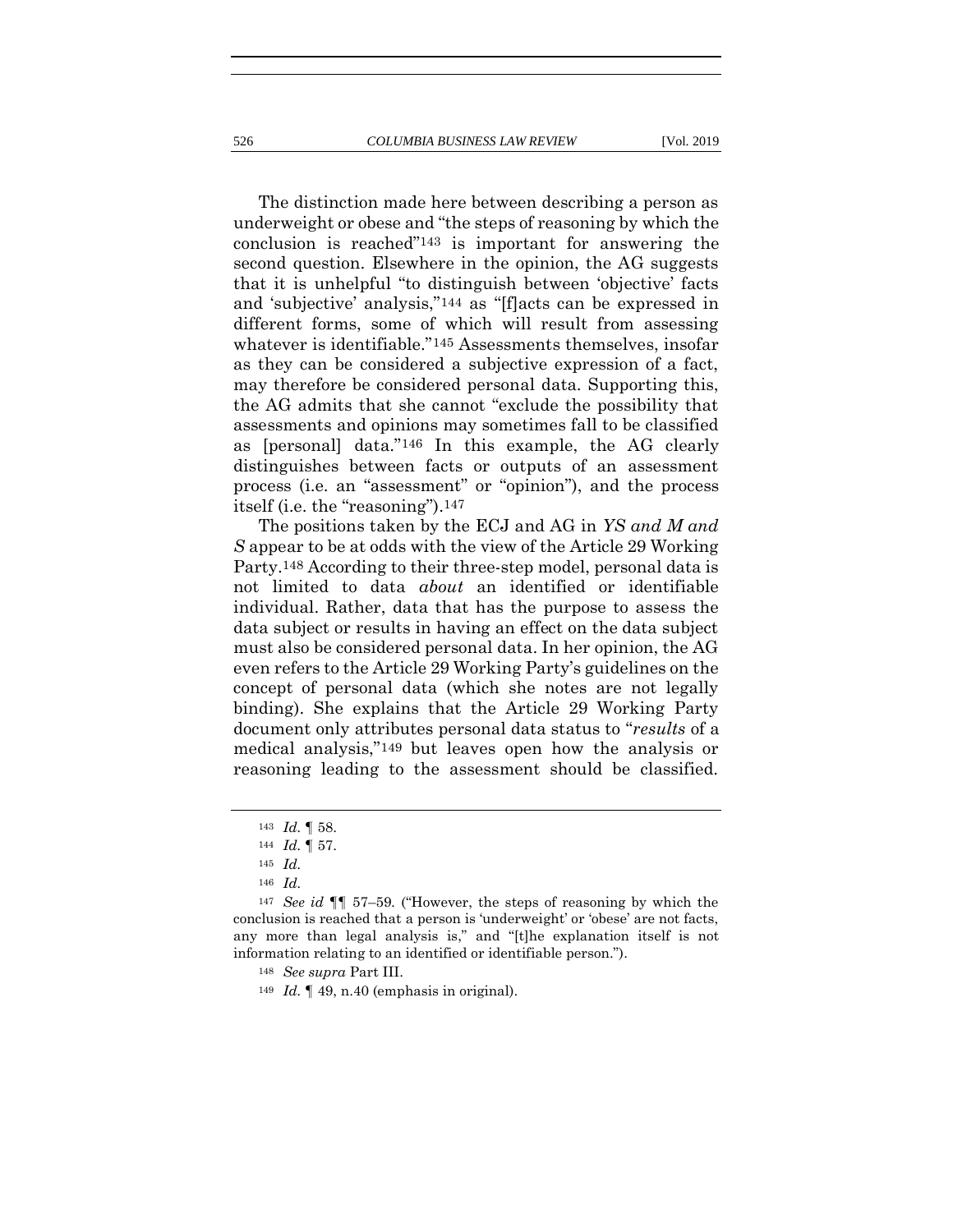The distinction made here between describing a person as underweight or obese and "the steps of reasoning by which the conclusion is reached"143 is important for answering the second question. Elsewhere in the opinion, the AG suggests that it is unhelpful "to distinguish between 'objective' facts and 'subjective' analysis,"144 as "[f]acts can be expressed in different forms, some of which will result from assessing whatever is identifiable."145 Assessments themselves, insofar as they can be considered a subjective expression of a fact, may therefore be considered personal data. Supporting this, the AG admits that she cannot "exclude the possibility that assessments and opinions may sometimes fall to be classified as [personal] data."146 In this example, the AG clearly distinguishes between facts or outputs of an assessment process (i.e. an "assessment" or "opinion"), and the process itself (i.e. the "reasoning").147

The positions taken by the ECJ and AG in *YS and M and S* appear to be at odds with the view of the Article 29 Working Party.148 According to their three-step model, personal data is not limited to data *about* an identified or identifiable individual. Rather, data that has the purpose to assess the data subject or results in having an effect on the data subject must also be considered personal data. In her opinion, the AG even refers to the Article 29 Working Party's guidelines on the concept of personal data (which she notes are not legally binding). She explains that the Article 29 Working Party document only attributes personal data status to "*results* of a medical analysis,"149 but leaves open how the analysis or reasoning leading to the assessment should be classified.

<sup>143</sup> *Id.* ¶ 58.

<sup>144</sup> *Id.* ¶ 57.

<sup>145</sup> *Id.* 

<sup>146</sup> *Id.*

<sup>147</sup> *See id* ¶¶ 57–59*.* ("However, the steps of reasoning by which the conclusion is reached that a person is 'underweight' or 'obese' are not facts, any more than legal analysis is," and "[t]he explanation itself is not information relating to an identified or identifiable person.").

<sup>148</sup> *See supra* Part III.

<sup>149</sup> *Id.* ¶ 49, n.40 (emphasis in original).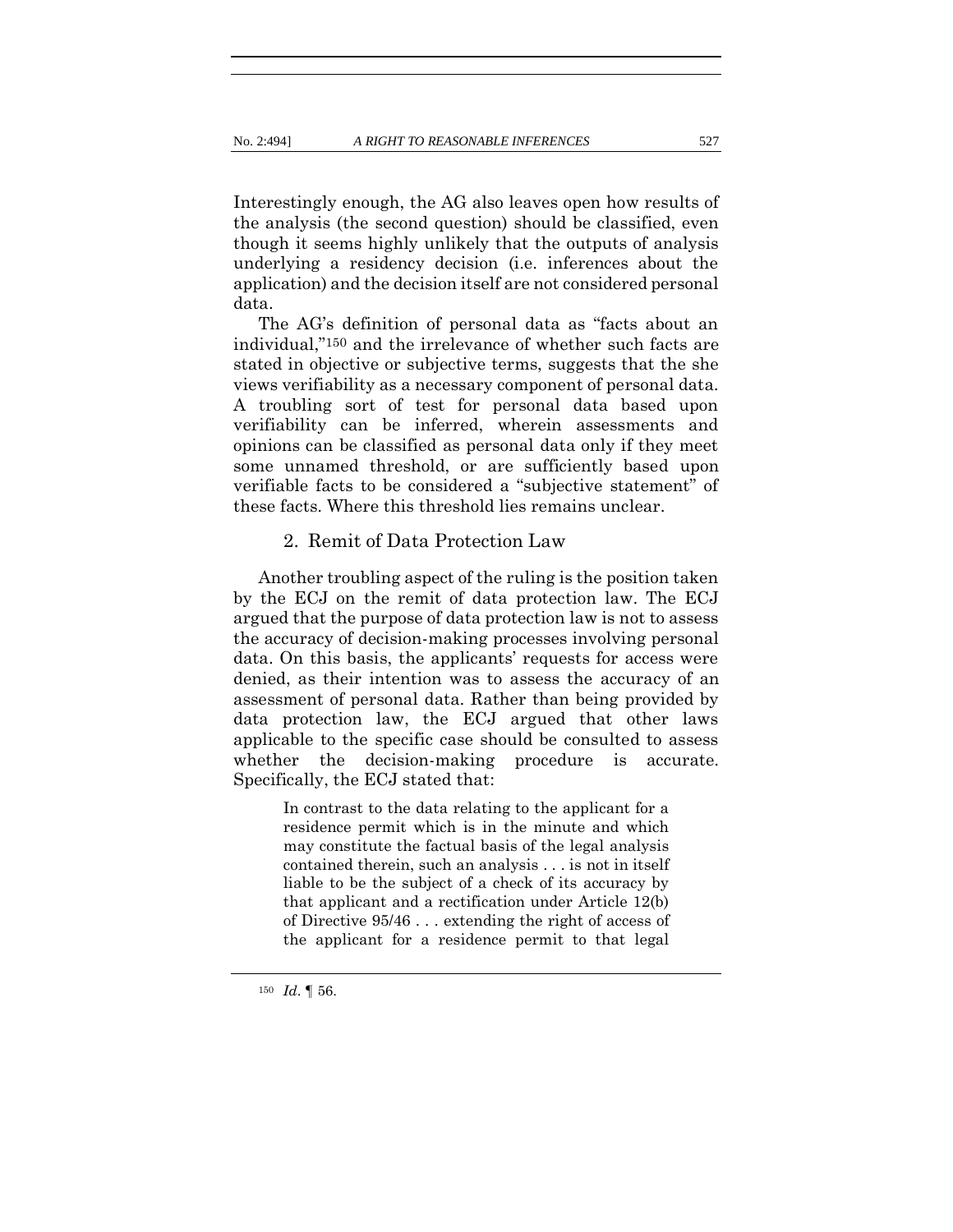Interestingly enough, the AG also leaves open how results of the analysis (the second question) should be classified, even though it seems highly unlikely that the outputs of analysis underlying a residency decision (i.e. inferences about the application) and the decision itself are not considered personal data.

The AG's definition of personal data as "facts about an individual,"150 and the irrelevance of whether such facts are stated in objective or subjective terms, suggests that the she views verifiability as a necessary component of personal data. A troubling sort of test for personal data based upon verifiability can be inferred, wherein assessments and opinions can be classified as personal data only if they meet some unnamed threshold, or are sufficiently based upon verifiable facts to be considered a "subjective statement" of these facts. Where this threshold lies remains unclear.

#### 2. Remit of Data Protection Law

Another troubling aspect of the ruling is the position taken by the ECJ on the remit of data protection law. The ECJ argued that the purpose of data protection law is not to assess the accuracy of decision-making processes involving personal data. On this basis, the applicants' requests for access were denied, as their intention was to assess the accuracy of an assessment of personal data. Rather than being provided by data protection law, the ECJ argued that other laws applicable to the specific case should be consulted to assess whether the decision-making procedure is accurate. Specifically, the ECJ stated that:

> In contrast to the data relating to the applicant for a residence permit which is in the minute and which may constitute the factual basis of the legal analysis contained therein, such an analysis . . . is not in itself liable to be the subject of a check of its accuracy by that applicant and a rectification under Article 12(b) of Directive 95/46 . . . extending the right of access of the applicant for a residence permit to that legal

<sup>150</sup> *Id*. ¶ 56.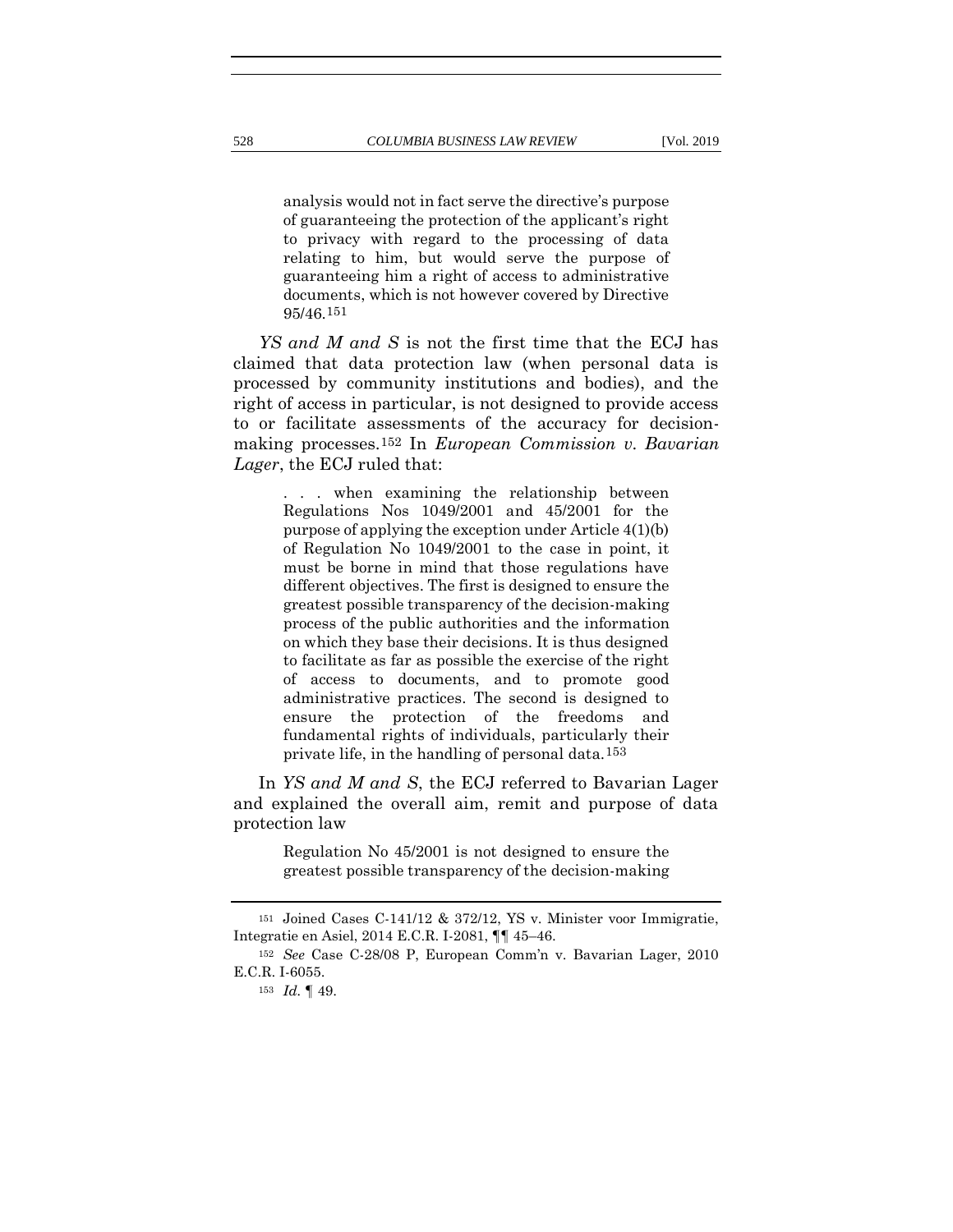analysis would not in fact serve the directive's purpose of guaranteeing the protection of the applicant's right to privacy with regard to the processing of data relating to him, but would serve the purpose of guaranteeing him a right of access to administrative documents, which is not however covered by Directive 95/46.151

*YS and M and S* is not the first time that the ECJ has claimed that data protection law (when personal data is processed by community institutions and bodies), and the right of access in particular, is not designed to provide access to or facilitate assessments of the accuracy for decisionmaking processes.152 In *European Commission v. Bavarian Lager*, the ECJ ruled that:

> . . . when examining the relationship between Regulations Nos 1049/2001 and 45/2001 for the purpose of applying the exception under Article 4(1)(b) of Regulation No 1049/2001 to the case in point, it must be borne in mind that those regulations have different objectives. The first is designed to ensure the greatest possible transparency of the decision-making process of the public authorities and the information on which they base their decisions. It is thus designed to facilitate as far as possible the exercise of the right of access to documents, and to promote good administrative practices. The second is designed to ensure the protection of the freedoms and fundamental rights of individuals, particularly their private life, in the handling of personal data.153

In *YS and M and S*, the ECJ referred to Bavarian Lager and explained the overall aim, remit and purpose of data protection law

> Regulation No 45/2001 is not designed to ensure the greatest possible transparency of the decision-making

<sup>151</sup> Joined Cases C-141/12 & 372/12, YS v. Minister voor Immigratie, Integratie en Asiel, 2014 E.C.R. I-2081, ¶¶ 45–46.

<sup>152</sup> *See* Case C-28/08 P, European Comm'n v. Bavarian Lager, 2010 E.C.R. I-6055.

<sup>153</sup> *Id.* ¶ 49.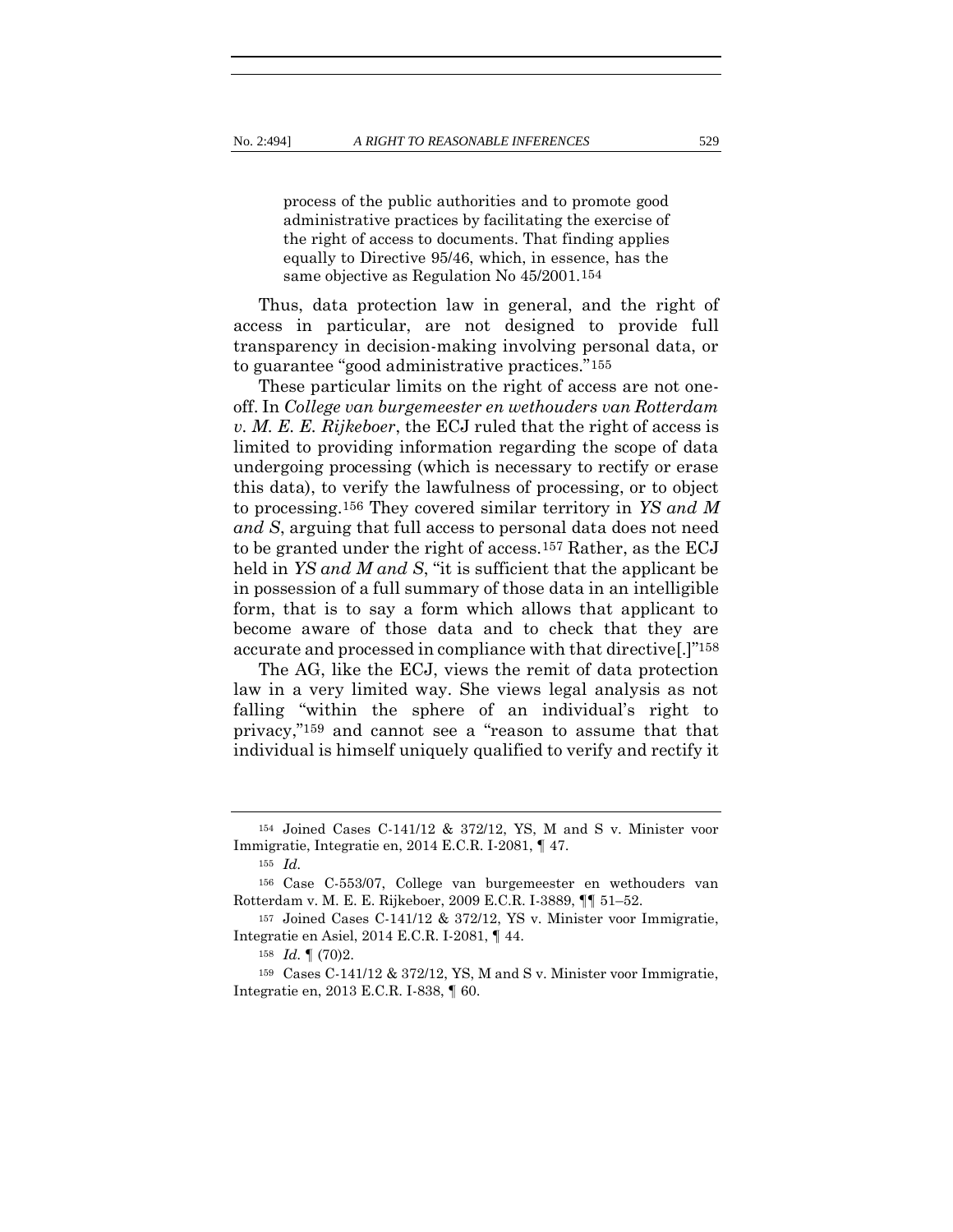process of the public authorities and to promote good administrative practices by facilitating the exercise of the right of access to documents. That finding applies equally to Directive 95/46, which, in essence, has the same objective as Regulation No 45/2001.154

Thus, data protection law in general, and the right of access in particular, are not designed to provide full transparency in decision-making involving personal data, or to guarantee "good administrative practices."155

These particular limits on the right of access are not oneoff. In *College van burgemeester en wethouders van Rotterdam v. M. E. E. Rijkeboer*, the ECJ ruled that the right of access is limited to providing information regarding the scope of data undergoing processing (which is necessary to rectify or erase this data), to verify the lawfulness of processing, or to object to processing.156 They covered similar territory in *YS and M and S*, arguing that full access to personal data does not need to be granted under the right of access.157 Rather, as the ECJ held in *YS and M and S*, "it is sufficient that the applicant be in possession of a full summary of those data in an intelligible form, that is to say a form which allows that applicant to become aware of those data and to check that they are accurate and processed in compliance with that directive[.]"158

The AG, like the ECJ, views the remit of data protection law in a very limited way. She views legal analysis as not falling "within the sphere of an individual's right to privacy,"159 and cannot see a "reason to assume that that individual is himself uniquely qualified to verify and rectify it

<sup>154</sup> Joined Cases C-141/12 & 372/12, YS, M and S v. Minister voor Immigratie, Integratie en, 2014 E.C.R. I-2081, ¶ 47.

<sup>155</sup> *Id.*

<sup>156</sup> Case C-553/07, College van burgemeester en wethouders van Rotterdam v. M. E. E. Rijkeboer, 2009 E.C.R. I-3889, ¶¶ 51–52.

<sup>157</sup> Joined Cases C-141/12 & 372/12, YS v. Minister voor Immigratie, Integratie en Asiel, 2014 E.C.R. I-2081, ¶ 44.

<sup>158</sup> *Id.* ¶ (70)2.

<sup>159</sup> Cases C-141/12 & 372/12, YS, M and S v. Minister voor Immigratie, Integratie en, 2013 E.C.R. I-838, ¶ 60.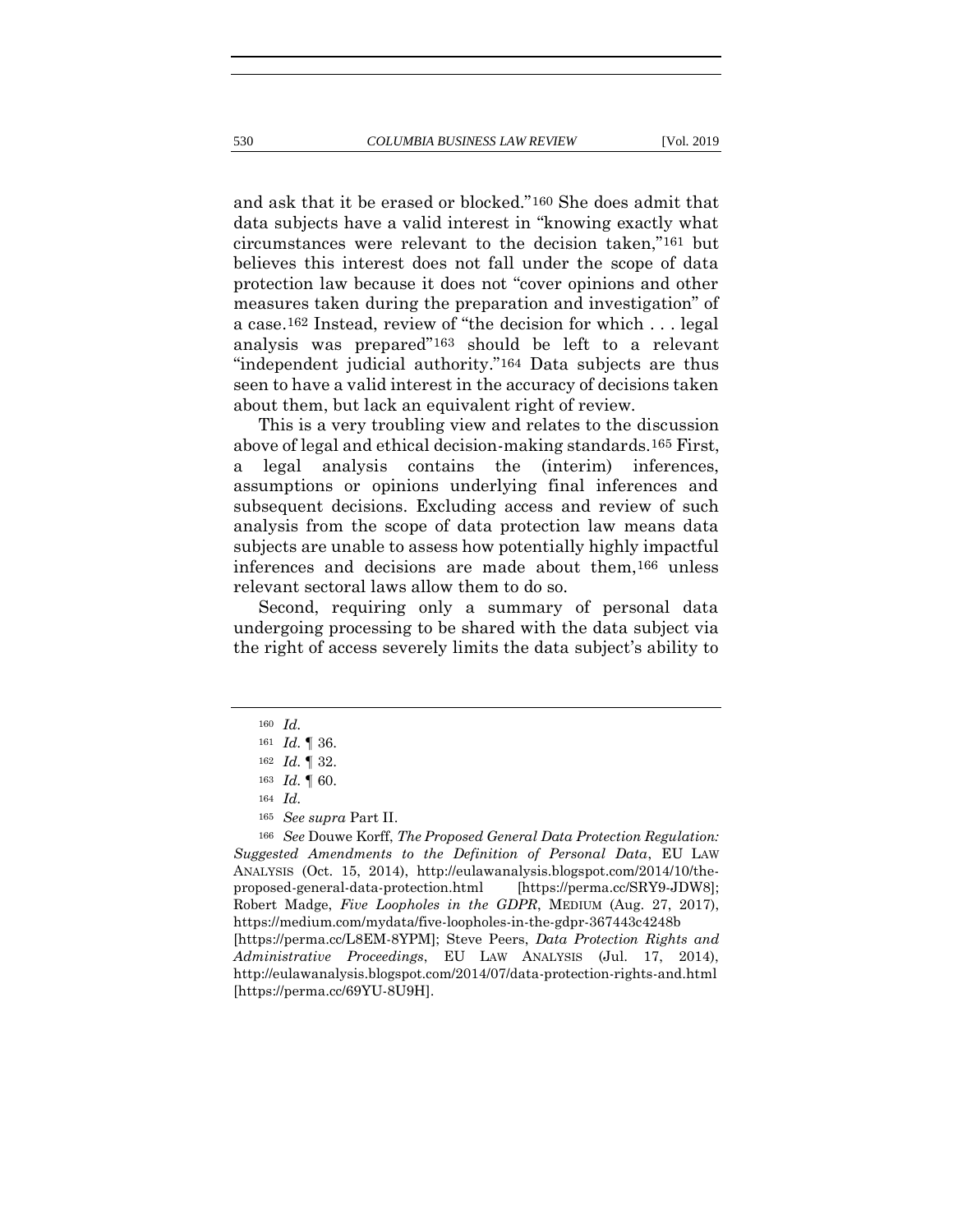and ask that it be erased or blocked."160 She does admit that data subjects have a valid interest in "knowing exactly what

circumstances were relevant to the decision taken,"161 but believes this interest does not fall under the scope of data protection law because it does not "cover opinions and other measures taken during the preparation and investigation" of a case.162 Instead, review of "the decision for which . . . legal analysis was prepared"163 should be left to a relevant "independent judicial authority."164 Data subjects are thus seen to have a valid interest in the accuracy of decisions taken about them, but lack an equivalent right of review.

This is a very troubling view and relates to the discussion above of legal and ethical decision-making standards.165 First, a legal analysis contains the (interim) inferences, assumptions or opinions underlying final inferences and subsequent decisions. Excluding access and review of such analysis from the scope of data protection law means data subjects are unable to assess how potentially highly impactful inferences and decisions are made about them,166 unless relevant sectoral laws allow them to do so.

Second, requiring only a summary of personal data undergoing processing to be shared with the data subject via the right of access severely limits the data subject's ability to

[https://perma.cc/69YU-8U9H].

<sup>160</sup> *Id.*

<sup>161</sup> *Id.* ¶ 36.

<sup>162</sup> *Id.* ¶ 32.

<sup>163</sup> *Id.* ¶ 60.

<sup>164</sup> *Id.*

<sup>165</sup> *See supra* Part II.

<sup>166</sup> *See* Douwe Korff, *The Proposed General Data Protection Regulation: Suggested Amendments to the Definition of Personal Data*, EU LAW ANALYSIS (Oct. 15, 2014), http://eulawanalysis.blogspot.com/2014/10/theproposed-general-data-protection.html [https://perma.cc/SRY9-JDW8]; Robert Madge, *Five Loopholes in the GDPR*, MEDIUM (Aug. 27, 2017), https://medium.com/mydata/five-loopholes-in-the-gdpr-367443c4248b [https://perma.cc/L8EM-8YPM]; Steve Peers, *Data Protection Rights and Administrative Proceedings*, EU LAW ANALYSIS (Jul. 17, 2014), http://eulawanalysis.blogspot.com/2014/07/data-protection-rights-and.html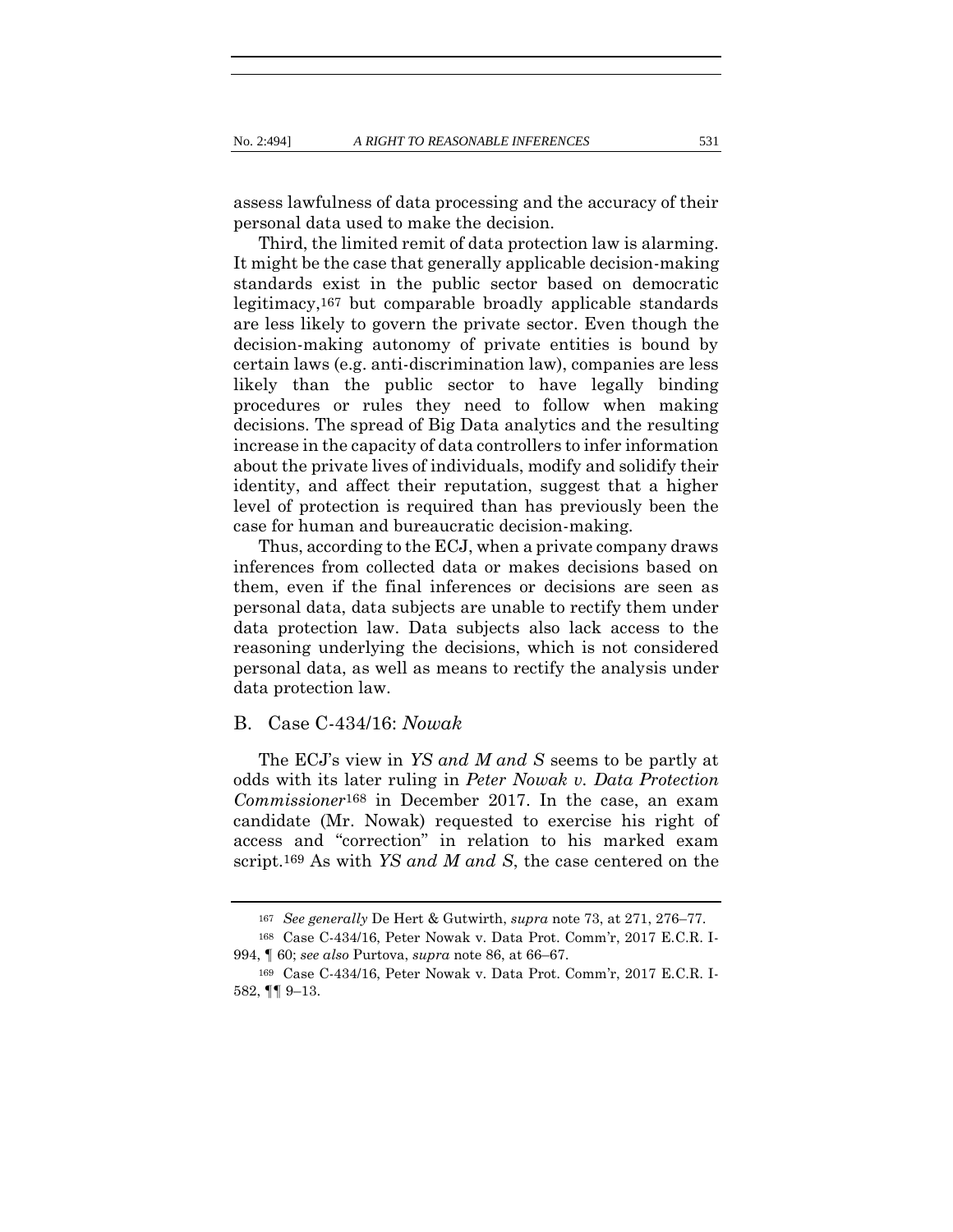assess lawfulness of data processing and the accuracy of their personal data used to make the decision.

Third, the limited remit of data protection law is alarming. It might be the case that generally applicable decision-making standards exist in the public sector based on democratic legitimacy,167 but comparable broadly applicable standards are less likely to govern the private sector. Even though the decision-making autonomy of private entities is bound by certain laws (e.g. anti-discrimination law), companies are less likely than the public sector to have legally binding procedures or rules they need to follow when making decisions. The spread of Big Data analytics and the resulting increase in the capacity of data controllers to infer information about the private lives of individuals, modify and solidify their identity, and affect their reputation, suggest that a higher level of protection is required than has previously been the case for human and bureaucratic decision-making.

Thus, according to the ECJ, when a private company draws inferences from collected data or makes decisions based on them, even if the final inferences or decisions are seen as personal data, data subjects are unable to rectify them under data protection law. Data subjects also lack access to the reasoning underlying the decisions, which is not considered personal data, as well as means to rectify the analysis under data protection law.

#### B. Case C-434/16: *Nowak*

The ECJ's view in *YS and M and S* seems to be partly at odds with its later ruling in *Peter Nowak v. Data Protection Commissioner*168 in December 2017. In the case, an exam candidate (Mr. Nowak) requested to exercise his right of access and "correction" in relation to his marked exam script.169 As with *YS and M and S*, the case centered on the

<sup>167</sup> *See generally* De Hert & Gutwirth, *supra* note [73,](#page-20-0) at 271, 276–77.

<sup>168</sup> Case C-434/16, Peter Nowak v. Data Prot. Comm'r, 2017 E.C.R. I-994, ¶ 60; *see also* Purtova, *supra* note [86,](#page-23-0) at 66–67.

<sup>169</sup> Case C-434/16, Peter Nowak v. Data Prot. Comm'r, 2017 E.C.R. I-582, ¶¶ 9–13.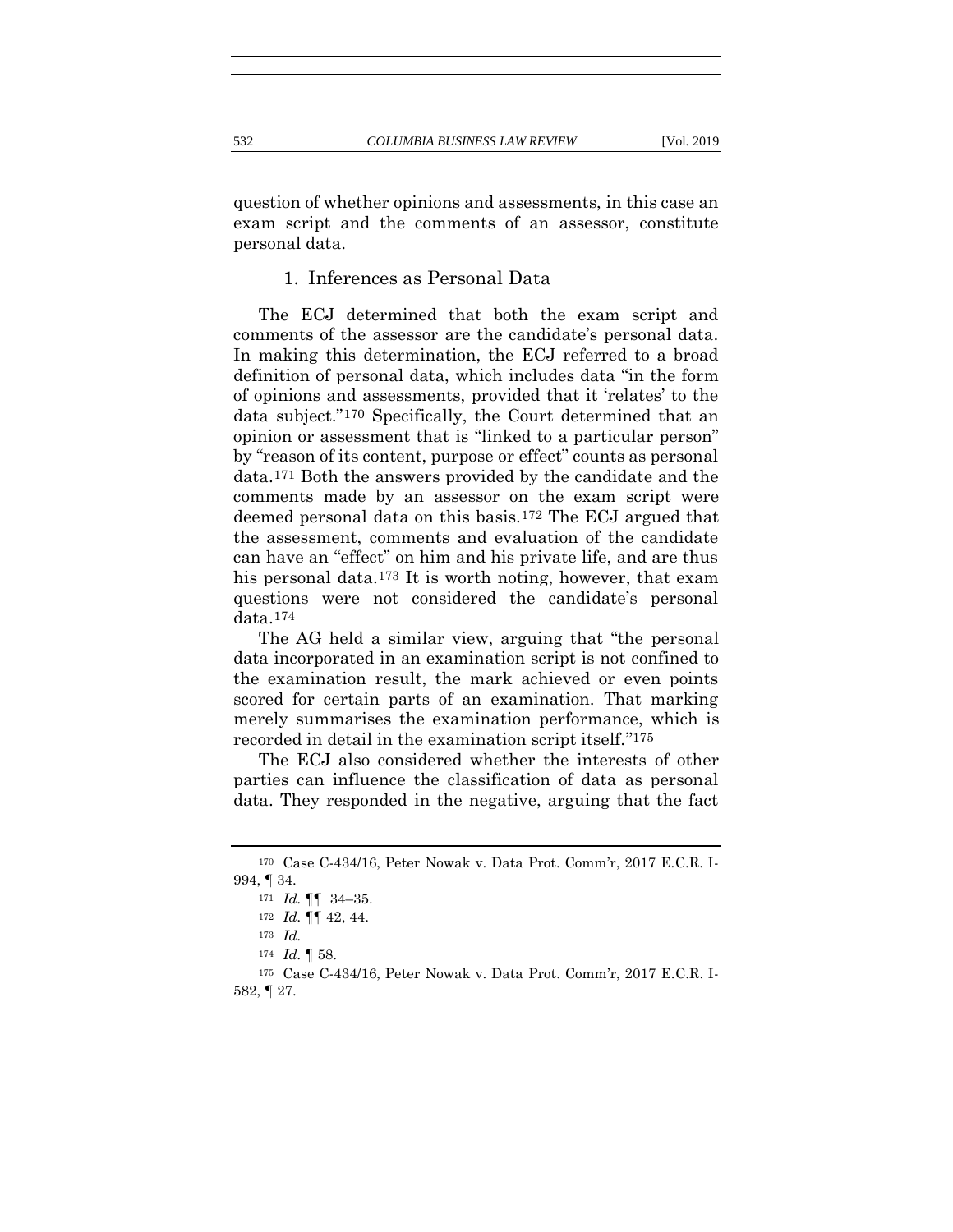question of whether opinions and assessments, in this case an exam script and the comments of an assessor, constitute personal data.

# 1. Inferences as Personal Data

The ECJ determined that both the exam script and comments of the assessor are the candidate's personal data. In making this determination, the ECJ referred to a broad definition of personal data, which includes data "in the form of opinions and assessments, provided that it 'relates' to the data subject."170 Specifically, the Court determined that an opinion or assessment that is "linked to a particular person" by "reason of its content, purpose or effect" counts as personal data.171 Both the answers provided by the candidate and the comments made by an assessor on the exam script were deemed personal data on this basis.172 The ECJ argued that the assessment, comments and evaluation of the candidate can have an "effect" on him and his private life, and are thus his personal data.173 It is worth noting, however, that exam questions were not considered the candidate's personal data.174

The AG held a similar view, arguing that "the personal data incorporated in an examination script is not confined to the examination result, the mark achieved or even points scored for certain parts of an examination. That marking merely summarises the examination performance, which is recorded in detail in the examination script itself."175

The ECJ also considered whether the interests of other parties can influence the classification of data as personal data. They responded in the negative, arguing that the fact

<sup>170</sup> Case C-434/16, Peter Nowak v. Data Prot. Comm'r, 2017 E.C.R. I-994, ¶ 34.

<sup>171</sup> *Id.* ¶¶ 34–35.

<sup>172</sup> *Id.* ¶¶ 42, 44.

<sup>173</sup> *Id.*

<sup>174</sup> *Id.* ¶ 58.

<sup>175</sup> Case C-434/16, Peter Nowak v. Data Prot. Comm'r, 2017 E.C.R. I-582, ¶ 27.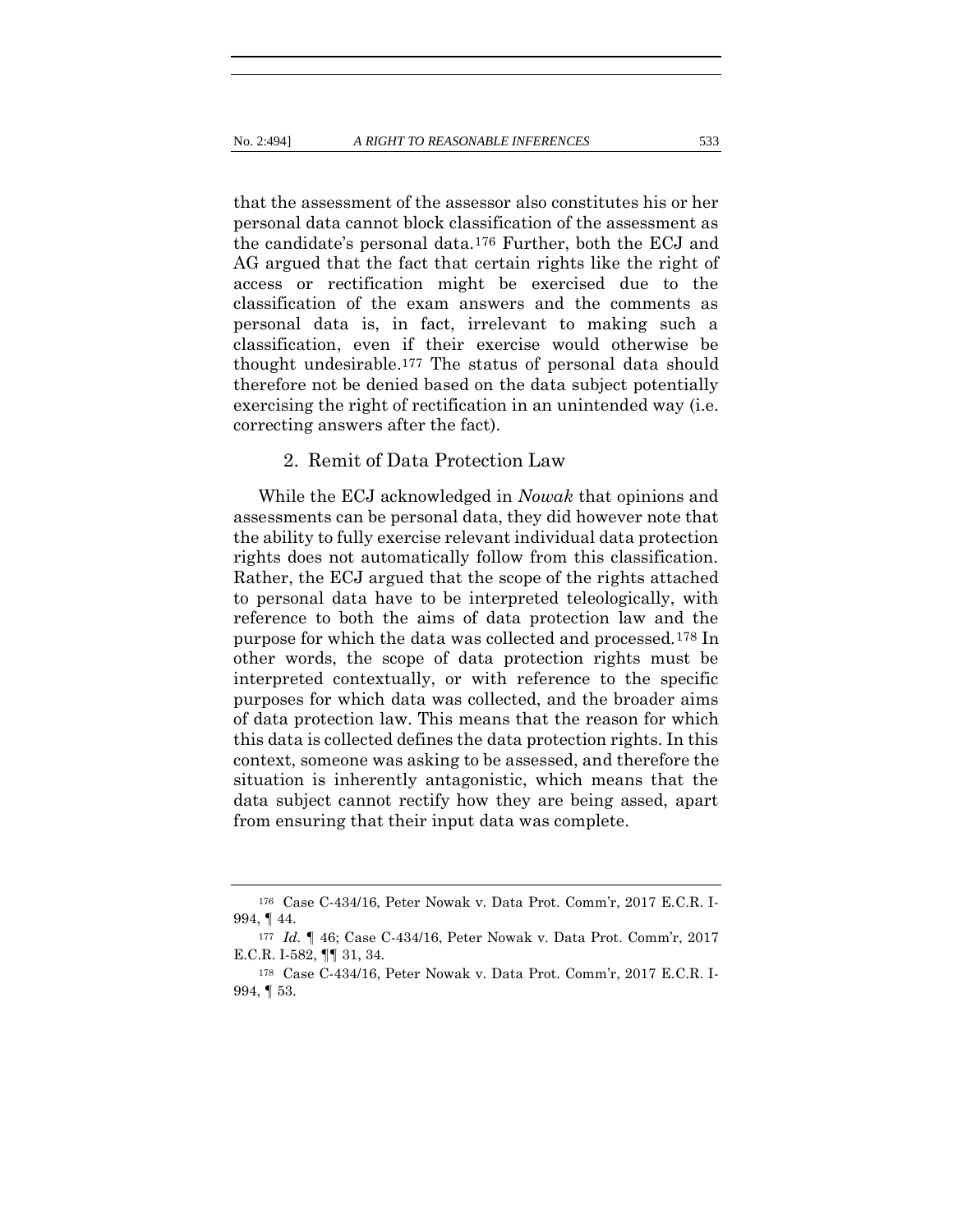that the assessment of the assessor also constitutes his or her personal data cannot block classification of the assessment as the candidate's personal data.176 Further, both the ECJ and AG argued that the fact that certain rights like the right of access or rectification might be exercised due to the classification of the exam answers and the comments as personal data is, in fact, irrelevant to making such a classification, even if their exercise would otherwise be thought undesirable.177 The status of personal data should therefore not be denied based on the data subject potentially exercising the right of rectification in an unintended way (i.e. correcting answers after the fact).

## 2. Remit of Data Protection Law

While the ECJ acknowledged in *Nowak* that opinions and assessments can be personal data, they did however note that the ability to fully exercise relevant individual data protection rights does not automatically follow from this classification. Rather, the ECJ argued that the scope of the rights attached to personal data have to be interpreted teleologically, with reference to both the aims of data protection law and the purpose for which the data was collected and processed.178 In other words, the scope of data protection rights must be interpreted contextually, or with reference to the specific purposes for which data was collected, and the broader aims of data protection law. This means that the reason for which this data is collected defines the data protection rights. In this context, someone was asking to be assessed, and therefore the situation is inherently antagonistic, which means that the data subject cannot rectify how they are being assed, apart from ensuring that their input data was complete.

<sup>176</sup> Case C-434/16, Peter Nowak v. Data Prot. Comm'r, 2017 E.C.R. I-994, ¶ 44.

<sup>177</sup> *Id.* ¶ 46; Case C-434/16, Peter Nowak v. Data Prot. Comm'r, 2017 E.C.R. I-582, ¶¶ 31, 34.

<sup>178</sup> Case C-434/16, Peter Nowak v. Data Prot. Comm'r, 2017 E.C.R. I-994, ¶ 53.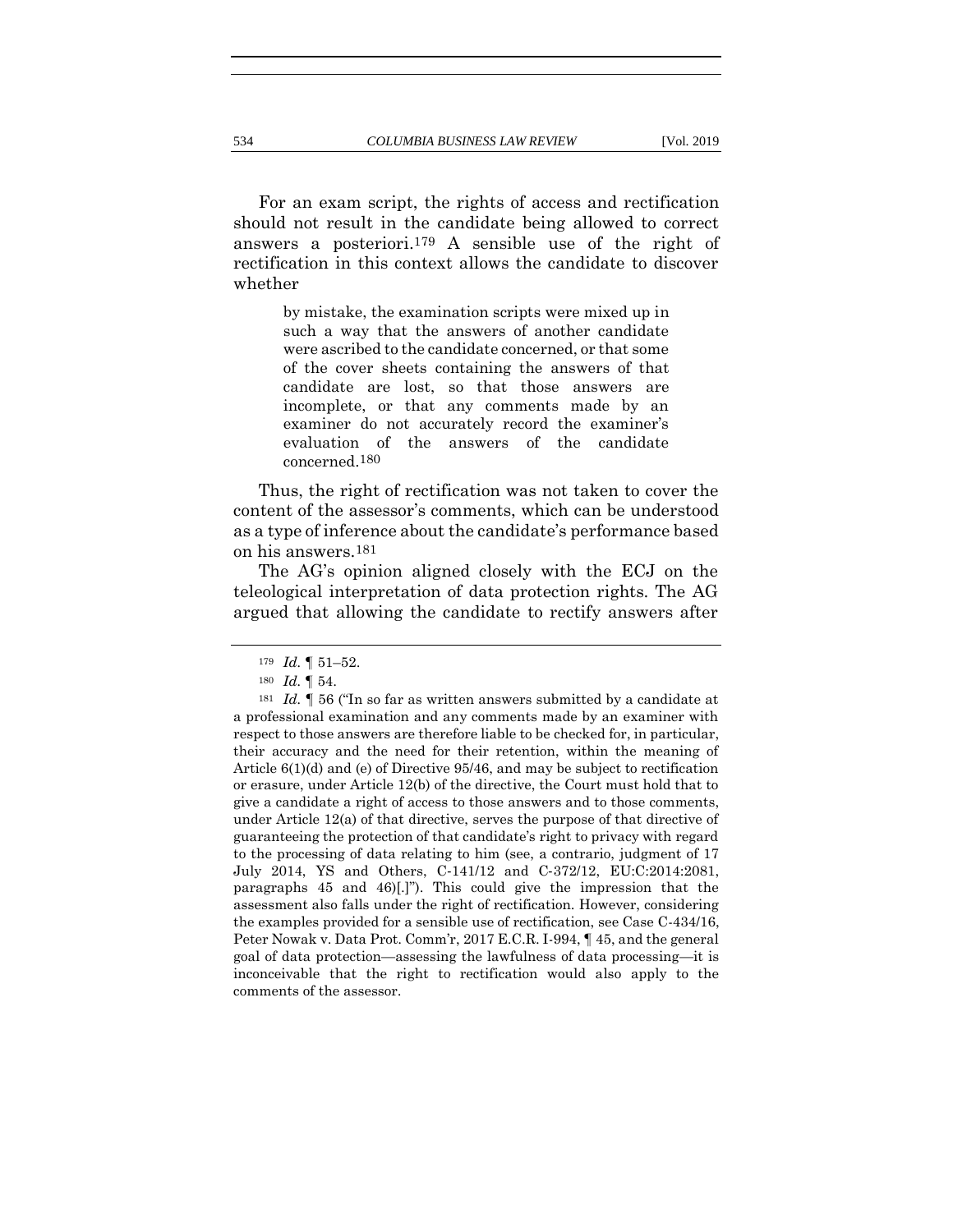For an exam script, the rights of access and rectification should not result in the candidate being allowed to correct answers a posteriori.179 A sensible use of the right of rectification in this context allows the candidate to discover whether

> by mistake, the examination scripts were mixed up in such a way that the answers of another candidate were ascribed to the candidate concerned, or that some of the cover sheets containing the answers of that candidate are lost, so that those answers are incomplete, or that any comments made by an examiner do not accurately record the examiner's evaluation of the answers of the candidate concerned.180

Thus, the right of rectification was not taken to cover the content of the assessor's comments, which can be understood as a type of inference about the candidate's performance based on his answers.181

The AG's opinion aligned closely with the ECJ on the teleological interpretation of data protection rights. The AG argued that allowing the candidate to rectify answers after

<sup>179</sup> *Id.* ¶ 51–52.

<sup>180</sup> *Id.* ¶ 54.

<sup>181</sup> *Id.* ¶ 56 ("In so far as written answers submitted by a candidate at a professional examination and any comments made by an examiner with respect to those answers are therefore liable to be checked for, in particular, their accuracy and the need for their retention, within the meaning of Article 6(1)(d) and (e) of Directive 95/46, and may be subject to rectification or erasure, under Article 12(b) of the directive, the Court must hold that to give a candidate a right of access to those answers and to those comments, under Article 12(a) of that directive, serves the purpose of that directive of guaranteeing the protection of that candidate's right to privacy with regard to the processing of data relating to him (see, a contrario, judgment of 17 July 2014, YS and Others, C‑141/12 and C‑372/12, EU:C:2014:2081, paragraphs 45 and 46)[.]"). This could give the impression that the assessment also falls under the right of rectification. However, considering the examples provided for a sensible use of rectification, see Case C-434/16, Peter Nowak v. Data Prot. Comm'r, 2017 E.C.R. I-994, ¶ 45, and the general goal of data protection—assessing the lawfulness of data processing—it is inconceivable that the right to rectification would also apply to the comments of the assessor.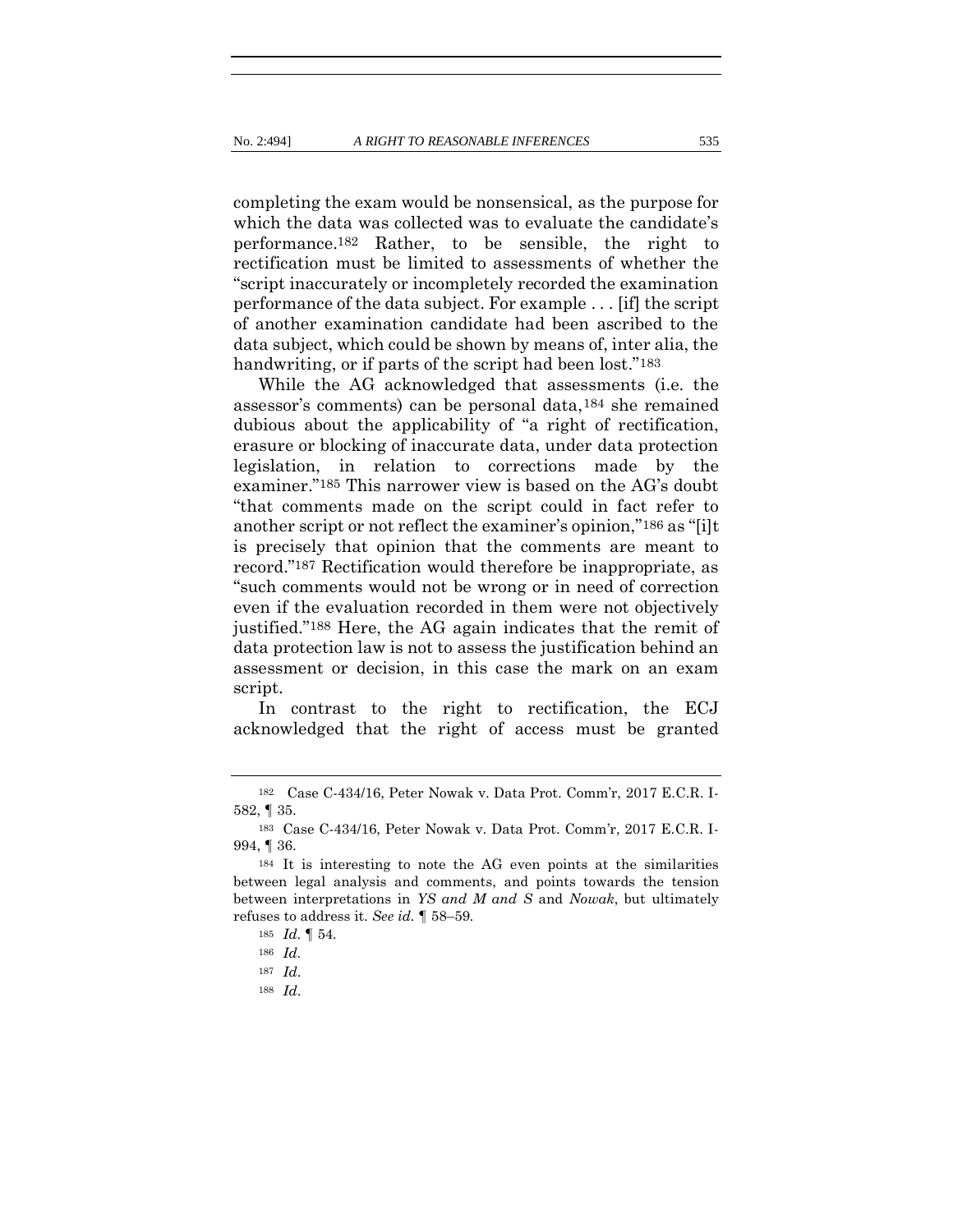completing the exam would be nonsensical, as the purpose for which the data was collected was to evaluate the candidate's performance.182 Rather, to be sensible, the right to rectification must be limited to assessments of whether the "script inaccurately or incompletely recorded the examination performance of the data subject. For example . . . [if] the script of another examination candidate had been ascribed to the data subject, which could be shown by means of, inter alia, the handwriting, or if parts of the script had been lost."<sup>183</sup>

While the AG acknowledged that assessments (i.e. the assessor's comments) can be personal data,184 she remained dubious about the applicability of "a right of rectification, erasure or blocking of inaccurate data, under data protection legislation, in relation to corrections made by the examiner."185 This narrower view is based on the AG's doubt "that comments made on the script could in fact refer to another script or not reflect the examiner's opinion,"186 as "[i]t is precisely that opinion that the comments are meant to record."187 Rectification would therefore be inappropriate, as "such comments would not be wrong or in need of correction even if the evaluation recorded in them were not objectively justified."188 Here, the AG again indicates that the remit of data protection law is not to assess the justification behind an assessment or decision, in this case the mark on an exam script.

In contrast to the right to rectification, the ECJ acknowledged that the right of access must be granted

<sup>182</sup> Case C-434/16, Peter Nowak v. Data Prot. Comm'r, 2017 E.C.R. I-582, ¶ 35.

<sup>183</sup> Case C-434/16, Peter Nowak v. Data Prot. Comm'r, 2017 E.C.R. I-994, ¶ 36.

<sup>184</sup> It is interesting to note the AG even points at the similarities between legal analysis and comments, and points towards the tension between interpretations in *YS and M and S* and *Nowak*, but ultimately refuses to address it. *See id.* ¶ 58–59*.*

<sup>185</sup> *Id.* ¶ 54*.*

<sup>186</sup> *Id.* 

<sup>187</sup> *Id*.

<sup>188</sup> *Id*.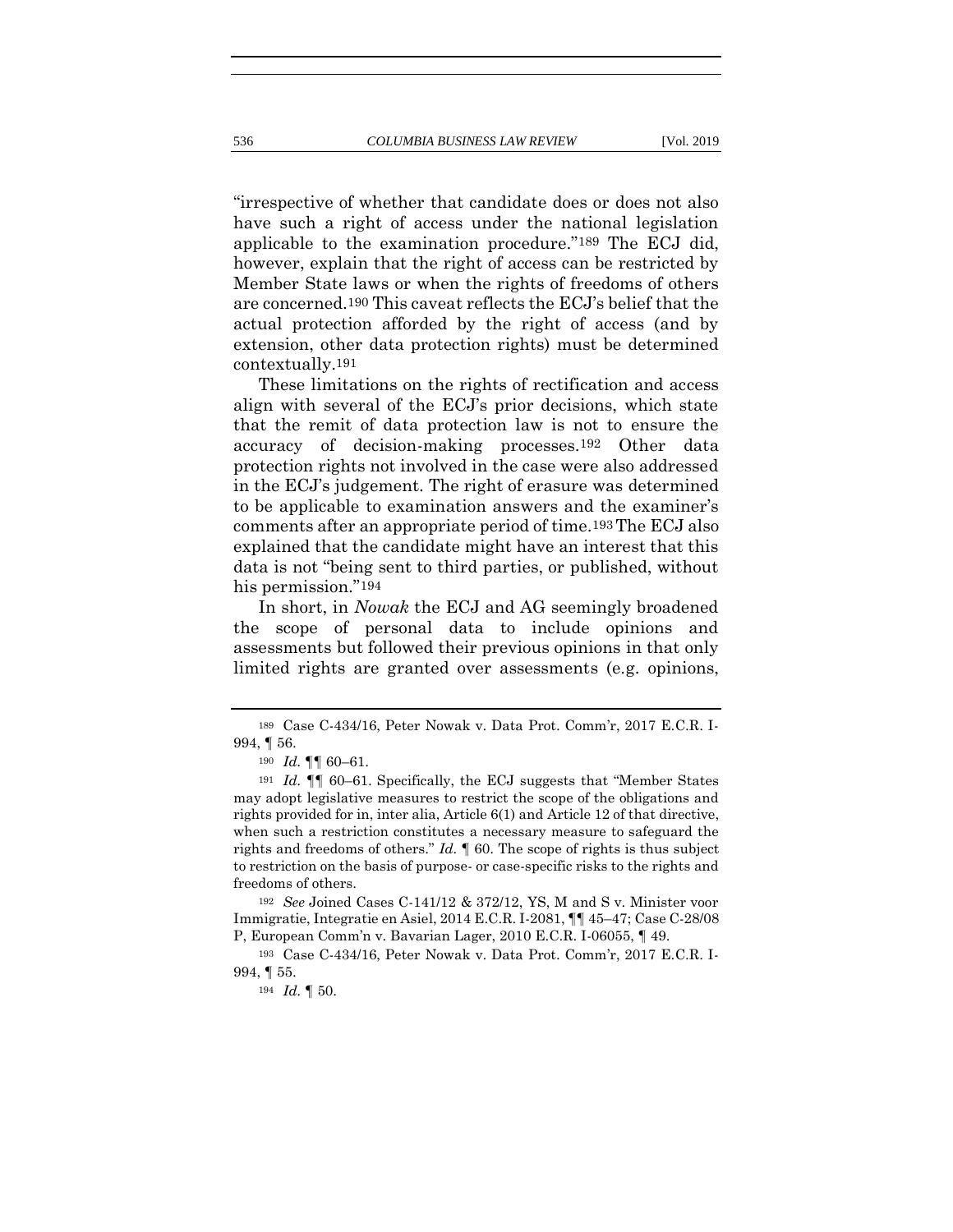"irrespective of whether that candidate does or does not also have such a right of access under the national legislation applicable to the examination procedure."189 The ECJ did, however, explain that the right of access can be restricted by Member State laws or when the rights of freedoms of others are concerned.190 This caveat reflects the ECJ's belief that the actual protection afforded by the right of access (and by extension, other data protection rights) must be determined contextually.191

These limitations on the rights of rectification and access align with several of the ECJ's prior decisions, which state that the remit of data protection law is not to ensure the accuracy of decision-making processes.192 Other data protection rights not involved in the case were also addressed in the ECJ's judgement. The right of erasure was determined to be applicable to examination answers and the examiner's comments after an appropriate period of time.193The ECJ also explained that the candidate might have an interest that this data is not "being sent to third parties, or published, without his permission."194

In short, in *Nowak* the ECJ and AG seemingly broadened the scope of personal data to include opinions and assessments but followed their previous opinions in that only limited rights are granted over assessments (e.g. opinions,

<sup>192</sup> *See* Joined Cases C-141/12 & 372/12, YS, M and S v. Minister voor Immigratie, Integratie en Asiel, 2014 E.C.R. I-2081, ¶¶ 45–47; Case C-28/08 P, European Comm'n v. Bavarian Lager, 2010 E.C.R. I-06055, ¶ 49.

<sup>189</sup> Case C-434/16, Peter Nowak v. Data Prot. Comm'r, 2017 E.C.R. I-994, ¶ 56.

<sup>190</sup> *Id.* ¶¶ 60–61.

<sup>191</sup> *Id.* ¶¶ 60–61. Specifically, the ECJ suggests that "Member States may adopt legislative measures to restrict the scope of the obligations and rights provided for in, inter alia, Article 6(1) and Article 12 of that directive, when such a restriction constitutes a necessary measure to safeguard the rights and freedoms of others." *Id.* ¶ 60. The scope of rights is thus subject to restriction on the basis of purpose- or case-specific risks to the rights and freedoms of others.

<sup>193</sup> Case C-434/16, Peter Nowak v. Data Prot. Comm'r, 2017 E.C.R. I-994, ¶ 55.

<sup>194</sup> *Id.* ¶ 50.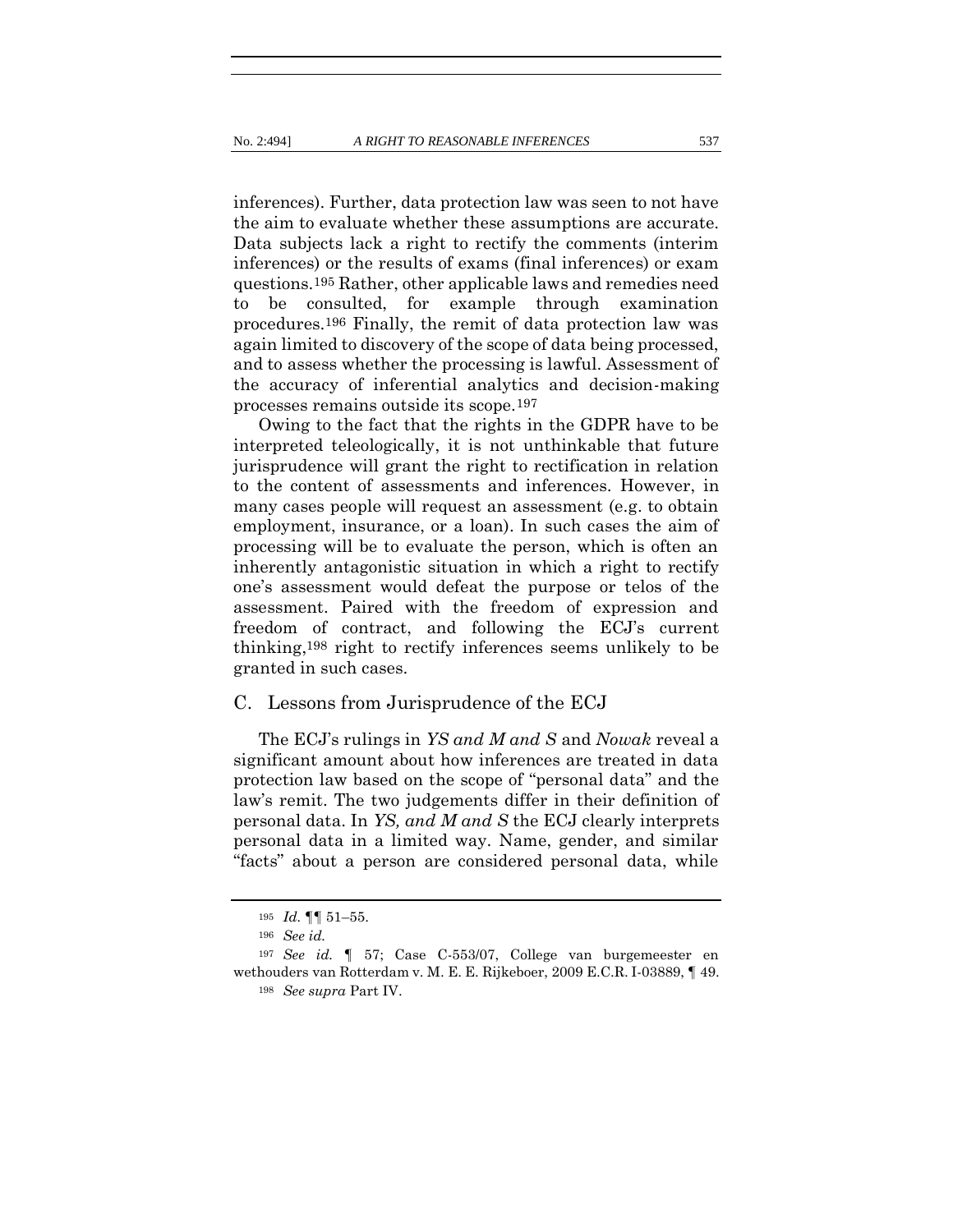inferences). Further, data protection law was seen to not have the aim to evaluate whether these assumptions are accurate. Data subjects lack a right to rectify the comments (interim inferences) or the results of exams (final inferences) or exam questions.195 Rather, other applicable laws and remedies need to be consulted, for example through examination procedures.196 Finally, the remit of data protection law was again limited to discovery of the scope of data being processed, and to assess whether the processing is lawful. Assessment of the accuracy of inferential analytics and decision-making processes remains outside its scope.197

Owing to the fact that the rights in the GDPR have to be interpreted teleologically, it is not unthinkable that future jurisprudence will grant the right to rectification in relation to the content of assessments and inferences. However, in many cases people will request an assessment (e.g. to obtain employment, insurance, or a loan). In such cases the aim of processing will be to evaluate the person, which is often an inherently antagonistic situation in which a right to rectify one's assessment would defeat the purpose or telos of the assessment. Paired with the freedom of expression and freedom of contract, and following the ECJ's current thinking,198 right to rectify inferences seems unlikely to be granted in such cases.

# C. Lessons from Jurisprudence of the ECJ

The ECJ's rulings in *YS and M and S* and *Nowak* reveal a significant amount about how inferences are treated in data protection law based on the scope of "personal data" and the law's remit. The two judgements differ in their definition of personal data. In *YS, and M and S* the ECJ clearly interprets personal data in a limited way. Name, gender, and similar "facts" about a person are considered personal data, while

<sup>195</sup> *Id.* ¶¶ 51–55.

<sup>196</sup> *See id.* 

<sup>197</sup> *See id.* ¶ 57; Case C-553/07, College van burgemeester en wethouders van Rotterdam v. M. E. E. Rijkeboer, 2009 E.C.R. I-03889, ¶ 49. <sup>198</sup> *See supra* Part IV.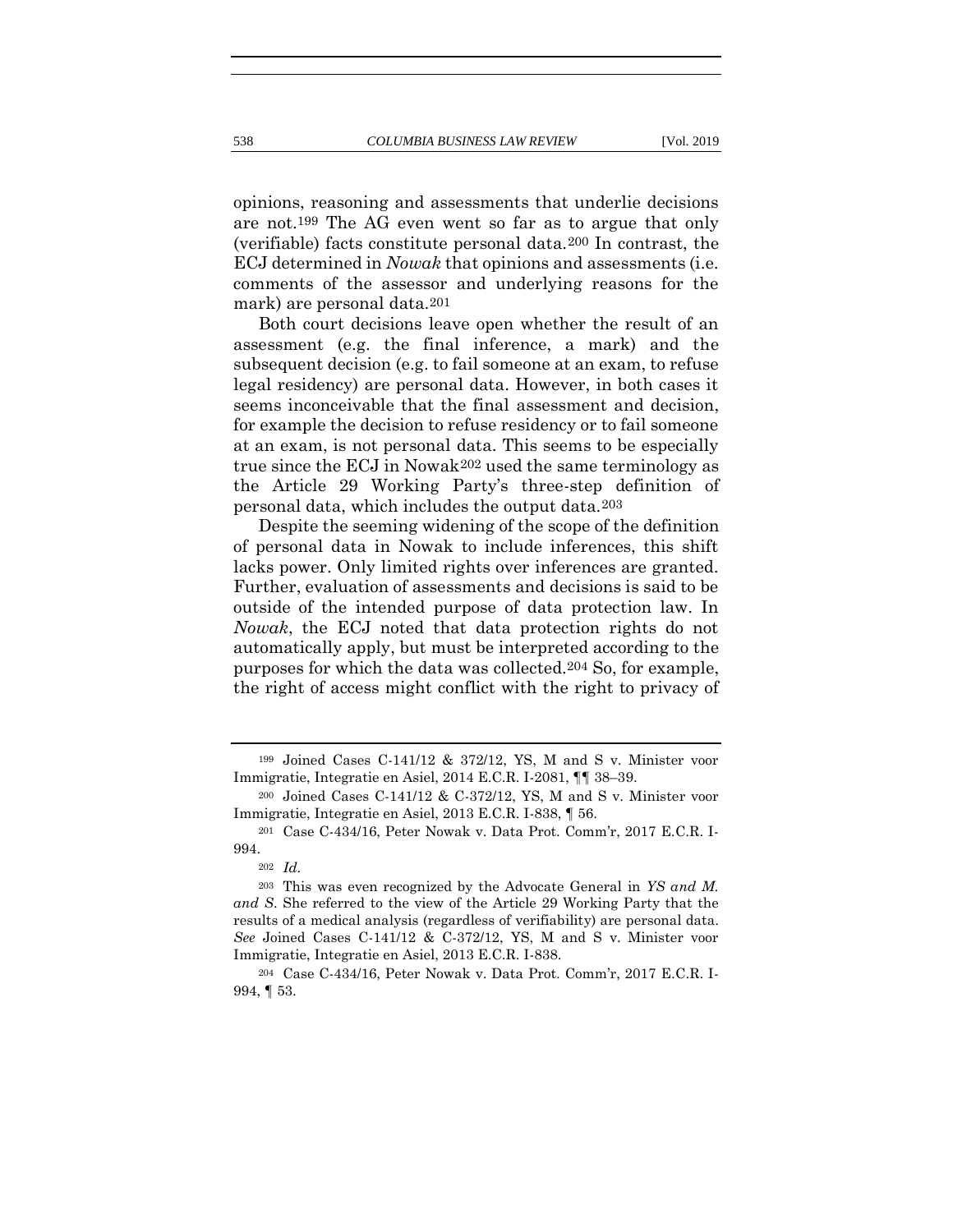opinions, reasoning and assessments that underlie decisions are not.199 The AG even went so far as to argue that only (verifiable) facts constitute personal data.200 In contrast, the ECJ determined in *Nowak* that opinions and assessments (i.e. comments of the assessor and underlying reasons for the mark) are personal data.201

Both court decisions leave open whether the result of an assessment (e.g. the final inference, a mark) and the subsequent decision (e.g. to fail someone at an exam, to refuse legal residency) are personal data. However, in both cases it seems inconceivable that the final assessment and decision, for example the decision to refuse residency or to fail someone at an exam, is not personal data. This seems to be especially true since the ECJ in Nowak202 used the same terminology as the Article 29 Working Party's three-step definition of personal data, which includes the output data.203

Despite the seeming widening of the scope of the definition of personal data in Nowak to include inferences, this shift lacks power. Only limited rights over inferences are granted. Further, evaluation of assessments and decisions is said to be outside of the intended purpose of data protection law. In *Nowak*, the ECJ noted that data protection rights do not automatically apply, but must be interpreted according to the purposes for which the data was collected.204 So, for example, the right of access might conflict with the right to privacy of

<sup>199</sup> Joined Cases C-141/12 & 372/12, YS, M and S v. Minister voor Immigratie, Integratie en Asiel, 2014 E.C.R. I-2081, ¶¶ 38–39.

<sup>200</sup> Joined Cases C-141/12 & C-372/12, YS, M and S v. Minister voor Immigratie, Integratie en Asiel, 2013 E.C.R. I-838, ¶ 56.

<sup>201</sup> Case C-434/16, Peter Nowak v. Data Prot. Comm'r, 2017 E.C.R. I-994.

<sup>202</sup> *Id.*

<sup>203</sup> This was even recognized by the Advocate General in *YS and M. and S*. She referred to the view of the Article 29 Working Party that the results of a medical analysis (regardless of verifiability) are personal data. *See* Joined Cases C-141/12 & C-372/12, YS, M and S v. Minister voor Immigratie, Integratie en Asiel, 2013 E.C.R. I-838.

<sup>204</sup> Case C-434/16, Peter Nowak v. Data Prot. Comm'r, 2017 E.C.R. I-994, ¶ 53.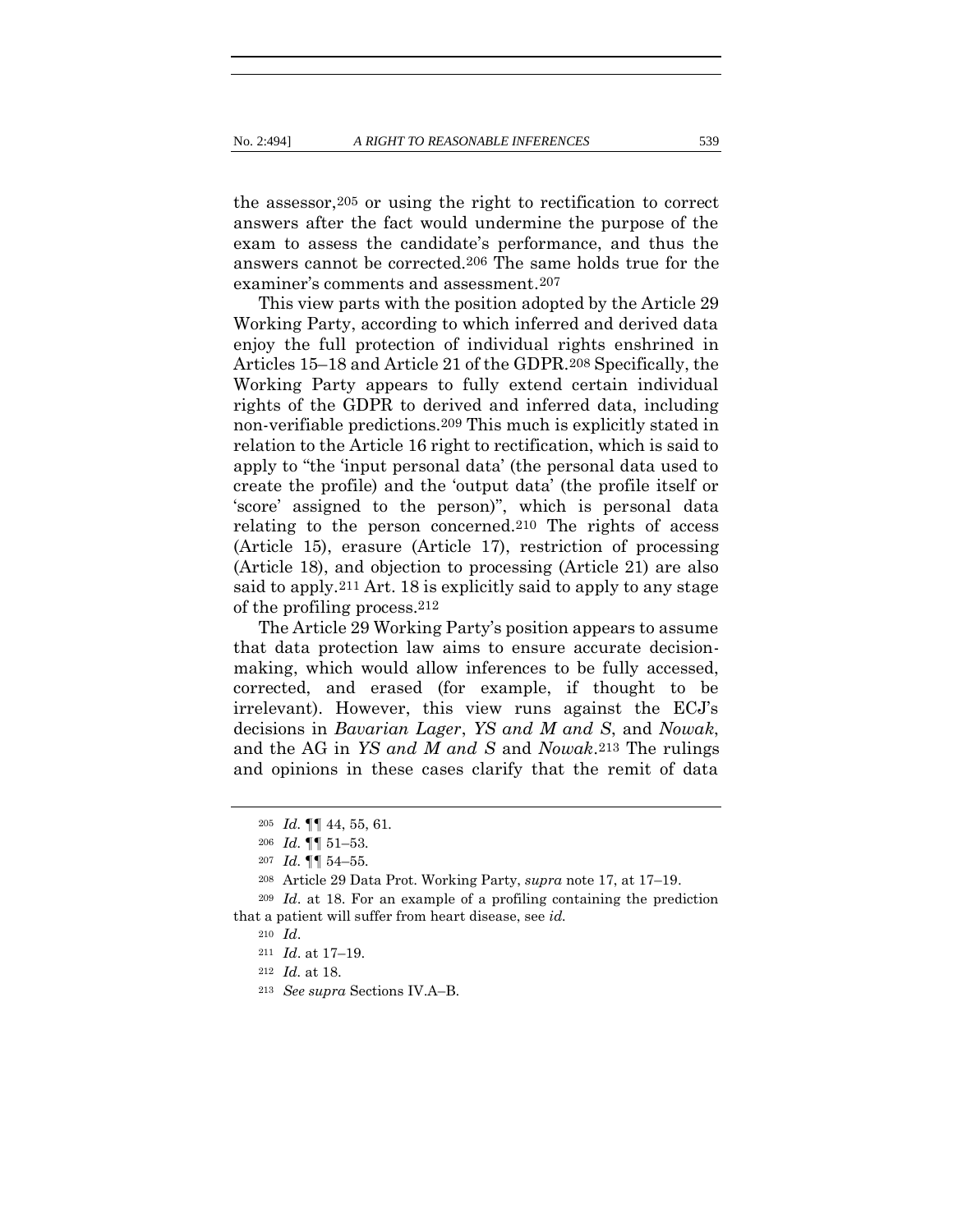the assessor,205 or using the right to rectification to correct answers after the fact would undermine the purpose of the exam to assess the candidate's performance, and thus the answers cannot be corrected.206 The same holds true for the examiner's comments and assessment.207

This view parts with the position adopted by the Article 29 Working Party, according to which inferred and derived data enjoy the full protection of individual rights enshrined in Articles 15–18 and Article 21 of the GDPR.208 Specifically, the Working Party appears to fully extend certain individual rights of the GDPR to derived and inferred data, including non-verifiable predictions.209 This much is explicitly stated in relation to the Article 16 right to rectification, which is said to apply to "the 'input personal data' (the personal data used to create the profile) and the 'output data' (the profile itself or 'score' assigned to the person)", which is personal data relating to the person concerned.210 The rights of access (Article 15), erasure (Article 17), restriction of processing (Article 18), and objection to processing (Article 21) are also said to apply.211 Art. 18 is explicitly said to apply to any stage of the profiling process.212

The Article 29 Working Party's position appears to assume that data protection law aims to ensure accurate decisionmaking, which would allow inferences to be fully accessed, corrected, and erased (for example, if thought to be irrelevant). However, this view runs against the ECJ's decisions in *Bavarian Lager*, *YS and M and S*, and *Nowak*, and the AG in *YS and M and S* and *Nowak*.213 The rulings and opinions in these cases clarify that the remit of data

<sup>205</sup> *Id.* ¶¶ 44, 55, 61*.*

<sup>206</sup> *Id.* ¶¶ 51–53*.*

<sup>207</sup> *Id.* ¶¶ 54–55*.*

<sup>208</sup> Article 29 Data Prot. Working Party, *supra* note [17,](#page-10-0) at 17–19.

<sup>209</sup> *Id*. at 18. For an example of a profiling containing the prediction that a patient will suffer from heart disease, see *id.*

<sup>210</sup> *Id*.

<sup>211</sup> *Id*. at 17–19.

<sup>212</sup> *Id.* at 18.

<sup>213</sup> *See supra* Sections IV.A–B.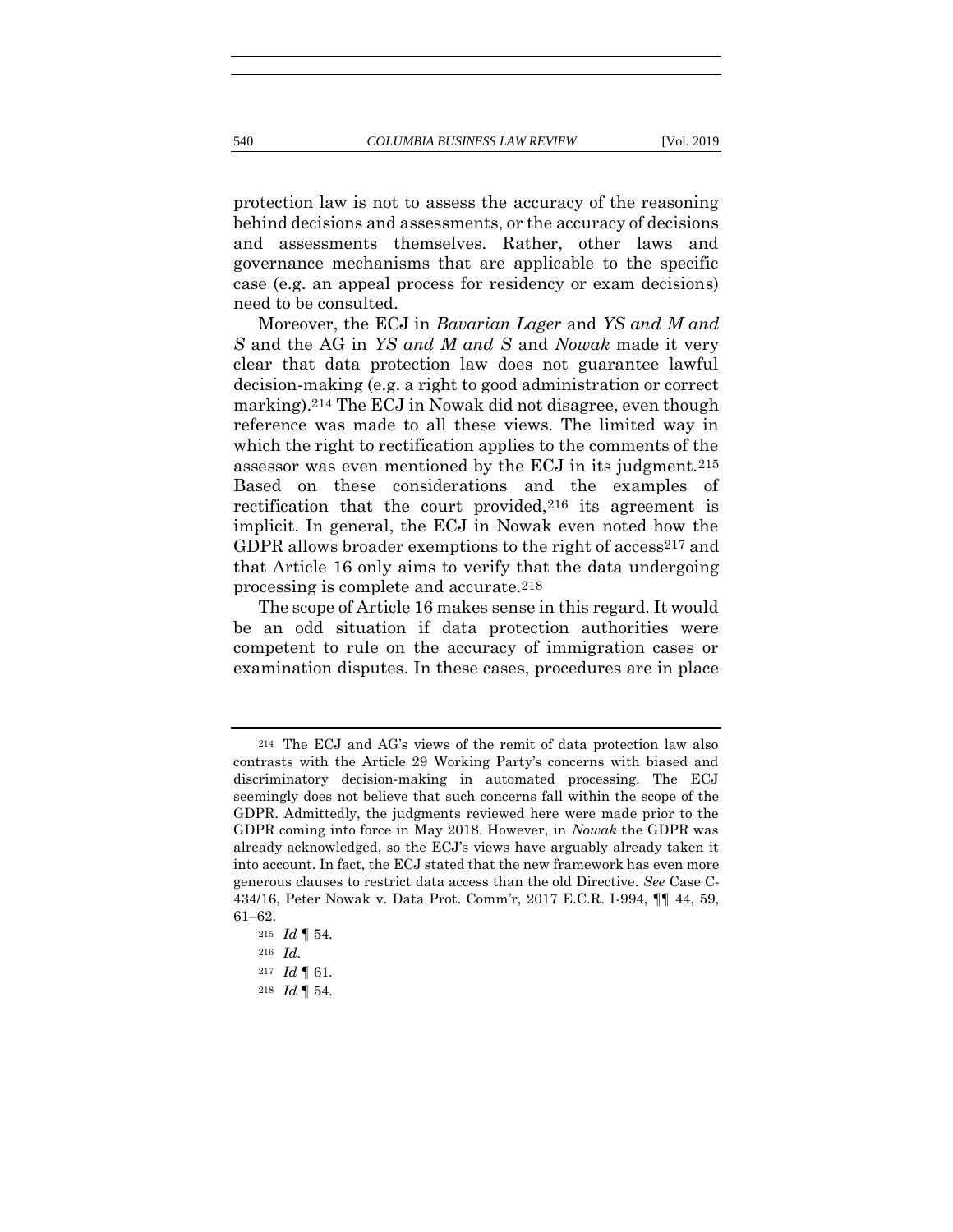protection law is not to assess the accuracy of the reasoning behind decisions and assessments, or the accuracy of decisions and assessments themselves. Rather, other laws and governance mechanisms that are applicable to the specific case (e.g. an appeal process for residency or exam decisions) need to be consulted.

Moreover, the ECJ in *Bavarian Lager* and *YS and M and S* and the AG in *YS and M and S* and *Nowak* made it very clear that data protection law does not guarantee lawful decision-making (e.g. a right to good administration or correct marking).214 The ECJ in Nowak did not disagree, even though reference was made to all these views. The limited way in which the right to rectification applies to the comments of the assessor was even mentioned by the ECJ in its judgment.215 Based on these considerations and the examples of rectification that the court provided,216 its agreement is implicit. In general, the ECJ in Nowak even noted how the GDPR allows broader exemptions to the right of access<sup>217</sup> and that Article 16 only aims to verify that the data undergoing processing is complete and accurate.218

The scope of Article 16 makes sense in this regard. It would be an odd situation if data protection authorities were competent to rule on the accuracy of immigration cases or examination disputes. In these cases, procedures are in place

<sup>214</sup> The ECJ and AG's views of the remit of data protection law also contrasts with the Article 29 Working Party's concerns with biased and discriminatory decision-making in automated processing. The ECJ seemingly does not believe that such concerns fall within the scope of the GDPR. Admittedly, the judgments reviewed here were made prior to the GDPR coming into force in May 2018. However, in *Nowak* the GDPR was already acknowledged, so the ECJ's views have arguably already taken it into account. In fact, the ECJ stated that the new framework has even more generous clauses to restrict data access than the old Directive. *See* Case C-434/16, Peter Nowak v. Data Prot. Comm'r, 2017 E.C.R. I-994, ¶¶ 44, 59, 61–62.

<sup>215</sup> *Id* ¶ 54*.*

<sup>216</sup> *Id.*

<sup>217</sup> *Id* ¶ 61*.*

<sup>218</sup> *Id* ¶ 54*.*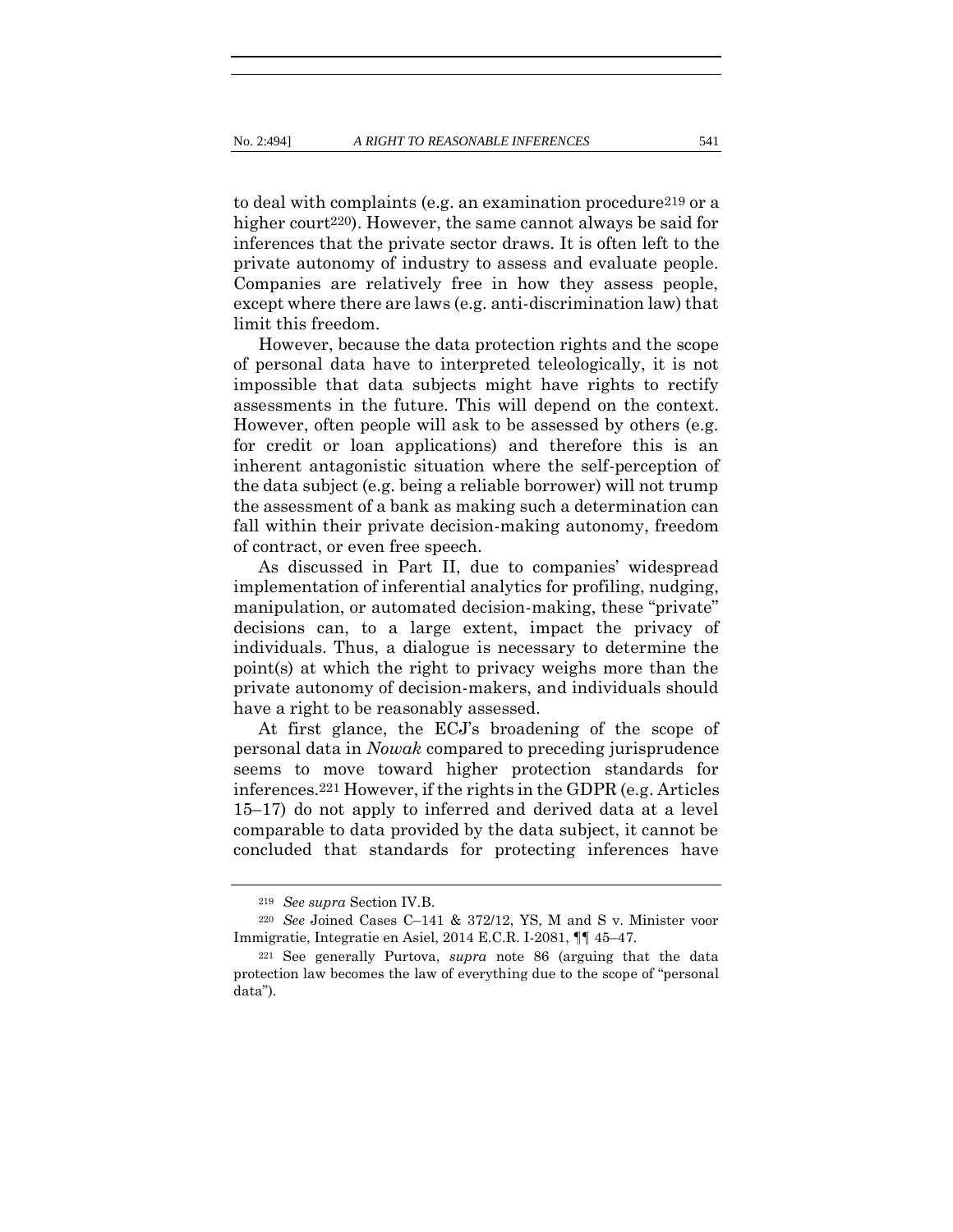to deal with complaints (e.g. an examination procedure219 or a higher court<sup>220</sup>). However, the same cannot always be said for inferences that the private sector draws. It is often left to the private autonomy of industry to assess and evaluate people. Companies are relatively free in how they assess people, except where there are laws (e.g. anti-discrimination law) that limit this freedom.

However, because the data protection rights and the scope of personal data have to interpreted teleologically, it is not impossible that data subjects might have rights to rectify assessments in the future. This will depend on the context. However, often people will ask to be assessed by others (e.g. for credit or loan applications) and therefore this is an inherent antagonistic situation where the self-perception of the data subject (e.g. being a reliable borrower) will not trump the assessment of a bank as making such a determination can fall within their private decision-making autonomy, freedom of contract, or even free speech.

As discussed in Part II, due to companies' widespread implementation of inferential analytics for profiling, nudging, manipulation, or automated decision-making, these "private" decisions can, to a large extent, impact the privacy of individuals. Thus, a dialogue is necessary to determine the point(s) at which the right to privacy weighs more than the private autonomy of decision-makers, and individuals should have a right to be reasonably assessed.

At first glance, the ECJ's broadening of the scope of personal data in *Nowak* compared to preceding jurisprudence seems to move toward higher protection standards for inferences.221 However, if the rights in the GDPR (e.g. Articles 15–17) do not apply to inferred and derived data at a level comparable to data provided by the data subject, it cannot be concluded that standards for protecting inferences have

<sup>219</sup> *See supra* Section IV.B.

<sup>220</sup> *See* Joined Cases C–141 & 372/12, YS, M and S v. Minister voor Immigratie, Integratie en Asiel, 2014 E.C.R. I-2081, ¶¶ 45–47*.*

<sup>221</sup> See generally Purtova, *supra* note [86](#page-23-0) (arguing that the data protection law becomes the law of everything due to the scope of "personal data").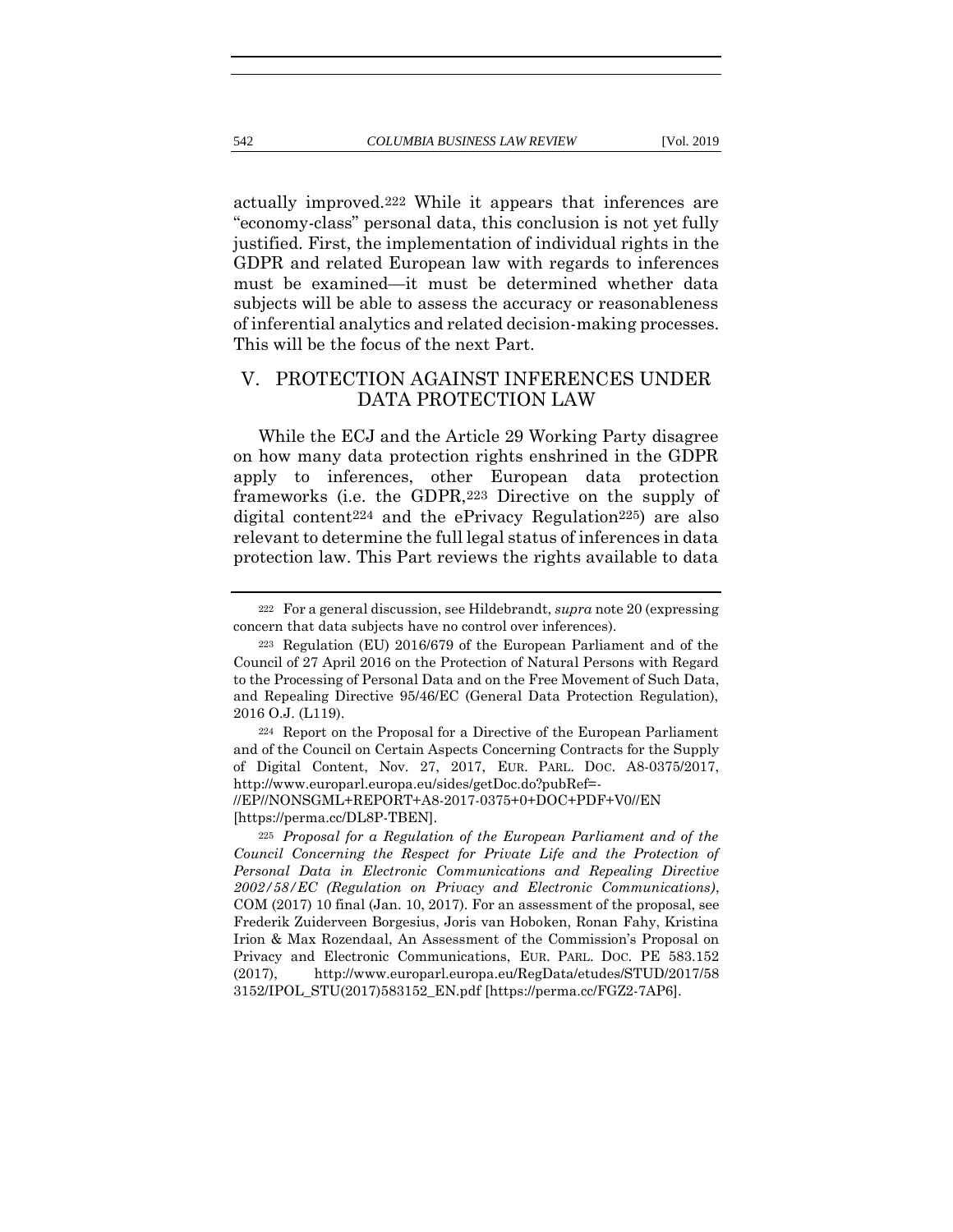actually improved.222 While it appears that inferences are "economy-class" personal data, this conclusion is not yet fully justified. First, the implementation of individual rights in the GDPR and related European law with regards to inferences must be examined—it must be determined whether data subjects will be able to assess the accuracy or reasonableness of inferential analytics and related decision-making processes. This will be the focus of the next Part.

# V. PROTECTION AGAINST INFERENCES UNDER DATA PROTECTION LAW

<span id="page-48-0"></span>While the ECJ and the Article 29 Working Party disagree on how many data protection rights enshrined in the GDPR apply to inferences, other European data protection frameworks (i.e. the GDPR,223 Directive on the supply of digital content224 and the ePrivacy Regulation225) are also relevant to determine the full legal status of inferences in data protection law. This Part reviews the rights available to data

<sup>222</sup> For a general discussion, see Hildebrandt, *supra* not[e 20](#page-11-0) (expressing concern that data subjects have no control over inferences).

<sup>223</sup> Regulation (EU) 2016/679 of the European Parliament and of the Council of 27 April 2016 on the Protection of Natural Persons with Regard to the Processing of Personal Data and on the Free Movement of Such Data, and Repealing Directive 95/46/EC (General Data Protection Regulation), 2016 O.J. (L119).

<sup>224</sup> Report on the Proposal for a Directive of the European Parliament and of the Council on Certain Aspects Concerning Contracts for the Supply of Digital Content, Nov. 27, 2017, EUR. PARL. DOC. A8-0375/2017, http://www.europarl.europa.eu/sides/getDoc.do?pubRef=-

<sup>//</sup>EP//NONSGML+REPORT+A8-2017-0375+0+DOC+PDF+V0//EN [https://perma.cc/DL8P-TBEN].

<sup>225</sup> *Proposal for a Regulation of the European Parliament and of the Council Concerning the Respect for Private Life and the Protection of Personal Data in Electronic Communications and Repealing Directive 2002/58/EC (Regulation on Privacy and Electronic Communications)*, COM (2017) 10 final (Jan. 10, 2017). For an assessment of the proposal, see Frederik Zuiderveen Borgesius, Joris van Hoboken, Ronan Fahy, Kristina Irion & Max Rozendaal, An Assessment of the Commission's Proposal on Privacy and Electronic Communications, EUR. PARL. DOC. PE 583.152 (2017), http://www.europarl.europa.eu/RegData/etudes/STUD/2017/58 3152/IPOL\_STU(2017)583152\_EN.pdf [https://perma.cc/FGZ2-7AP6].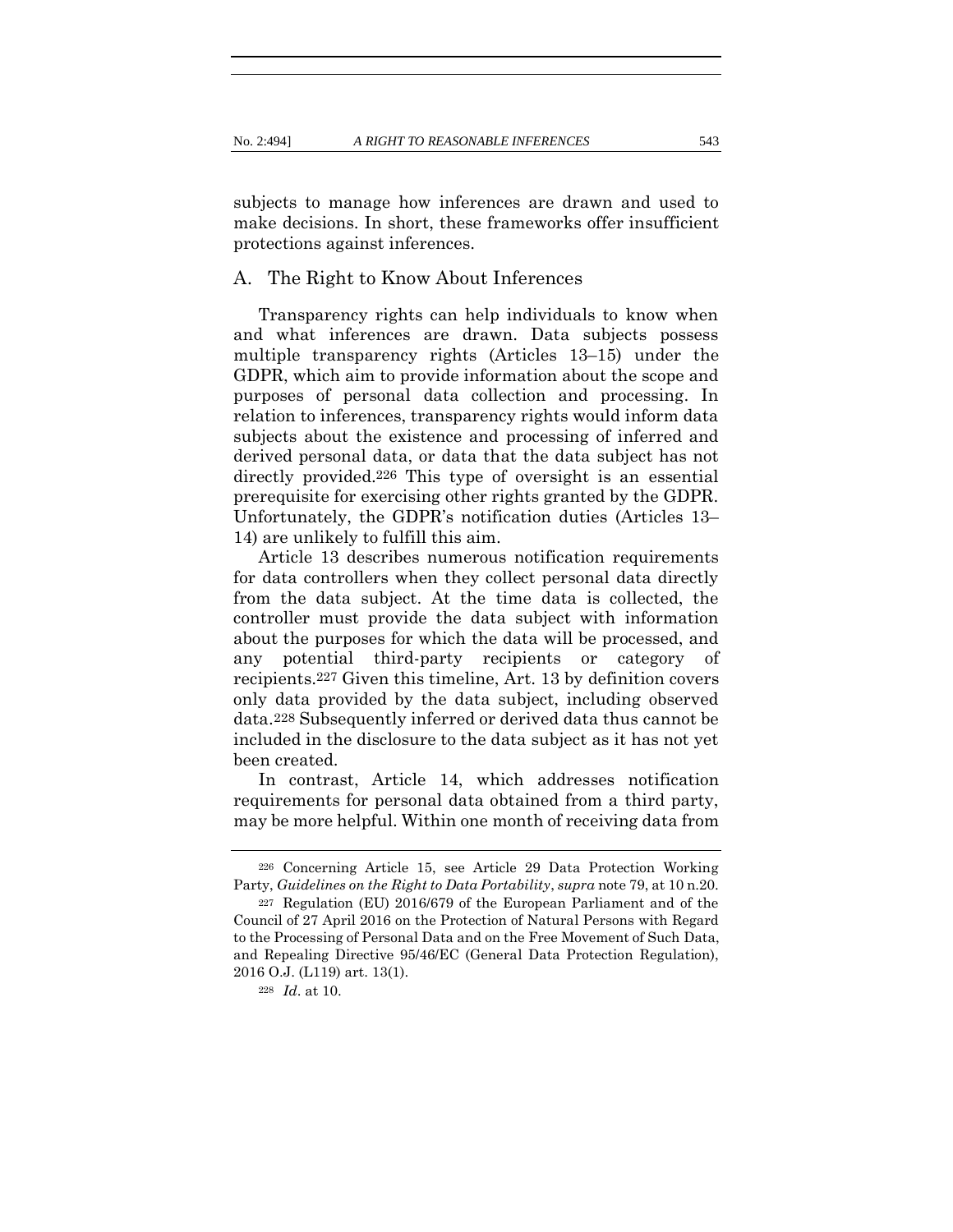subjects to manage how inferences are drawn and used to make decisions. In short, these frameworks offer insufficient protections against inferences.

# A. The Right to Know About Inferences

Transparency rights can help individuals to know when and what inferences are drawn. Data subjects possess multiple transparency rights (Articles 13–15) under the GDPR, which aim to provide information about the scope and purposes of personal data collection and processing. In relation to inferences, transparency rights would inform data subjects about the existence and processing of inferred and derived personal data, or data that the data subject has not directly provided.226 This type of oversight is an essential prerequisite for exercising other rights granted by the GDPR. Unfortunately, the GDPR's notification duties (Articles 13– 14) are unlikely to fulfill this aim.

Article 13 describes numerous notification requirements for data controllers when they collect personal data directly from the data subject. At the time data is collected, the controller must provide the data subject with information about the purposes for which the data will be processed, and any potential third-party recipients or category of recipients.227 Given this timeline, Art. 13 by definition covers only data provided by the data subject, including observed data.228 Subsequently inferred or derived data thus cannot be included in the disclosure to the data subject as it has not yet been created.

In contrast, Article 14, which addresses notification requirements for personal data obtained from a third party, may be more helpful. Within one month of receiving data from

<sup>226</sup> Concerning Article 15, see Article 29 Data Protection Working Party, *Guidelines on the Right to Data Portability*, *supra* not[e 79,](#page-22-0) at 10 n.20.

<sup>227</sup> Regulation (EU) 2016/679 of the European Parliament and of the Council of 27 April 2016 on the Protection of Natural Persons with Regard to the Processing of Personal Data and on the Free Movement of Such Data, and Repealing Directive 95/46/EC (General Data Protection Regulation), 2016 O.J. (L119) art. 13(1).

<sup>228</sup> *Id*. at 10.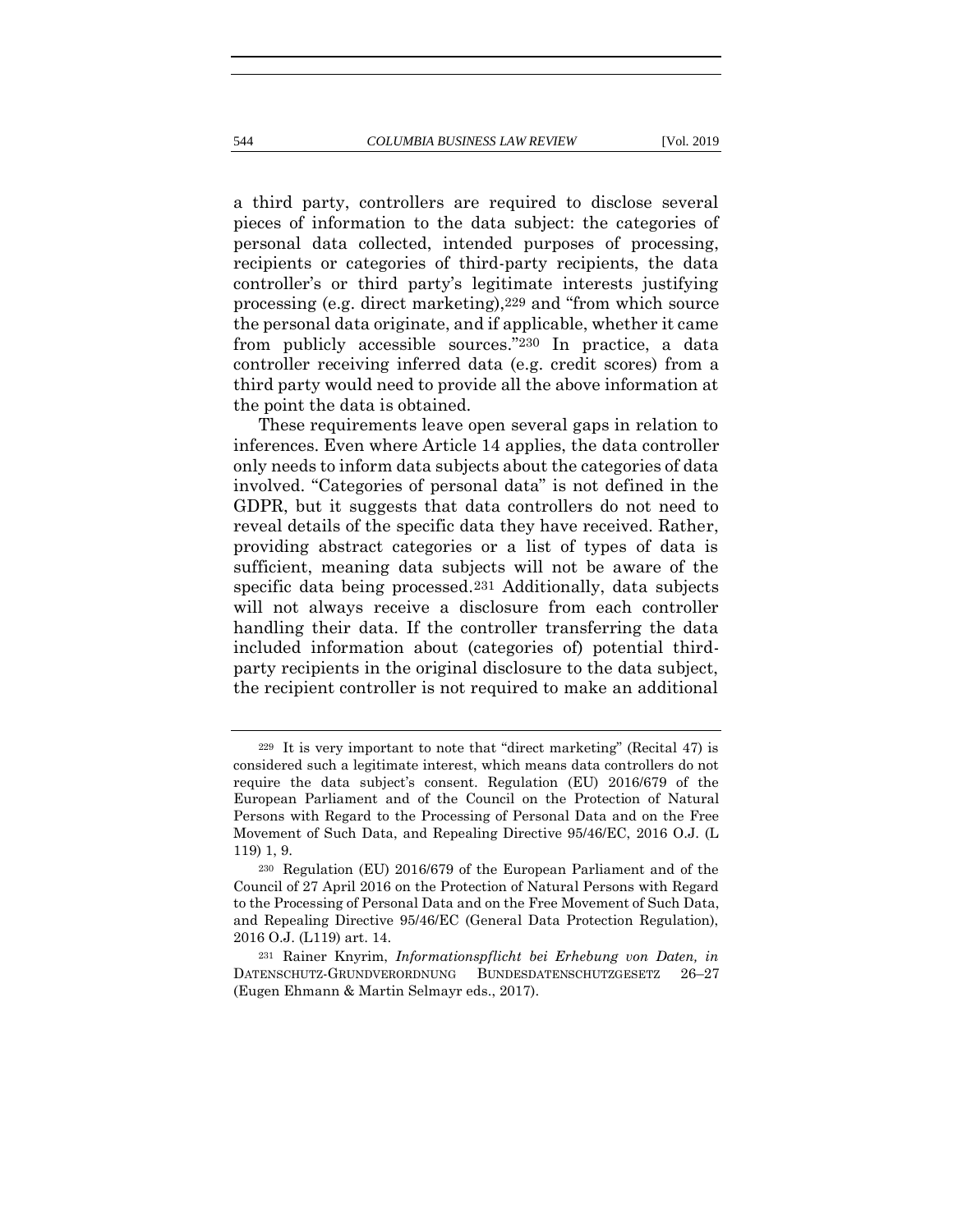a third party, controllers are required to disclose several pieces of information to the data subject: the categories of personal data collected, intended purposes of processing, recipients or categories of third-party recipients, the data controller's or third party's legitimate interests justifying processing (e.g. direct marketing),229 and "from which source the personal data originate, and if applicable, whether it came from publicly accessible sources."230 In practice, a data controller receiving inferred data (e.g. credit scores) from a third party would need to provide all the above information at the point the data is obtained.

<span id="page-50-0"></span>These requirements leave open several gaps in relation to inferences. Even where Article 14 applies, the data controller only needs to inform data subjects about the categories of data involved. "Categories of personal data" is not defined in the GDPR, but it suggests that data controllers do not need to reveal details of the specific data they have received. Rather, providing abstract categories or a list of types of data is sufficient, meaning data subjects will not be aware of the specific data being processed.231 Additionally, data subjects will not always receive a disclosure from each controller handling their data. If the controller transferring the data included information about (categories of) potential thirdparty recipients in the original disclosure to the data subject, the recipient controller is not required to make an additional

<sup>229</sup> It is very important to note that "direct marketing" (Recital 47) is considered such a legitimate interest, which means data controllers do not require the data subject's consent. Regulation (EU) 2016/679 of the European Parliament and of the Council on the Protection of Natural Persons with Regard to the Processing of Personal Data and on the Free Movement of Such Data, and Repealing Directive 95/46/EC, 2016 O.J. (L 119) 1, 9.

<sup>230</sup> Regulation (EU) 2016/679 of the European Parliament and of the Council of 27 April 2016 on the Protection of Natural Persons with Regard to the Processing of Personal Data and on the Free Movement of Such Data, and Repealing Directive 95/46/EC (General Data Protection Regulation), 2016 O.J. (L119) art. 14.

<sup>231</sup> Rainer Knyrim, *Informationspflicht bei Erhebung von Daten, in* DATENSCHUTZ-GRUNDVERORDNUNG BUNDESDATENSCHUTZGESETZ 26–27 (Eugen Ehmann & Martin Selmayr eds., 2017).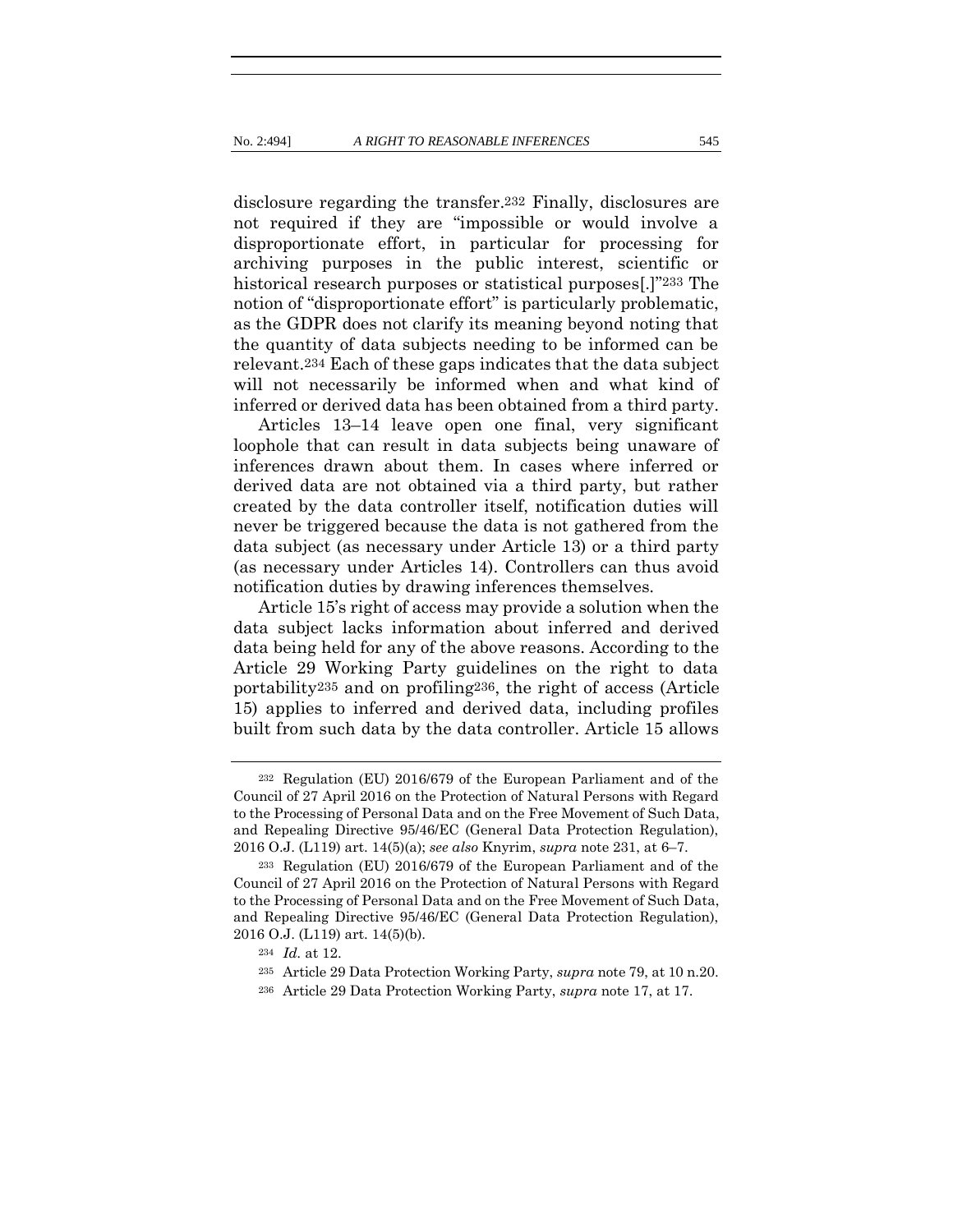disclosure regarding the transfer.232 Finally, disclosures are not required if they are "impossible or would involve a disproportionate effort, in particular for processing for archiving purposes in the public interest, scientific or historical research purposes or statistical purposes[.]"233 The notion of "disproportionate effort" is particularly problematic, as the GDPR does not clarify its meaning beyond noting that the quantity of data subjects needing to be informed can be relevant.234 Each of these gaps indicates that the data subject will not necessarily be informed when and what kind of inferred or derived data has been obtained from a third party.

Articles 13–14 leave open one final, very significant loophole that can result in data subjects being unaware of inferences drawn about them. In cases where inferred or derived data are not obtained via a third party, but rather created by the data controller itself, notification duties will never be triggered because the data is not gathered from the data subject (as necessary under Article 13) or a third party (as necessary under Articles 14). Controllers can thus avoid notification duties by drawing inferences themselves.

Article 15's right of access may provide a solution when the data subject lacks information about inferred and derived data being held for any of the above reasons. According to the Article 29 Working Party guidelines on the right to data portability235 and on profiling236, the right of access (Article 15) applies to inferred and derived data, including profiles built from such data by the data controller. Article 15 allows

<sup>232</sup> Regulation (EU) 2016/679 of the European Parliament and of the Council of 27 April 2016 on the Protection of Natural Persons with Regard to the Processing of Personal Data and on the Free Movement of Such Data, and Repealing Directive 95/46/EC (General Data Protection Regulation), 2016 O.J. (L119) art. 14(5)(a); *see also* Knyrim, *supra* not[e 231,](#page-50-0) at 6–7.

<sup>233</sup> Regulation (EU) 2016/679 of the European Parliament and of the Council of 27 April 2016 on the Protection of Natural Persons with Regard to the Processing of Personal Data and on the Free Movement of Such Data, and Repealing Directive 95/46/EC (General Data Protection Regulation), 2016 O.J. (L119) art. 14(5)(b).

<sup>234</sup> *Id.* at 12.

<sup>235</sup> Article 29 Data Protection Working Party, *supra* not[e 79,](#page-22-0) at 10 n.20.

<sup>236</sup> Article 29 Data Protection Working Party, *supra* note [17,](#page-10-0) at 17.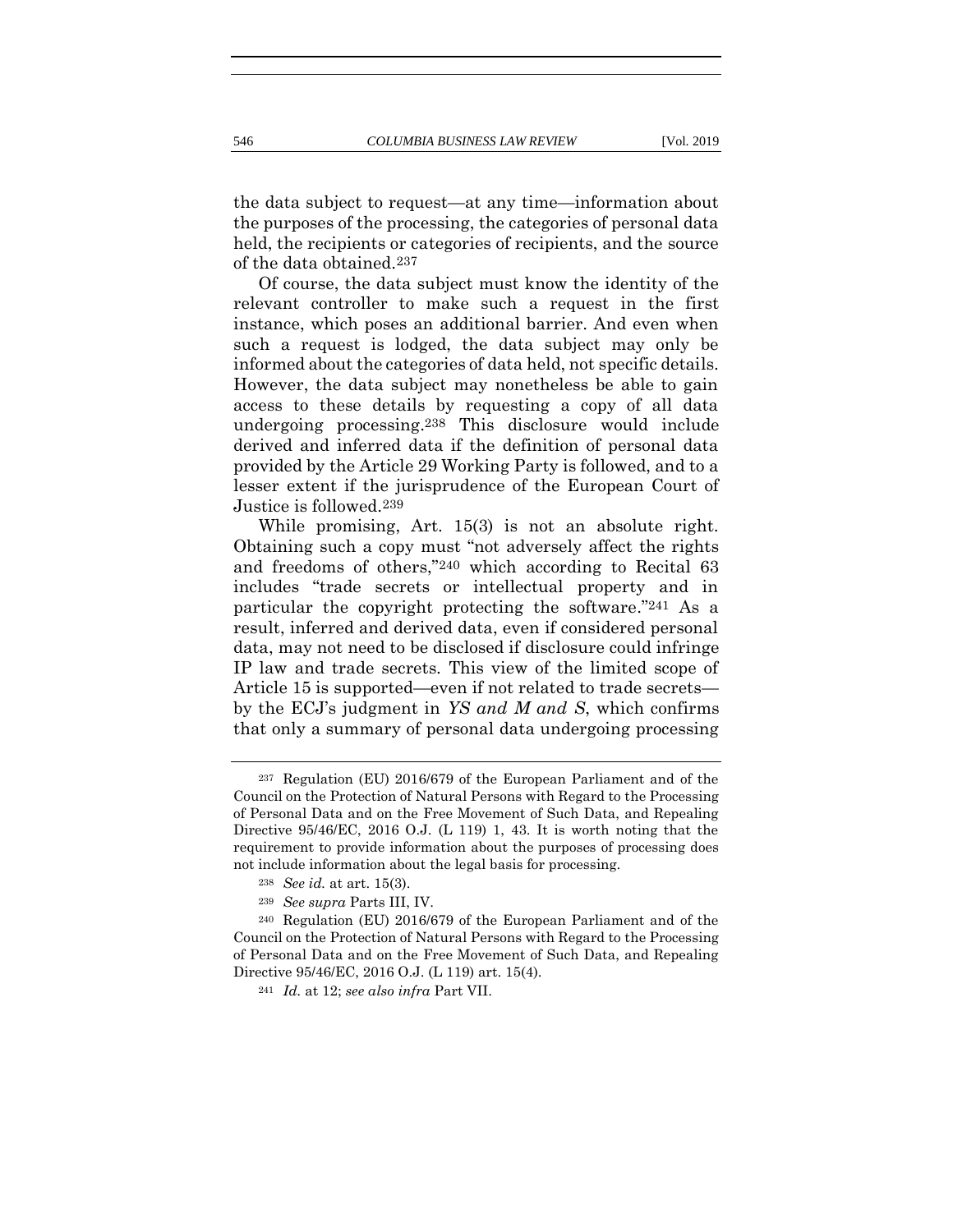the data subject to request—at any time—information about the purposes of the processing, the categories of personal data held, the recipients or categories of recipients, and the source of the data obtained.237

Of course, the data subject must know the identity of the relevant controller to make such a request in the first instance, which poses an additional barrier. And even when such a request is lodged, the data subject may only be informed about the categories of data held, not specific details. However, the data subject may nonetheless be able to gain access to these details by requesting a copy of all data undergoing processing.238 This disclosure would include derived and inferred data if the definition of personal data provided by the Article 29 Working Party is followed, and to a lesser extent if the jurisprudence of the European Court of Justice is followed.239

While promising, Art. 15(3) is not an absolute right. Obtaining such a copy must "not adversely affect the rights and freedoms of others,"240 which according to Recital 63 includes "trade secrets or intellectual property and in particular the copyright protecting the software."241 As a result, inferred and derived data, even if considered personal data, may not need to be disclosed if disclosure could infringe IP law and trade secrets. This view of the limited scope of Article 15 is supported—even if not related to trade secrets by the ECJ's judgment in *YS and M and S*, which confirms that only a summary of personal data undergoing processing

<sup>237</sup> Regulation (EU) 2016/679 of the European Parliament and of the Council on the Protection of Natural Persons with Regard to the Processing of Personal Data and on the Free Movement of Such Data, and Repealing Directive 95/46/EC, 2016 O.J. (L 119) 1, 43. It is worth noting that the requirement to provide information about the purposes of processing does not include information about the legal basis for processing.

<sup>238</sup> *See id.* at art. 15(3).

<sup>239</sup> *See supra* Parts III, IV.

<sup>240</sup> Regulation (EU) 2016/679 of the European Parliament and of the Council on the Protection of Natural Persons with Regard to the Processing of Personal Data and on the Free Movement of Such Data, and Repealing Directive 95/46/EC, 2016 O.J. (L 119) art. 15(4).

<sup>241</sup> *Id.* at 12; *see also infra* Part VII.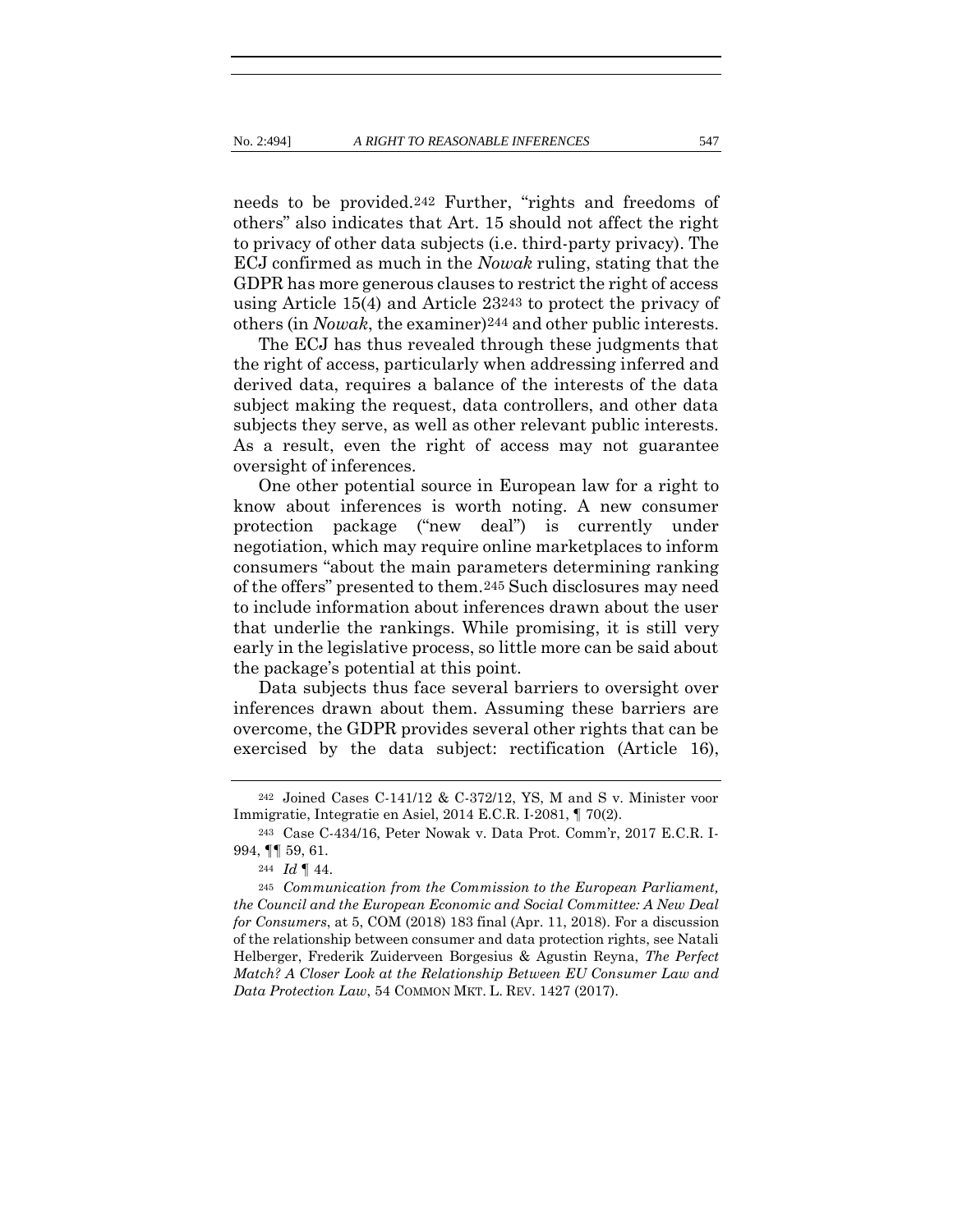needs to be provided.242 Further, "rights and freedoms of others" also indicates that Art. 15 should not affect the right to privacy of other data subjects (i.e. third-party privacy). The ECJ confirmed as much in the *Nowak* ruling, stating that the GDPR has more generous clauses to restrict the right of access using Article 15(4) and Article 23243 to protect the privacy of others (in *Nowak*, the examiner)244 and other public interests.

The ECJ has thus revealed through these judgments that the right of access, particularly when addressing inferred and derived data, requires a balance of the interests of the data subject making the request, data controllers, and other data subjects they serve, as well as other relevant public interests. As a result, even the right of access may not guarantee oversight of inferences.

One other potential source in European law for a right to know about inferences is worth noting. A new consumer protection package ("new deal") is currently under negotiation, which may require online marketplaces to inform consumers "about the main parameters determining ranking of the offers" presented to them.245 Such disclosures may need to include information about inferences drawn about the user that underlie the rankings. While promising, it is still very early in the legislative process, so little more can be said about the package's potential at this point.

Data subjects thus face several barriers to oversight over inferences drawn about them. Assuming these barriers are overcome, the GDPR provides several other rights that can be exercised by the data subject: rectification (Article 16),

<sup>242</sup> Joined Cases C-141/12 & C-372/12, YS, M and S v. Minister voor Immigratie, Integratie en Asiel, 2014 E.C.R. I-2081, ¶ 70(2).

<sup>243</sup> Case C-434/16, Peter Nowak v. Data Prot. Comm'r, 2017 E.C.R. I-994, ¶¶ 59, 61.

<sup>244</sup> *Id* ¶ 44.

<sup>245</sup> *Communication from the Commission to the European Parliament, the Council and the European Economic and Social Committee: A New Deal for Consumers*, at 5, COM (2018) 183 final (Apr. 11, 2018). For a discussion of the relationship between consumer and data protection rights, see Natali Helberger, Frederik Zuiderveen Borgesius & Agustin Reyna, *The Perfect Match? A Closer Look at the Relationship Between EU Consumer Law and Data Protection Law*, 54 COMMON MKT. L. REV. 1427 (2017).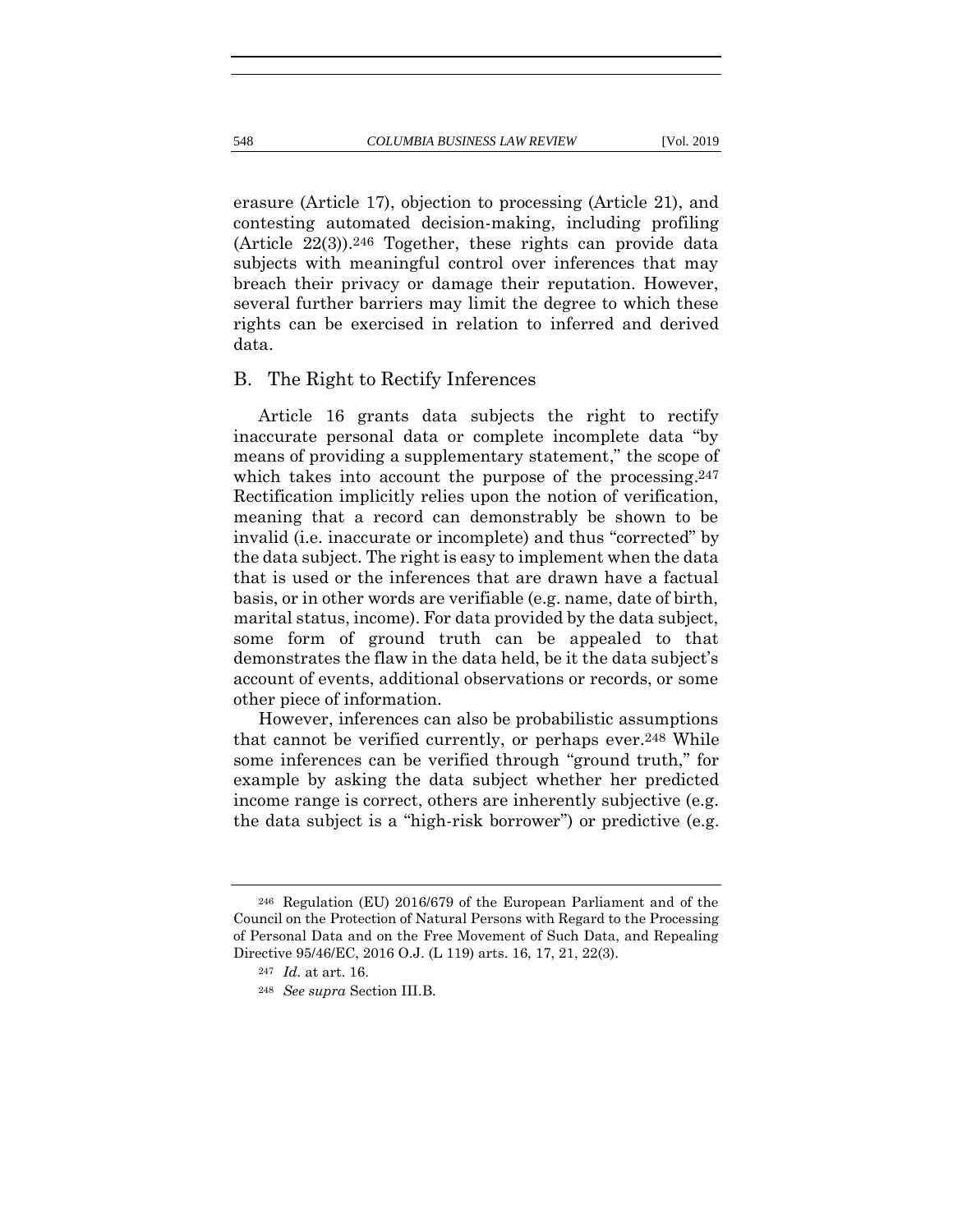erasure (Article 17), objection to processing (Article 21), and contesting automated decision-making, including profiling  $(Article 22(3)).^{246} Together, these rights can provide data$ subjects with meaningful control over inferences that may breach their privacy or damage their reputation. However, several further barriers may limit the degree to which these rights can be exercised in relation to inferred and derived data.

# B. The Right to Rectify Inferences

Article 16 grants data subjects the right to rectify inaccurate personal data or complete incomplete data "by means of providing a supplementary statement," the scope of which takes into account the purpose of the processing.<sup>247</sup> Rectification implicitly relies upon the notion of verification, meaning that a record can demonstrably be shown to be invalid (i.e. inaccurate or incomplete) and thus "corrected" by the data subject. The right is easy to implement when the data that is used or the inferences that are drawn have a factual basis, or in other words are verifiable (e.g. name, date of birth, marital status, income). For data provided by the data subject, some form of ground truth can be appealed to that demonstrates the flaw in the data held, be it the data subject's account of events, additional observations or records, or some other piece of information.

However, inferences can also be probabilistic assumptions that cannot be verified currently, or perhaps ever.248 While some inferences can be verified through "ground truth," for example by asking the data subject whether her predicted income range is correct, others are inherently subjective (e.g. the data subject is a "high-risk borrower") or predictive (e.g.

<sup>246</sup> Regulation (EU) 2016/679 of the European Parliament and of the Council on the Protection of Natural Persons with Regard to the Processing of Personal Data and on the Free Movement of Such Data, and Repealing Directive 95/46/EC, 2016 O.J. (L 119) arts. 16, 17, 21, 22(3).

<sup>247</sup> *Id.* at art. 16.

<sup>248</sup> *See supra* Section III.B.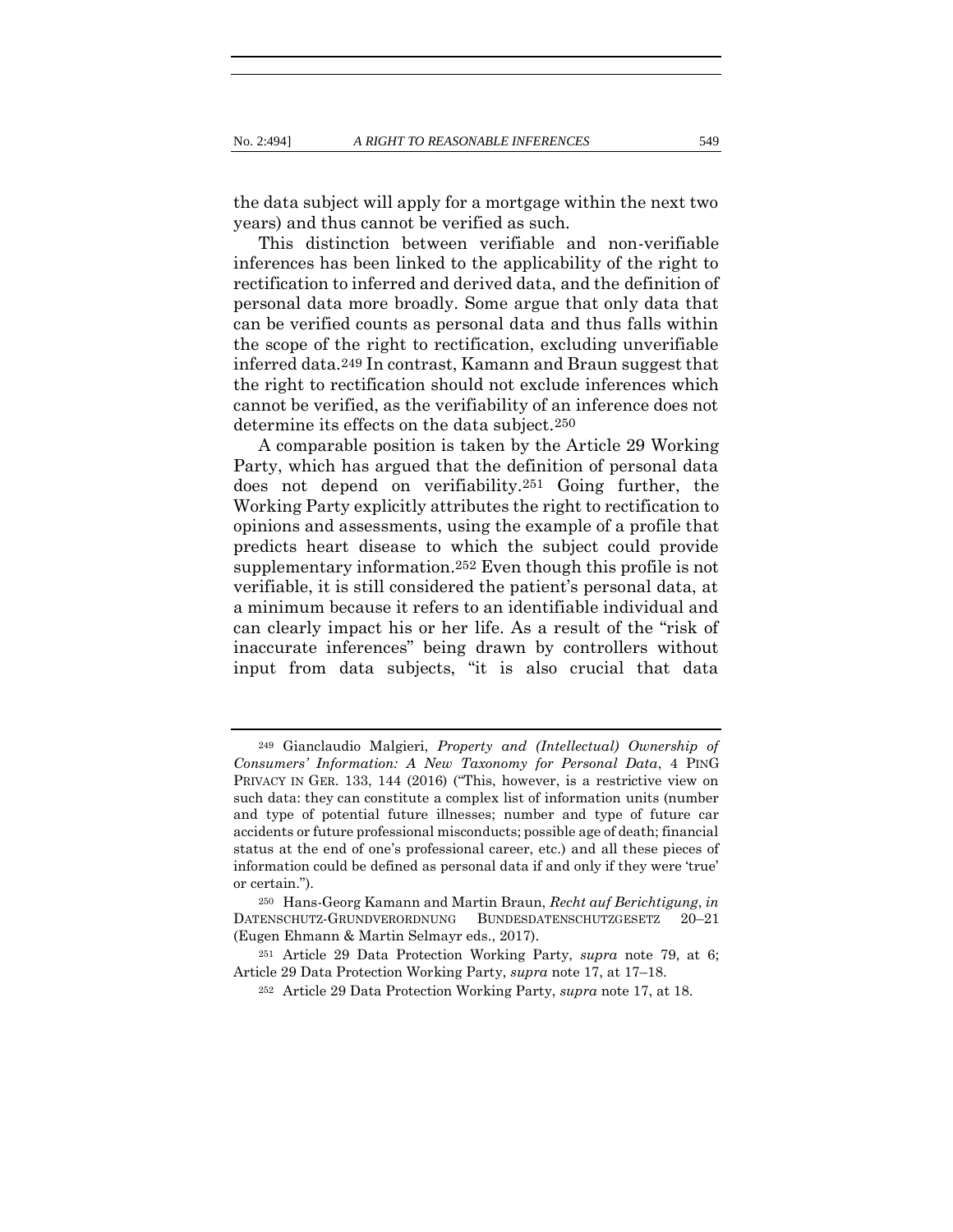the data subject will apply for a mortgage within the next two years) and thus cannot be verified as such.

This distinction between verifiable and non-verifiable inferences has been linked to the applicability of the right to rectification to inferred and derived data, and the definition of personal data more broadly. Some argue that only data that can be verified counts as personal data and thus falls within the scope of the right to rectification, excluding unverifiable inferred data.249 In contrast, Kamann and Braun suggest that the right to rectification should not exclude inferences which cannot be verified, as the verifiability of an inference does not determine its effects on the data subject.250

A comparable position is taken by the Article 29 Working Party, which has argued that the definition of personal data does not depend on verifiability.251 Going further, the Working Party explicitly attributes the right to rectification to opinions and assessments, using the example of a profile that predicts heart disease to which the subject could provide supplementary information.252 Even though this profile is not verifiable, it is still considered the patient's personal data, at a minimum because it refers to an identifiable individual and can clearly impact his or her life. As a result of the "risk of inaccurate inferences" being drawn by controllers without input from data subjects, "it is also crucial that data

<sup>249</sup> Gianclaudio Malgieri, *Property and (Intellectual) Ownership of Consumers' Information: A New Taxonomy for Personal Data*, 4 PING PRIVACY IN GER. 133, 144 (2016) ("This, however, is a restrictive view on such data: they can constitute a complex list of information units (number and type of potential future illnesses; number and type of future car accidents or future professional misconducts; possible age of death; financial status at the end of one's professional career, etc.) and all these pieces of information could be defined as personal data if and only if they were 'true' or certain.").

<sup>250</sup> Hans-Georg Kamann and Martin Braun, *Recht auf Berichtigung*, *in* DATENSCHUTZ-GRUNDVERORDNUNG BUNDESDATENSCHUTZGESETZ 20–21 (Eugen Ehmann & Martin Selmayr eds., 2017).

<sup>251</sup> Article 29 Data Protection Working Party, *supra* note [79,](#page-22-0) at 6; Article 29 Data Protection Working Party, *supra* note [17,](#page-10-0) at 17–18.

<sup>252</sup> Article 29 Data Protection Working Party, *supra* note [17,](#page-10-0) at 18.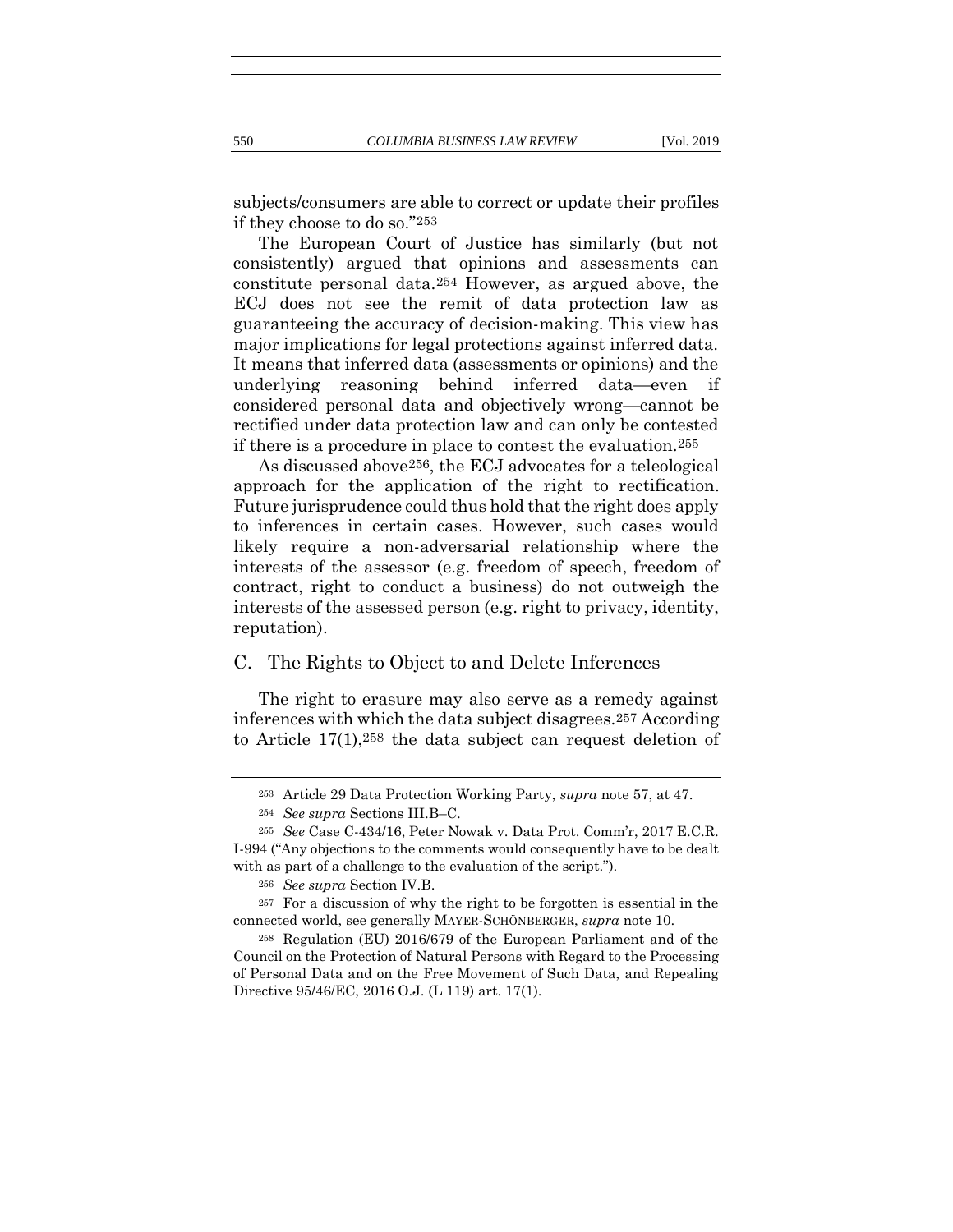subjects/consumers are able to correct or update their profiles if they choose to do so."253

The European Court of Justice has similarly (but not consistently) argued that opinions and assessments can constitute personal data.254 However, as argued above, the ECJ does not see the remit of data protection law as guaranteeing the accuracy of decision-making. This view has major implications for legal protections against inferred data. It means that inferred data (assessments or opinions) and the underlying reasoning behind inferred data—even if considered personal data and objectively wrong—cannot be rectified under data protection law and can only be contested if there is a procedure in place to contest the evaluation.255

As discussed above256, the ECJ advocates for a teleological approach for the application of the right to rectification. Future jurisprudence could thus hold that the right does apply to inferences in certain cases. However, such cases would likely require a non-adversarial relationship where the interests of the assessor (e.g. freedom of speech, freedom of contract, right to conduct a business) do not outweigh the interests of the assessed person (e.g. right to privacy, identity, reputation).

# C. The Rights to Object to and Delete Inferences

The right to erasure may also serve as a remedy against inferences with which the data subject disagrees.257 According to Article 17(1),258 the data subject can request deletion of

<sup>253</sup> Article 29 Data Protection Working Party, *supra* note [57,](#page-17-0) at 47.

<sup>254</sup> *See supra* Sections III.B–C.

<sup>255</sup> *See* Case C-434/16, Peter Nowak v. Data Prot. Comm'r, 2017 E.C.R. I-994 ("Any objections to the comments would consequently have to be dealt with as part of a challenge to the evaluation of the script.").

<sup>256</sup> *See supra* Section IV.B.

<sup>257</sup> For a discussion of why the right to be forgotten is essential in the connected world, see generally MAYER-SCHÖNBERGER, *supra* note [10.](#page-8-0)

<sup>258</sup> Regulation (EU) 2016/679 of the European Parliament and of the Council on the Protection of Natural Persons with Regard to the Processing of Personal Data and on the Free Movement of Such Data, and Repealing Directive 95/46/EC, 2016 O.J. (L 119) art. 17(1).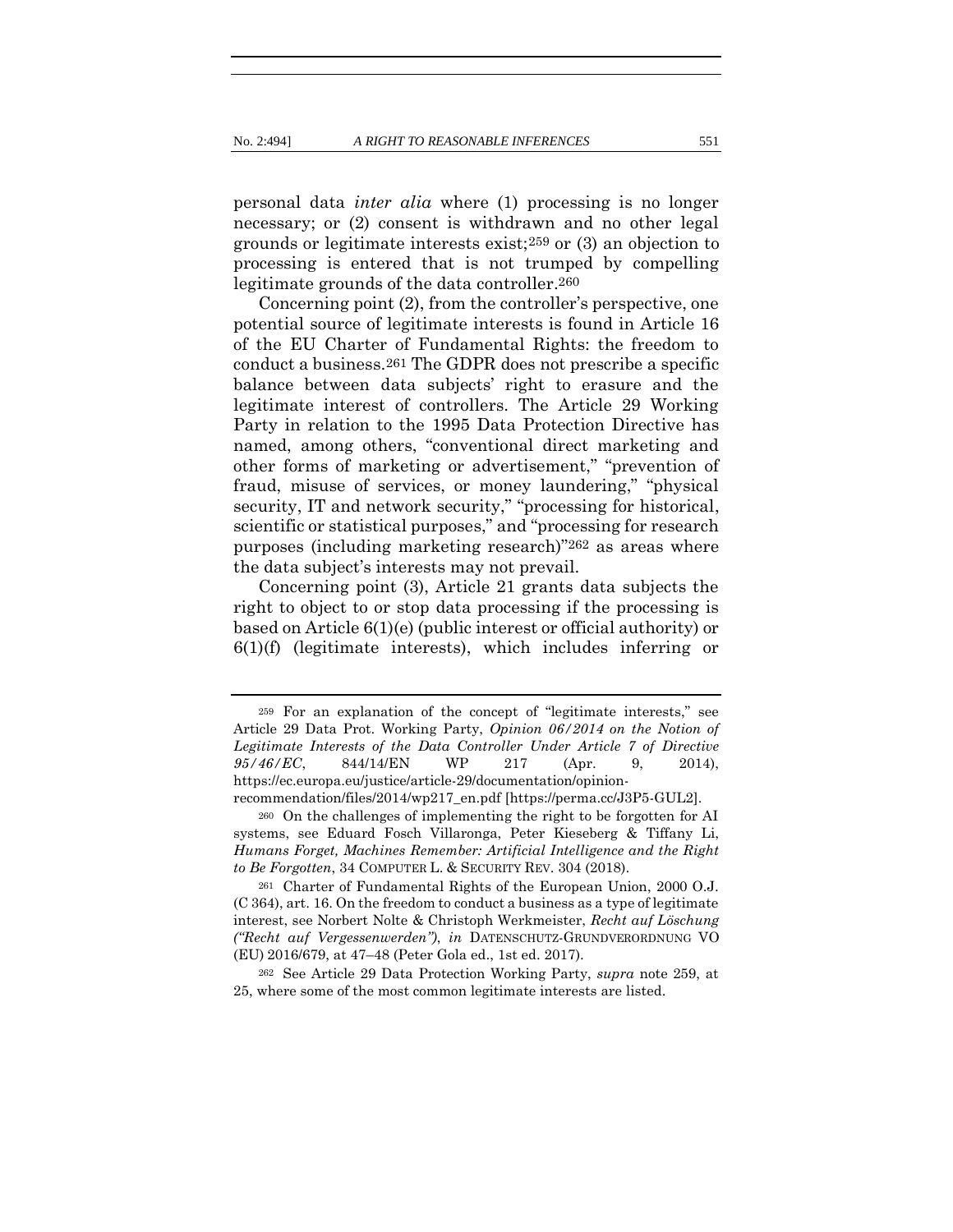<span id="page-57-0"></span>personal data *inter alia* where (1) processing is no longer necessary; or (2) consent is withdrawn and no other legal grounds or legitimate interests exist;259 or (3) an objection to processing is entered that is not trumped by compelling legitimate grounds of the data controller.260

<span id="page-57-1"></span>Concerning point (2), from the controller's perspective, one potential source of legitimate interests is found in Article 16 of the EU Charter of Fundamental Rights: the freedom to conduct a business.261 The GDPR does not prescribe a specific balance between data subjects' right to erasure and the legitimate interest of controllers. The Article 29 Working Party in relation to the 1995 Data Protection Directive has named, among others, "conventional direct marketing and other forms of marketing or advertisement," "prevention of fraud, misuse of services, or money laundering," "physical security, IT and network security," "processing for historical, scientific or statistical purposes," and "processing for research purposes (including marketing research)"262 as areas where the data subject's interests may not prevail.

Concerning point (3), Article 21 grants data subjects the right to object to or stop data processing if the processing is based on Article 6(1)(e) (public interest or official authority) or 6(1)(f) (legitimate interests), which includes inferring or

<sup>259</sup> For an explanation of the concept of "legitimate interests," see Article 29 Data Prot. Working Party, *Opinion 06/2014 on the Notion of Legitimate Interests of the Data Controller Under Article 7 of Directive*  95/46/EC, 844/14/EN WP 217 (Apr. 9, 2014), https://ec.europa.eu/justice/article-29/documentation/opinion-

recommendation/files/2014/wp217\_en.pdf [https://perma.cc/J3P5-GUL2].

<sup>260</sup> On the challenges of implementing the right to be forgotten for AI systems, see Eduard Fosch Villaronga, Peter Kieseberg & Tiffany Li, *Humans Forget, Machines Remember: Artificial Intelligence and the Right to Be Forgotten*, 34 COMPUTER L. & SECURITY REV. 304 (2018).

<sup>261</sup> Charter of Fundamental Rights of the European Union, 2000 O.J. (C 364), art. 16. On the freedom to conduct a business as a type of legitimate interest, see Norbert Nolte & Christoph Werkmeister, *Recht auf Löschung ("Recht auf Vergessenwerden")*, *in* DATENSCHUTZ-GRUNDVERORDNUNG VO (EU) 2016/679, at 47–48 (Peter Gola ed., 1st ed. 2017).

<sup>262</sup> See Article 29 Data Protection Working Party, *supra* note [259,](#page-57-0) at 25, where some of the most common legitimate interests are listed.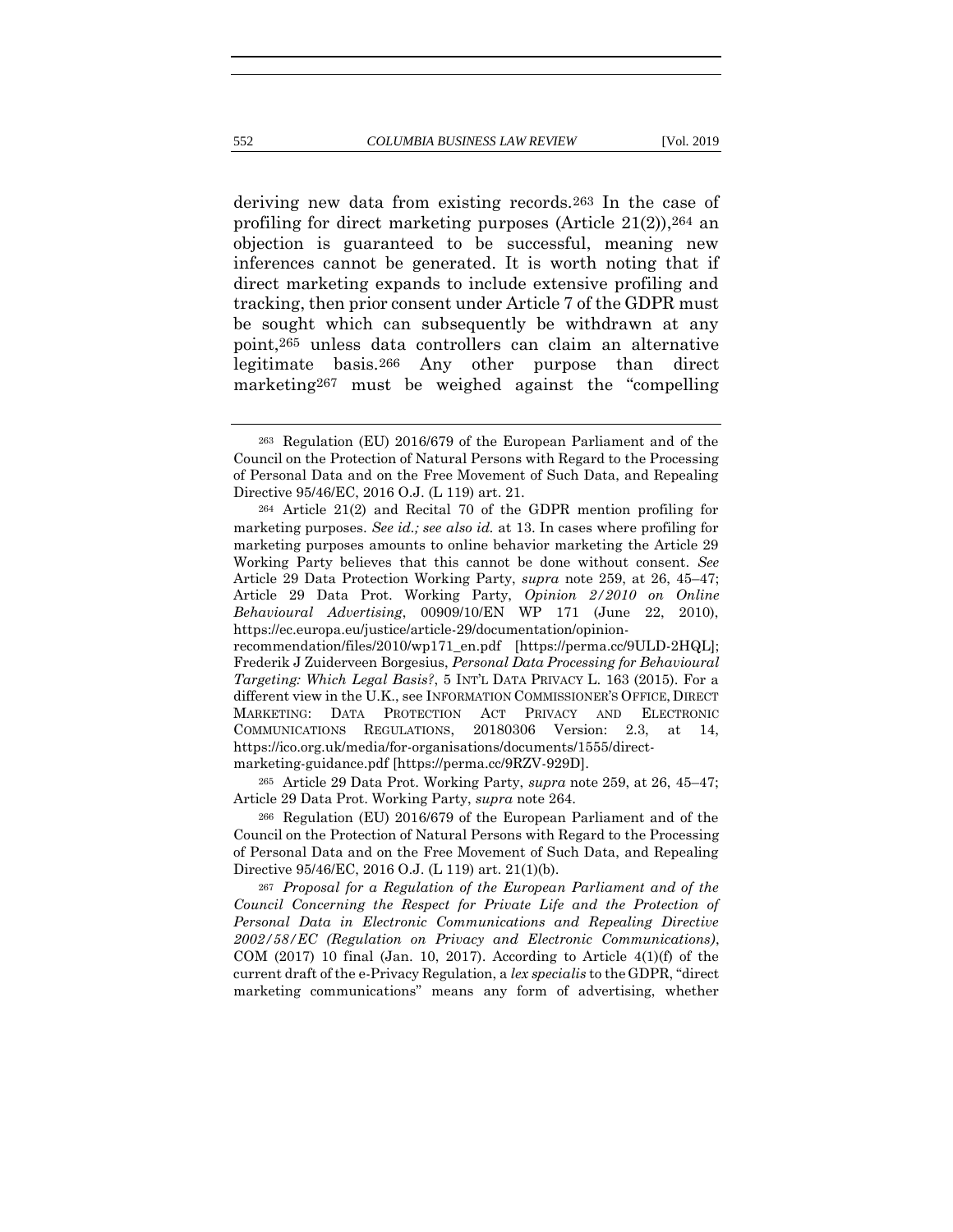<span id="page-58-0"></span>deriving new data from existing records.263 In the case of profiling for direct marketing purposes (Article 21(2)),264 an objection is guaranteed to be successful, meaning new inferences cannot be generated. It is worth noting that if direct marketing expands to include extensive profiling and

tracking, then prior consent under Article 7 of the GDPR must be sought which can subsequently be withdrawn at any point,265 unless data controllers can claim an alternative legitimate basis.266 Any other purpose than direct marketing267 must be weighed against the "compelling

recommendation/files/2010/wp171\_en.pdf [https://perma.cc/9ULD-2HQL]; Frederik J Zuiderveen Borgesius, *Personal Data Processing for Behavioural Targeting: Which Legal Basis?*, 5 INT'L DATA PRIVACY L. 163 (2015). For a different view in the U.K., see INFORMATION COMMISSIONER'S OFFICE, DIRECT MARKETING: DATA PROTECTION ACT PRIVACY AND ELECTRONIC COMMUNICATIONS REGULATIONS, 20180306 Version: 2.3, at 14, https://ico.org.uk/media/for-organisations/documents/1555/directmarketing-guidance.pdf [https://perma.cc/9RZV-929D].

<sup>265</sup> Article 29 Data Prot. Working Party, *supra* note [259,](#page-57-0) at 26, 45–47; Article 29 Data Prot. Working Party, *supra* not[e 264.](#page-58-0)

<sup>266</sup> Regulation (EU) 2016/679 of the European Parliament and of the Council on the Protection of Natural Persons with Regard to the Processing of Personal Data and on the Free Movement of Such Data, and Repealing Directive 95/46/EC, 2016 O.J. (L 119) art. 21(1)(b).

<sup>267</sup> *Proposal for a Regulation of the European Parliament and of the Council Concerning the Respect for Private Life and the Protection of Personal Data in Electronic Communications and Repealing Directive 2002/58/EC (Regulation on Privacy and Electronic Communications)*, COM  $(2017)$  10 final (Jan. 10, 2017). According to Article  $4(1)(f)$  of the current draft of the e-Privacy Regulation, a *lex specialis* to the GDPR, "direct marketing communications" means any form of advertising, whether

<sup>263</sup> Regulation (EU) 2016/679 of the European Parliament and of the Council on the Protection of Natural Persons with Regard to the Processing of Personal Data and on the Free Movement of Such Data, and Repealing Directive 95/46/EC, 2016 O.J. (L 119) art. 21.

<sup>264</sup> Article 21(2) and Recital 70 of the GDPR mention profiling for marketing purposes. *See id.; see also id.* at 13. In cases where profiling for marketing purposes amounts to online behavior marketing the Article 29 Working Party believes that this cannot be done without consent. *See* Article 29 Data Protection Working Party, *supra* note [259,](#page-57-0) at 26, 45–47; Article 29 Data Prot. Working Party, *Opinion 2/2010 on Online Behavioural Advertising*, 00909/10/EN WP 171 (June 22, 2010), https://ec.europa.eu/justice/article-29/documentation/opinion-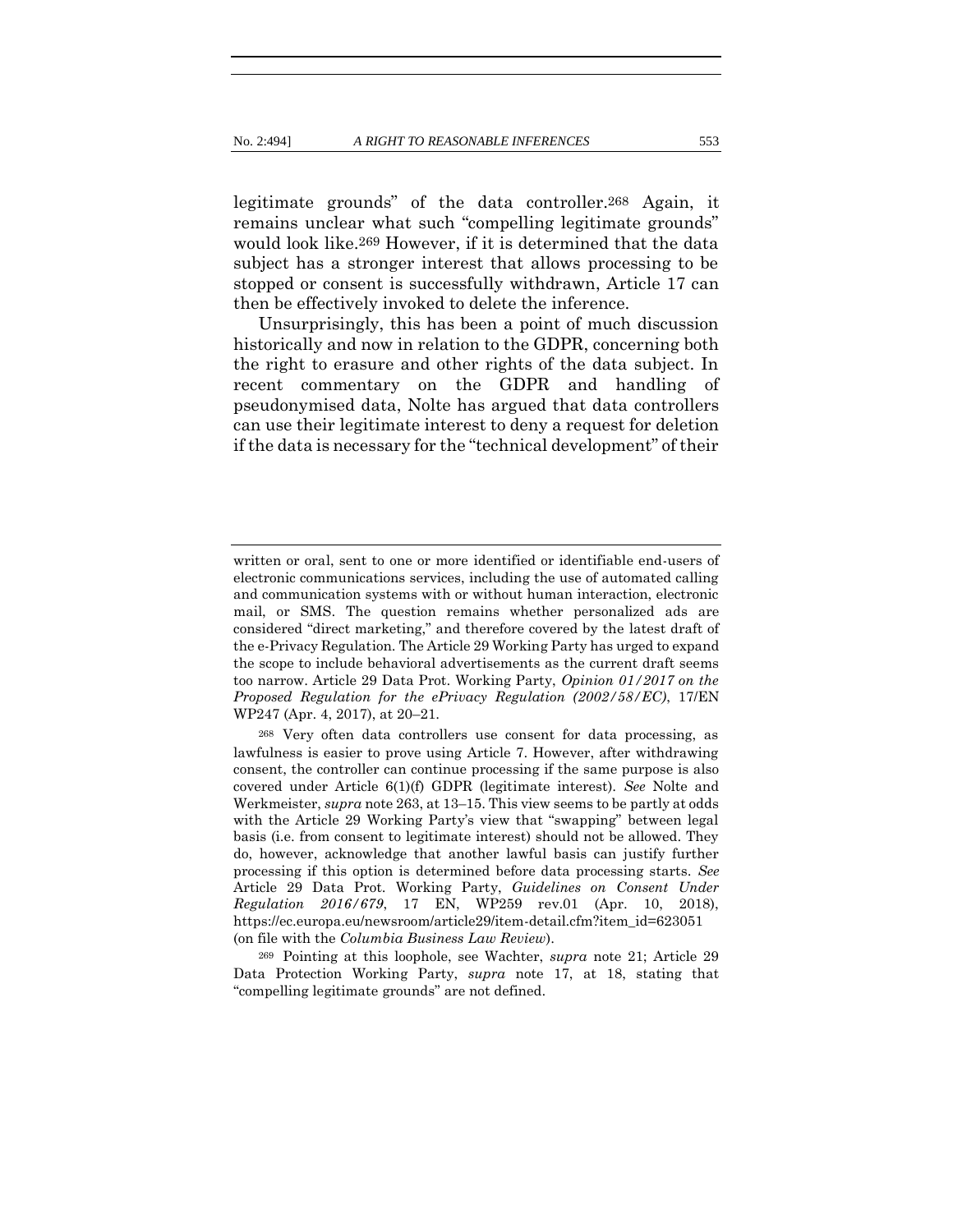legitimate grounds" of the data controller.268 Again, it remains unclear what such "compelling legitimate grounds" would look like.269 However, if it is determined that the data subject has a stronger interest that allows processing to be stopped or consent is successfully withdrawn, Article 17 can then be effectively invoked to delete the inference.

Unsurprisingly, this has been a point of much discussion historically and now in relation to the GDPR, concerning both the right to erasure and other rights of the data subject. In recent commentary on the GDPR and handling of pseudonymised data, Nolte has argued that data controllers can use their legitimate interest to deny a request for deletion if the data is necessary for the "technical development" of their

written or oral, sent to one or more identified or identifiable end-users of electronic communications services, including the use of automated calling and communication systems with or without human interaction, electronic mail, or SMS. The question remains whether personalized ads are considered "direct marketing," and therefore covered by the latest draft of the e-Privacy Regulation. The Article 29 Working Party has urged to expand the scope to include behavioral advertisements as the current draft seems too narrow. Article 29 Data Prot. Working Party, *Opinion 01/2017 on the Proposed Regulation for the ePrivacy Regulation (2002/58/EC)*, 17/EN WP247 (Apr. 4, 2017), at 20–21.

<sup>268</sup> Very often data controllers use consent for data processing, as lawfulness is easier to prove using Article 7. However, after withdrawing consent, the controller can continue processing if the same purpose is also covered under Article 6(1)(f) GDPR (legitimate interest). *See* Nolte and Werkmeister, *supra* note 263, at 13–15. This view seems to be partly at odds with the Article 29 Working Party's view that "swapping" between legal basis (i.e. from consent to legitimate interest) should not be allowed. They do, however, acknowledge that another lawful basis can justify further processing if this option is determined before data processing starts. *See* Article 29 Data Prot. Working Party, *Guidelines on Consent Under Regulation 2016/679*, 17 EN, WP259 rev.01 (Apr. 10, 2018), https://ec.europa.eu/newsroom/article29/item-detail.cfm?item\_id=623051 (on file with the *Columbia Business Law Review*).

<sup>269</sup> Pointing at this loophole, see Wachter, *supra* note [21;](#page-11-1) Article 29 Data Protection Working Party, *supra* note [17,](#page-10-0) at 18, stating that "compelling legitimate grounds" are not defined.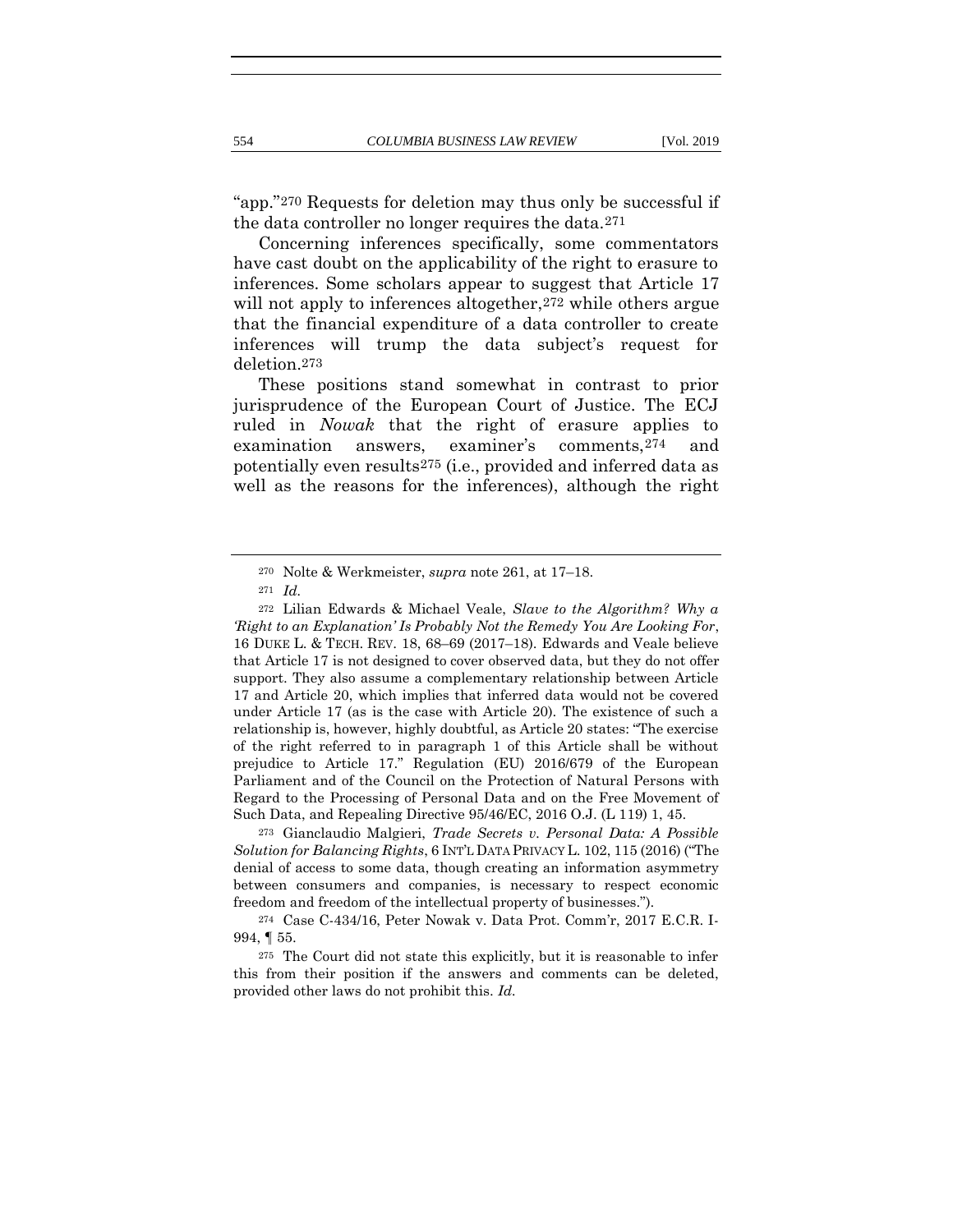"app."270 Requests for deletion may thus only be successful if the data controller no longer requires the data.271

<span id="page-60-0"></span>Concerning inferences specifically, some commentators have cast doubt on the applicability of the right to erasure to inferences. Some scholars appear to suggest that Article 17 will not apply to inferences altogether, <sup>272</sup> while others argue that the financial expenditure of a data controller to create inferences will trump the data subject's request for deletion.273

These positions stand somewhat in contrast to prior jurisprudence of the European Court of Justice. The ECJ ruled in *Nowak* that the right of erasure applies to examination answers, examiner's comments,274 and potentially even results275 (i.e., provided and inferred data as well as the reasons for the inferences), although the right

<sup>273</sup> Gianclaudio Malgieri, *Trade Secrets v. Personal Data: A Possible Solution for Balancing Rights*, 6 INT'L DATA PRIVACY L. 102, 115 (2016) ("The denial of access to some data, though creating an information asymmetry between consumers and companies, is necessary to respect economic freedom and freedom of the intellectual property of businesses.").

<sup>270</sup> Nolte & Werkmeister, *supra* note [261,](#page-57-1) at 17–18.

<sup>271</sup> *Id.*

<sup>272</sup> Lilian Edwards & Michael Veale, *Slave to the Algorithm? Why a 'Right to an Explanation' Is Probably Not the Remedy You Are Looking For*, 16 DUKE L. & TECH. REV. 18, 68–69 (2017–18). Edwards and Veale believe that Article 17 is not designed to cover observed data, but they do not offer support. They also assume a complementary relationship between Article 17 and Article 20, which implies that inferred data would not be covered under Article 17 (as is the case with Article 20). The existence of such a relationship is, however, highly doubtful, as Article 20 states: "The exercise of the right referred to in paragraph 1 of this Article shall be without prejudice to Article 17." Regulation (EU) 2016/679 of the European Parliament and of the Council on the Protection of Natural Persons with Regard to the Processing of Personal Data and on the Free Movement of Such Data, and Repealing Directive 95/46/EC, 2016 O.J. (L 119) 1, 45.

<sup>274</sup> Case C-434/16, Peter Nowak v. Data Prot. Comm'r, 2017 E.C.R. I-994, ¶ 55.

<sup>275</sup> The Court did not state this explicitly, but it is reasonable to infer this from their position if the answers and comments can be deleted, provided other laws do not prohibit this. *Id.*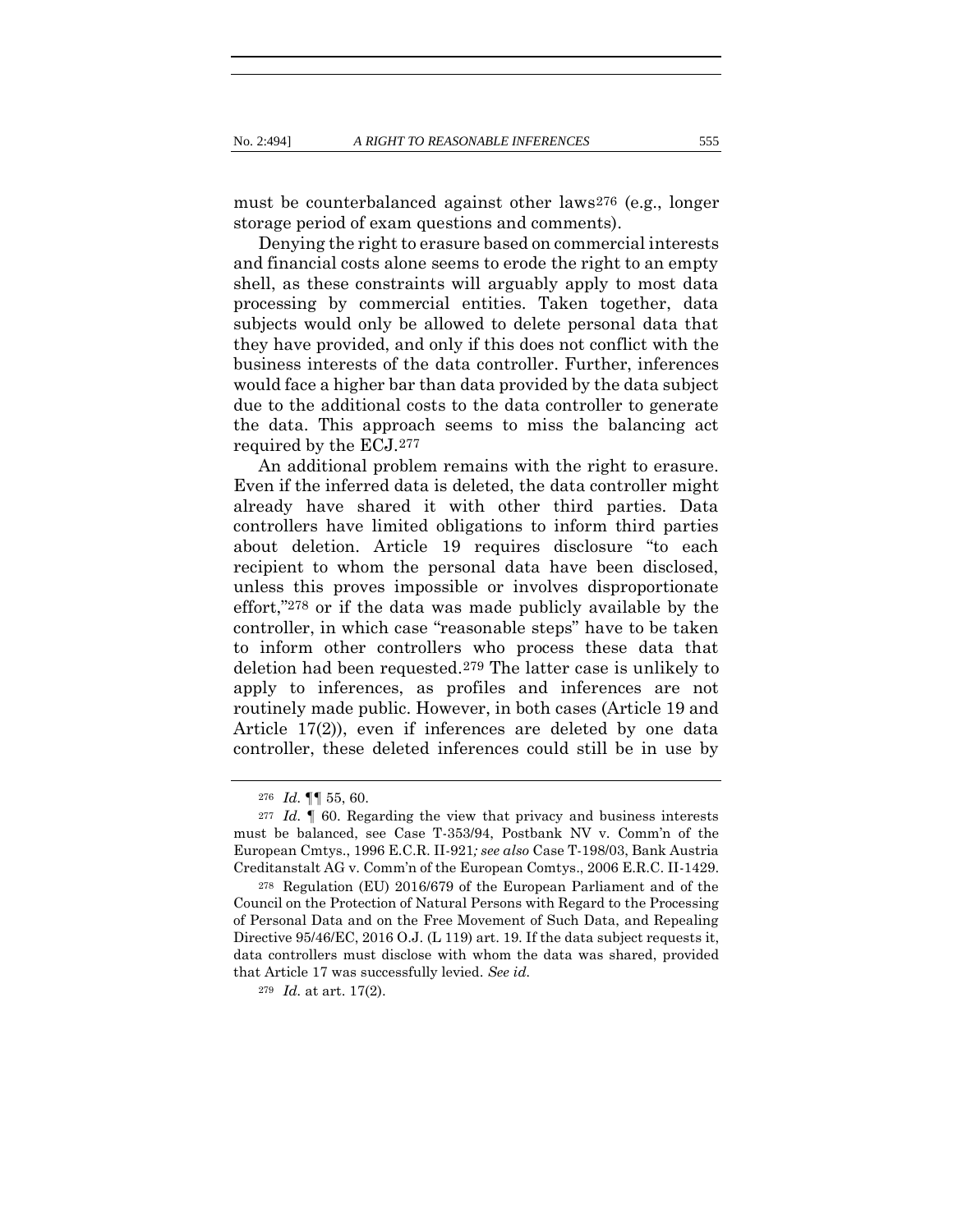must be counterbalanced against other laws276 (e.g., longer storage period of exam questions and comments).

Denying the right to erasure based on commercial interests and financial costs alone seems to erode the right to an empty shell, as these constraints will arguably apply to most data processing by commercial entities. Taken together, data subjects would only be allowed to delete personal data that they have provided, and only if this does not conflict with the business interests of the data controller. Further, inferences would face a higher bar than data provided by the data subject due to the additional costs to the data controller to generate the data. This approach seems to miss the balancing act required by the ECJ.277

An additional problem remains with the right to erasure. Even if the inferred data is deleted, the data controller might already have shared it with other third parties. Data controllers have limited obligations to inform third parties about deletion. Article 19 requires disclosure "to each recipient to whom the personal data have been disclosed, unless this proves impossible or involves disproportionate effort,"278 or if the data was made publicly available by the controller, in which case "reasonable steps" have to be taken to inform other controllers who process these data that deletion had been requested.279 The latter case is unlikely to apply to inferences, as profiles and inferences are not routinely made public. However, in both cases (Article 19 and Article 17(2)), even if inferences are deleted by one data controller, these deleted inferences could still be in use by

<sup>276</sup> *Id.* ¶¶ 55, 60.

<sup>277</sup> *Id.* ¶ 60. Regarding the view that privacy and business interests must be balanced, see Case T-353/94, Postbank NV v. Comm'n of the European Cmtys., 1996 E.C.R. II-921*; see also* Case T-198/03, Bank Austria Creditanstalt AG v. Comm'n of the European Comtys., 2006 E.R.C. II-1429.

<sup>278</sup> Regulation (EU) 2016/679 of the European Parliament and of the Council on the Protection of Natural Persons with Regard to the Processing of Personal Data and on the Free Movement of Such Data, and Repealing Directive 95/46/EC, 2016 O.J. (L 119) art. 19. If the data subject requests it, data controllers must disclose with whom the data was shared, provided that Article 17 was successfully levied. *See id.*

<sup>279</sup> *Id.* at art. 17(2).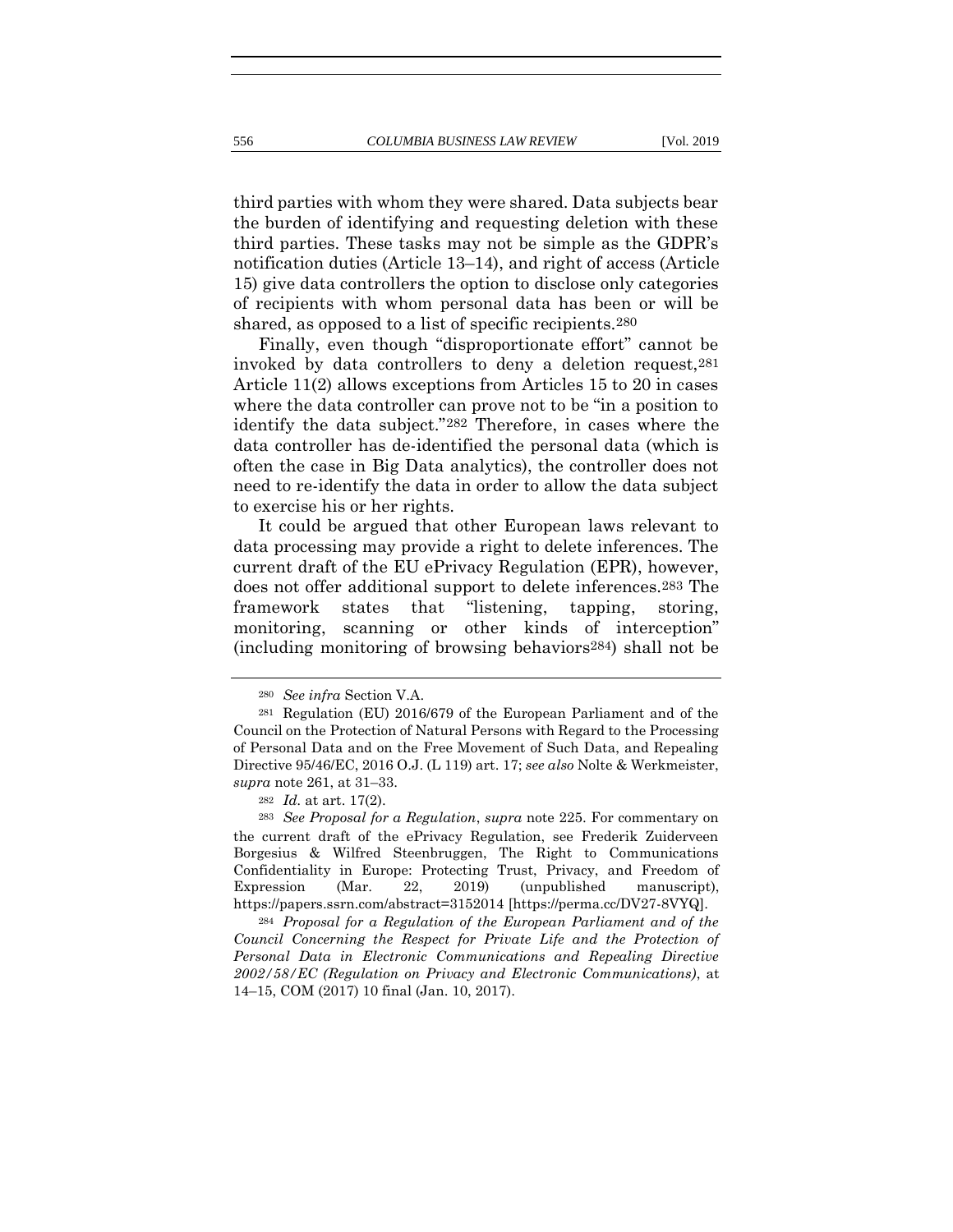third parties with whom they were shared. Data subjects bear the burden of identifying and requesting deletion with these third parties. These tasks may not be simple as the GDPR's notification duties (Article 13–14), and right of access (Article 15) give data controllers the option to disclose only categories of recipients with whom personal data has been or will be shared, as opposed to a list of specific recipients.280

Finally, even though "disproportionate effort" cannot be invoked by data controllers to deny a deletion request,281 Article 11(2) allows exceptions from Articles 15 to 20 in cases where the data controller can prove not to be "in a position to identify the data subject."282 Therefore, in cases where the data controller has de-identified the personal data (which is often the case in Big Data analytics), the controller does not need to re-identify the data in order to allow the data subject to exercise his or her rights.

It could be argued that other European laws relevant to data processing may provide a right to delete inferences. The current draft of the EU ePrivacy Regulation (EPR), however, does not offer additional support to delete inferences.283 The framework states that "listening, tapping, storing, monitoring, scanning or other kinds of interception" (including monitoring of browsing behaviors284) shall not be

<sup>284</sup> *Proposal for a Regulation of the European Parliament and of the Council Concerning the Respect for Private Life and the Protection of Personal Data in Electronic Communications and Repealing Directive 2002/58/EC (Regulation on Privacy and Electronic Communications)*, at 14–15, COM (2017) 10 final (Jan. 10, 2017).

<sup>280</sup> *See infra* Section V.A.

<sup>281</sup> Regulation (EU) 2016/679 of the European Parliament and of the Council on the Protection of Natural Persons with Regard to the Processing of Personal Data and on the Free Movement of Such Data, and Repealing Directive 95/46/EC, 2016 O.J. (L 119) art. 17; *see also* Nolte & Werkmeister, *supra* note [261,](#page-57-1) at 31–33.

<sup>282</sup> *Id.* at art. 17(2).

<sup>283</sup> *See Proposal for a Regulation*, *supra* note [225.](#page-48-0) For commentary on the current draft of the ePrivacy Regulation, see Frederik Zuiderveen Borgesius & Wilfred Steenbruggen, The Right to Communications Confidentiality in Europe: Protecting Trust, Privacy, and Freedom of Expression (Mar. 22, 2019) (unpublished manuscript), https://papers.ssrn.com/abstract=3152014 [https://perma.cc/DV27-8VYQ].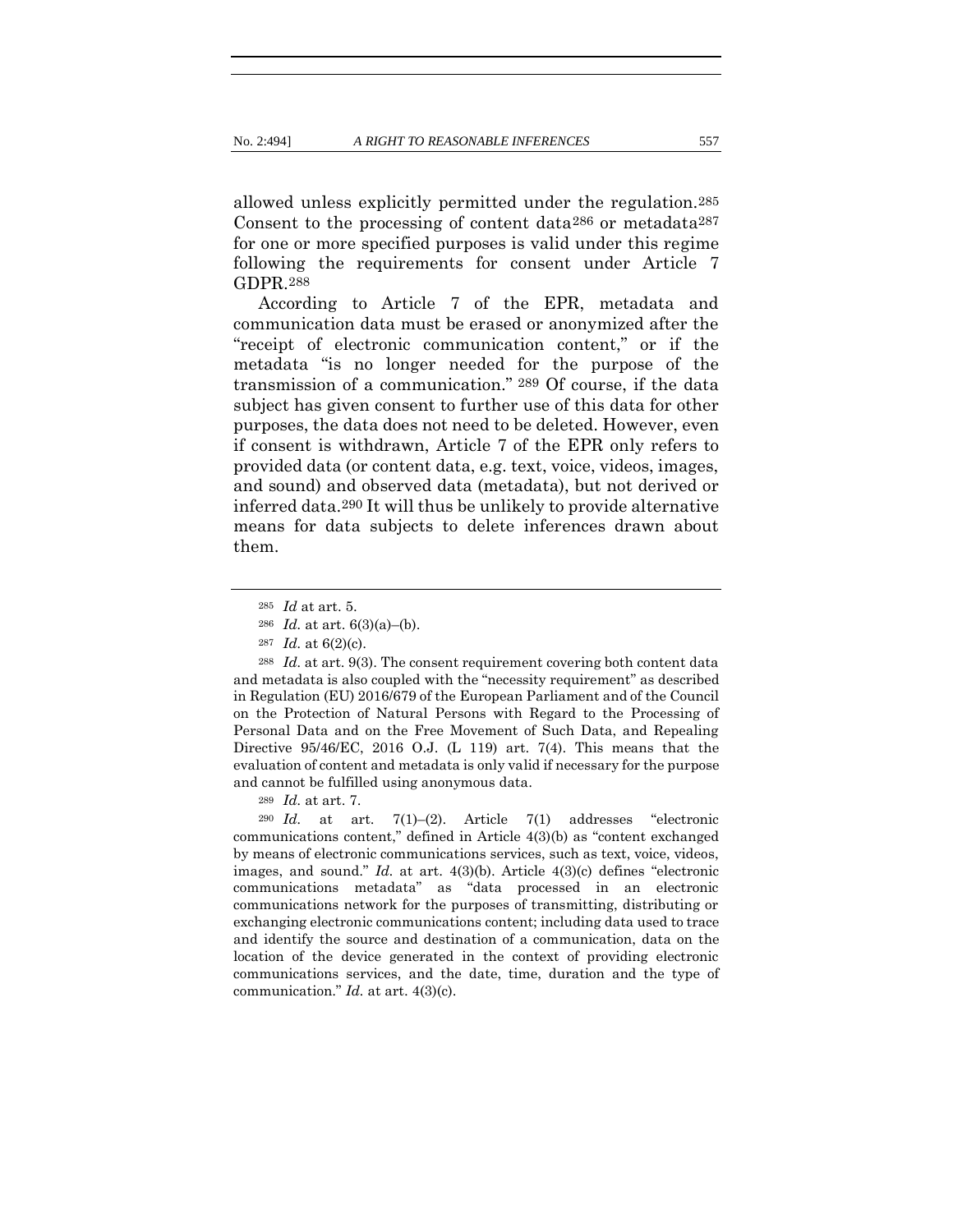allowed unless explicitly permitted under the regulation.285 Consent to the processing of content data286 or metadata287 for one or more specified purposes is valid under this regime following the requirements for consent under Article 7 GDPR.288

According to Article 7 of the EPR, metadata and communication data must be erased or anonymized after the "receipt of electronic communication content," or if the metadata "is no longer needed for the purpose of the transmission of a communication." 289 Of course, if the data subject has given consent to further use of this data for other purposes, the data does not need to be deleted. However, even if consent is withdrawn, Article 7 of the EPR only refers to provided data (or content data, e.g. text, voice, videos, images, and sound) and observed data (metadata), but not derived or inferred data.290 It will thus be unlikely to provide alternative means for data subjects to delete inferences drawn about them.

<sup>288</sup> *Id.* at art. 9(3). The consent requirement covering both content data and metadata is also coupled with the "necessity requirement" as described in Regulation (EU) 2016/679 of the European Parliament and of the Council on the Protection of Natural Persons with Regard to the Processing of Personal Data and on the Free Movement of Such Data, and Repealing Directive 95/46/EC, 2016 O.J. (L 119) art. 7(4). This means that the evaluation of content and metadata is only valid if necessary for the purpose and cannot be fulfilled using anonymous data.

<sup>290</sup> *Id.* at art. 7(1)–(2). Article 7(1) addresses "electronic communications content," defined in Article 4(3)(b) as "content exchanged by means of electronic communications services, such as text, voice, videos, images, and sound." *Id.* at art. 4(3)(b). Article 4(3)(c) defines "electronic communications metadata" as "data processed in an electronic communications network for the purposes of transmitting, distributing or exchanging electronic communications content; including data used to trace and identify the source and destination of a communication, data on the location of the device generated in the context of providing electronic communications services, and the date, time, duration and the type of communication." *Id.* at art. 4(3)(c).

<sup>285</sup> *Id* at art. 5.

<sup>286</sup> *Id.* at art. 6(3)(a)–(b).

<sup>287</sup> *Id.* at 6(2)(c).

<sup>289</sup> *Id.* at art. 7.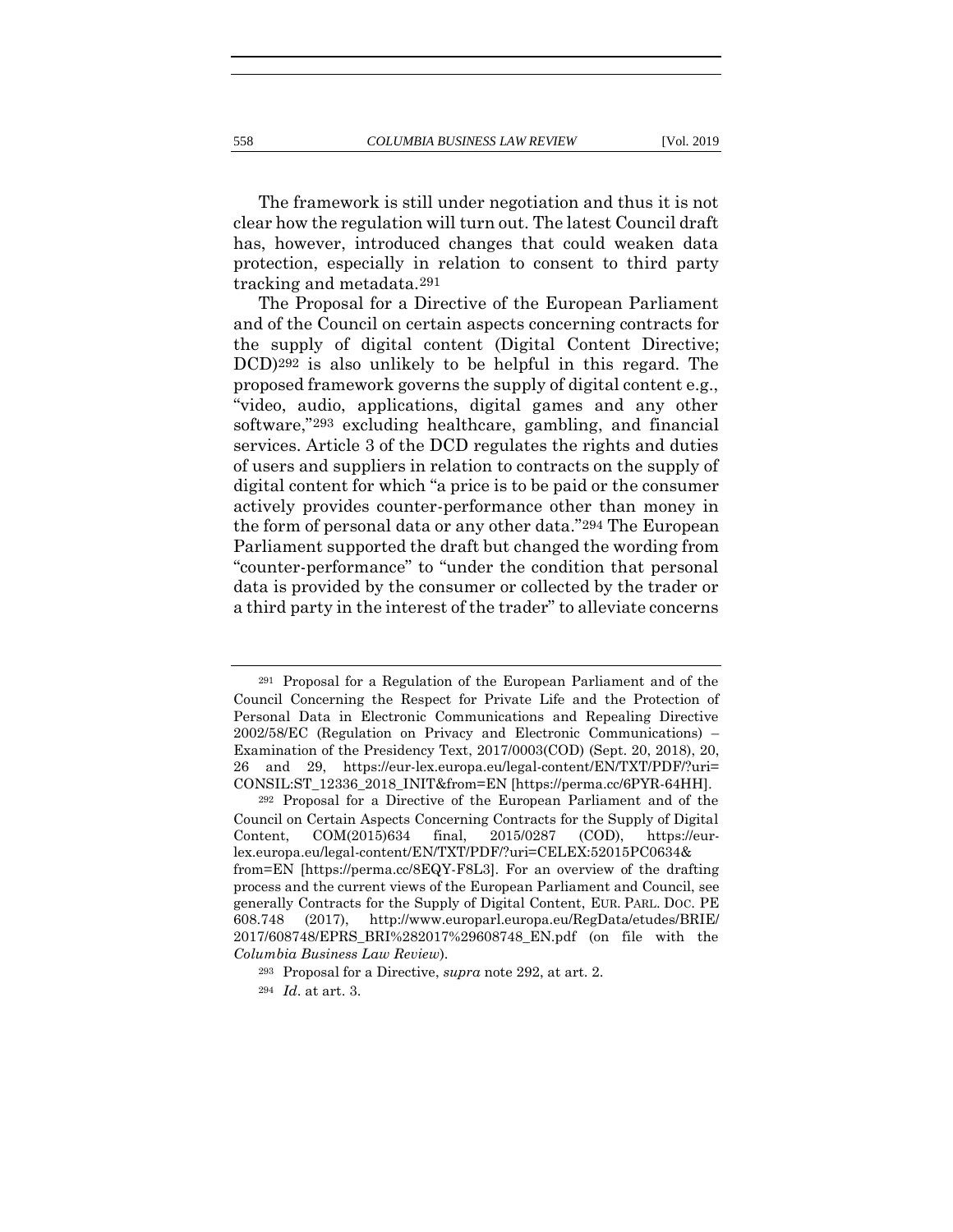The framework is still under negotiation and thus it is not clear how the regulation will turn out. The latest Council draft has, however, introduced changes that could weaken data protection, especially in relation to consent to third party tracking and metadata.291

<span id="page-64-0"></span>The Proposal for a Directive of the European Parliament and of the Council on certain aspects concerning contracts for the supply of digital content (Digital Content Directive; DCD)292 is also unlikely to be helpful in this regard. The proposed framework governs the supply of digital content e.g., "video, audio, applications, digital games and any other software,"293 excluding healthcare, gambling, and financial services. Article 3 of the DCD regulates the rights and duties of users and suppliers in relation to contracts on the supply of digital content for which "a price is to be paid or the consumer actively provides counter-performance other than money in the form of personal data or any other data."294 The European Parliament supported the draft but changed the wording from "counter-performance" to "under the condition that personal data is provided by the consumer or collected by the trader or a third party in the interest of the trader" to alleviate concerns

<sup>291</sup> Proposal for a Regulation of the European Parliament and of the Council Concerning the Respect for Private Life and the Protection of Personal Data in Electronic Communications and Repealing Directive 2002/58/EC (Regulation on Privacy and Electronic Communications) – Examination of the Presidency Text, 2017/0003(COD) (Sept. 20, 2018), 20, 26 and 29, https://eur-lex.europa.eu/legal-content/EN/TXT/PDF/?uri= CONSIL:ST\_12336\_2018\_INIT&from=EN [https://perma.cc/6PYR-64HH].

<sup>292</sup> Proposal for a Directive of the European Parliament and of the Council on Certain Aspects Concerning Contracts for the Supply of Digital Content, COM(2015)634 final, 2015/0287 (COD), https://eurlex.europa.eu/legal-content/EN/TXT/PDF/?uri=CELEX:52015PC0634& from=EN [https://perma.cc/8EQY-F8L3]. For an overview of the drafting process and the current views of the European Parliament and Council, see generally Contracts for the Supply of Digital Content, EUR. PARL. DOC. PE 608.748 (2017), http://www.europarl.europa.eu/RegData/etudes/BRIE/ 2017/608748/EPRS\_BRI%282017%29608748\_EN.pdf (on file with the *Columbia Business Law Review*).

<sup>293</sup> Proposal for a Directive, *supra* note [292,](#page-64-0) at art. 2.

<sup>294</sup> *Id*. at art. 3.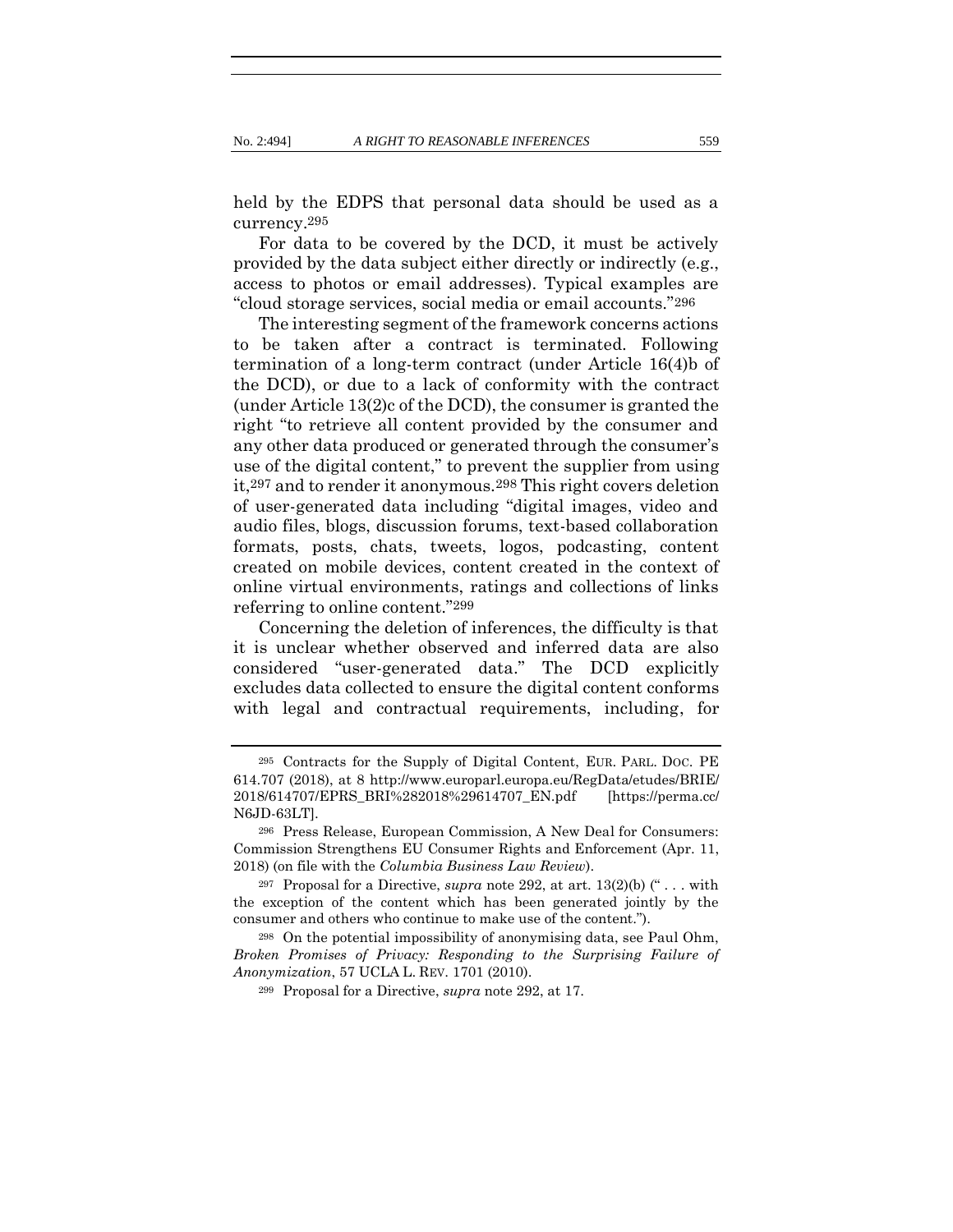held by the EDPS that personal data should be used as a currency.295

For data to be covered by the DCD, it must be actively provided by the data subject either directly or indirectly (e.g., access to photos or email addresses). Typical examples are "cloud storage services, social media or email accounts."296

The interesting segment of the framework concerns actions to be taken after a contract is terminated. Following termination of a long-term contract (under Article 16(4)b of the DCD), or due to a lack of conformity with the contract (under Article 13(2)c of the DCD), the consumer is granted the right "to retrieve all content provided by the consumer and any other data produced or generated through the consumer's use of the digital content," to prevent the supplier from using it,297 and to render it anonymous.298 This right covers deletion of user-generated data including "digital images, video and audio files, blogs, discussion forums, text-based collaboration formats, posts, chats, tweets, logos, podcasting, content created on mobile devices, content created in the context of online virtual environments, ratings and collections of links referring to online content."299

Concerning the deletion of inferences, the difficulty is that it is unclear whether observed and inferred data are also considered "user-generated data." The DCD explicitly excludes data collected to ensure the digital content conforms with legal and contractual requirements, including, for

<sup>295</sup> Contracts for the Supply of Digital Content, EUR. PARL. DOC. PE 614.707 (2018), at 8 http://www.europarl.europa.eu/RegData/etudes/BRIE/ 2018/614707/EPRS\_BRI%282018%29614707\_EN.pdf [https://perma.cc/ N6JD-63LT].

<sup>296</sup> Press Release, European Commission, A New Deal for Consumers: Commission Strengthens EU Consumer Rights and Enforcement (Apr. 11, 2018) (on file with the *Columbia Business Law Review*).

<sup>297</sup> Proposal for a Directive, *supra* note [292,](#page-64-0) at art. 13(2)(b) (" . . . with the exception of the content which has been generated jointly by the consumer and others who continue to make use of the content.").

<sup>298</sup> On the potential impossibility of anonymising data, see Paul Ohm, *Broken Promises of Privacy: Responding to the Surprising Failure of Anonymization*, 57 UCLA L. REV. 1701 (2010).

<sup>299</sup> Proposal for a Directive, *supra* note [292,](#page-64-0) at 17.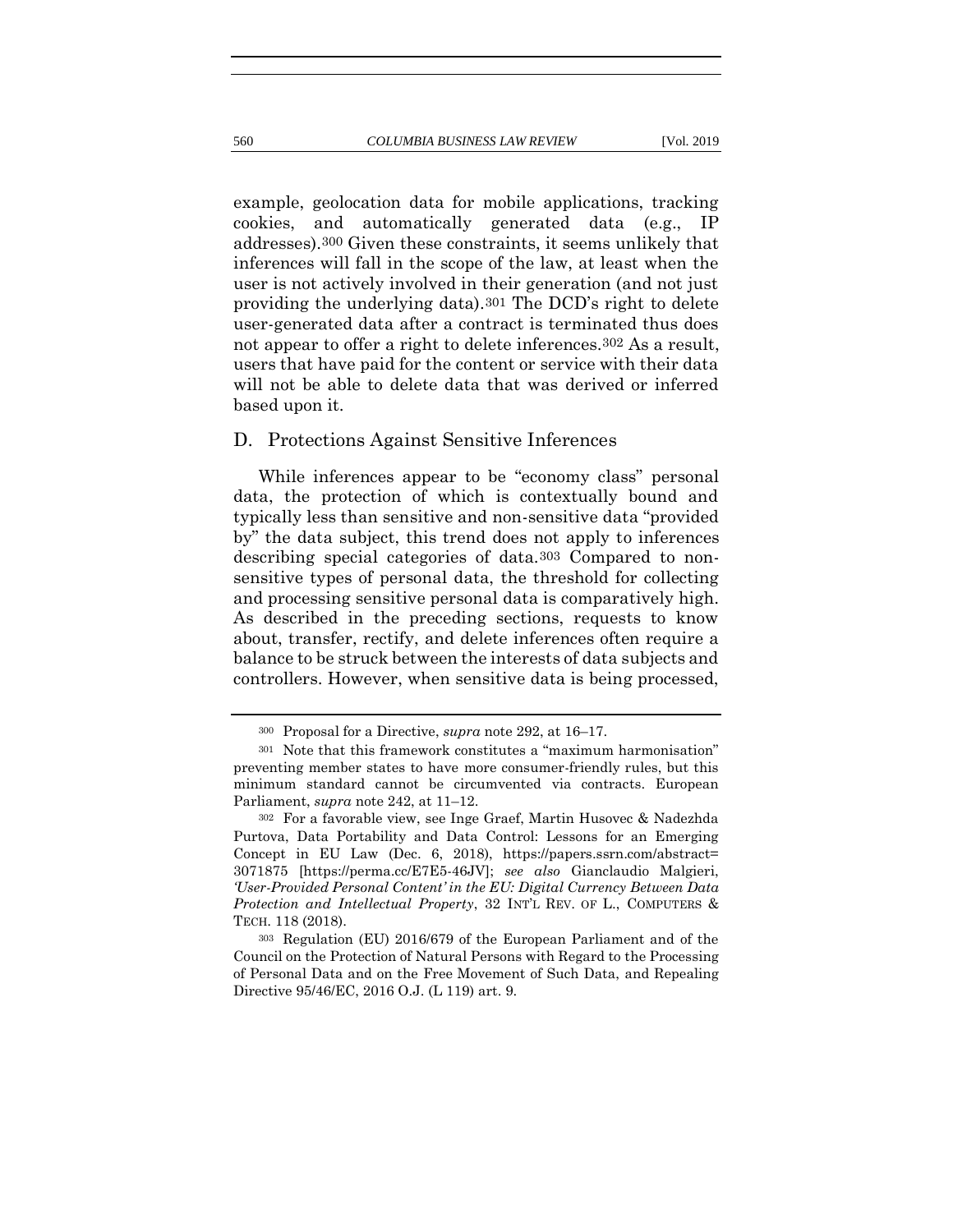example, geolocation data for mobile applications, tracking cookies, and automatically generated data (e.g., IP addresses).300 Given these constraints, it seems unlikely that inferences will fall in the scope of the law, at least when the user is not actively involved in their generation (and not just providing the underlying data).301 The DCD's right to delete user-generated data after a contract is terminated thus does not appear to offer a right to delete inferences.302 As a result, users that have paid for the content or service with their data will not be able to delete data that was derived or inferred based upon it.

## D. Protections Against Sensitive Inferences

While inferences appear to be "economy class" personal data, the protection of which is contextually bound and typically less than sensitive and non-sensitive data "provided by" the data subject, this trend does not apply to inferences describing special categories of data.303 Compared to nonsensitive types of personal data, the threshold for collecting and processing sensitive personal data is comparatively high. As described in the preceding sections, requests to know about, transfer, rectify, and delete inferences often require a balance to be struck between the interests of data subjects and controllers. However, when sensitive data is being processed,

<sup>300</sup> Proposal for a Directive, *supra* note [292,](#page-64-0) at 16–17.

<sup>301</sup> Note that this framework constitutes a "maximum harmonisation" preventing member states to have more consumer-friendly rules, but this minimum standard cannot be circumvented via contracts. European Parliament, *supra* note 242, at 11–12.

<sup>302</sup> For a favorable view, see Inge Graef, Martin Husovec & Nadezhda Purtova, Data Portability and Data Control: Lessons for an Emerging Concept in EU Law (Dec. 6, 2018), https://papers.ssrn.com/abstract= 3071875 [https://perma.cc/E7E5-46JV]; *see also* Gianclaudio Malgieri, *'User-Provided Personal Content' in the EU: Digital Currency Between Data Protection and Intellectual Property*, 32 INT'L REV. OF L., COMPUTERS & TECH. 118 (2018).

<sup>303</sup> Regulation (EU) 2016/679 of the European Parliament and of the Council on the Protection of Natural Persons with Regard to the Processing of Personal Data and on the Free Movement of Such Data, and Repealing Directive 95/46/EC, 2016 O.J. (L 119) art. 9.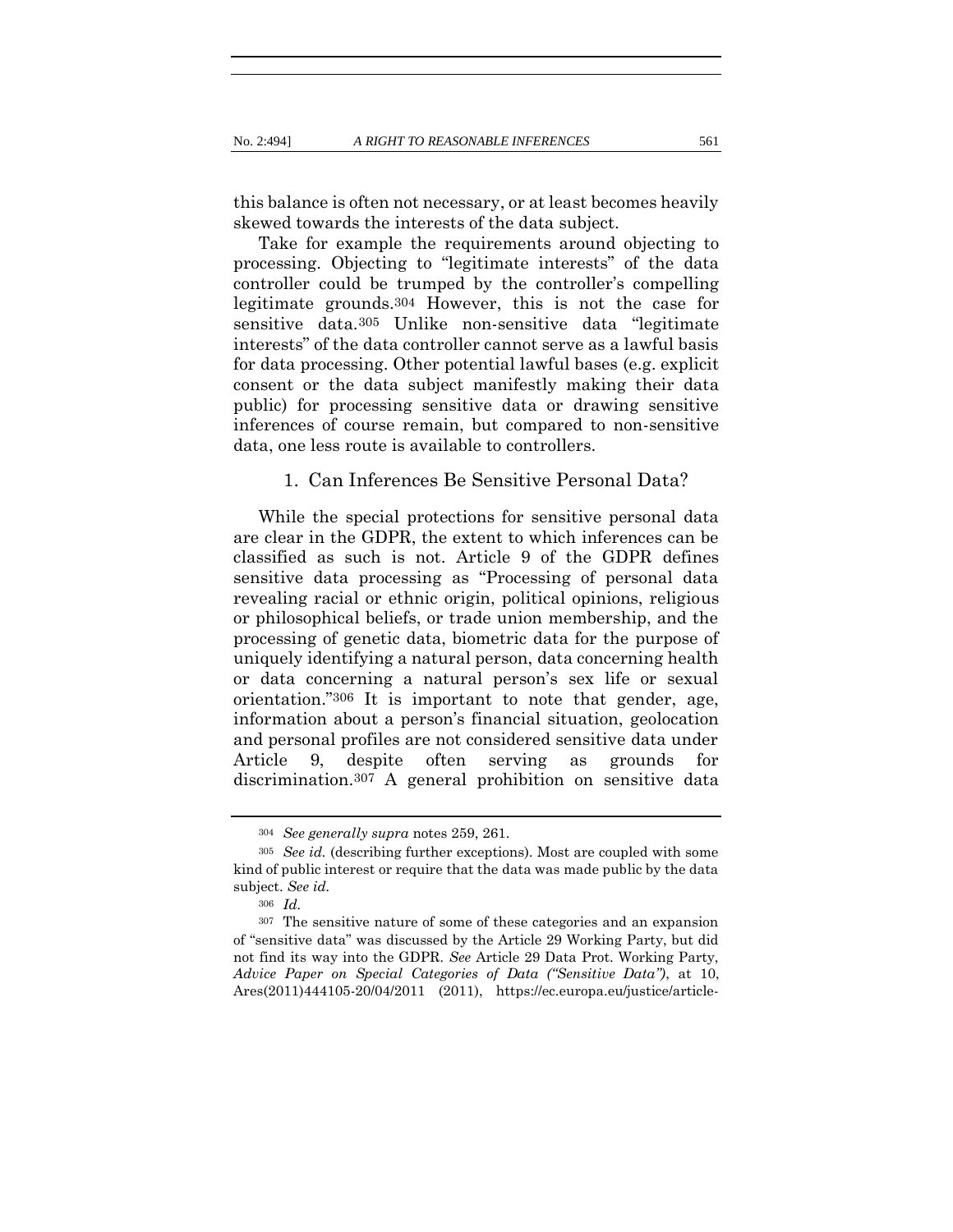this balance is often not necessary, or at least becomes heavily skewed towards the interests of the data subject.

Take for example the requirements around objecting to processing. Objecting to "legitimate interests" of the data controller could be trumped by the controller's compelling legitimate grounds.304 However, this is not the case for sensitive data.305 Unlike non-sensitive data "legitimate interests" of the data controller cannot serve as a lawful basis for data processing. Other potential lawful bases (e.g. explicit consent or the data subject manifestly making their data public) for processing sensitive data or drawing sensitive inferences of course remain, but compared to non-sensitive data, one less route is available to controllers.

#### 1. Can Inferences Be Sensitive Personal Data?

While the special protections for sensitive personal data are clear in the GDPR, the extent to which inferences can be classified as such is not. Article 9 of the GDPR defines sensitive data processing as "Processing of personal data revealing racial or ethnic origin, political opinions, religious or philosophical beliefs, or trade union membership, and the processing of genetic data, biometric data for the purpose of uniquely identifying a natural person, data concerning health or data concerning a natural person's sex life or sexual orientation."306 It is important to note that gender, age, information about a person's financial situation, geolocation and personal profiles are not considered sensitive data under Article 9, despite often serving as grounds for discrimination.307 A general prohibition on sensitive data

<span id="page-67-0"></span><sup>304</sup> *See generally supra* notes [259,](#page-57-0) [261.](#page-57-1)

<sup>305</sup> *See id.* (describing further exceptions). Most are coupled with some kind of public interest or require that the data was made public by the data subject. *See id.*

<sup>306</sup> *Id.*

<sup>307</sup> The sensitive nature of some of these categories and an expansion of "sensitive data" was discussed by the Article 29 Working Party, but did not find its way into the GDPR. *See* Article 29 Data Prot. Working Party, *Advice Paper on Special Categories of Data ("Sensitive Data")*, at 10, Ares(2011)444105-20/04/2011 (2011), https://ec.europa.eu/justice/article-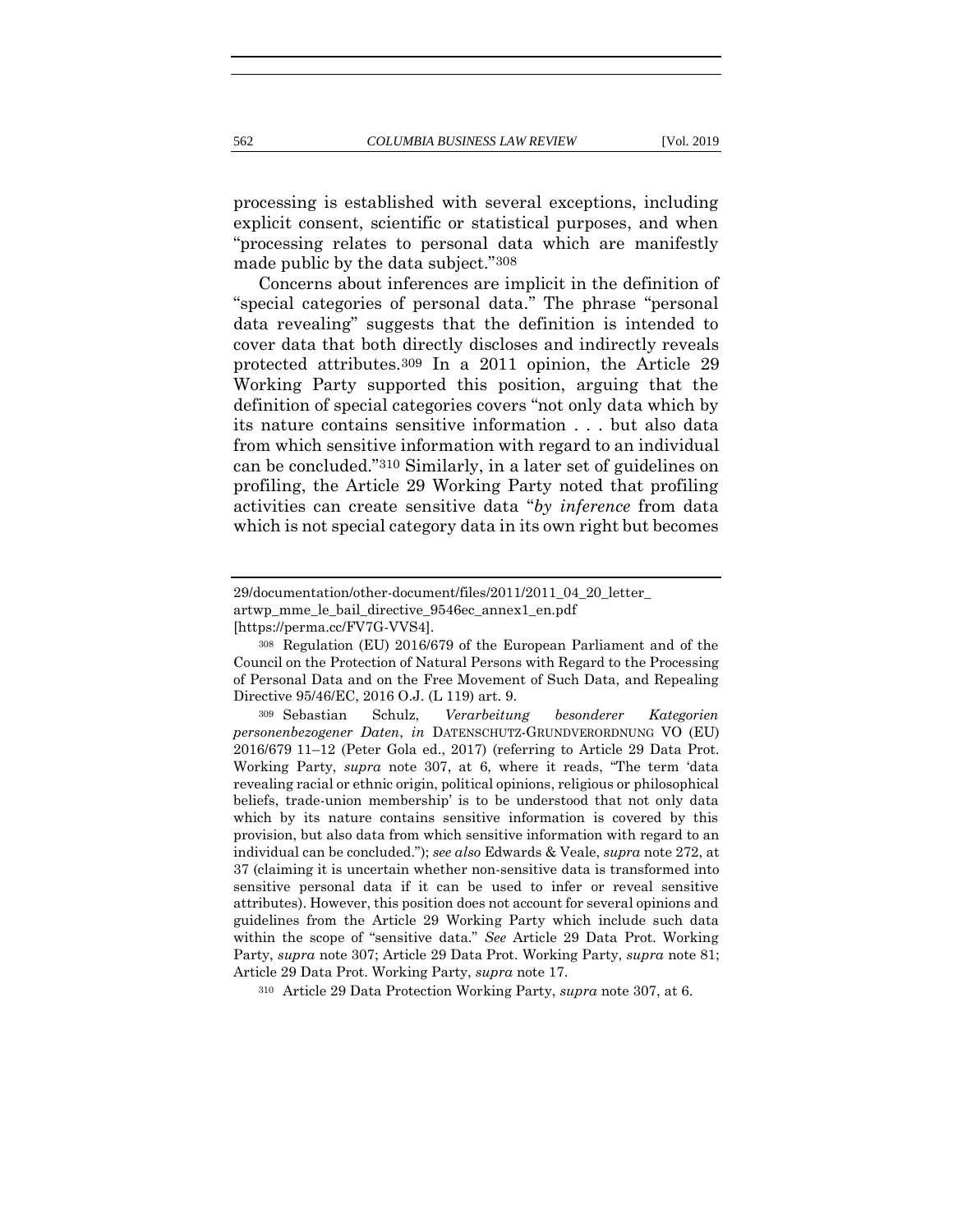processing is established with several exceptions, including explicit consent, scientific or statistical purposes, and when "processing relates to personal data which are manifestly made public by the data subject."308

<span id="page-68-0"></span>Concerns about inferences are implicit in the definition of "special categories of personal data." The phrase "personal data revealing" suggests that the definition is intended to cover data that both directly discloses and indirectly reveals protected attributes.309 In a 2011 opinion, the Article 29 Working Party supported this position, arguing that the definition of special categories covers "not only data which by its nature contains sensitive information . . . but also data from which sensitive information with regard to an individual can be concluded."310 Similarly, in a later set of guidelines on profiling, the Article 29 Working Party noted that profiling activities can create sensitive data "*by inference* from data which is not special category data in its own right but becomes

<sup>310</sup> Article 29 Data Protection Working Party, *supra* note [307,](#page-67-0) at 6.

<sup>29/</sup>documentation/other-document/files/2011/2011\_04\_20\_letter\_ artwp\_mme\_le\_bail\_directive\_9546ec\_annex1\_en.pdf [https://perma.cc/FV7G-VVS4].

<sup>308</sup> Regulation (EU) 2016/679 of the European Parliament and of the Council on the Protection of Natural Persons with Regard to the Processing of Personal Data and on the Free Movement of Such Data, and Repealing Directive 95/46/EC, 2016 O.J. (L 119) art. 9.

<sup>309</sup> Sebastian Schulz, *Verarbeitung besonderer Kategorien personenbezogener Daten*, *in* DATENSCHUTZ-GRUNDVERORDNUNG VO (EU) 2016/679 11–12 (Peter Gola ed., 2017) (referring to Article 29 Data Prot. Working Party, *supra* note [307](#page-67-0), at 6, where it reads, "The term 'data revealing racial or ethnic origin, political opinions, religious or philosophical beliefs, trade-union membership' is to be understood that not only data which by its nature contains sensitive information is covered by this provision, but also data from which sensitive information with regard to an individual can be concluded."); *see also* Edwards & Veale, *supra* note [272,](#page-60-0) at 37 (claiming it is uncertain whether non-sensitive data is transformed into sensitive personal data if it can be used to infer or reveal sensitive attributes). However, this position does not account for several opinions and guidelines from the Article 29 Working Party which include such data within the scope of "sensitive data." *See* Article 29 Data Prot. Working Party, *supra* not[e 307;](#page-67-0) Article 29 Data Prot. Working Party, *supra* not[e 81;](#page-22-1) Article 29 Data Prot. Working Party, *supra* not[e 17.](#page-10-0)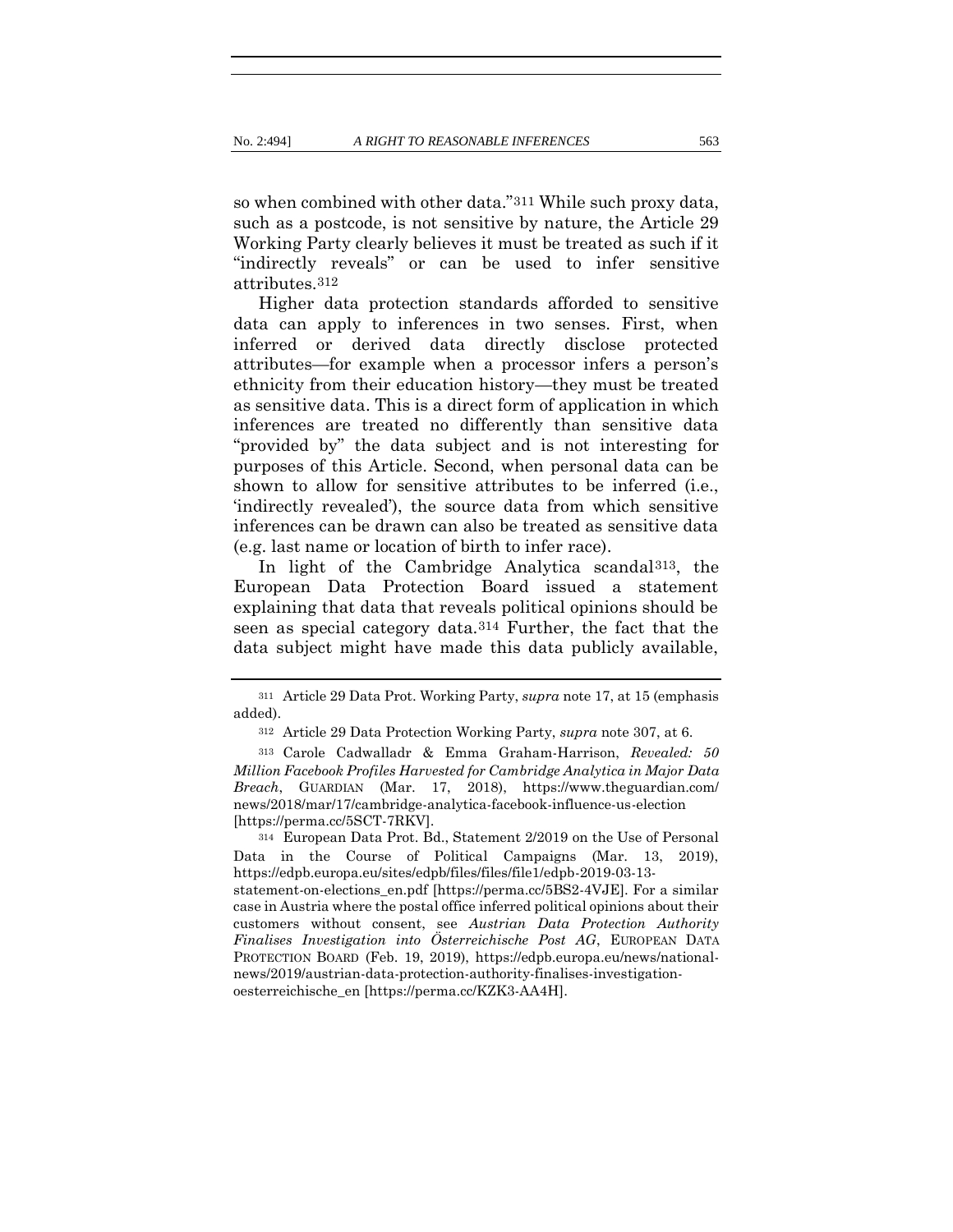so when combined with other data."311 While such proxy data, such as a postcode, is not sensitive by nature, the Article 29 Working Party clearly believes it must be treated as such if it "indirectly reveals" or can be used to infer sensitive attributes.312

Higher data protection standards afforded to sensitive data can apply to inferences in two senses. First, when inferred or derived data directly disclose protected attributes—for example when a processor infers a person's ethnicity from their education history—they must be treated as sensitive data. This is a direct form of application in which inferences are treated no differently than sensitive data "provided by" the data subject and is not interesting for purposes of this Article. Second, when personal data can be shown to allow for sensitive attributes to be inferred (i.e., 'indirectly revealed'), the source data from which sensitive inferences can be drawn can also be treated as sensitive data (e.g. last name or location of birth to infer race).

In light of the Cambridge Analytica scandal313, the European Data Protection Board issued a statement explaining that data that reveals political opinions should be seen as special category data.314 Further, the fact that the data subject might have made this data publicly available,

<sup>314</sup> European Data Prot. Bd., Statement 2/2019 on the Use of Personal Data in the Course of Political Campaigns (Mar. 13, 2019), https://edpb.europa.eu/sites/edpb/files/files/file1/edpb-2019-03-13 statement-on-elections\_en.pdf [https://perma.cc/5BS2-4VJE]. For a similar case in Austria where the postal office inferred political opinions about their customers without consent, see *Austrian Data Protection Authority Finalises Investigation into Österreichische Post AG*, EUROPEAN DATA PROTECTION BOARD (Feb. 19, 2019), https://edpb.europa.eu/news/nationalnews/2019/austrian-data-protection-authority-finalises-investigationoesterreichische\_en [https://perma.cc/KZK3-AA4H].

<sup>311</sup> Article 29 Data Prot. Working Party, *supra* note [17,](#page-10-0) at 15 (emphasis added).

<span id="page-69-0"></span><sup>312</sup> Article 29 Data Protection Working Party, *supra* note [307,](#page-67-0) at 6.

<sup>313</sup> Carole Cadwalladr & Emma Graham-Harrison, *Revealed: 50 Million Facebook Profiles Harvested for Cambridge Analytica in Major Data Breach*, GUARDIAN (Mar. 17, 2018), https://www.theguardian.com/ news/2018/mar/17/cambridge-analytica-facebook-influence-us-election [https://perma.cc/5SCT-7RKV].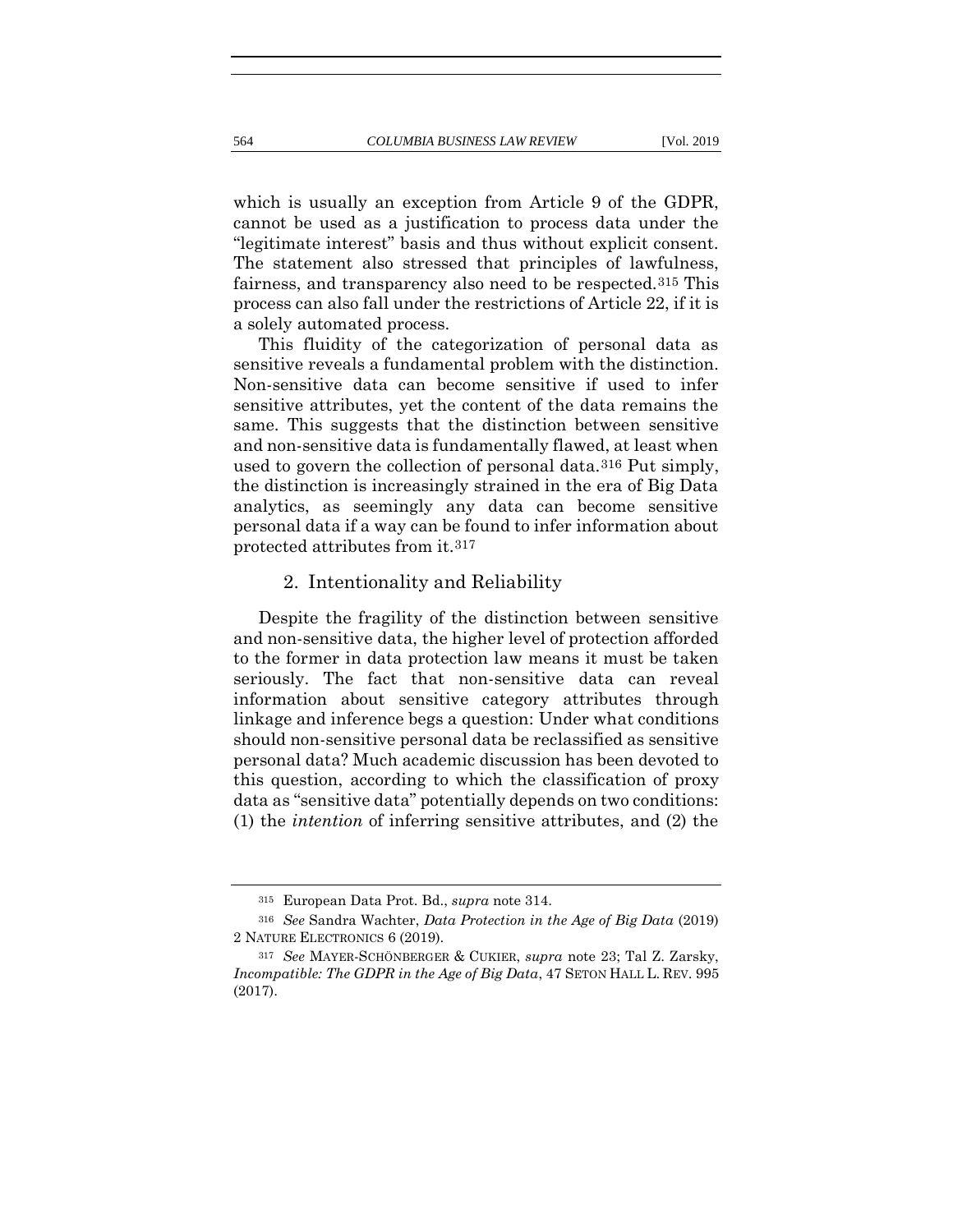which is usually an exception from Article 9 of the GDPR, cannot be used as a justification to process data under the "legitimate interest" basis and thus without explicit consent. The statement also stressed that principles of lawfulness, fairness, and transparency also need to be respected.315 This process can also fall under the restrictions of Article 22, if it is a solely automated process.

This fluidity of the categorization of personal data as sensitive reveals a fundamental problem with the distinction. Non-sensitive data can become sensitive if used to infer sensitive attributes, yet the content of the data remains the same. This suggests that the distinction between sensitive and non-sensitive data is fundamentally flawed, at least when used to govern the collection of personal data.316 Put simply, the distinction is increasingly strained in the era of Big Data analytics, as seemingly any data can become sensitive personal data if a way can be found to infer information about protected attributes from it.317

# 2. Intentionality and Reliability

Despite the fragility of the distinction between sensitive and non-sensitive data, the higher level of protection afforded to the former in data protection law means it must be taken seriously. The fact that non-sensitive data can reveal information about sensitive category attributes through linkage and inference begs a question: Under what conditions should non-sensitive personal data be reclassified as sensitive personal data? Much academic discussion has been devoted to this question, according to which the classification of proxy data as "sensitive data" potentially depends on two conditions: (1) the *intention* of inferring sensitive attributes, and (2) the

<sup>315</sup> European Data Prot. Bd., *supra* note [314.](#page-69-0)

<sup>316</sup> *See* Sandra Wachter, *Data Protection in the Age of Big Data* (2019) 2 NATURE ELECTRONICS 6 (2019).

<sup>317</sup> *See* MAYER-SCHÖNBERGER & CUKIER, *supra* note [23;](#page-12-0) Tal Z. Zarsky, *Incompatible: The GDPR in the Age of Big Data*, 47 SETON HALL L. REV. 995 (2017).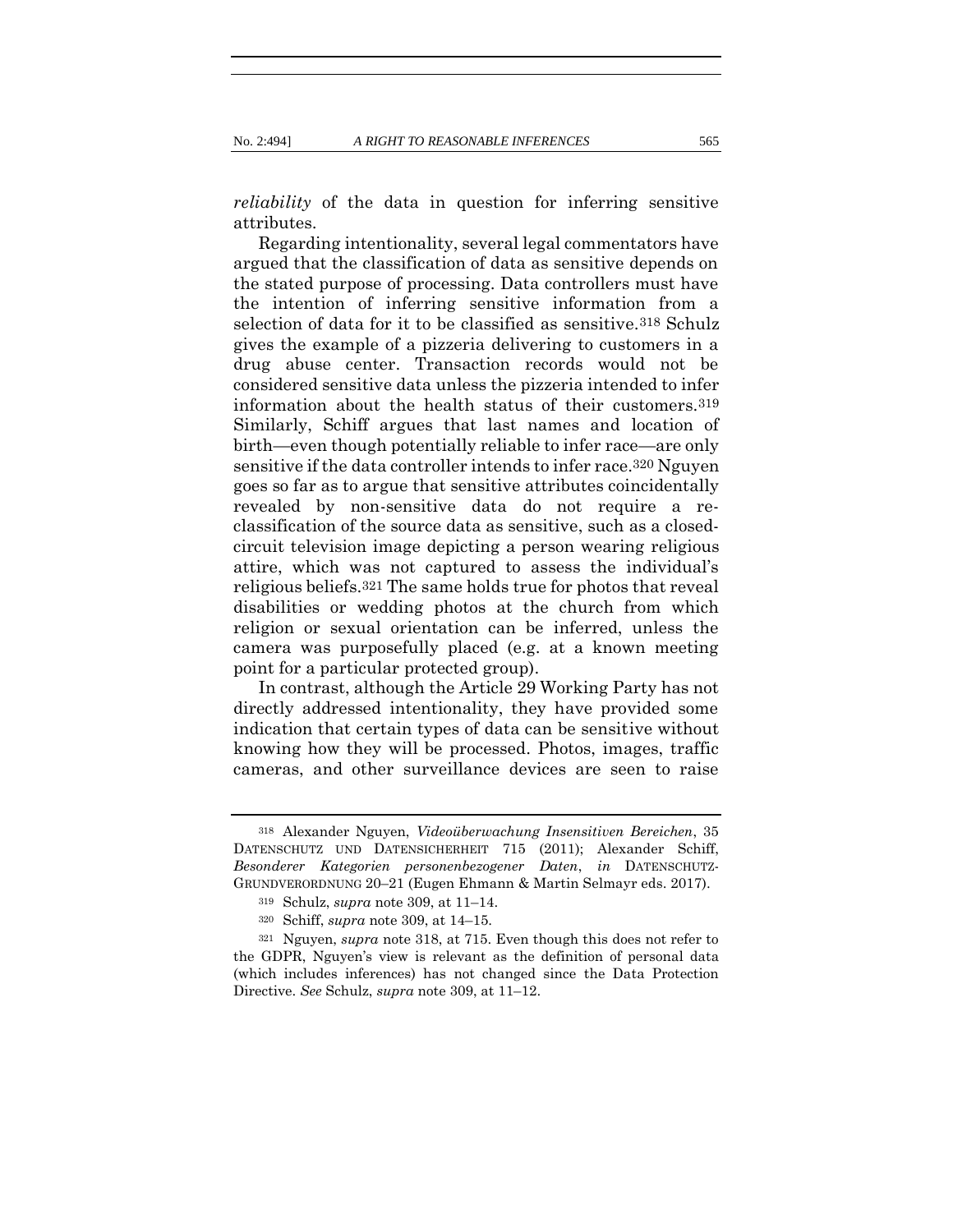*reliability* of the data in question for inferring sensitive attributes.

<span id="page-71-0"></span>Regarding intentionality, several legal commentators have argued that the classification of data as sensitive depends on the stated purpose of processing. Data controllers must have the intention of inferring sensitive information from a selection of data for it to be classified as sensitive.318 Schulz gives the example of a pizzeria delivering to customers in a drug abuse center. Transaction records would not be considered sensitive data unless the pizzeria intended to infer information about the health status of their customers.319 Similarly, Schiff argues that last names and location of birth—even though potentially reliable to infer race—are only sensitive if the data controller intends to infer race.320 Nguyen goes so far as to argue that sensitive attributes coincidentally revealed by non-sensitive data do not require a reclassification of the source data as sensitive, such as a closedcircuit television image depicting a person wearing religious attire, which was not captured to assess the individual's religious beliefs.321 The same holds true for photos that reveal disabilities or wedding photos at the church from which religion or sexual orientation can be inferred, unless the camera was purposefully placed (e.g. at a known meeting point for a particular protected group).

In contrast, although the Article 29 Working Party has not directly addressed intentionality, they have provided some indication that certain types of data can be sensitive without knowing how they will be processed. Photos, images, traffic cameras, and other surveillance devices are seen to raise

<sup>318</sup> Alexander Nguyen, *Videoüberwachung Insensitiven Bereichen*, 35 DATENSCHUTZ UND DATENSICHERHEIT 715 (2011); Alexander Schiff, *Besonderer Kategorien personenbezogener Daten*, *in* DATENSCHUTZ-GRUNDVERORDNUNG 20–21 (Eugen Ehmann & Martin Selmayr eds. 2017).

<sup>319</sup> Schulz, *supra* note [309,](#page-68-0) at 11–14.

<sup>320</sup> Schiff, *supra* note [309,](#page-68-0) at 14–15.

<sup>321</sup> Nguyen, *supra* note [318,](#page-71-0) at 715. Even though this does not refer to the GDPR, Nguyen's view is relevant as the definition of personal data (which includes inferences) has not changed since the Data Protection Directive. *See* Schulz, *supra* note [309,](#page-68-0) at 11–12.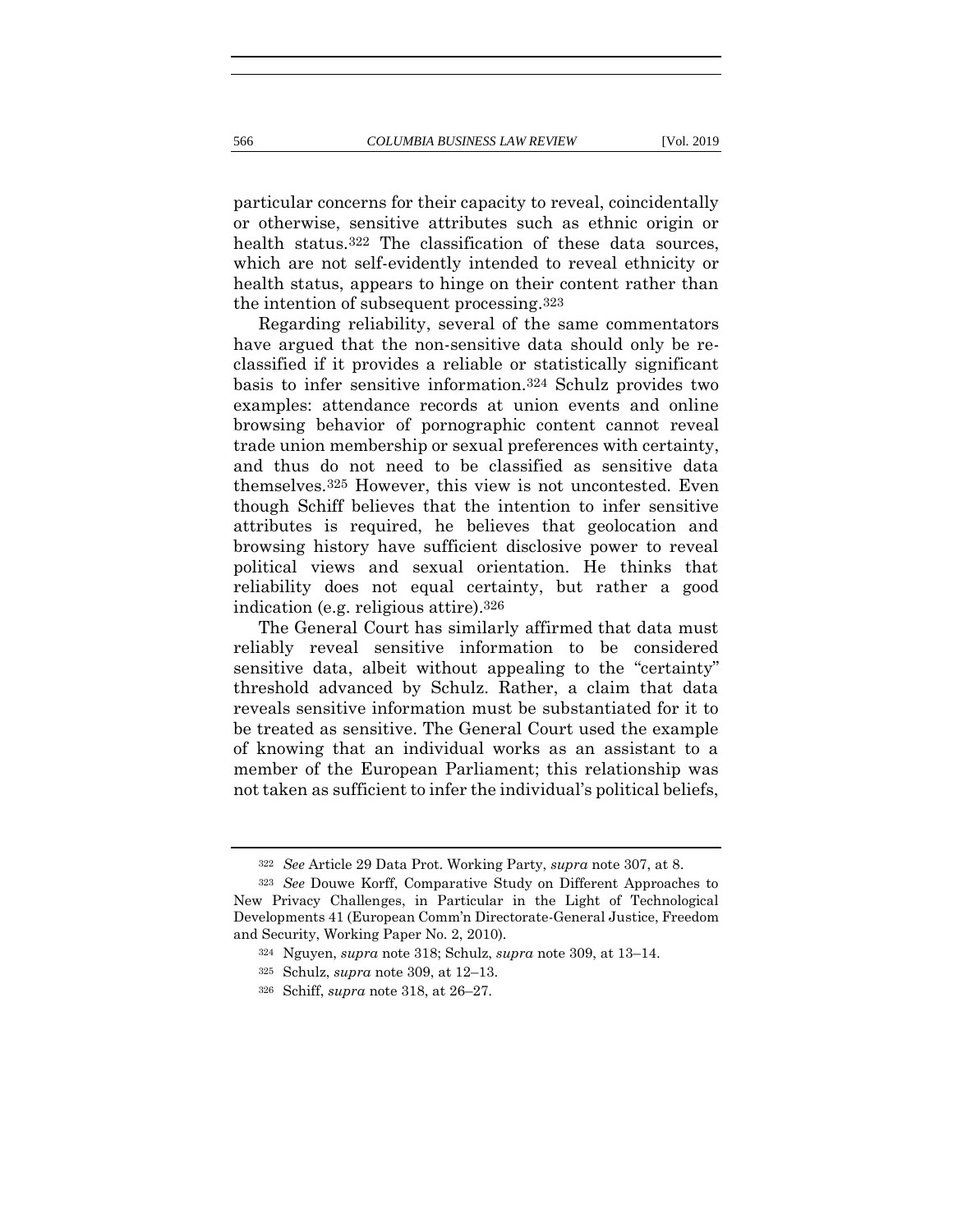particular concerns for their capacity to reveal, coincidentally or otherwise, sensitive attributes such as ethnic origin or health status.<sup>322</sup> The classification of these data sources, which are not self-evidently intended to reveal ethnicity or health status, appears to hinge on their content rather than the intention of subsequent processing.323

<span id="page-72-0"></span>Regarding reliability, several of the same commentators have argued that the non-sensitive data should only be reclassified if it provides a reliable or statistically significant basis to infer sensitive information.324 Schulz provides two examples: attendance records at union events and online browsing behavior of pornographic content cannot reveal trade union membership or sexual preferences with certainty, and thus do not need to be classified as sensitive data themselves.325 However, this view is not uncontested. Even though Schiff believes that the intention to infer sensitive attributes is required, he believes that geolocation and browsing history have sufficient disclosive power to reveal political views and sexual orientation. He thinks that reliability does not equal certainty, but rather a good indication (e.g. religious attire).326

The General Court has similarly affirmed that data must reliably reveal sensitive information to be considered sensitive data, albeit without appealing to the "certainty" threshold advanced by Schulz. Rather, a claim that data reveals sensitive information must be substantiated for it to be treated as sensitive. The General Court used the example of knowing that an individual works as an assistant to a member of the European Parliament; this relationship was not taken as sufficient to infer the individual's political beliefs,

<sup>322</sup> *See* Article 29 Data Prot. Working Party, *supra* note [307,](#page-67-0) at 8.

<sup>323</sup> *See* Douwe Korff, Comparative Study on Different Approaches to New Privacy Challenges, in Particular in the Light of Technological Developments 41 (European Comm'n Directorate-General Justice, Freedom and Security, Working Paper No. 2, 2010).

<sup>324</sup> Nguyen, *supra* note [318;](#page-71-0) Schulz, *supra* note [309,](#page-68-0) at 13–14.

<sup>325</sup> Schulz, *supra* not[e 309,](#page-68-0) at 12–13.

<sup>326</sup> Schiff, *supra* note [318,](#page-71-0) at 26–27.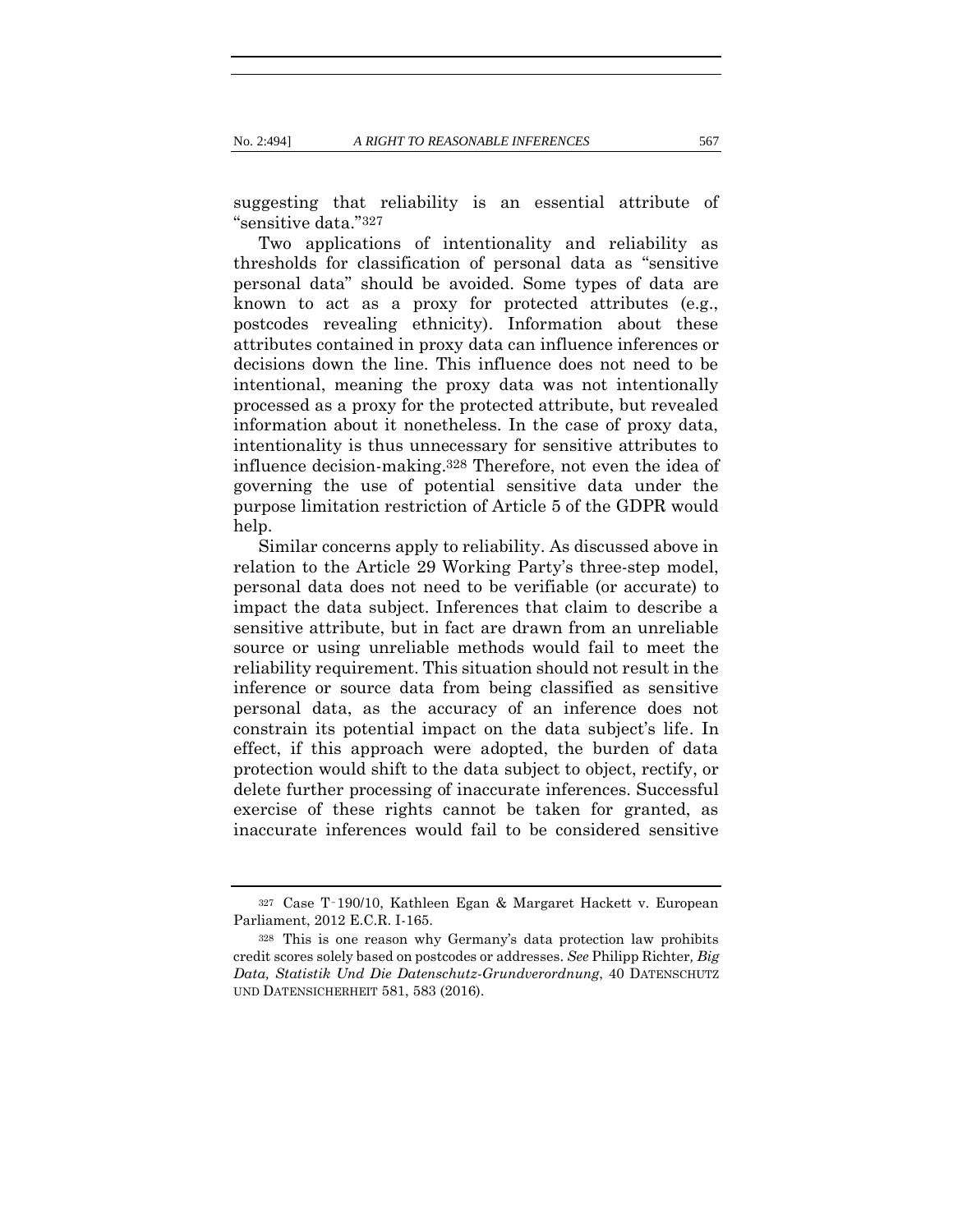suggesting that reliability is an essential attribute of "sensitive data."327

Two applications of intentionality and reliability as thresholds for classification of personal data as "sensitive personal data" should be avoided. Some types of data are known to act as a proxy for protected attributes (e.g., postcodes revealing ethnicity). Information about these attributes contained in proxy data can influence inferences or decisions down the line. This influence does not need to be intentional, meaning the proxy data was not intentionally processed as a proxy for the protected attribute, but revealed information about it nonetheless. In the case of proxy data, intentionality is thus unnecessary for sensitive attributes to influence decision-making.328 Therefore, not even the idea of governing the use of potential sensitive data under the purpose limitation restriction of Article 5 of the GDPR would help.

<span id="page-73-0"></span>Similar concerns apply to reliability. As discussed above in relation to the Article 29 Working Party's three-step model, personal data does not need to be verifiable (or accurate) to impact the data subject. Inferences that claim to describe a sensitive attribute, but in fact are drawn from an unreliable source or using unreliable methods would fail to meet the reliability requirement. This situation should not result in the inference or source data from being classified as sensitive personal data, as the accuracy of an inference does not constrain its potential impact on the data subject's life. In effect, if this approach were adopted, the burden of data protection would shift to the data subject to object, rectify, or delete further processing of inaccurate inferences. Successful exercise of these rights cannot be taken for granted, as inaccurate inferences would fail to be considered sensitive

<sup>327</sup> Case T‑190/10, Kathleen Egan & Margaret Hackett v. European Parliament, 2012 E.C.R. I-165.

<sup>328</sup> This is one reason why Germany's data protection law prohibits credit scores solely based on postcodes or addresses. *See* Philipp Richter*, Big Data, Statistik Und Die Datenschutz-Grundverordnung*, 40 DATENSCHUTZ UND DATENSICHERHEIT 581, 583 (2016).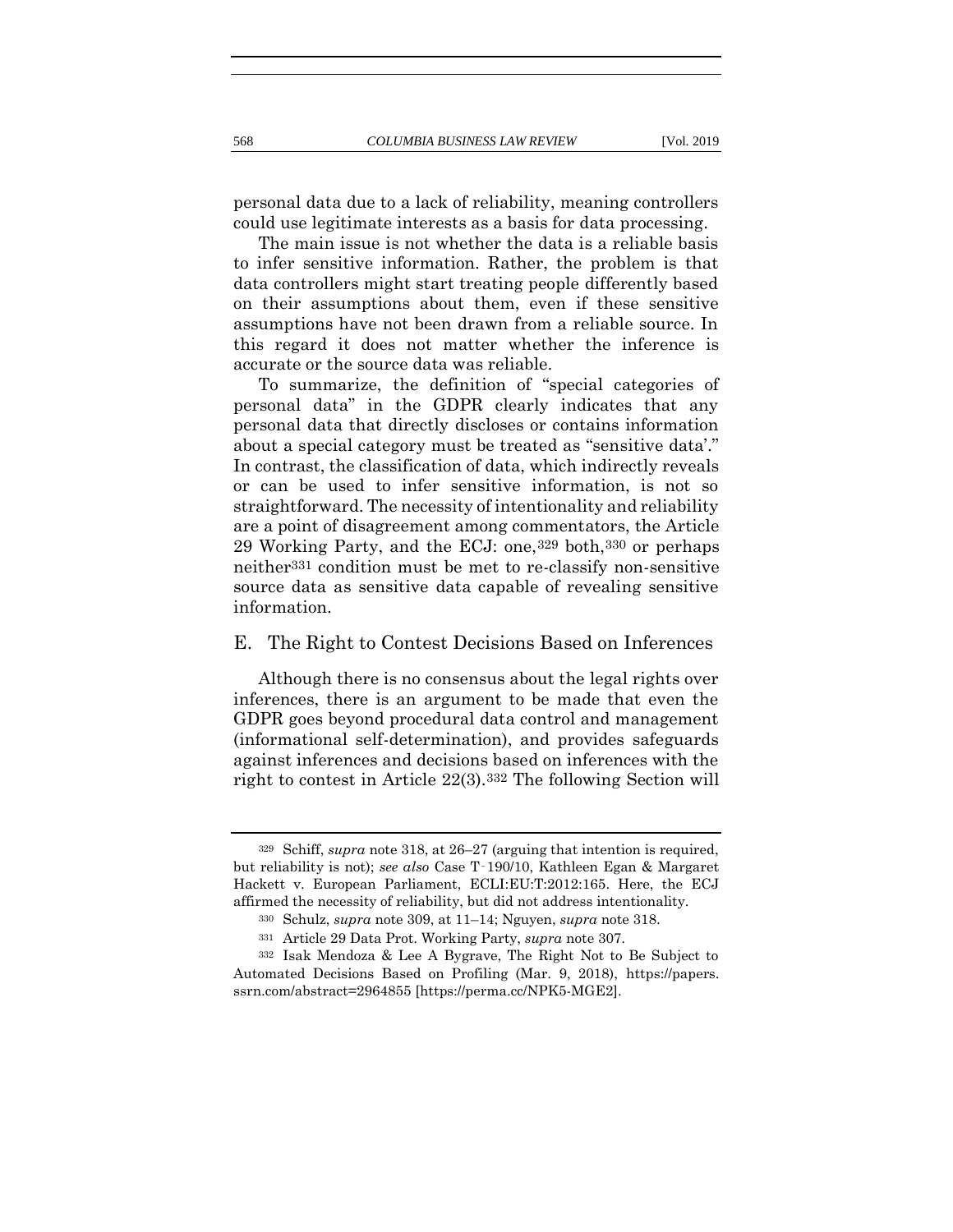personal data due to a lack of reliability, meaning controllers could use legitimate interests as a basis for data processing.

The main issue is not whether the data is a reliable basis to infer sensitive information. Rather, the problem is that data controllers might start treating people differently based on their assumptions about them, even if these sensitive assumptions have not been drawn from a reliable source. In this regard it does not matter whether the inference is accurate or the source data was reliable.

To summarize, the definition of "special categories of personal data" in the GDPR clearly indicates that any personal data that directly discloses or contains information about a special category must be treated as "sensitive data'." In contrast, the classification of data, which indirectly reveals or can be used to infer sensitive information, is not so straightforward. The necessity of intentionality and reliability are a point of disagreement among commentators, the Article 29 Working Party, and the ECJ: one,329 both,330 or perhaps neither331 condition must be met to re-classify non-sensitive source data as sensitive data capable of revealing sensitive information.

#### E. The Right to Contest Decisions Based on Inferences

Although there is no consensus about the legal rights over inferences, there is an argument to be made that even the GDPR goes beyond procedural data control and management (informational self-determination), and provides safeguards against inferences and decisions based on inferences with the right to contest in Article 22(3).332 The following Section will

<span id="page-74-0"></span><sup>329</sup> Schiff, *supra* not[e 318,](#page-71-0) at 26–27 (arguing that intention is required, but reliability is not); *see also* Case T‑190/10, Kathleen Egan & Margaret Hackett v. European Parliament, ECLI:EU:T:2012:165. Here, the ECJ affirmed the necessity of reliability, but did not address intentionality.

<sup>330</sup> Schulz, *supra* not[e 309,](#page-68-0) at 11–14; Nguyen, *supra* note [318.](#page-71-0)

<sup>331</sup> Article 29 Data Prot. Working Party, *supra* note [307.](#page-67-0)

<sup>332</sup> Isak Mendoza & Lee A Bygrave, The Right Not to Be Subject to Automated Decisions Based on Profiling (Mar. 9, 2018), https://papers. ssrn.com/abstract=2964855 [\[https://perma.cc/NPK5-MGE2\]](https://perma.cc/NPK5-MGE2).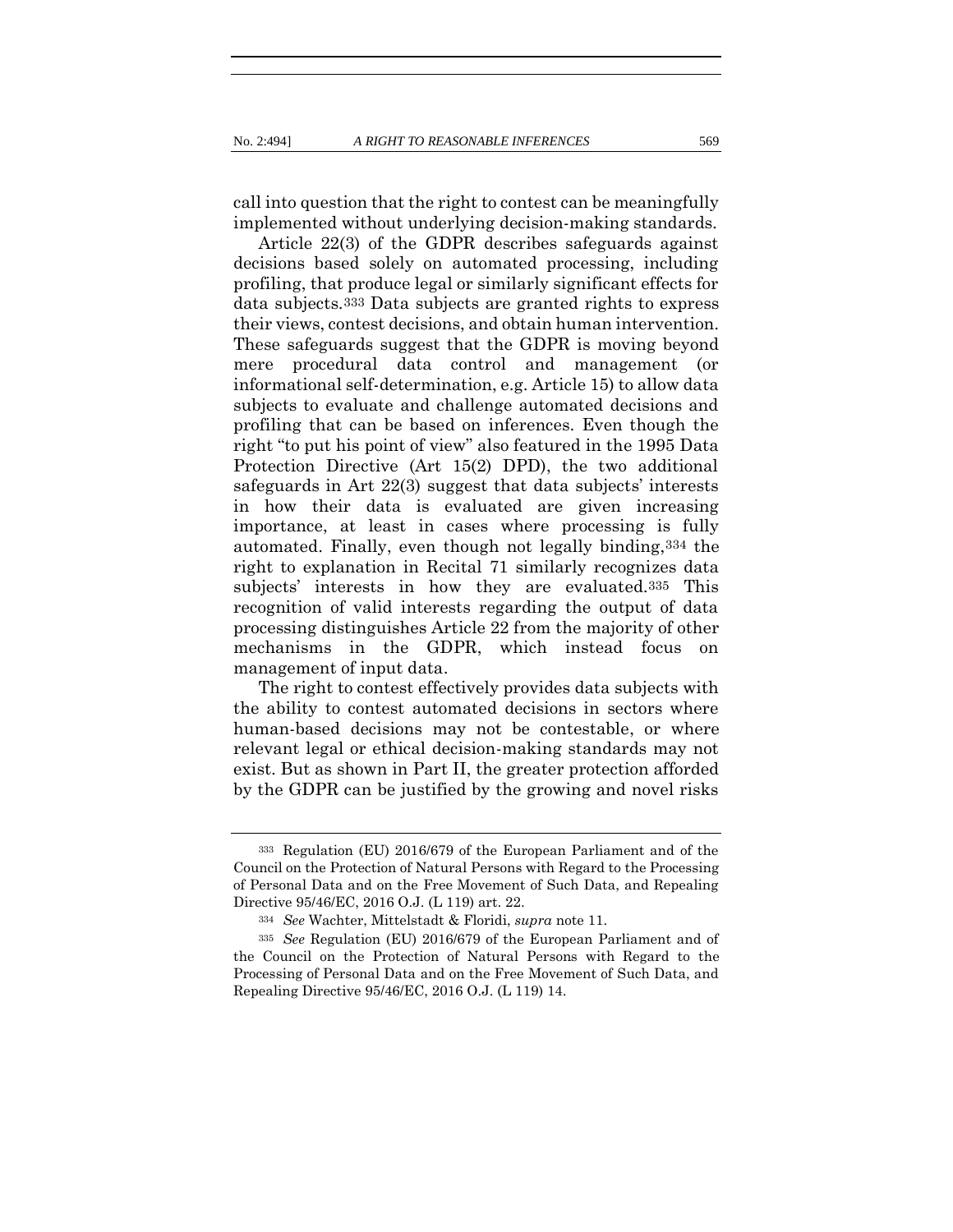call into question that the right to contest can be meaningfully implemented without underlying decision-making standards.

Article 22(3) of the GDPR describes safeguards against decisions based solely on automated processing, including profiling, that produce legal or similarly significant effects for data subjects.333 Data subjects are granted rights to express their views, contest decisions, and obtain human intervention. These safeguards suggest that the GDPR is moving beyond mere procedural data control and management (or informational self-determination, e.g. Article 15) to allow data subjects to evaluate and challenge automated decisions and profiling that can be based on inferences. Even though the right "to put his point of view" also featured in the 1995 Data Protection Directive (Art 15(2) DPD), the two additional safeguards in Art 22(3) suggest that data subjects' interests in how their data is evaluated are given increasing importance, at least in cases where processing is fully automated. Finally, even though not legally binding,334 the right to explanation in Recital 71 similarly recognizes data subjects' interests in how they are evaluated.335 This recognition of valid interests regarding the output of data processing distinguishes Article 22 from the majority of other mechanisms in the GDPR, which instead focus on management of input data.

The right to contest effectively provides data subjects with the ability to contest automated decisions in sectors where human-based decisions may not be contestable, or where relevant legal or ethical decision-making standards may not exist. But as shown in Part II, the greater protection afforded by the GDPR can be justified by the growing and novel risks

<sup>333</sup> Regulation (EU) 2016/679 of the European Parliament and of the Council on the Protection of Natural Persons with Regard to the Processing of Personal Data and on the Free Movement of Such Data, and Repealing Directive 95/46/EC, 2016 O.J. (L 119) art. 22.

<sup>334</sup> *See* Wachter, Mittelstadt & Floridi, *supra* note [11.](#page-8-0)

<sup>335</sup> *See* Regulation (EU) 2016/679 of the European Parliament and of the Council on the Protection of Natural Persons with Regard to the Processing of Personal Data and on the Free Movement of Such Data, and Repealing Directive 95/46/EC, 2016 O.J. (L 119) 14.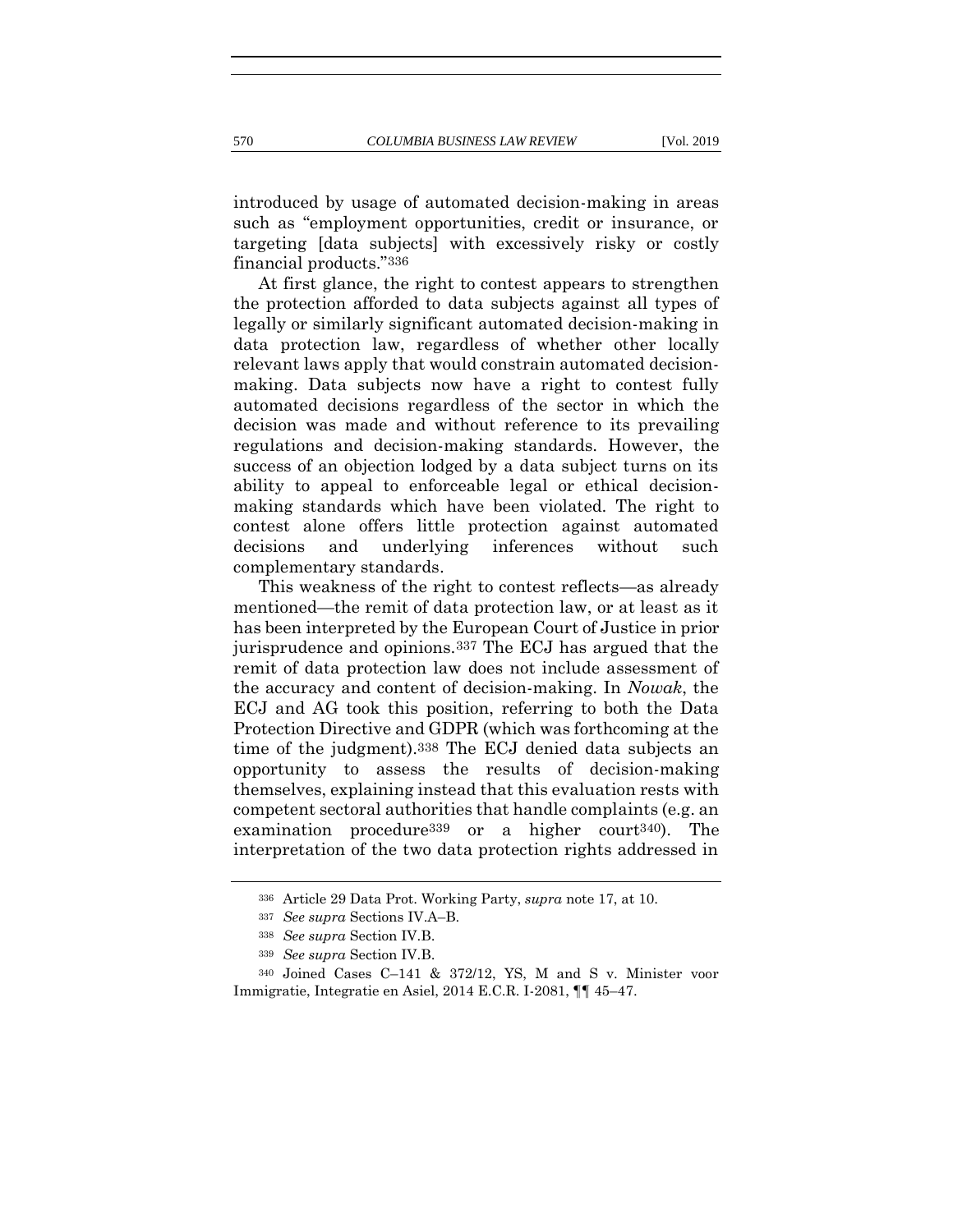introduced by usage of automated decision-making in areas such as "employment opportunities, credit or insurance, or targeting [data subjects] with excessively risky or costly financial products."336

At first glance, the right to contest appears to strengthen the protection afforded to data subjects against all types of legally or similarly significant automated decision-making in data protection law, regardless of whether other locally relevant laws apply that would constrain automated decisionmaking. Data subjects now have a right to contest fully automated decisions regardless of the sector in which the decision was made and without reference to its prevailing regulations and decision-making standards. However, the success of an objection lodged by a data subject turns on its ability to appeal to enforceable legal or ethical decisionmaking standards which have been violated. The right to contest alone offers little protection against automated decisions and underlying inferences without such complementary standards.

This weakness of the right to contest reflects—as already mentioned—the remit of data protection law, or at least as it has been interpreted by the European Court of Justice in prior jurisprudence and opinions.337 The ECJ has argued that the remit of data protection law does not include assessment of the accuracy and content of decision-making. In *Nowak*, the ECJ and AG took this position, referring to both the Data Protection Directive and GDPR (which was forthcoming at the time of the judgment).338 The ECJ denied data subjects an opportunity to assess the results of decision-making themselves, explaining instead that this evaluation rests with competent sectoral authorities that handle complaints (e.g. an examination procedure339 or a higher court340). The interpretation of the two data protection rights addressed in

<sup>336</sup> Article 29 Data Prot. Working Party, *supra* note [17,](#page-10-0) at 10.

<sup>337</sup> *See supra* Sections IV.A–B.

<sup>338</sup> *See supra* Section IV.B.

<sup>339</sup> *See supra* Section IV.B.

<sup>340</sup> Joined Cases C–141 & 372/12, YS, M and S v. Minister voor Immigratie, Integratie en Asiel, 2014 E.C.R. I-2081, ¶¶ 45–47.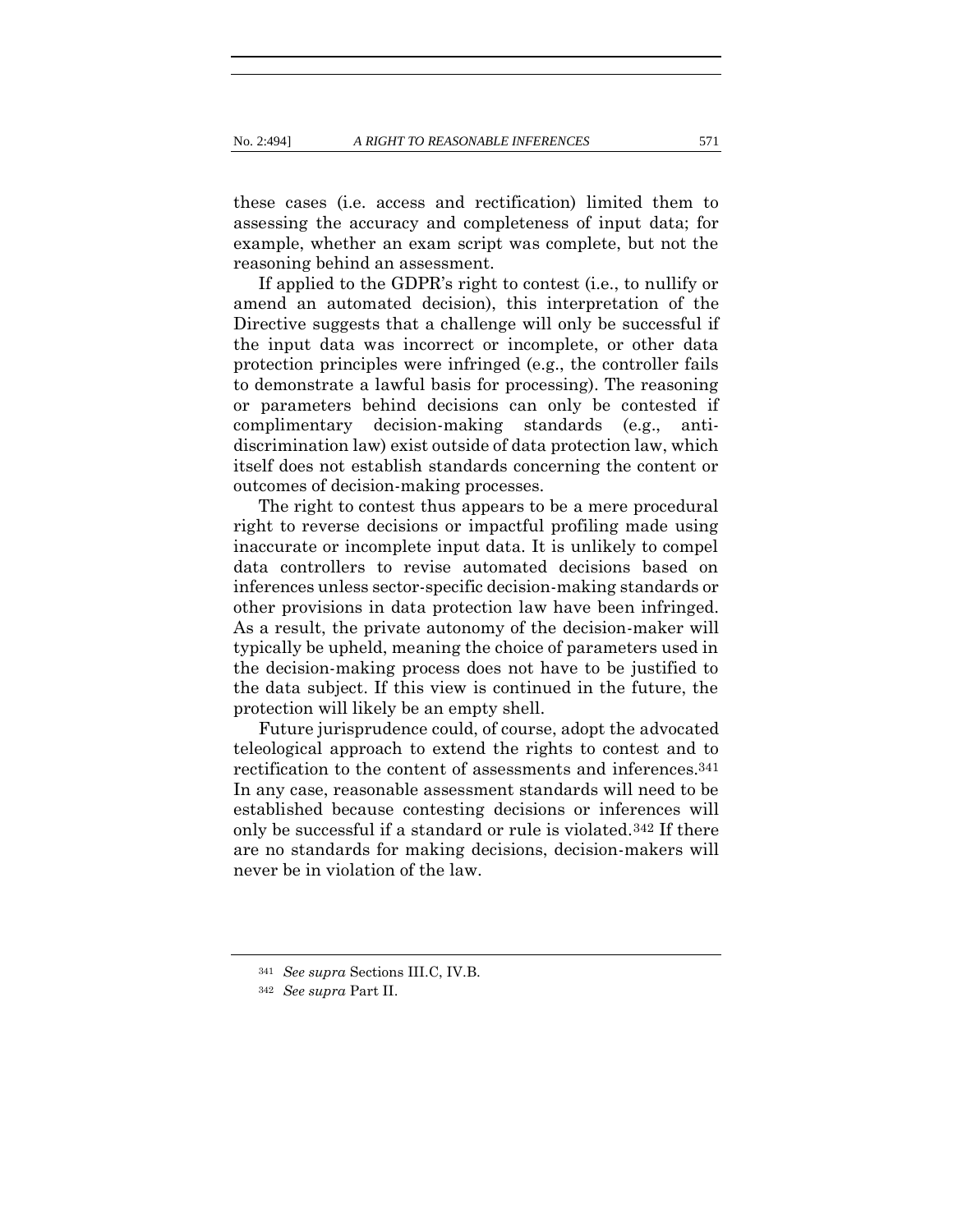these cases (i.e. access and rectification) limited them to assessing the accuracy and completeness of input data; for example, whether an exam script was complete, but not the reasoning behind an assessment.

If applied to the GDPR's right to contest (i.e., to nullify or amend an automated decision), this interpretation of the Directive suggests that a challenge will only be successful if the input data was incorrect or incomplete, or other data protection principles were infringed (e.g., the controller fails to demonstrate a lawful basis for processing). The reasoning or parameters behind decisions can only be contested if complimentary decision-making standards (e.g., antidiscrimination law) exist outside of data protection law, which itself does not establish standards concerning the content or outcomes of decision-making processes.

The right to contest thus appears to be a mere procedural right to reverse decisions or impactful profiling made using inaccurate or incomplete input data. It is unlikely to compel data controllers to revise automated decisions based on inferences unless sector-specific decision-making standards or other provisions in data protection law have been infringed. As a result, the private autonomy of the decision-maker will typically be upheld, meaning the choice of parameters used in the decision-making process does not have to be justified to the data subject. If this view is continued in the future, the protection will likely be an empty shell.

Future jurisprudence could, of course, adopt the advocated teleological approach to extend the rights to contest and to rectification to the content of assessments and inferences.341 In any case, reasonable assessment standards will need to be established because contesting decisions or inferences will only be successful if a standard or rule is violated.342 If there are no standards for making decisions, decision-makers will never be in violation of the law.

<sup>341</sup> *See supra* Sections III.C, IV.B.

<sup>342</sup> *See supra* Part II.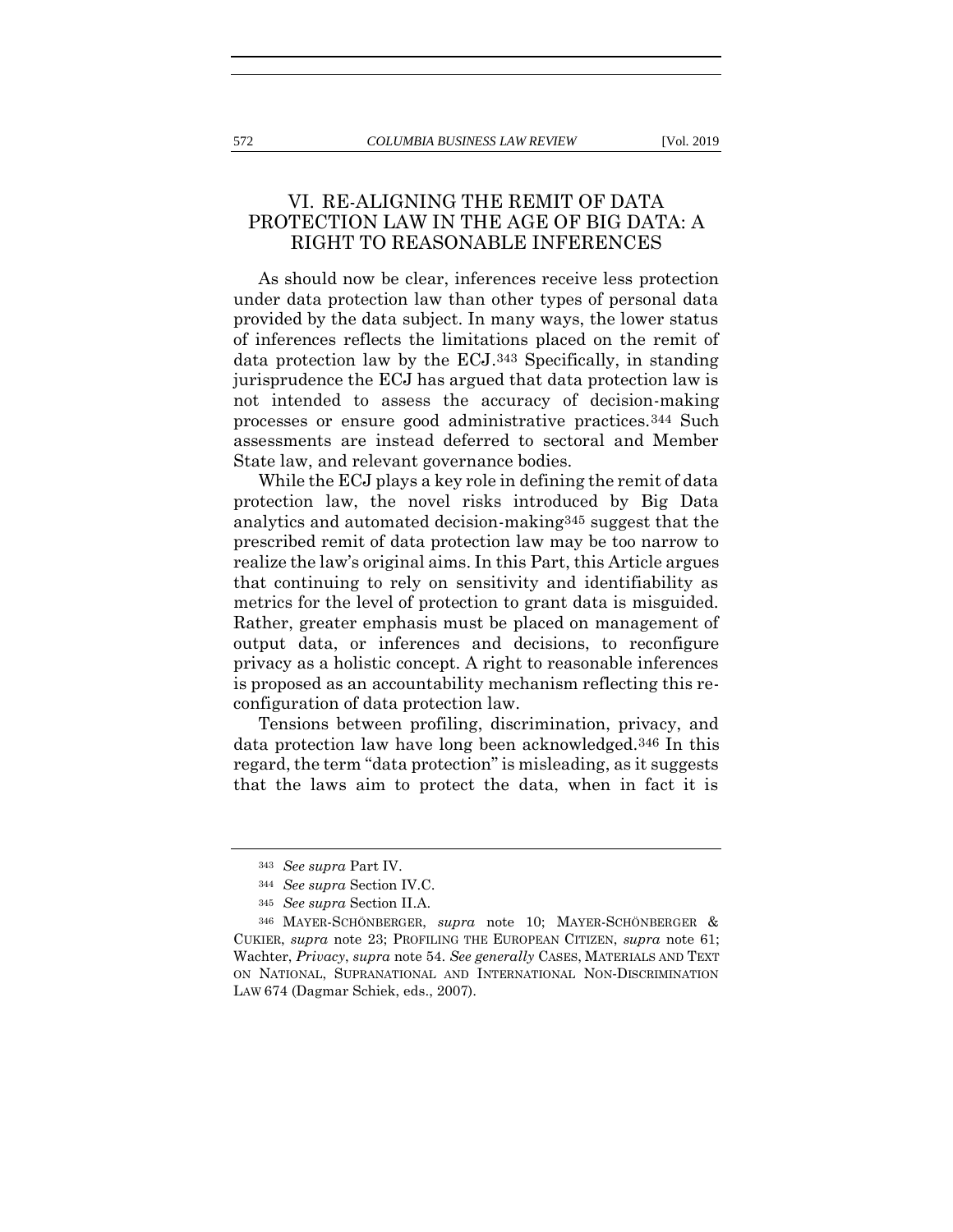## VI. RE-ALIGNING THE REMIT OF DATA PROTECTION LAW IN THE AGE OF BIG DATA: A RIGHT TO REASONABLE INFERENCES

As should now be clear, inferences receive less protection under data protection law than other types of personal data provided by the data subject. In many ways, the lower status of inferences reflects the limitations placed on the remit of data protection law by the ECJ.343 Specifically, in standing jurisprudence the ECJ has argued that data protection law is not intended to assess the accuracy of decision-making processes or ensure good administrative practices.344 Such assessments are instead deferred to sectoral and Member State law, and relevant governance bodies.

While the ECJ plays a key role in defining the remit of data protection law, the novel risks introduced by Big Data analytics and automated decision-making345 suggest that the prescribed remit of data protection law may be too narrow to realize the law's original aims. In this Part, this Article argues that continuing to rely on sensitivity and identifiability as metrics for the level of protection to grant data is misguided. Rather, greater emphasis must be placed on management of output data, or inferences and decisions, to reconfigure privacy as a holistic concept. A right to reasonable inferences is proposed as an accountability mechanism reflecting this reconfiguration of data protection law.

Tensions between profiling, discrimination, privacy, and data protection law have long been acknowledged.346 In this regard, the term "data protection" is misleading, as it suggests that the laws aim to protect the data, when in fact it is

<sup>343</sup> *See supra* Part IV.

<sup>344</sup> *See supra* Section IV.C.

<sup>345</sup> *See supra* Section II.A.

<sup>346</sup> MAYER-SCHÖNBERGER, *supra* note [10;](#page-8-1) MAYER-SCHÖNBERGER & CUKIER, *supra* note [23;](#page-12-0) PROFILING THE EUROPEAN CITIZEN, *supra* note [61;](#page-18-0) Wachter, *Privacy*, *supra* not[e 54.](#page-16-0) *See generally* CASES, MATERIALS AND TEXT ON NATIONAL, SUPRANATIONAL AND INTERNATIONAL NON‐DISCRIMINATION LAW 674 (Dagmar Schiek, eds., 2007).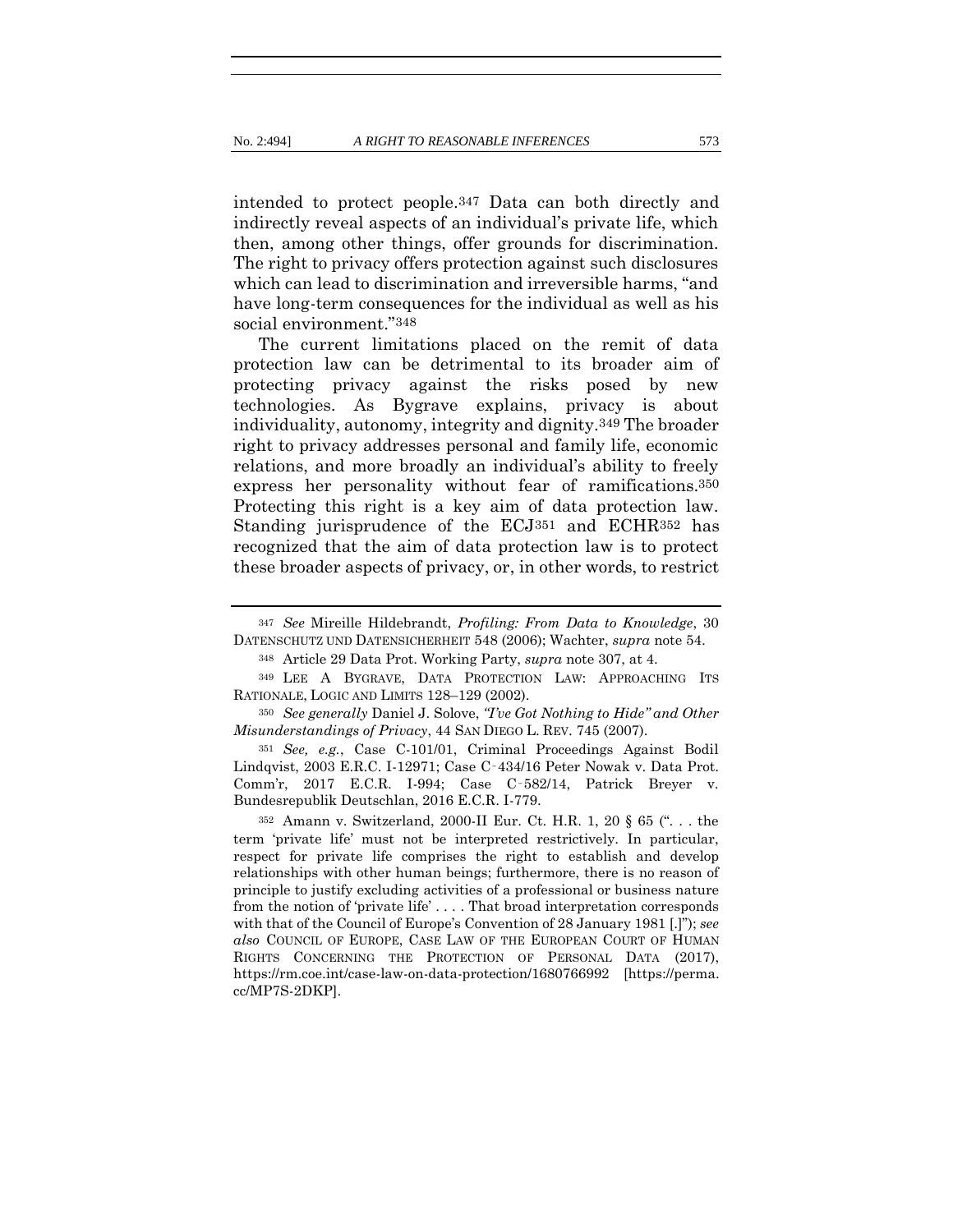<span id="page-79-0"></span>intended to protect people.347 Data can both directly and indirectly reveal aspects of an individual's private life, which then, among other things, offer grounds for discrimination. The right to privacy offers protection against such disclosures which can lead to discrimination and irreversible harms, "and have long-term consequences for the individual as well as his social environment."348

The current limitations placed on the remit of data protection law can be detrimental to its broader aim of protecting privacy against the risks posed by new technologies. As Bygrave explains, privacy is about individuality, autonomy, integrity and dignity.349 The broader right to privacy addresses personal and family life, economic relations, and more broadly an individual's ability to freely express her personality without fear of ramifications.350 Protecting this right is a key aim of data protection law. Standing jurisprudence of the ECJ351 and ECHR352 has recognized that the aim of data protection law is to protect these broader aspects of privacy, or, in other words, to restrict

<sup>348</sup> Article 29 Data Prot. Working Party, *supra* note [307,](#page-67-0) at 4.

<sup>351</sup> *See, e.g.*, Case C-101/01, Criminal Proceedings Against Bodil Lindqvist, 2003 E.R.C. I-12971; Case C‑434/16 Peter Nowak v. Data Prot. Comm'r, 2017 E.C.R. I-994; Case C‑582/14, Patrick Breyer v. Bundesrepublik Deutschlan, 2016 E.C.R. I-779.

<sup>352</sup> Amann v. Switzerland, 2000-II Eur. Ct. H.R. 1, 20 § 65 (". . . the term 'private life' must not be interpreted restrictively. In particular, respect for private life comprises the right to establish and develop relationships with other human beings; furthermore, there is no reason of principle to justify excluding activities of a professional or business nature from the notion of 'private life' . . . . That broad interpretation corresponds with that of the Council of Europe's Convention of 28 January 1981 [.]"); *see also* COUNCIL OF EUROPE, CASE LAW OF THE EUROPEAN COURT OF HUMAN RIGHTS CONCERNING THE PROTECTION OF PERSONAL DATA (2017), https://rm.coe.int/case-law-on-data-protection/1680766992 [https://perma. cc/MP7S-2DKP].

<sup>347</sup> *See* Mireille Hildebrandt, *Profiling: From Data to Knowledge*, 30 DATENSCHUTZ UND DATENSICHERHEIT 548 (2006); Wachter, *supra* not[e 54.](#page-16-0)

<sup>349</sup> LEE A BYGRAVE, DATA PROTECTION LAW: APPROACHING ITS RATIONALE, LOGIC AND LIMITS 128–129 (2002).

<sup>350</sup> *See generally* Daniel J. Solove, *"I've Got Nothing to Hide" and Other Misunderstandings of Privacy*, 44 SAN DIEGO L. REV. 745 (2007).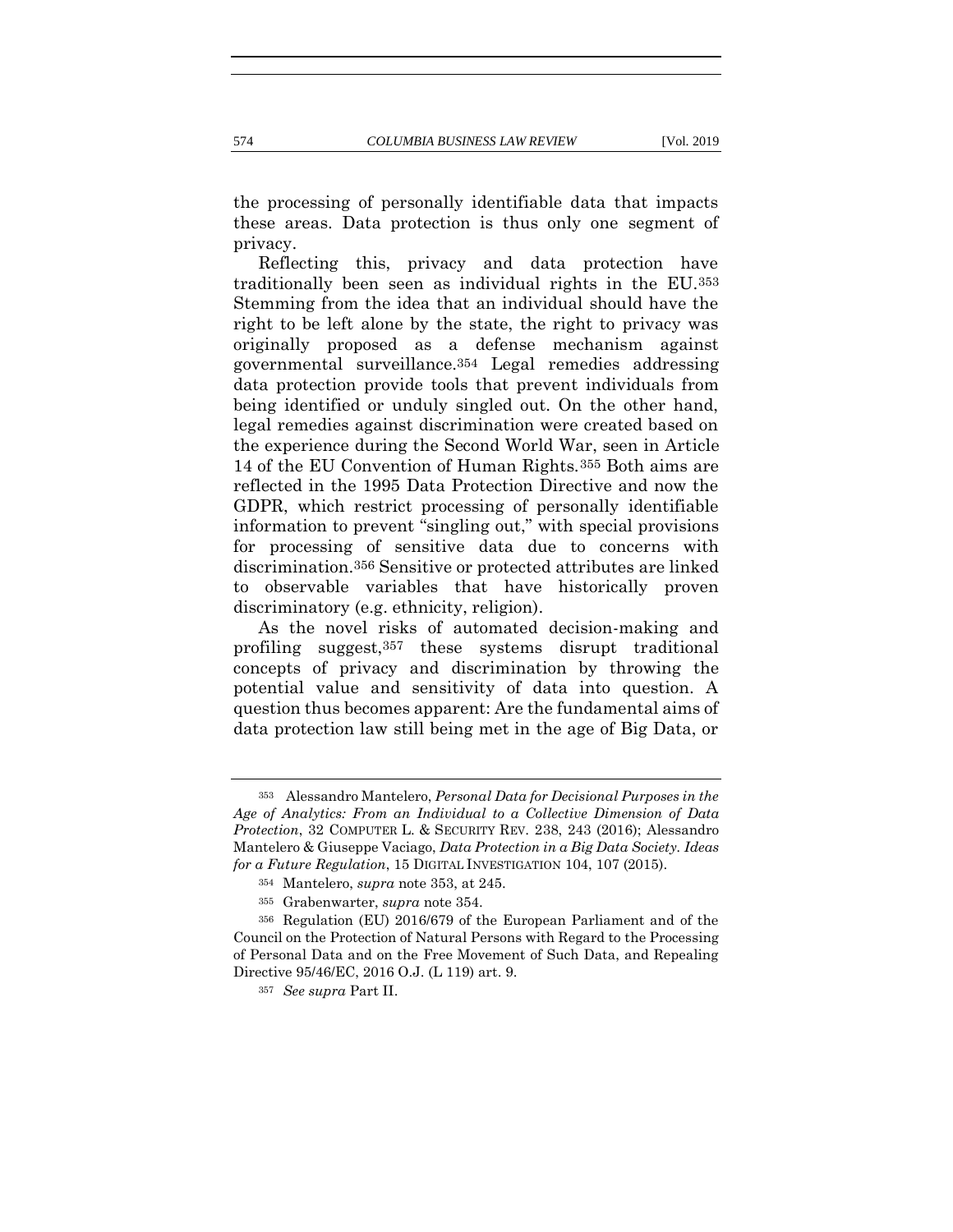the processing of personally identifiable data that impacts these areas. Data protection is thus only one segment of privacy.

<span id="page-80-1"></span><span id="page-80-0"></span>Reflecting this, privacy and data protection have traditionally been seen as individual rights in the EU.353 Stemming from the idea that an individual should have the right to be left alone by the state, the right to privacy was originally proposed as a defense mechanism against governmental surveillance.354 Legal remedies addressing data protection provide tools that prevent individuals from being identified or unduly singled out. On the other hand, legal remedies against discrimination were created based on the experience during the Second World War, seen in Article 14 of the EU Convention of Human Rights.355 Both aims are reflected in the 1995 Data Protection Directive and now the GDPR, which restrict processing of personally identifiable information to prevent "singling out," with special provisions for processing of sensitive data due to concerns with discrimination.356 Sensitive or protected attributes are linked to observable variables that have historically proven discriminatory (e.g. ethnicity, religion).

As the novel risks of automated decision-making and profiling suggest,357 these systems disrupt traditional concepts of privacy and discrimination by throwing the potential value and sensitivity of data into question. A question thus becomes apparent: Are the fundamental aims of data protection law still being met in the age of Big Data, or

<sup>353</sup> Alessandro Mantelero, *Personal Data for Decisional Purposes in the Age of Analytics: From an Individual to a Collective Dimension of Data Protection*, 32 COMPUTER L. & SECURITY REV. 238, 243 (2016); Alessandro Mantelero & Giuseppe Vaciago, *Data Protection in a Big Data Society. Ideas for a Future Regulation*, 15 DIGITAL INVESTIGATION 104, 107 (2015).

<sup>354</sup> Mantelero, *supra* not[e 353,](#page-80-0) at 245.

<sup>355</sup> Grabenwarter, *supra* note [354.](#page-80-1)

<sup>356</sup> Regulation (EU) 2016/679 of the European Parliament and of the Council on the Protection of Natural Persons with Regard to the Processing of Personal Data and on the Free Movement of Such Data, and Repealing Directive 95/46/EC, 2016 O.J. (L 119) art. 9.

<sup>357</sup> *See supra* Part II.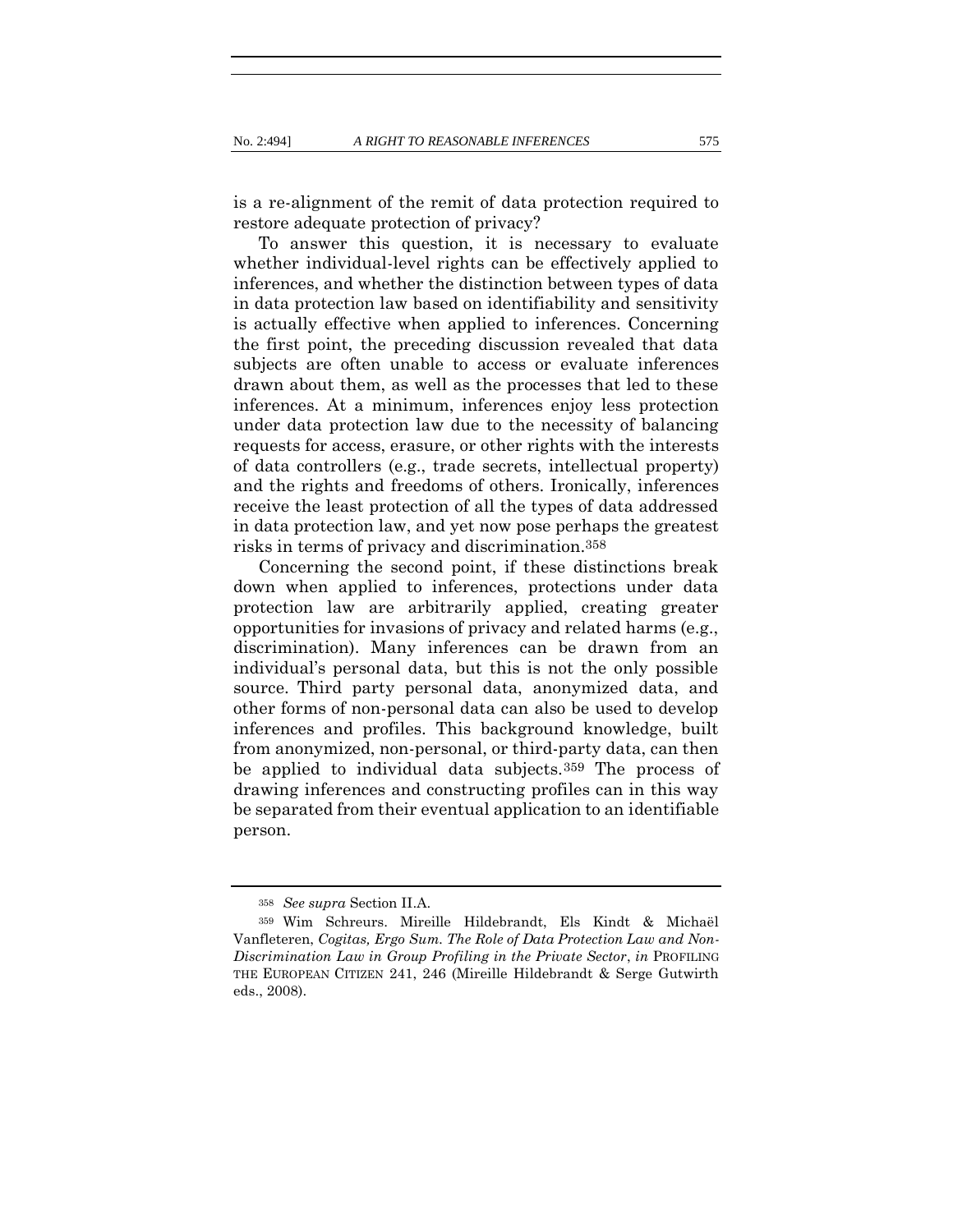is a re-alignment of the remit of data protection required to restore adequate protection of privacy?

To answer this question, it is necessary to evaluate whether individual-level rights can be effectively applied to inferences, and whether the distinction between types of data in data protection law based on identifiability and sensitivity is actually effective when applied to inferences. Concerning the first point, the preceding discussion revealed that data subjects are often unable to access or evaluate inferences drawn about them, as well as the processes that led to these inferences. At a minimum, inferences enjoy less protection under data protection law due to the necessity of balancing requests for access, erasure, or other rights with the interests of data controllers (e.g., trade secrets, intellectual property) and the rights and freedoms of others. Ironically, inferences receive the least protection of all the types of data addressed in data protection law, and yet now pose perhaps the greatest risks in terms of privacy and discrimination.358

Concerning the second point, if these distinctions break down when applied to inferences, protections under data protection law are arbitrarily applied, creating greater opportunities for invasions of privacy and related harms (e.g., discrimination). Many inferences can be drawn from an individual's personal data, but this is not the only possible source. Third party personal data, anonymized data, and other forms of non-personal data can also be used to develop inferences and profiles. This background knowledge, built from anonymized, non-personal, or third-party data, can then be applied to individual data subjects.359 The process of drawing inferences and constructing profiles can in this way be separated from their eventual application to an identifiable person.

<span id="page-81-0"></span><sup>358</sup> *See supra* Section II.A.

<sup>359</sup> Wim Schreurs. Mireille Hildebrandt, Els Kindt & Michaël Vanfleteren, *Cogitas, Ergo Sum. The Role of Data Protection Law and Non-Discrimination Law in Group Profiling in the Private Sector*, *in* PROFILING THE EUROPEAN CITIZEN 241, 246 (Mireille Hildebrandt & Serge Gutwirth eds., 2008).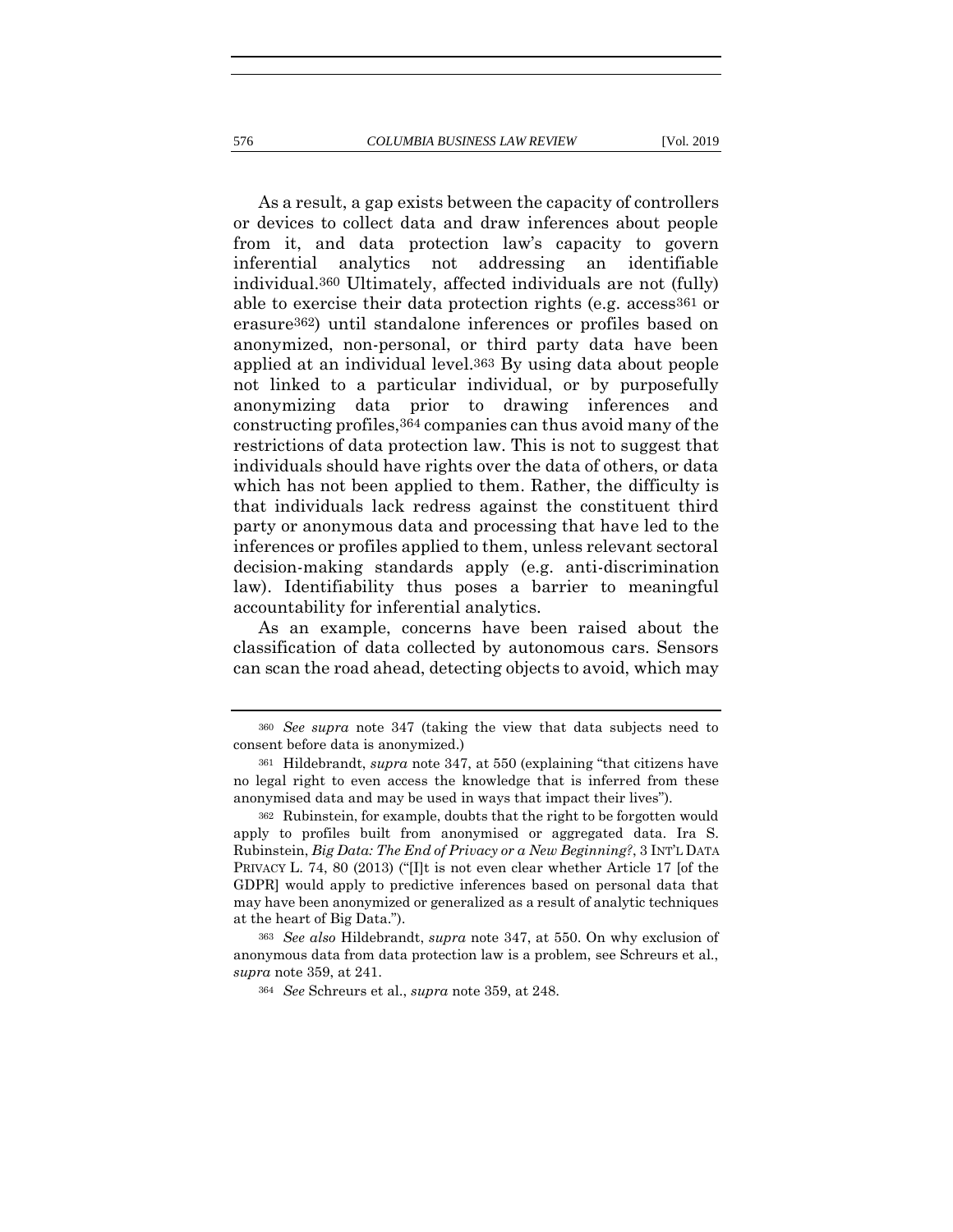As a result, a gap exists between the capacity of controllers or devices to collect data and draw inferences about people from it, and data protection law's capacity to govern inferential analytics not addressing an identifiable individual.360 Ultimately, affected individuals are not (fully) able to exercise their data protection rights (e.g. access<sup>361</sup> or erasure362) until standalone inferences or profiles based on anonymized, non-personal, or third party data have been applied at an individual level.363 By using data about people not linked to a particular individual, or by purposefully anonymizing data prior to drawing inferences and constructing profiles,364 companies can thus avoid many of the restrictions of data protection law. This is not to suggest that individuals should have rights over the data of others, or data which has not been applied to them. Rather, the difficulty is that individuals lack redress against the constituent third party or anonymous data and processing that have led to the inferences or profiles applied to them, unless relevant sectoral decision-making standards apply (e.g. anti-discrimination law). Identifiability thus poses a barrier to meaningful accountability for inferential analytics.

As an example, concerns have been raised about the classification of data collected by autonomous cars. Sensors can scan the road ahead, detecting objects to avoid, which may

<sup>360</sup> *See supra* note [347](#page-79-0) (taking the view that data subjects need to consent before data is anonymized.)

<sup>361</sup> Hildebrandt, *supra* note [347](#page-79-0), at 550 (explaining "that citizens have no legal right to even access the knowledge that is inferred from these anonymised data and may be used in ways that impact their lives").

<sup>362</sup> Rubinstein, for example, doubts that the right to be forgotten would apply to profiles built from anonymised or aggregated data. Ira S. Rubinstein, *Big Data: The End of Privacy or a New Beginning?*, 3 INT'L DATA PRIVACY L. 74, 80 (2013) ("[I]t is not even clear whether Article 17 [of the GDPR] would apply to predictive inferences based on personal data that may have been anonymized or generalized as a result of analytic techniques at the heart of Big Data.").

<sup>363</sup> *See also* Hildebrandt, *supra* note [347,](#page-79-0) at 550. On why exclusion of anonymous data from data protection law is a problem, see Schreurs et al., *supra* note [359,](#page-81-0) at 241.

<sup>364</sup> *See* Schreurs et al., *supra* note [359,](#page-81-0) at 248.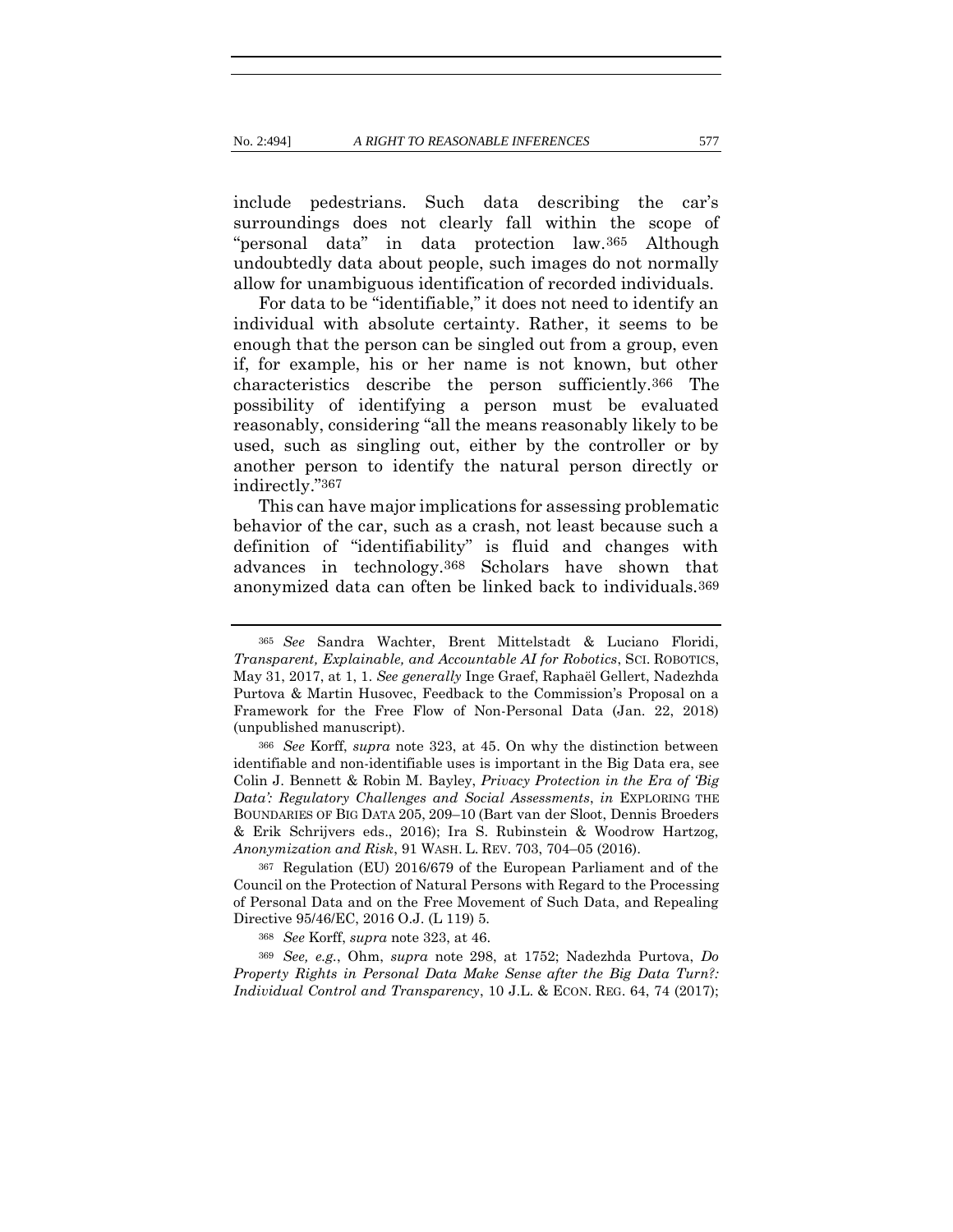include pedestrians. Such data describing the car's surroundings does not clearly fall within the scope of "personal data" in data protection law.365 Although undoubtedly data about people, such images do not normally allow for unambiguous identification of recorded individuals.

For data to be "identifiable," it does not need to identify an individual with absolute certainty. Rather, it seems to be enough that the person can be singled out from a group, even if, for example, his or her name is not known, but other characteristics describe the person sufficiently.366 The possibility of identifying a person must be evaluated reasonably, considering "all the means reasonably likely to be used, such as singling out, either by the controller or by another person to identify the natural person directly or indirectly."367

This can have major implications for assessing problematic behavior of the car, such as a crash, not least because such a definition of "identifiability" is fluid and changes with advances in technology.368 Scholars have shown that anonymized data can often be linked back to individuals.369

<sup>367</sup> Regulation (EU) 2016/679 of the European Parliament and of the Council on the Protection of Natural Persons with Regard to the Processing of Personal Data and on the Free Movement of Such Data, and Repealing Directive 95/46/EC, 2016 O.J. (L 119) 5.

<sup>369</sup> *See, e.g.*, Ohm, *supra* note [298,](#page-65-0) at 1752; Nadezhda Purtova, *Do Property Rights in Personal Data Make Sense after the Big Data Turn?: Individual Control and Transparency*, 10 J.L. & ECON. REG. 64, 74 (2017);

<sup>365</sup> *See* Sandra Wachter, Brent Mittelstadt & Luciano Floridi, *Transparent, Explainable, and Accountable AI for Robotics*, SCI. ROBOTICS, May 31, 2017, at 1, 1. *See generally* Inge Graef, Raphaël Gellert, Nadezhda Purtova & Martin Husovec, Feedback to the Commission's Proposal on a Framework for the Free Flow of Non-Personal Data (Jan. 22, 2018) (unpublished manuscript).

<sup>366</sup> *See* Korff, *supra* note [323,](#page-72-0) at 45. On why the distinction between identifiable and non-identifiable uses is important in the Big Data era, see Colin J. Bennett & Robin M. Bayley, *Privacy Protection in the Era of 'Big Data': Regulatory Challenges and Social Assessments*, *in* EXPLORING THE BOUNDARIES OF BIG DATA 205, 209–10 (Bart van der Sloot, Dennis Broeders & Erik Schrijvers eds., 2016); Ira S. Rubinstein & Woodrow Hartzog, *Anonymization and Risk*, 91 WASH. L. REV. 703, 704–05 (2016).

<sup>368</sup> *See* Korff, *supra* note [323,](#page-72-0) at 46.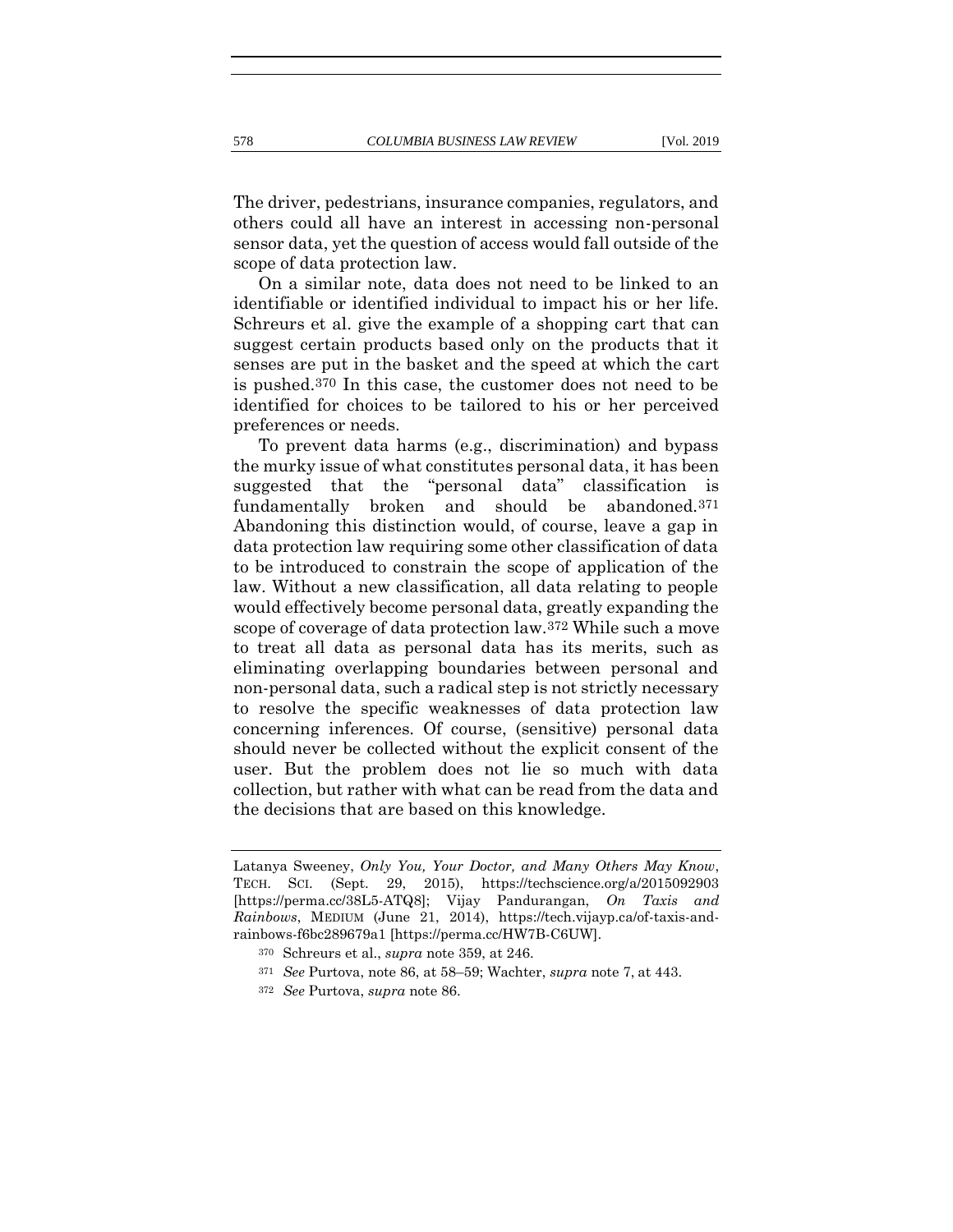The driver, pedestrians, insurance companies, regulators, and others could all have an interest in accessing non-personal sensor data, yet the question of access would fall outside of the scope of data protection law.

On a similar note, data does not need to be linked to an identifiable or identified individual to impact his or her life. Schreurs et al. give the example of a shopping cart that can suggest certain products based only on the products that it senses are put in the basket and the speed at which the cart is pushed.370 In this case, the customer does not need to be identified for choices to be tailored to his or her perceived preferences or needs.

To prevent data harms (e.g., discrimination) and bypass the murky issue of what constitutes personal data, it has been suggested that the "personal data" classification is fundamentally broken and should be abandoned.371 Abandoning this distinction would, of course, leave a gap in data protection law requiring some other classification of data to be introduced to constrain the scope of application of the law. Without a new classification, all data relating to people would effectively become personal data, greatly expanding the scope of coverage of data protection law.372 While such a move to treat all data as personal data has its merits, such as eliminating overlapping boundaries between personal and non-personal data, such a radical step is not strictly necessary to resolve the specific weaknesses of data protection law concerning inferences. Of course, (sensitive) personal data should never be collected without the explicit consent of the user. But the problem does not lie so much with data collection, but rather with what can be read from the data and the decisions that are based on this knowledge.

- <sup>371</sup> *See* Purtova, note [86,](#page-23-0) at 58–59; Wachter, *supra* note [7,](#page-6-0) at 443.
- <sup>372</sup> *See* Purtova, *supra* not[e 86.](#page-23-0)

Latanya Sweeney, *Only You, Your Doctor, and Many Others May Know*, TECH. SCI. (Sept. 29, 2015), https://techscience.org/a/2015092903 [https://perma.cc/38L5-ATQ8]; Vijay Pandurangan, *On Taxis and Rainbows*, MEDIUM (June 21, 2014), https://tech.vijayp.ca/of-taxis-andrainbows-f6bc289679a1 [https://perma.cc/HW7B-C6UW].

<sup>370</sup> Schreurs et al., *supra* not[e 359,](#page-81-0) at 246.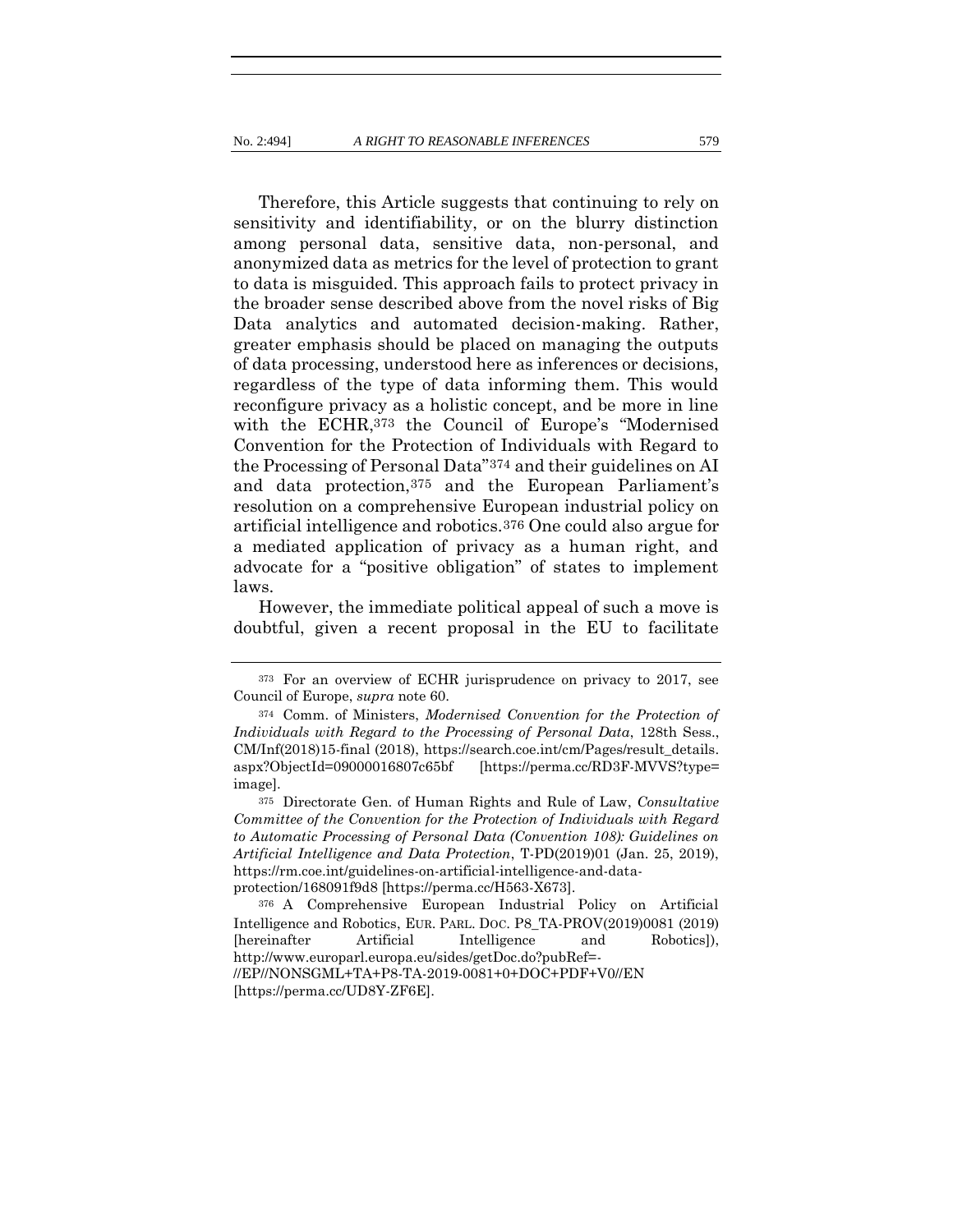Therefore, this Article suggests that continuing to rely on sensitivity and identifiability, or on the blurry distinction among personal data, sensitive data, non-personal, and anonymized data as metrics for the level of protection to grant to data is misguided. This approach fails to protect privacy in the broader sense described above from the novel risks of Big Data analytics and automated decision-making. Rather, greater emphasis should be placed on managing the outputs of data processing, understood here as inferences or decisions, regardless of the type of data informing them. This would reconfigure privacy as a holistic concept, and be more in line with the ECHR,373 the Council of Europe's "Modernised Convention for the Protection of Individuals with Regard to the Processing of Personal Data"374 and their guidelines on AI and data protection,375 and the European Parliament's resolution on a comprehensive European industrial policy on artificial intelligence and robotics.376 One could also argue for a mediated application of privacy as a human right, and advocate for a "positive obligation" of states to implement laws.

However, the immediate political appeal of such a move is doubtful, given a recent proposal in the EU to facilitate

<sup>373</sup> For an overview of ECHR jurisprudence on privacy to 2017, see Council of Europe, *supra* note [60.](#page-17-0)

<sup>374</sup> Comm. of Ministers, *Modernised Convention for the Protection of Individuals with Regard to the Processing of Personal Data*, 128th Sess., CM/Inf(2018)15-final (2018), https://search.coe.int/cm/Pages/result\_details. aspx?ObjectId=09000016807c65bf [https://perma.cc/RD3F-MVVS?type= image].

<sup>375</sup> Directorate Gen. of Human Rights and Rule of Law, *Consultative Committee of the Convention for the Protection of Individuals with Regard to Automatic Processing of Personal Data (Convention 108): Guidelines on Artificial Intelligence and Data Protection*, T-PD(2019)01 (Jan. 25, 2019), https://rm.coe.int/guidelines-on-artificial-intelligence-and-dataprotection/168091f9d8 [https://perma.cc/H563-X673].

<sup>376</sup> A Comprehensive European Industrial Policy on Artificial Intelligence and Robotics, EUR. PARL. DOC. P8\_TA-PROV(2019)0081 (2019) [hereinafter Artificial Intelligence and Robotics]), http://www.europarl.europa.eu/sides/getDoc.do?pubRef=- //EP//NONSGML+TA+P8-TA-2019-0081+0+DOC+PDF+V0//EN [https://perma.cc/UD8Y-ZF6E].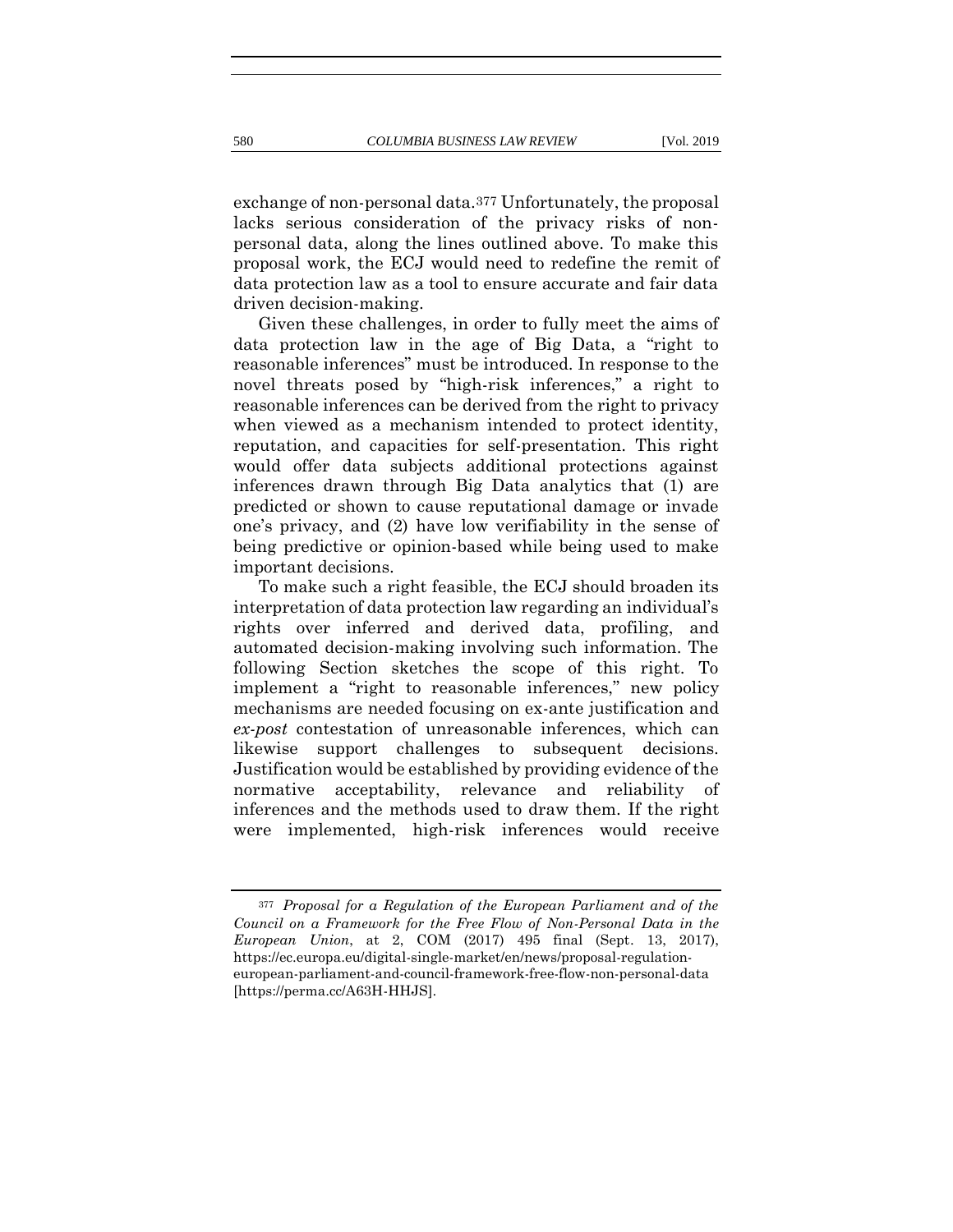exchange of non-personal data.377 Unfortunately, the proposal lacks serious consideration of the privacy risks of nonpersonal data, along the lines outlined above. To make this proposal work, the ECJ would need to redefine the remit of data protection law as a tool to ensure accurate and fair data driven decision-making.

Given these challenges, in order to fully meet the aims of data protection law in the age of Big Data, a "right to reasonable inferences" must be introduced. In response to the novel threats posed by "high-risk inferences," a right to reasonable inferences can be derived from the right to privacy when viewed as a mechanism intended to protect identity, reputation, and capacities for self-presentation. This right would offer data subjects additional protections against inferences drawn through Big Data analytics that (1) are predicted or shown to cause reputational damage or invade one's privacy, and (2) have low verifiability in the sense of being predictive or opinion-based while being used to make important decisions.

To make such a right feasible, the ECJ should broaden its interpretation of data protection law regarding an individual's rights over inferred and derived data, profiling, and automated decision-making involving such information. The following Section sketches the scope of this right. To implement a "right to reasonable inferences," new policy mechanisms are needed focusing on ex-ante justification and *ex-post* contestation of unreasonable inferences, which can likewise support challenges to subsequent decisions. Justification would be established by providing evidence of the normative acceptability, relevance and reliability of inferences and the methods used to draw them. If the right were implemented, high-risk inferences would receive

<sup>377</sup> *Proposal for a Regulation of the European Parliament and of the Council on a Framework for the Free Flow of Non-Personal Data in the European Union*, at 2, COM (2017) 495 final (Sept. 13, 2017), https://ec.europa.eu/digital-single-market/en/news/proposal-regulationeuropean-parliament-and-council-framework-free-flow-non-personal-data [https://perma.cc/A63H-HHJS].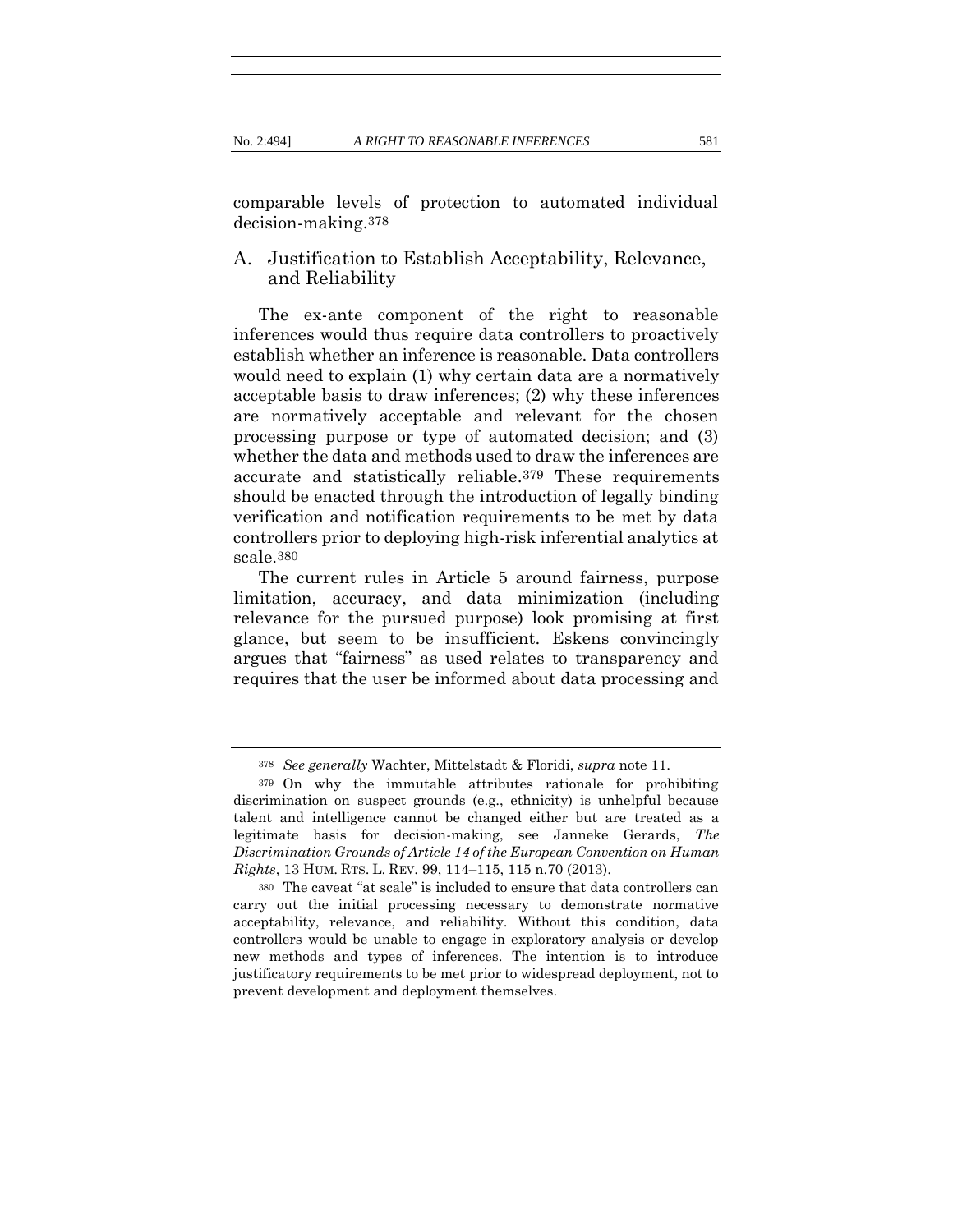comparable levels of protection to automated individual decision-making.378

### A. Justification to Establish Acceptability, Relevance, and Reliability

The ex-ante component of the right to reasonable inferences would thus require data controllers to proactively establish whether an inference is reasonable. Data controllers would need to explain (1) why certain data are a normatively acceptable basis to draw inferences; (2) why these inferences are normatively acceptable and relevant for the chosen processing purpose or type of automated decision; and (3) whether the data and methods used to draw the inferences are accurate and statistically reliable.379 These requirements should be enacted through the introduction of legally binding verification and notification requirements to be met by data controllers prior to deploying high-risk inferential analytics at scale.380

The current rules in Article 5 around fairness, purpose limitation, accuracy, and data minimization (including relevance for the pursued purpose) look promising at first glance, but seem to be insufficient. Eskens convincingly argues that "fairness" as used relates to transparency and requires that the user be informed about data processing and

<sup>378</sup> *See generally* Wachter, Mittelstadt & Floridi, *supra* note [11.](#page-8-0)

<sup>379</sup> On why the immutable attributes rationale for prohibiting discrimination on suspect grounds (e.g., ethnicity) is unhelpful because talent and intelligence cannot be changed either but are treated as a legitimate basis for decision-making, see Janneke Gerards, *The Discrimination Grounds of Article 14 of the European Convention on Human Rights*, 13 HUM. RTS. L. REV. 99, 114–115, 115 n.70 (2013).

<sup>380</sup> The caveat "at scale" is included to ensure that data controllers can carry out the initial processing necessary to demonstrate normative acceptability, relevance, and reliability. Without this condition, data controllers would be unable to engage in exploratory analysis or develop new methods and types of inferences. The intention is to introduce justificatory requirements to be met prior to widespread deployment, not to prevent development and deployment themselves.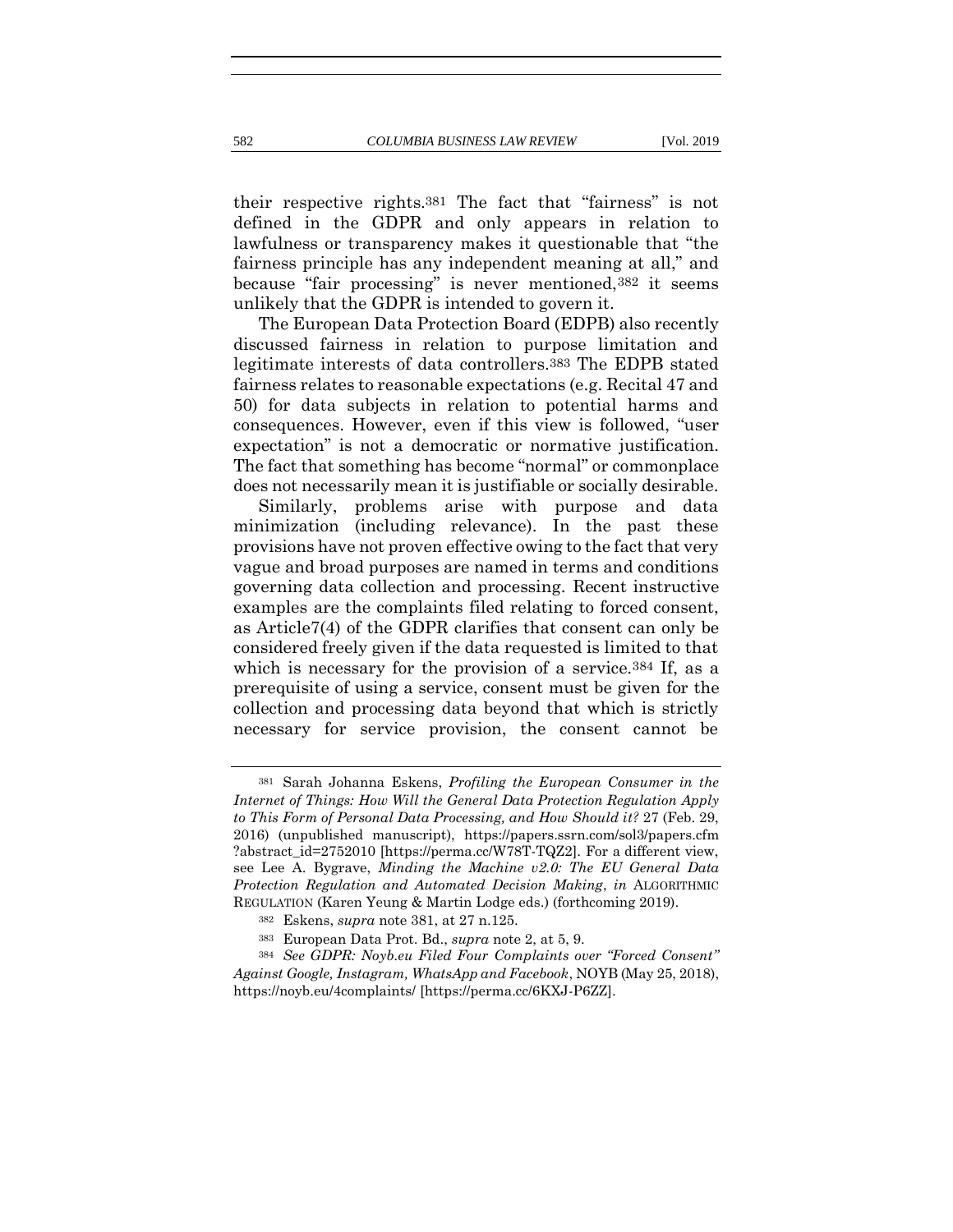<span id="page-88-0"></span>their respective rights.381 The fact that "fairness" is not defined in the GDPR and only appears in relation to lawfulness or transparency makes it questionable that "the fairness principle has any independent meaning at all," and because "fair processing" is never mentioned,382 it seems unlikely that the GDPR is intended to govern it.

The European Data Protection Board (EDPB) also recently discussed fairness in relation to purpose limitation and legitimate interests of data controllers.383 The EDPB stated fairness relates to reasonable expectations (e.g. Recital 47 and 50) for data subjects in relation to potential harms and consequences. However, even if this view is followed, "user expectation" is not a democratic or normative justification. The fact that something has become "normal" or commonplace does not necessarily mean it is justifiable or socially desirable.

Similarly, problems arise with purpose and data minimization (including relevance). In the past these provisions have not proven effective owing to the fact that very vague and broad purposes are named in terms and conditions governing data collection and processing. Recent instructive examples are the complaints filed relating to forced consent, as Article7(4) of the GDPR clarifies that consent can only be considered freely given if the data requested is limited to that which is necessary for the provision of a service.<sup>384</sup> If, as a prerequisite of using a service, consent must be given for the collection and processing data beyond that which is strictly necessary for service provision, the consent cannot be

<sup>381</sup> Sarah Johanna Eskens, *Profiling the European Consumer in the Internet of Things: How Will the General Data Protection Regulation Apply to This Form of Personal Data Processing, and How Should it?* 27 (Feb. 29, 2016) (unpublished manuscript), <https://papers.ssrn.com/sol3/papers.cfm> ?abstract\_id=2752010 [https://perma.cc/W78T-TQZ2]. For a different view, see Lee A. Bygrave, *Minding the Machine v2.0: The EU General Data Protection Regulation and Automated Decision Making*, *in* ALGORITHMIC REGULATION (Karen Yeung & Martin Lodge eds.) (forthcoming 2019).

<sup>382</sup> Eskens, *supra* note [381,](#page-88-0) at 27 n.125.

<sup>383</sup> European Data Prot. Bd., *supra* note [2,](#page-4-0) at 5, 9.

<sup>384</sup> *See GDPR: Noyb.eu Filed Four Complaints over "Forced Consent" Against Google, Instagram, WhatsApp and Facebook*, NOYB (May 25, 2018), https://noyb.eu/4complaints/ [https://perma.cc/6KXJ-P6ZZ].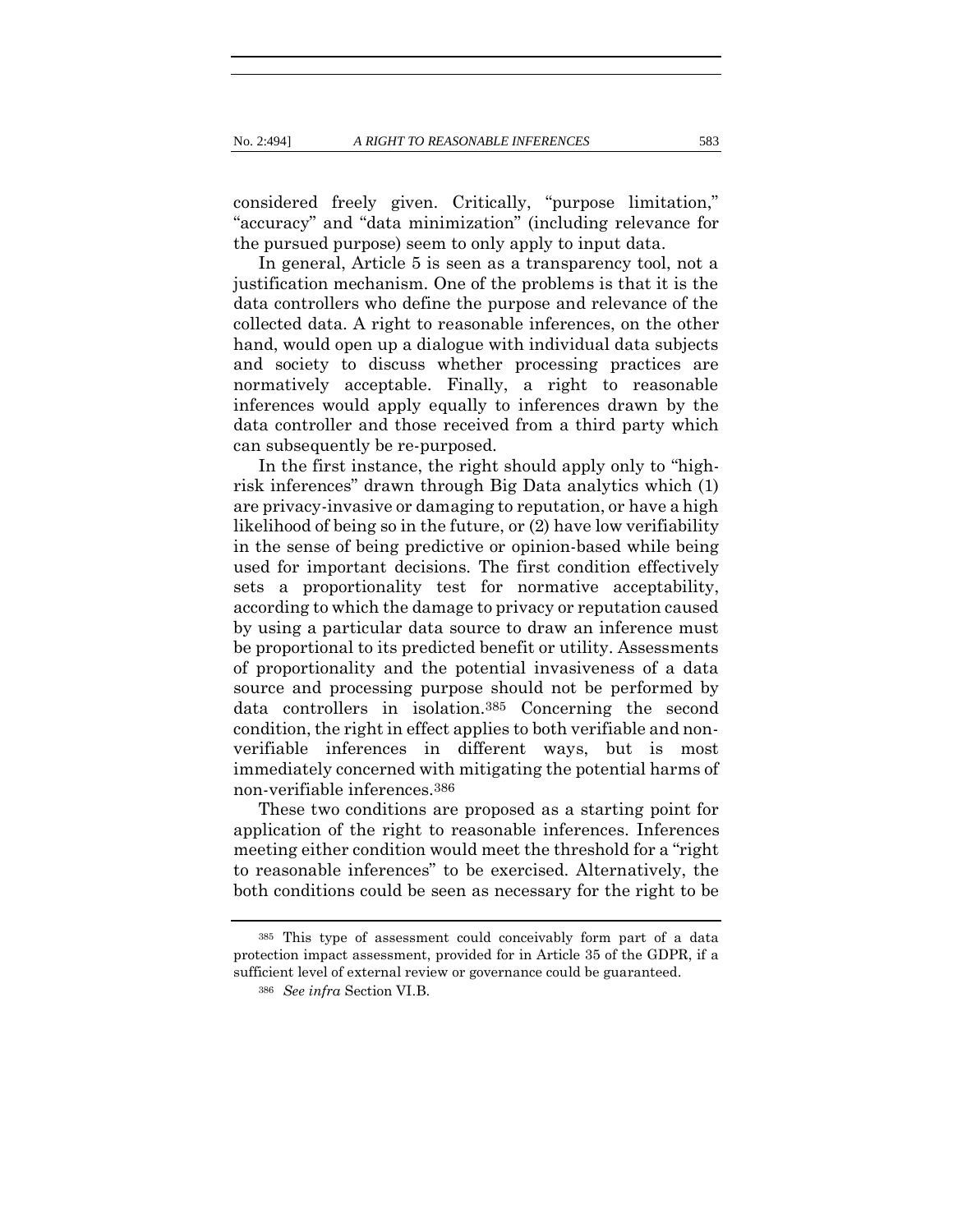considered freely given. Critically, "purpose limitation," "accuracy" and "data minimization" (including relevance for the pursued purpose) seem to only apply to input data.

In general, Article 5 is seen as a transparency tool, not a justification mechanism. One of the problems is that it is the data controllers who define the purpose and relevance of the collected data. A right to reasonable inferences, on the other hand, would open up a dialogue with individual data subjects and society to discuss whether processing practices are normatively acceptable. Finally, a right to reasonable inferences would apply equally to inferences drawn by the data controller and those received from a third party which can subsequently be re-purposed.

In the first instance, the right should apply only to "highrisk inferences" drawn through Big Data analytics which (1) are privacy-invasive or damaging to reputation, or have a high likelihood of being so in the future, or (2) have low verifiability in the sense of being predictive or opinion-based while being used for important decisions. The first condition effectively sets a proportionality test for normative acceptability, according to which the damage to privacy or reputation caused by using a particular data source to draw an inference must be proportional to its predicted benefit or utility. Assessments of proportionality and the potential invasiveness of a data source and processing purpose should not be performed by data controllers in isolation.385 Concerning the second condition, the right in effect applies to both verifiable and nonverifiable inferences in different ways, but is most immediately concerned with mitigating the potential harms of non-verifiable inferences.386

These two conditions are proposed as a starting point for application of the right to reasonable inferences. Inferences meeting either condition would meet the threshold for a "right to reasonable inferences" to be exercised. Alternatively, the both conditions could be seen as necessary for the right to be

<sup>385</sup> This type of assessment could conceivably form part of a data protection impact assessment, provided for in Article 35 of the GDPR, if a sufficient level of external review or governance could be guaranteed.

<sup>386</sup> *See infra* Section VI.B.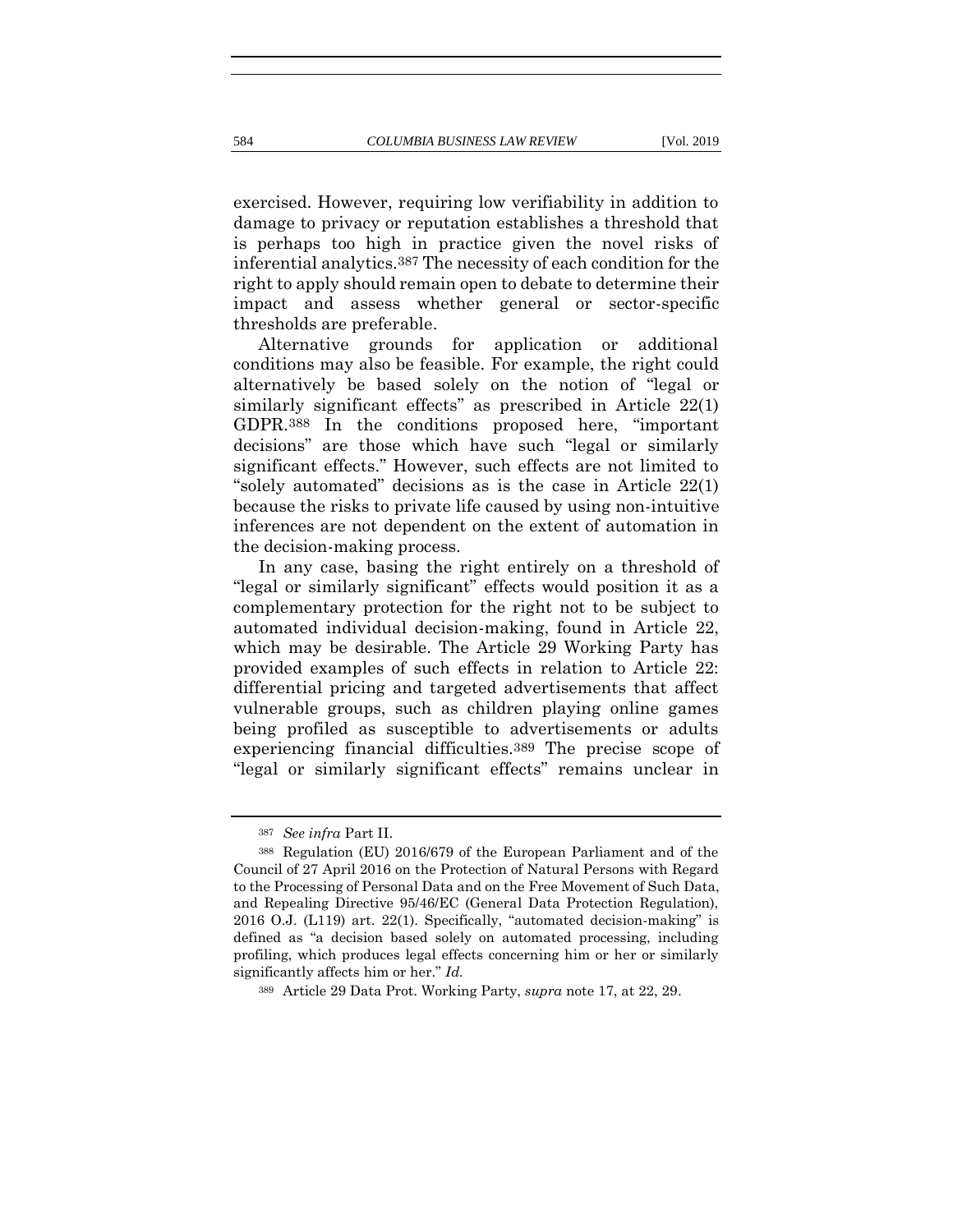exercised. However, requiring low verifiability in addition to damage to privacy or reputation establishes a threshold that is perhaps too high in practice given the novel risks of inferential analytics.387 The necessity of each condition for the right to apply should remain open to debate to determine their impact and assess whether general or sector-specific

thresholds are preferable. Alternative grounds for application or additional conditions may also be feasible. For example, the right could alternatively be based solely on the notion of "legal or similarly significant effects" as prescribed in Article 22(1) GDPR.388 In the conditions proposed here, "important decisions" are those which have such "legal or similarly significant effects." However, such effects are not limited to "solely automated" decisions as is the case in Article 22(1) because the risks to private life caused by using non-intuitive inferences are not dependent on the extent of automation in the decision-making process.

In any case, basing the right entirely on a threshold of "legal or similarly significant" effects would position it as a complementary protection for the right not to be subject to automated individual decision-making, found in Article 22, which may be desirable. The Article 29 Working Party has provided examples of such effects in relation to Article 22: differential pricing and targeted advertisements that affect vulnerable groups, such as children playing online games being profiled as susceptible to advertisements or adults experiencing financial difficulties.389 The precise scope of "legal or similarly significant effects" remains unclear in

<sup>387</sup> *See infra* Part II.

<sup>388</sup> Regulation (EU) 2016/679 of the European Parliament and of the Council of 27 April 2016 on the Protection of Natural Persons with Regard to the Processing of Personal Data and on the Free Movement of Such Data, and Repealing Directive 95/46/EC (General Data Protection Regulation), 2016 O.J. (L119) art. 22(1). Specifically, "automated decision-making" is defined as "a decision based solely on automated processing, including profiling, which produces legal effects concerning him or her or similarly significantly affects him or her." *Id.*

<sup>389</sup> Article 29 Data Prot. Working Party, *supra* note [17,](#page-10-0) at 22, 29.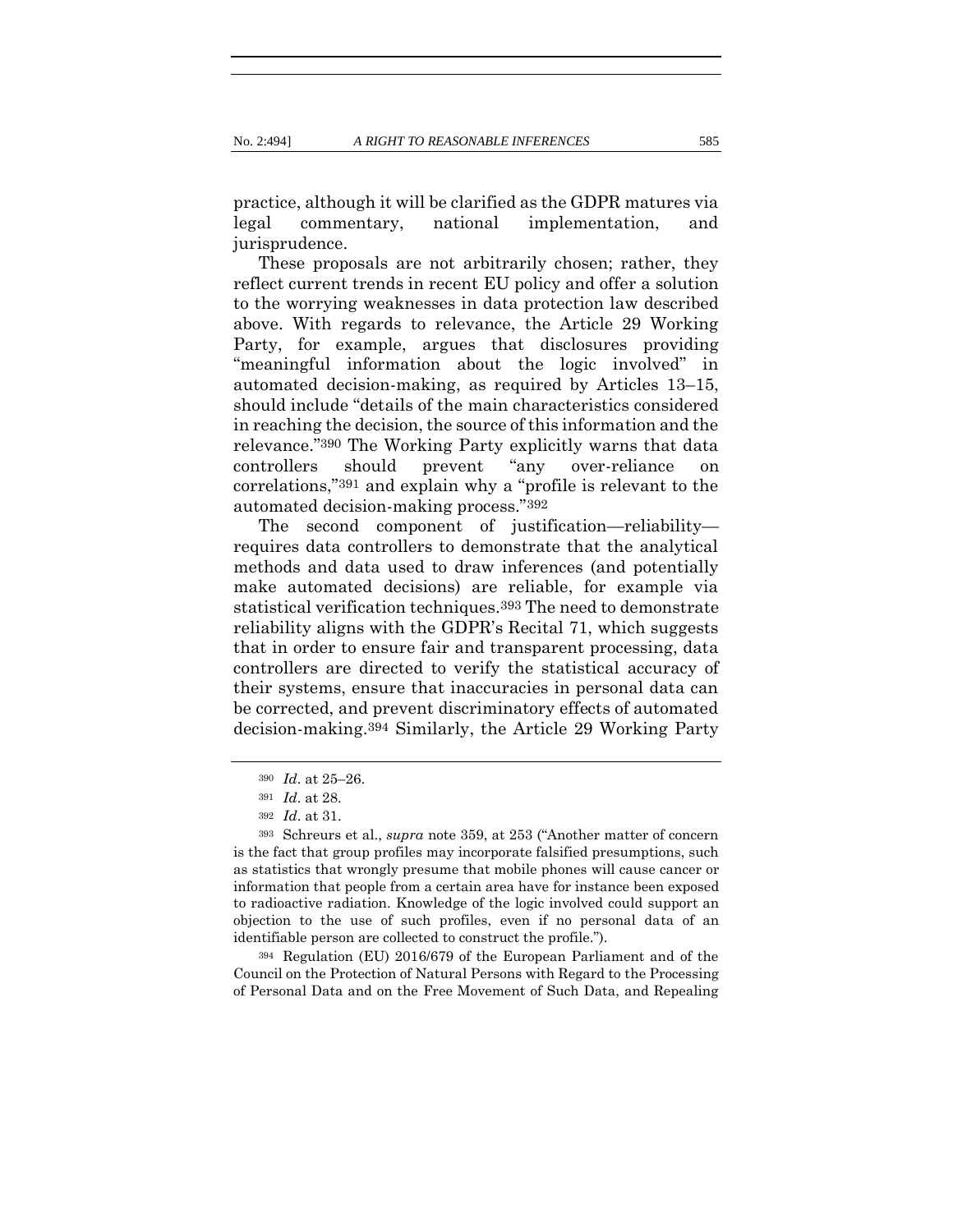practice, although it will be clarified as the GDPR matures via legal commentary, national implementation, and jurisprudence.

These proposals are not arbitrarily chosen; rather, they reflect current trends in recent EU policy and offer a solution to the worrying weaknesses in data protection law described above. With regards to relevance, the Article 29 Working Party, for example, argues that disclosures providing "meaningful information about the logic involved" in automated decision-making, as required by Articles 13–15, should include "details of the main characteristics considered in reaching the decision, the source of this information and the relevance."390 The Working Party explicitly warns that data controllers should prevent "any over-reliance on correlations,"391 and explain why a "profile is relevant to the automated decision-making process."392

The second component of justification—reliability requires data controllers to demonstrate that the analytical methods and data used to draw inferences (and potentially make automated decisions) are reliable, for example via statistical verification techniques.393 The need to demonstrate reliability aligns with the GDPR's Recital 71, which suggests that in order to ensure fair and transparent processing, data controllers are directed to verify the statistical accuracy of their systems, ensure that inaccuracies in personal data can be corrected, and prevent discriminatory effects of automated decision-making.394 Similarly, the Article 29 Working Party

<sup>394</sup> Regulation (EU) 2016/679 of the European Parliament and of the Council on the Protection of Natural Persons with Regard to the Processing of Personal Data and on the Free Movement of Such Data, and Repealing

<sup>390</sup> *Id*. at 25–26.

<sup>391</sup> *Id*. at 28.

<sup>392</sup> *Id*. at 31.

<sup>393</sup> Schreurs et al., *supra* note [359](#page-81-0), at 253 ("Another matter of concern is the fact that group profiles may incorporate falsified presumptions, such as statistics that wrongly presume that mobile phones will cause cancer or information that people from a certain area have for instance been exposed to radioactive radiation. Knowledge of the logic involved could support an objection to the use of such profiles, even if no personal data of an identifiable person are collected to construct the profile.").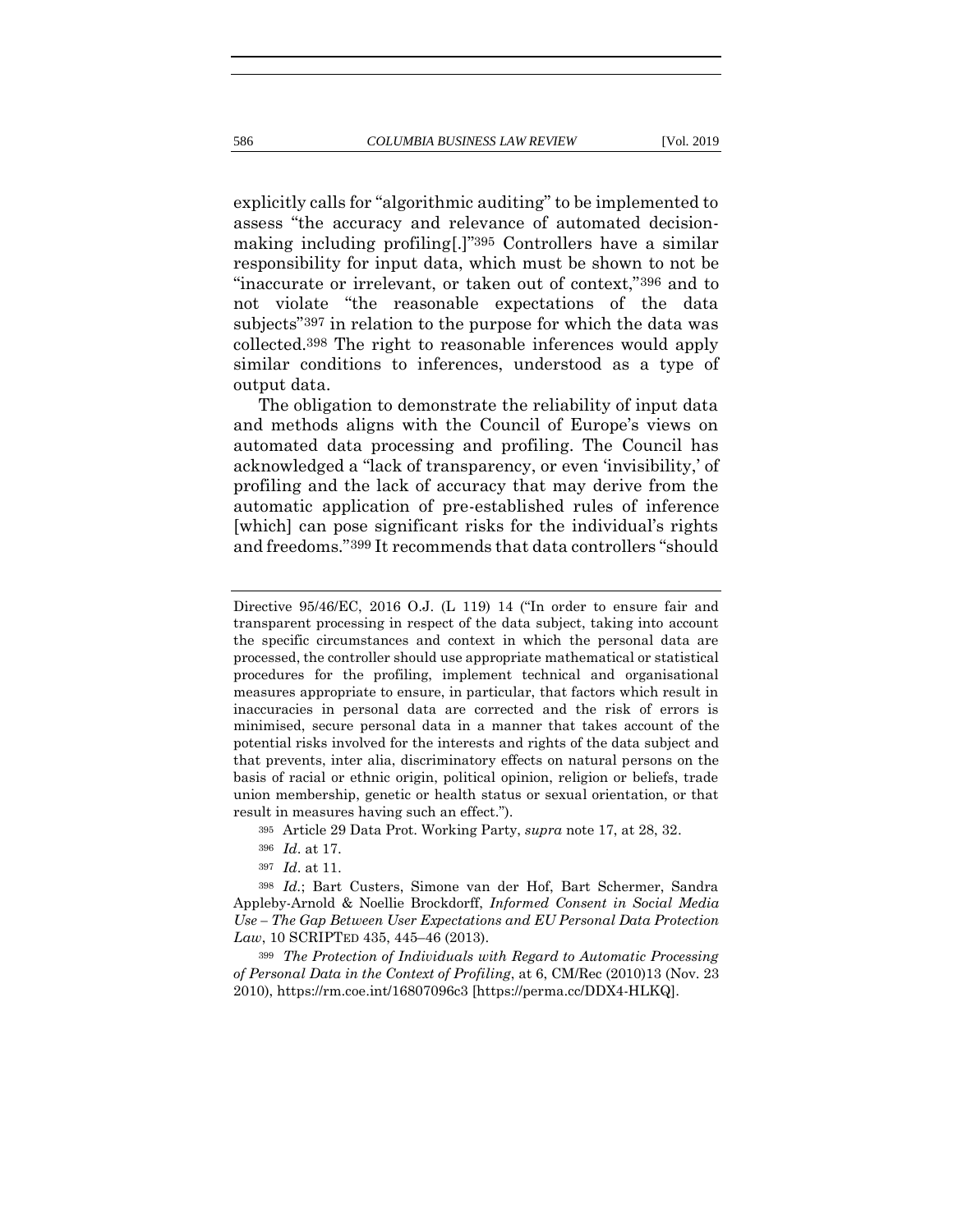explicitly calls for "algorithmic auditing" to be implemented to assess "the accuracy and relevance of automated decisionmaking including profiling[.]"395 Controllers have a similar responsibility for input data, which must be shown to not be "inaccurate or irrelevant, or taken out of context,"396 and to not violate "the reasonable expectations of the data subjects"397 in relation to the purpose for which the data was collected.398 The right to reasonable inferences would apply similar conditions to inferences, understood as a type of output data.

The obligation to demonstrate the reliability of input data and methods aligns with the Council of Europe's views on automated data processing and profiling. The Council has acknowledged a "lack of transparency, or even 'invisibility,' of profiling and the lack of accuracy that may derive from the automatic application of pre-established rules of inference [which] can pose significant risks for the individual's rights and freedoms."399 It recommends that data controllers "should

Directive 95/46/EC, 2016 O.J. (L 119) 14 ("In order to ensure fair and transparent processing in respect of the data subject, taking into account the specific circumstances and context in which the personal data are processed, the controller should use appropriate mathematical or statistical procedures for the profiling, implement technical and organisational measures appropriate to ensure, in particular, that factors which result in inaccuracies in personal data are corrected and the risk of errors is minimised, secure personal data in a manner that takes account of the potential risks involved for the interests and rights of the data subject and that prevents, inter alia, discriminatory effects on natural persons on the basis of racial or ethnic origin, political opinion, religion or beliefs, trade union membership, genetic or health status or sexual orientation, or that result in measures having such an effect.").

<sup>395</sup> Article 29 Data Prot. Working Party, *supra* note [17,](#page-10-0) at 28, 32.

<sup>396</sup> *Id*. at 17.

<sup>397</sup> *Id*. at 11.

<sup>398</sup> *Id.*; Bart Custers, Simone van der Hof, Bart Schermer, Sandra Appleby-Arnold & Noellie Brockdorff, *Informed Consent in Social Media Use – The Gap Between User Expectations and EU Personal Data Protection Law*, 10 SCRIPTED 435, 445–46 (2013).

<sup>399</sup> *The Protection of Individuals with Regard to Automatic Processing of Personal Data in the Context of Profiling*, at 6, CM/Rec (2010)13 (Nov. 23 2010), https://rm.coe.int/16807096c3 [https://perma.cc/DDX4-HLKQ].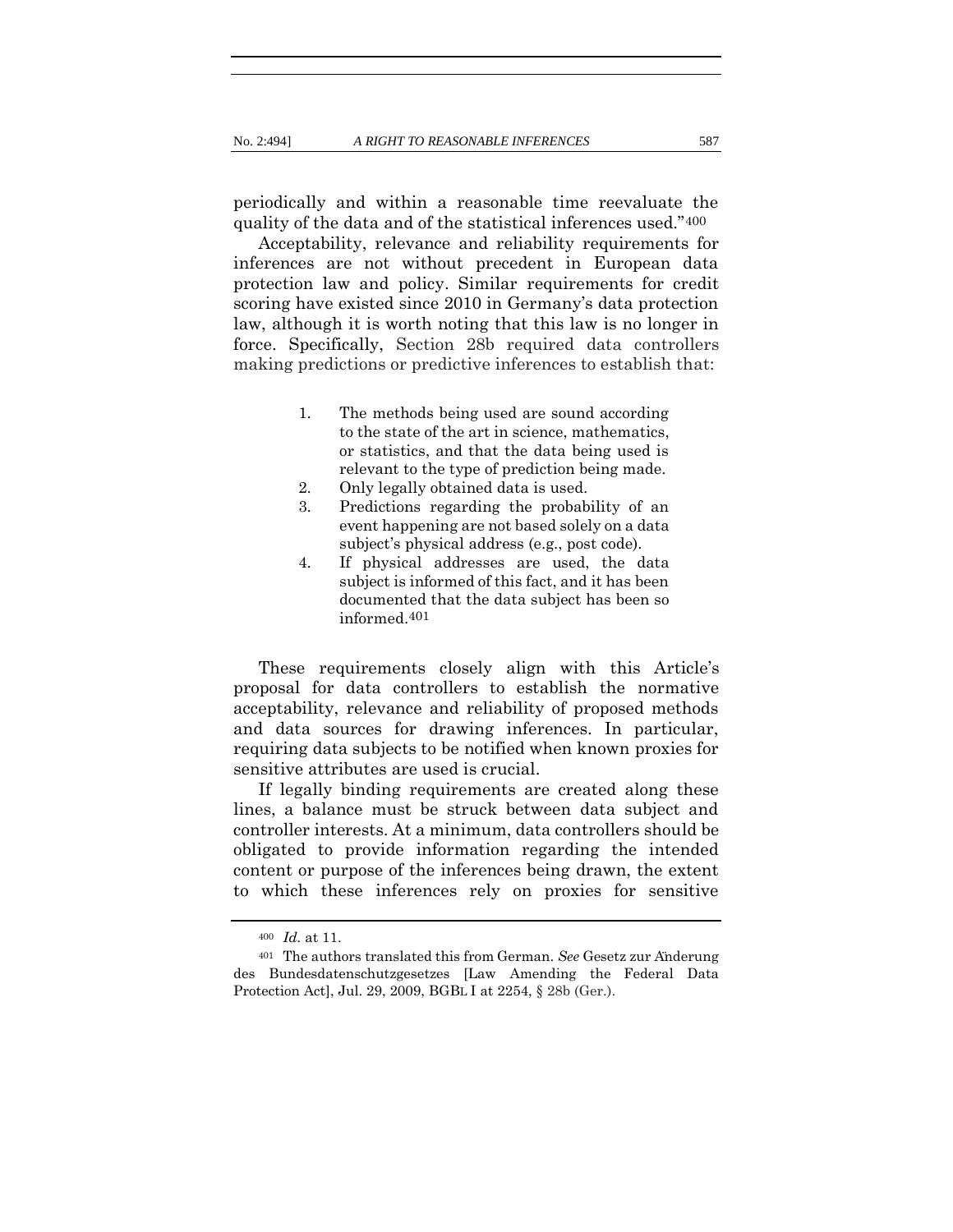periodically and within a reasonable time reevaluate the quality of the data and of the statistical inferences used."400

Acceptability, relevance and reliability requirements for inferences are not without precedent in European data protection law and policy. Similar requirements for credit scoring have existed since 2010 in Germany's data protection law, although it is worth noting that this law is no longer in force. Specifically, Section 28b required data controllers making predictions or predictive inferences to establish that:

- 1. The methods being used are sound according to the state of the art in science, mathematics, or statistics, and that the data being used is relevant to the type of prediction being made.
- 2. Only legally obtained data is used.
- 3. Predictions regarding the probability of an event happening are not based solely on a data subject's physical address (e.g., post code).
- 4. If physical addresses are used, the data subject is informed of this fact, and it has been documented that the data subject has been so informed.401

These requirements closely align with this Article's proposal for data controllers to establish the normative acceptability, relevance and reliability of proposed methods and data sources for drawing inferences. In particular, requiring data subjects to be notified when known proxies for sensitive attributes are used is crucial.

If legally binding requirements are created along these lines, a balance must be struck between data subject and controller interests. At a minimum, data controllers should be obligated to provide information regarding the intended content or purpose of the inferences being drawn, the extent to which these inferences rely on proxies for sensitive

<sup>400</sup> *Id.* at 11.

<sup>401</sup> The authors translated this from German. *See* Gesetz zur Änderung des Bundesdatenschutzgesetzes [Law Amending the Federal Data Protection Act], Jul. 29, 2009, BGBL I at 2254, § 28b (Ger.).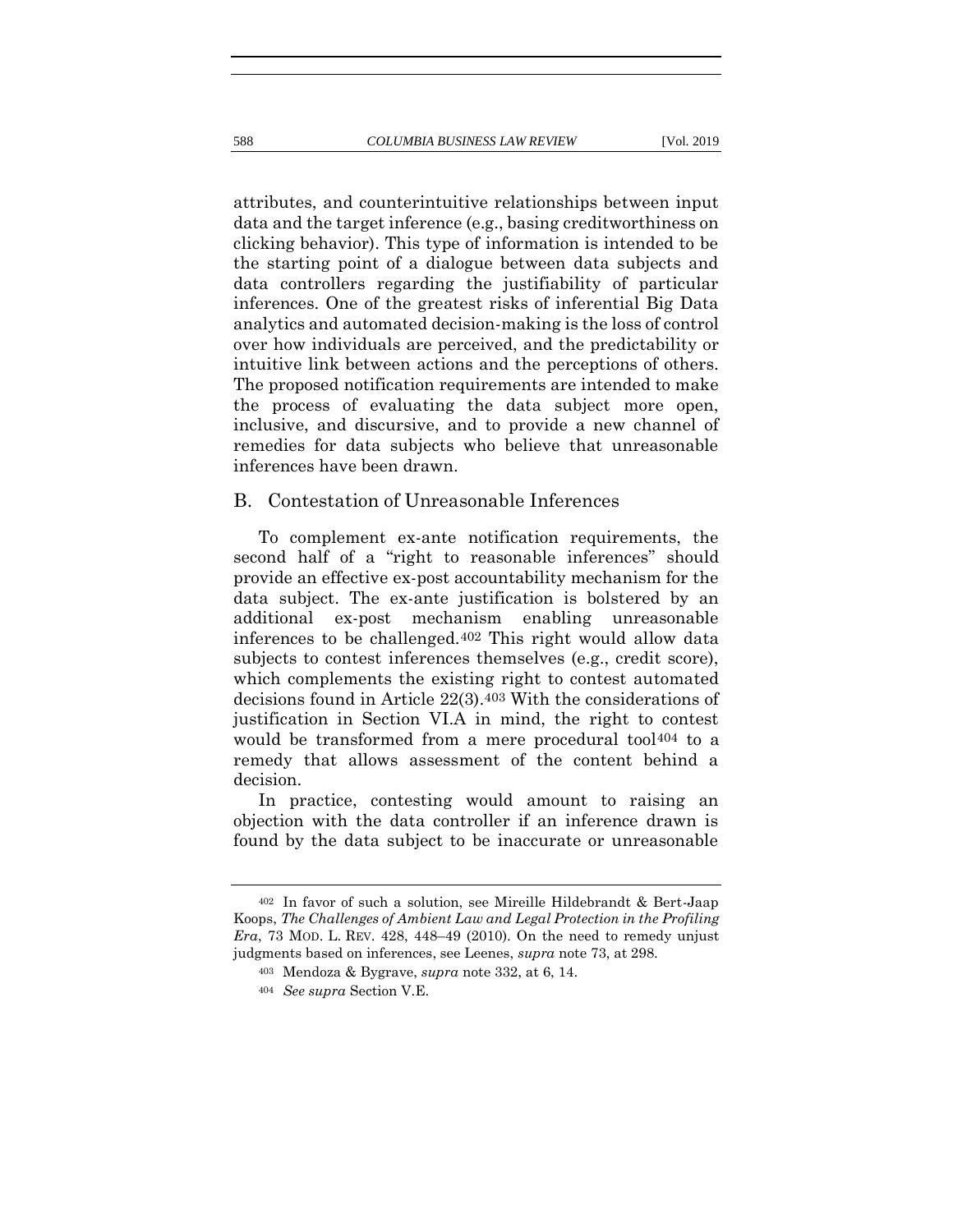attributes, and counterintuitive relationships between input data and the target inference (e.g., basing creditworthiness on clicking behavior). This type of information is intended to be the starting point of a dialogue between data subjects and data controllers regarding the justifiability of particular inferences. One of the greatest risks of inferential Big Data analytics and automated decision-making is the loss of control over how individuals are perceived, and the predictability or intuitive link between actions and the perceptions of others. The proposed notification requirements are intended to make the process of evaluating the data subject more open, inclusive, and discursive, and to provide a new channel of remedies for data subjects who believe that unreasonable inferences have been drawn.

#### B. Contestation of Unreasonable Inferences

To complement ex-ante notification requirements, the second half of a "right to reasonable inferences" should provide an effective ex-post accountability mechanism for the data subject. The ex-ante justification is bolstered by an additional ex-post mechanism enabling unreasonable inferences to be challenged.402 This right would allow data subjects to contest inferences themselves (e.g., credit score), which complements the existing right to contest automated decisions found in Article 22(3).403 With the considerations of justification in Section VI.A in mind, the right to contest would be transformed from a mere procedural tool<sup>404</sup> to a remedy that allows assessment of the content behind a decision.

In practice, contesting would amount to raising an objection with the data controller if an inference drawn is found by the data subject to be inaccurate or unreasonable

<sup>402</sup> In favor of such a solution, see Mireille Hildebrandt & Bert-Jaap Koops, *The Challenges of Ambient Law and Legal Protection in the Profiling Era*, 73 MOD. L. REV. 428, 448–49 (2010). On the need to remedy unjust judgments based on inferences, see Leenes, *supra* not[e 73,](#page-20-0) at 298.

<sup>403</sup> Mendoza & Bygrave, *supra* note [332,](#page-74-0) at 6, 14.

<sup>404</sup> *See supra* Section V.E.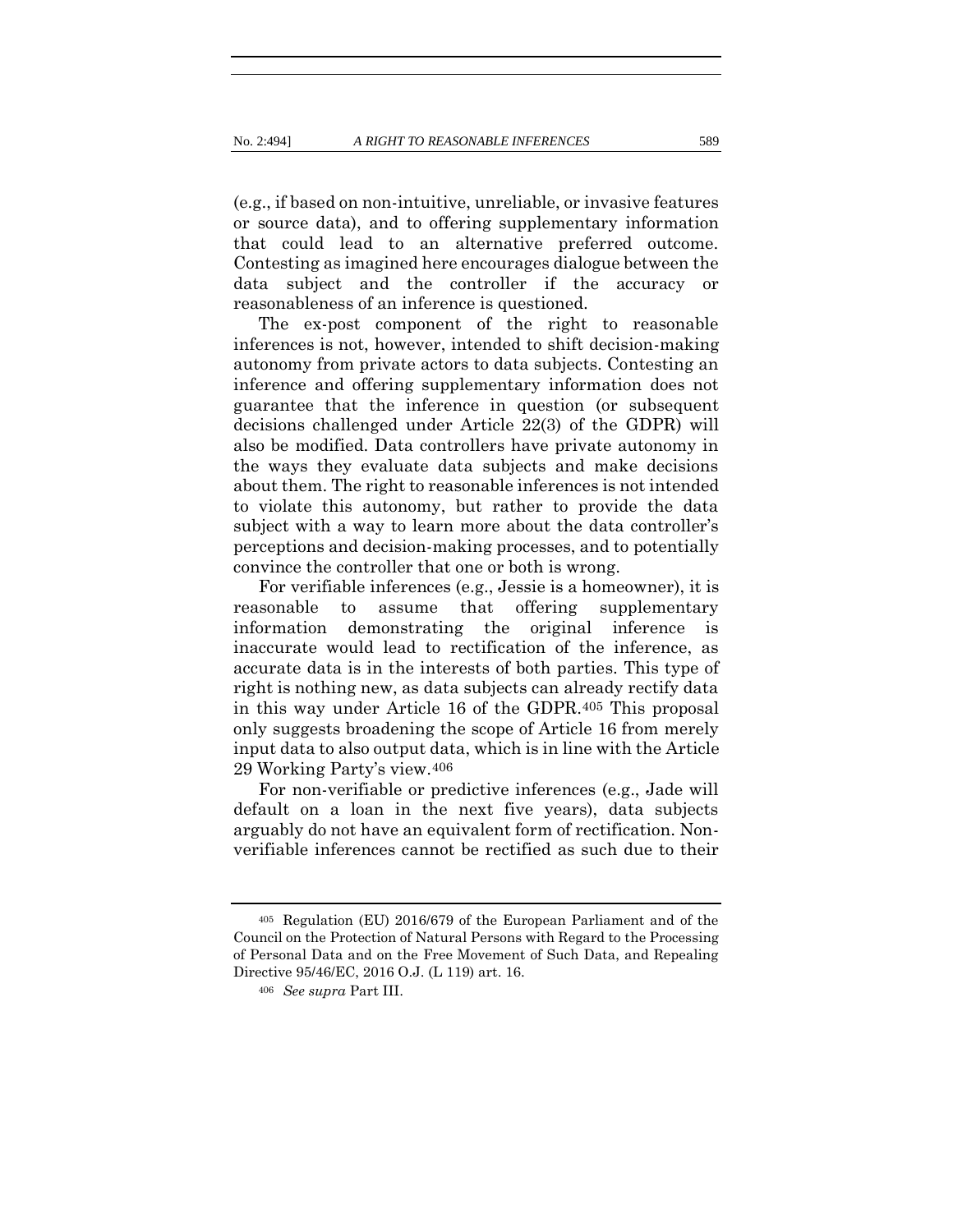(e.g., if based on non-intuitive, unreliable, or invasive features or source data), and to offering supplementary information that could lead to an alternative preferred outcome. Contesting as imagined here encourages dialogue between the data subject and the controller if the accuracy or reasonableness of an inference is questioned.

The ex-post component of the right to reasonable inferences is not, however, intended to shift decision-making autonomy from private actors to data subjects. Contesting an inference and offering supplementary information does not guarantee that the inference in question (or subsequent decisions challenged under Article 22(3) of the GDPR) will also be modified. Data controllers have private autonomy in the ways they evaluate data subjects and make decisions about them. The right to reasonable inferences is not intended to violate this autonomy, but rather to provide the data subject with a way to learn more about the data controller's perceptions and decision-making processes, and to potentially convince the controller that one or both is wrong.

For verifiable inferences (e.g., Jessie is a homeowner), it is reasonable to assume that offering supplementary information demonstrating the original inference is inaccurate would lead to rectification of the inference, as accurate data is in the interests of both parties. This type of right is nothing new, as data subjects can already rectify data in this way under Article 16 of the GDPR.405 This proposal only suggests broadening the scope of Article 16 from merely input data to also output data, which is in line with the Article 29 Working Party's view.406

For non-verifiable or predictive inferences (e.g., Jade will default on a loan in the next five years), data subjects arguably do not have an equivalent form of rectification. Nonverifiable inferences cannot be rectified as such due to their

<sup>405</sup> Regulation (EU) 2016/679 of the European Parliament and of the Council on the Protection of Natural Persons with Regard to the Processing of Personal Data and on the Free Movement of Such Data, and Repealing Directive 95/46/EC, 2016 O.J. (L 119) art. 16.

<sup>406</sup> *See supra* Part III.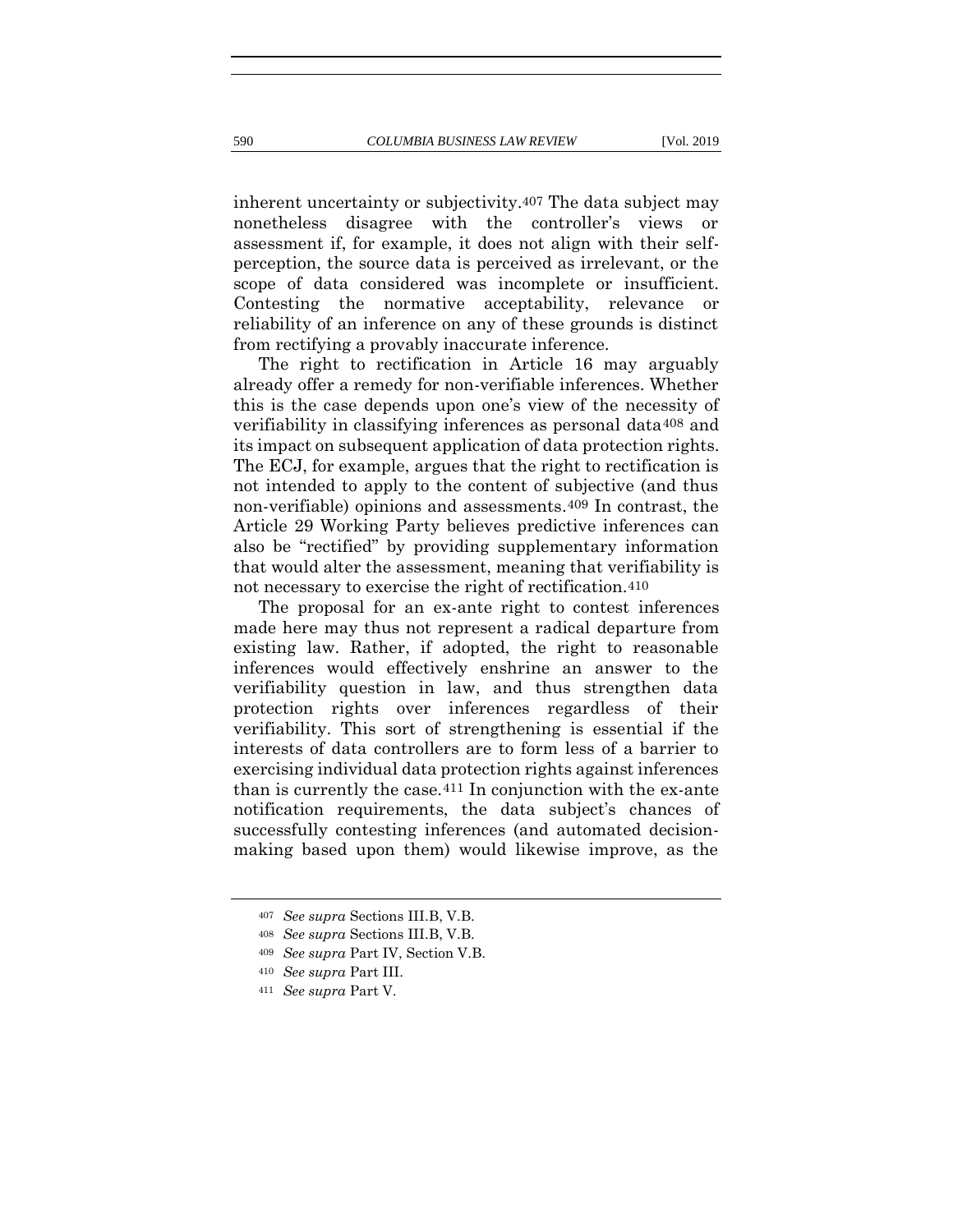inherent uncertainty or subjectivity.407 The data subject may nonetheless disagree with the controller's views or assessment if, for example, it does not align with their selfperception, the source data is perceived as irrelevant, or the scope of data considered was incomplete or insufficient. Contesting the normative acceptability, relevance or reliability of an inference on any of these grounds is distinct from rectifying a provably inaccurate inference.

The right to rectification in Article 16 may arguably already offer a remedy for non-verifiable inferences. Whether this is the case depends upon one's view of the necessity of verifiability in classifying inferences as personal data408 and its impact on subsequent application of data protection rights. The ECJ, for example, argues that the right to rectification is not intended to apply to the content of subjective (and thus non-verifiable) opinions and assessments.409 In contrast, the Article 29 Working Party believes predictive inferences can also be "rectified" by providing supplementary information that would alter the assessment, meaning that verifiability is not necessary to exercise the right of rectification.<sup>410</sup>

The proposal for an ex-ante right to contest inferences made here may thus not represent a radical departure from existing law. Rather, if adopted, the right to reasonable inferences would effectively enshrine an answer to the verifiability question in law, and thus strengthen data protection rights over inferences regardless of their verifiability. This sort of strengthening is essential if the interests of data controllers are to form less of a barrier to exercising individual data protection rights against inferences than is currently the case.411 In conjunction with the ex-ante notification requirements, the data subject's chances of successfully contesting inferences (and automated decisionmaking based upon them) would likewise improve, as the

<sup>407</sup> *See supra* Sections III.B, V.B.

<sup>408</sup> *See supra* Sections III.B, V.B.

<sup>409</sup> *See supra* Part IV, Section V.B.

<sup>410</sup> *See supra* Part III.

<sup>411</sup> *See supra* Part V.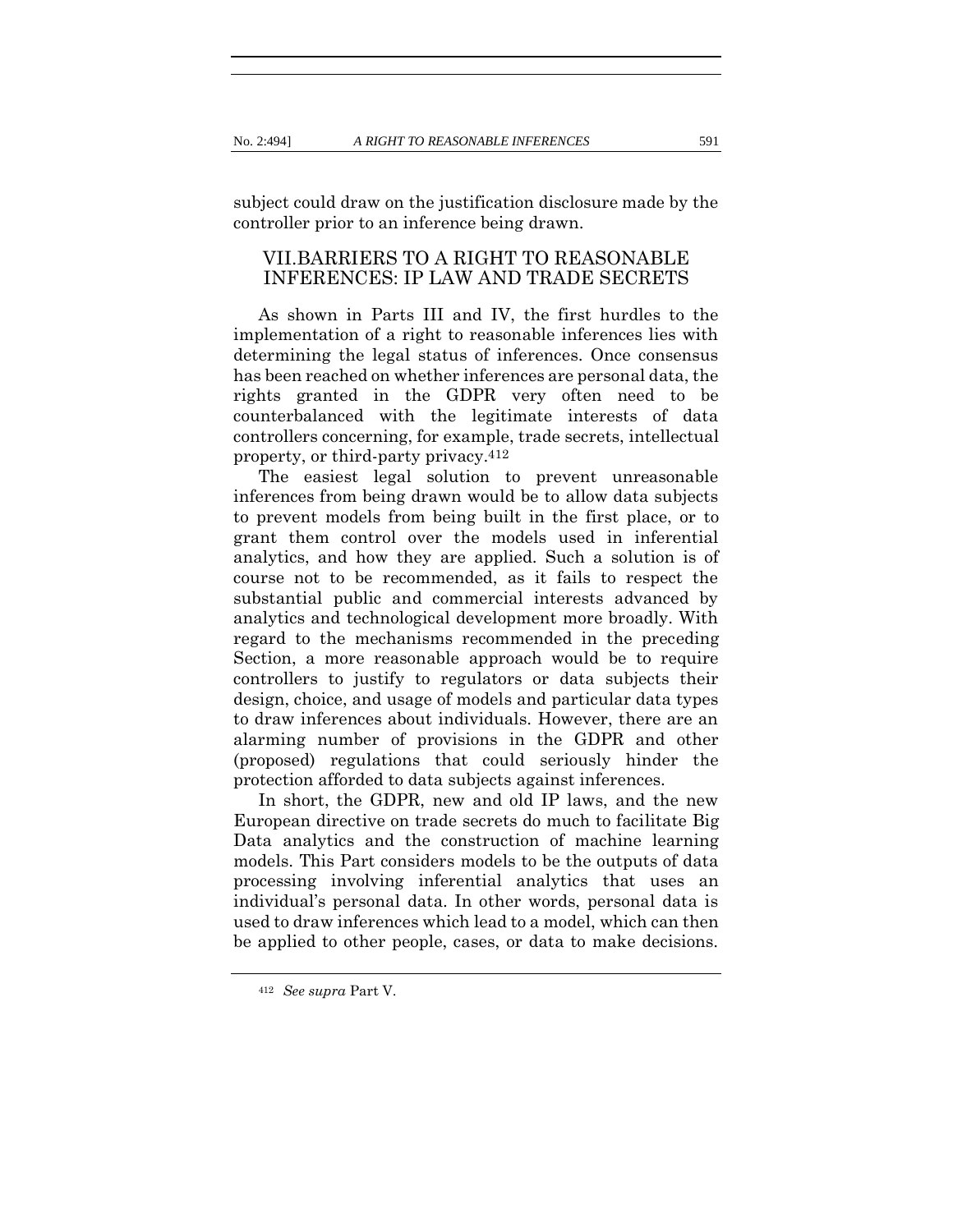subject could draw on the justification disclosure made by the controller prior to an inference being drawn.

# VII.BARRIERS TO A RIGHT TO REASONABLE INFERENCES: IP LAW AND TRADE SECRETS

As shown in Parts III and IV, the first hurdles to the implementation of a right to reasonable inferences lies with determining the legal status of inferences. Once consensus has been reached on whether inferences are personal data, the rights granted in the GDPR very often need to be counterbalanced with the legitimate interests of data controllers concerning, for example, trade secrets, intellectual property, or third-party privacy.412

The easiest legal solution to prevent unreasonable inferences from being drawn would be to allow data subjects to prevent models from being built in the first place, or to grant them control over the models used in inferential analytics, and how they are applied. Such a solution is of course not to be recommended, as it fails to respect the substantial public and commercial interests advanced by analytics and technological development more broadly. With regard to the mechanisms recommended in the preceding Section, a more reasonable approach would be to require controllers to justify to regulators or data subjects their design, choice, and usage of models and particular data types to draw inferences about individuals. However, there are an alarming number of provisions in the GDPR and other (proposed) regulations that could seriously hinder the protection afforded to data subjects against inferences.

In short, the GDPR, new and old IP laws, and the new European directive on trade secrets do much to facilitate Big Data analytics and the construction of machine learning models. This Part considers models to be the outputs of data processing involving inferential analytics that uses an individual's personal data. In other words, personal data is used to draw inferences which lead to a model, which can then be applied to other people, cases, or data to make decisions.

<sup>412</sup> *See supra* Part V.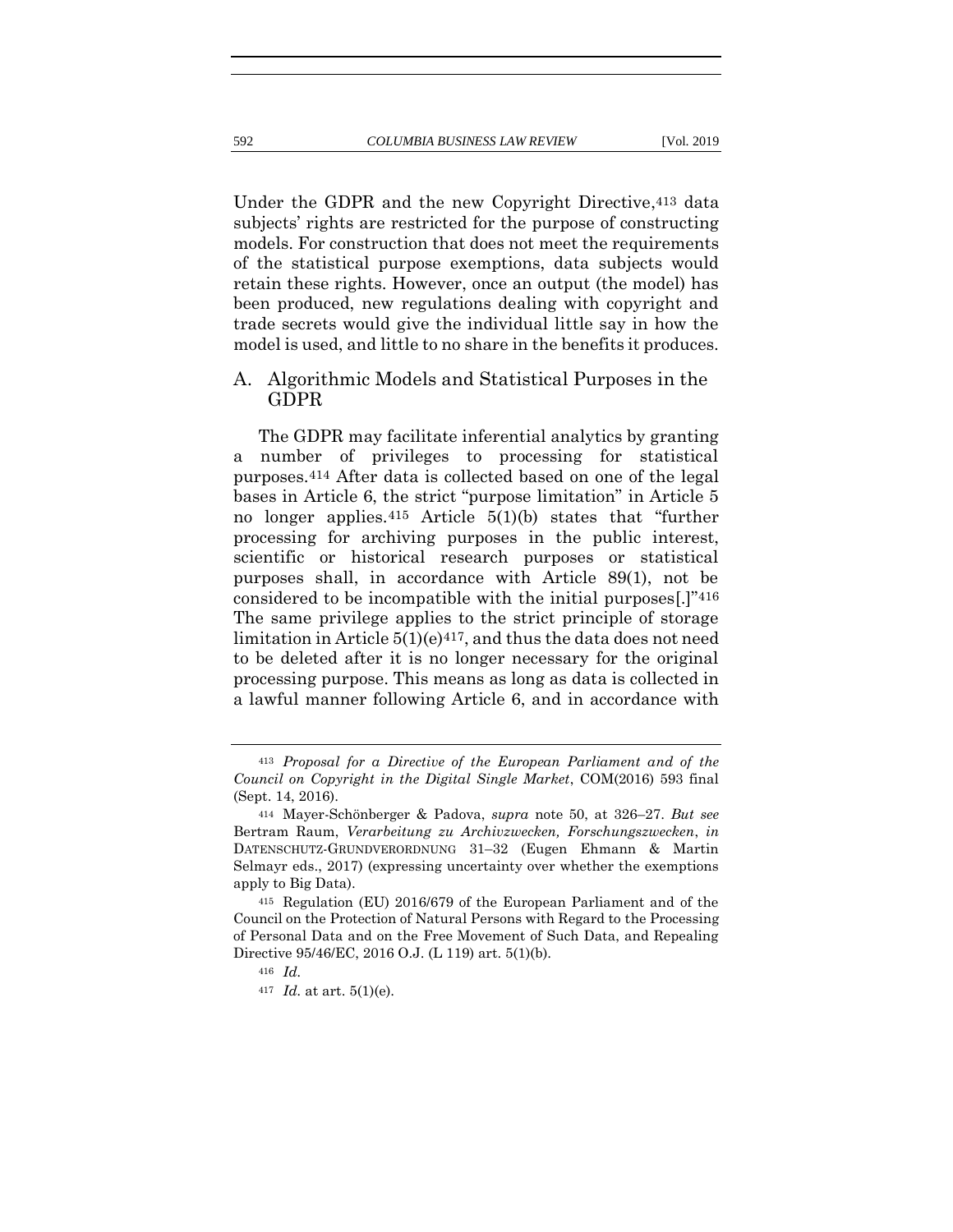Under the GDPR and the new Copyright Directive,413 data subjects' rights are restricted for the purpose of constructing models. For construction that does not meet the requirements of the statistical purpose exemptions, data subjects would retain these rights. However, once an output (the model) has been produced, new regulations dealing with copyright and trade secrets would give the individual little say in how the model is used, and little to no share in the benefits it produces.

### A. Algorithmic Models and Statistical Purposes in the GDPR

<span id="page-98-0"></span>The GDPR may facilitate inferential analytics by granting a number of privileges to processing for statistical purposes.414 After data is collected based on one of the legal bases in Article 6, the strict "purpose limitation" in Article 5 no longer applies.415 Article 5(1)(b) states that "further processing for archiving purposes in the public interest, scientific or historical research purposes or statistical purposes shall, in accordance with Article 89(1), not be considered to be incompatible with the initial purposes[.]"416 The same privilege applies to the strict principle of storage limitation in Article  $5(1)(e)^{417}$ , and thus the data does not need to be deleted after it is no longer necessary for the original processing purpose. This means as long as data is collected in a lawful manner following Article 6, and in accordance with

<sup>413</sup> *Proposal for a Directive of the European Parliament and of the Council on Copyright in the Digital Single Market*, COM(2016) 593 final (Sept. 14, 2016).

<sup>414</sup> Mayer-Schönberger & Padova, *supra* note [50,](#page-15-0) at 326–27. *But see*  Bertram Raum, *Verarbeitung zu Archivzwecken, Forschungszwecken*, *in* DATENSCHUTZ-GRUNDVERORDNUNG 31–32 (Eugen Ehmann & Martin Selmayr eds., 2017) (expressing uncertainty over whether the exemptions apply to Big Data).

<sup>415</sup> Regulation (EU) 2016/679 of the European Parliament and of the Council on the Protection of Natural Persons with Regard to the Processing of Personal Data and on the Free Movement of Such Data, and Repealing Directive 95/46/EC, 2016 O.J. (L 119) art. 5(1)(b).

<sup>416</sup> *Id.*

<sup>417</sup> *Id.* at art. 5(1)(e).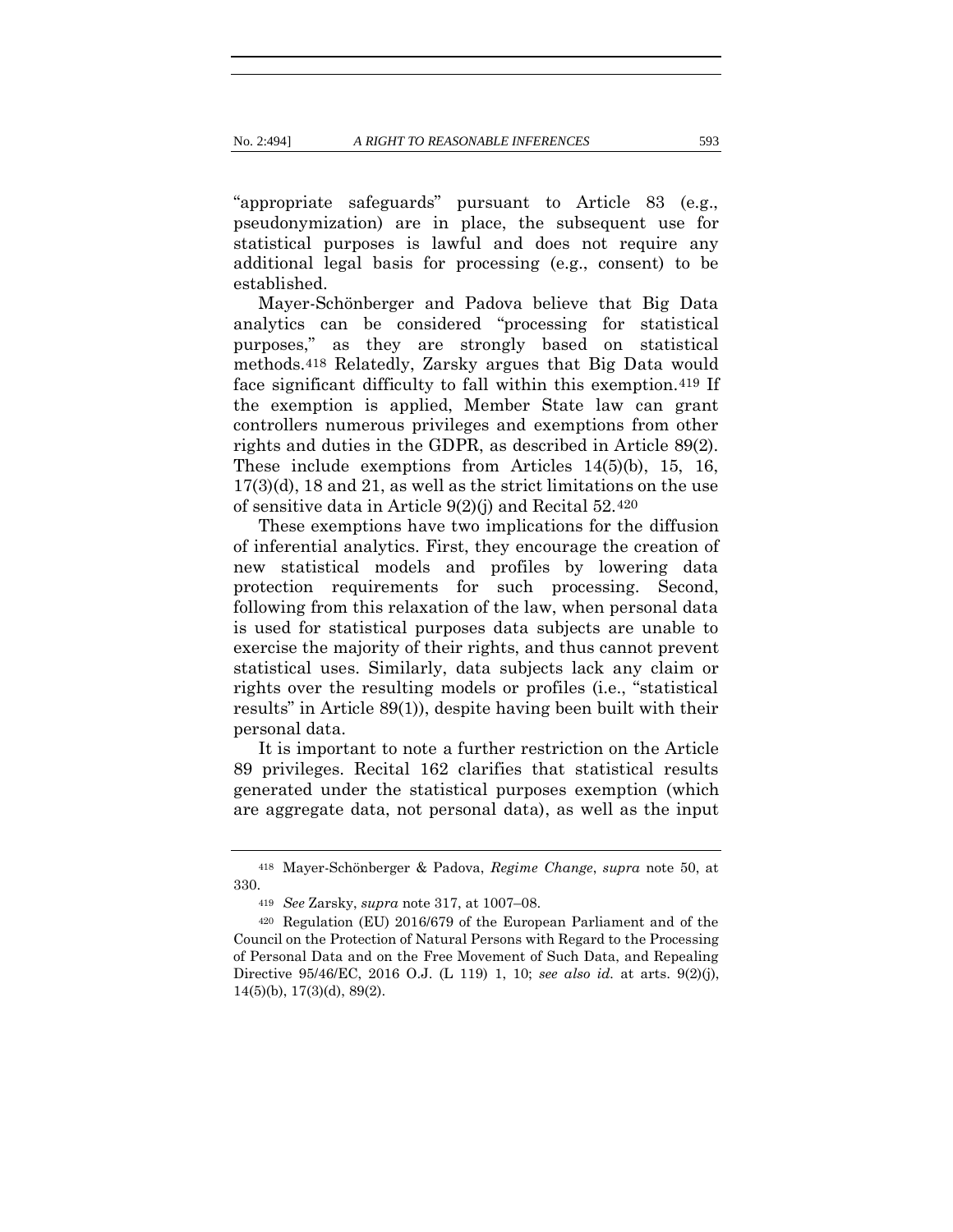"appropriate safeguards" pursuant to Article 83 (e.g., pseudonymization) are in place, the subsequent use for statistical purposes is lawful and does not require any additional legal basis for processing (e.g., consent) to be established.

Mayer-Schönberger and Padova believe that Big Data analytics can be considered "processing for statistical purposes," as they are strongly based on statistical methods.418 Relatedly, Zarsky argues that Big Data would face significant difficulty to fall within this exemption.419 If the exemption is applied, Member State law can grant controllers numerous privileges and exemptions from other rights and duties in the GDPR, as described in Article 89(2). These include exemptions from Articles 14(5)(b), 15, 16, 17(3)(d), 18 and 21, as well as the strict limitations on the use of sensitive data in Article 9(2)(j) and Recital 52.420

These exemptions have two implications for the diffusion of inferential analytics. First, they encourage the creation of new statistical models and profiles by lowering data protection requirements for such processing. Second, following from this relaxation of the law, when personal data is used for statistical purposes data subjects are unable to exercise the majority of their rights, and thus cannot prevent statistical uses. Similarly, data subjects lack any claim or rights over the resulting models or profiles (i.e., "statistical results" in Article 89(1)), despite having been built with their personal data.

It is important to note a further restriction on the Article 89 privileges. Recital 162 clarifies that statistical results generated under the statistical purposes exemption (which are aggregate data, not personal data), as well as the input

<sup>418</sup> Mayer-Schönberger & Padova, *Regime Change*, *supra* note [50,](#page-15-0) at 330.

<sup>419</sup> *See* Zarsky, *supra* note [317,](#page-70-0) at 1007–08.

<sup>420</sup> Regulation (EU) 2016/679 of the European Parliament and of the Council on the Protection of Natural Persons with Regard to the Processing of Personal Data and on the Free Movement of Such Data, and Repealing Directive 95/46/EC, 2016 O.J. (L 119) 1, 10; *see also id.* at arts. 9(2)(j), 14(5)(b), 17(3)(d), 89(2).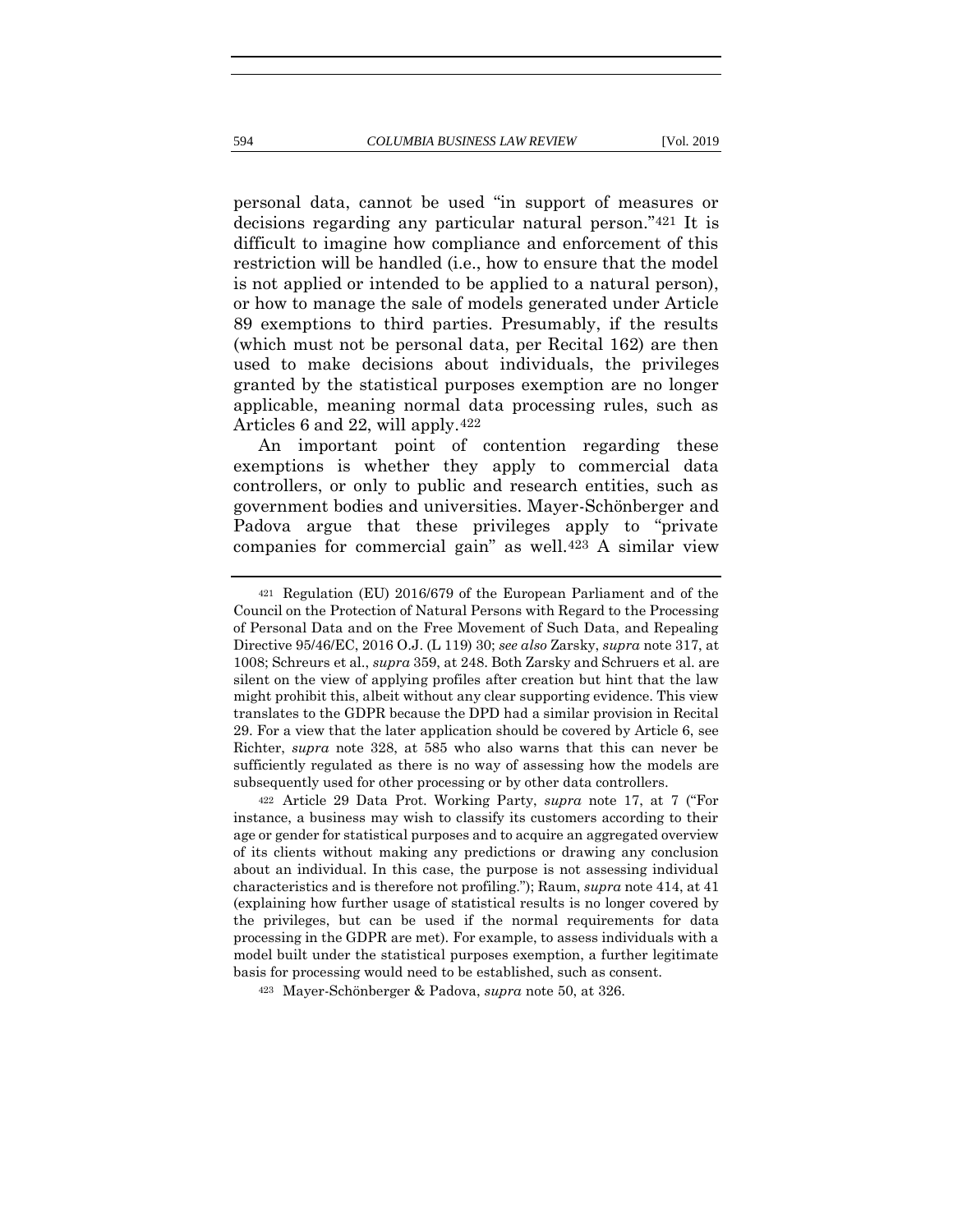personal data, cannot be used "in support of measures or decisions regarding any particular natural person."421 It is difficult to imagine how compliance and enforcement of this restriction will be handled (i.e., how to ensure that the model is not applied or intended to be applied to a natural person), or how to manage the sale of models generated under Article 89 exemptions to third parties. Presumably, if the results (which must not be personal data, per Recital 162) are then used to make decisions about individuals, the privileges granted by the statistical purposes exemption are no longer applicable, meaning normal data processing rules, such as Articles 6 and 22, will apply.422

An important point of contention regarding these exemptions is whether they apply to commercial data controllers, or only to public and research entities, such as government bodies and universities. Mayer-Schönberger and Padova argue that these privileges apply to "private companies for commercial gain" as well.423 A similar view

<sup>421</sup> Regulation (EU) 2016/679 of the European Parliament and of the Council on the Protection of Natural Persons with Regard to the Processing of Personal Data and on the Free Movement of Such Data, and Repealing Directive 95/46/EC, 2016 O.J. (L 119) 30; *see also* Zarsky, *supra* not[e 317,](#page-70-0) at 1008; Schreurs et al., *supra* [359,](#page-81-0) at 248. Both Zarsky and Schruers et al. are silent on the view of applying profiles after creation but hint that the law might prohibit this, albeit without any clear supporting evidence. This view translates to the GDPR because the DPD had a similar provision in Recital 29. For a view that the later application should be covered by Article 6, see Richter, *supra* note [328,](#page-73-0) at 585 who also warns that this can never be sufficiently regulated as there is no way of assessing how the models are subsequently used for other processing or by other data controllers.

<sup>422</sup> Article 29 Data Prot. Working Party, *supra* note [17](#page-10-0), at 7 ("For instance, a business may wish to classify its customers according to their age or gender for statistical purposes and to acquire an aggregated overview of its clients without making any predictions or drawing any conclusion about an individual. In this case, the purpose is not assessing individual characteristics and is therefore not profiling."); Raum, *supra* not[e 414,](#page-98-0) at 41 (explaining how further usage of statistical results is no longer covered by the privileges, but can be used if the normal requirements for data processing in the GDPR are met). For example, to assess individuals with a model built under the statistical purposes exemption, a further legitimate basis for processing would need to be established, such as consent.

<sup>423</sup> Mayer-Schönberger & Padova, *supra* note [50,](#page-15-0) at 326.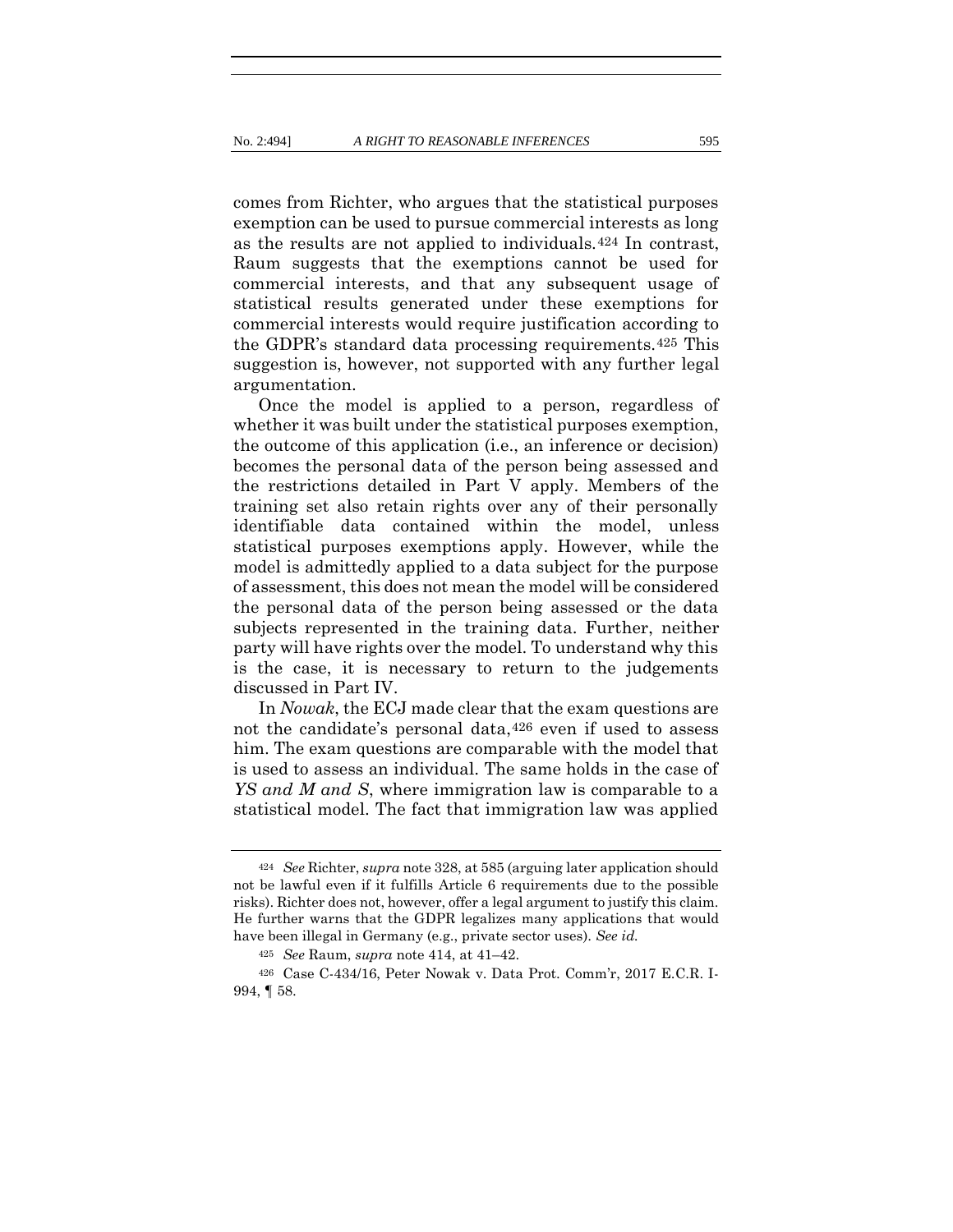comes from Richter, who argues that the statistical purposes exemption can be used to pursue commercial interests as long as the results are not applied to individuals.424 In contrast, Raum suggests that the exemptions cannot be used for commercial interests, and that any subsequent usage of statistical results generated under these exemptions for commercial interests would require justification according to the GDPR's standard data processing requirements.425 This suggestion is, however, not supported with any further legal argumentation.

Once the model is applied to a person, regardless of whether it was built under the statistical purposes exemption, the outcome of this application (i.e., an inference or decision) becomes the personal data of the person being assessed and the restrictions detailed in Part V apply. Members of the training set also retain rights over any of their personally identifiable data contained within the model, unless statistical purposes exemptions apply. However, while the model is admittedly applied to a data subject for the purpose of assessment, this does not mean the model will be considered the personal data of the person being assessed or the data subjects represented in the training data. Further, neither party will have rights over the model. To understand why this is the case, it is necessary to return to the judgements discussed in Part IV.

In *Nowak*, the ECJ made clear that the exam questions are not the candidate's personal data,426 even if used to assess him. The exam questions are comparable with the model that is used to assess an individual. The same holds in the case of *YS and M and S*, where immigration law is comparable to a statistical model. The fact that immigration law was applied

<sup>424</sup> *See* Richter, *supra* not[e 328,](#page-73-0) at 585 (arguing later application should not be lawful even if it fulfills Article 6 requirements due to the possible risks). Richter does not, however, offer a legal argument to justify this claim. He further warns that the GDPR legalizes many applications that would have been illegal in Germany (e.g., private sector uses). *See id.*

<sup>425</sup> *See* Raum, *supra* note [414,](#page-98-0) at 41–42.

<sup>426</sup> Case C-434/16, Peter Nowak v. Data Prot. Comm'r, 2017 E.C.R. I-994, ¶ 58.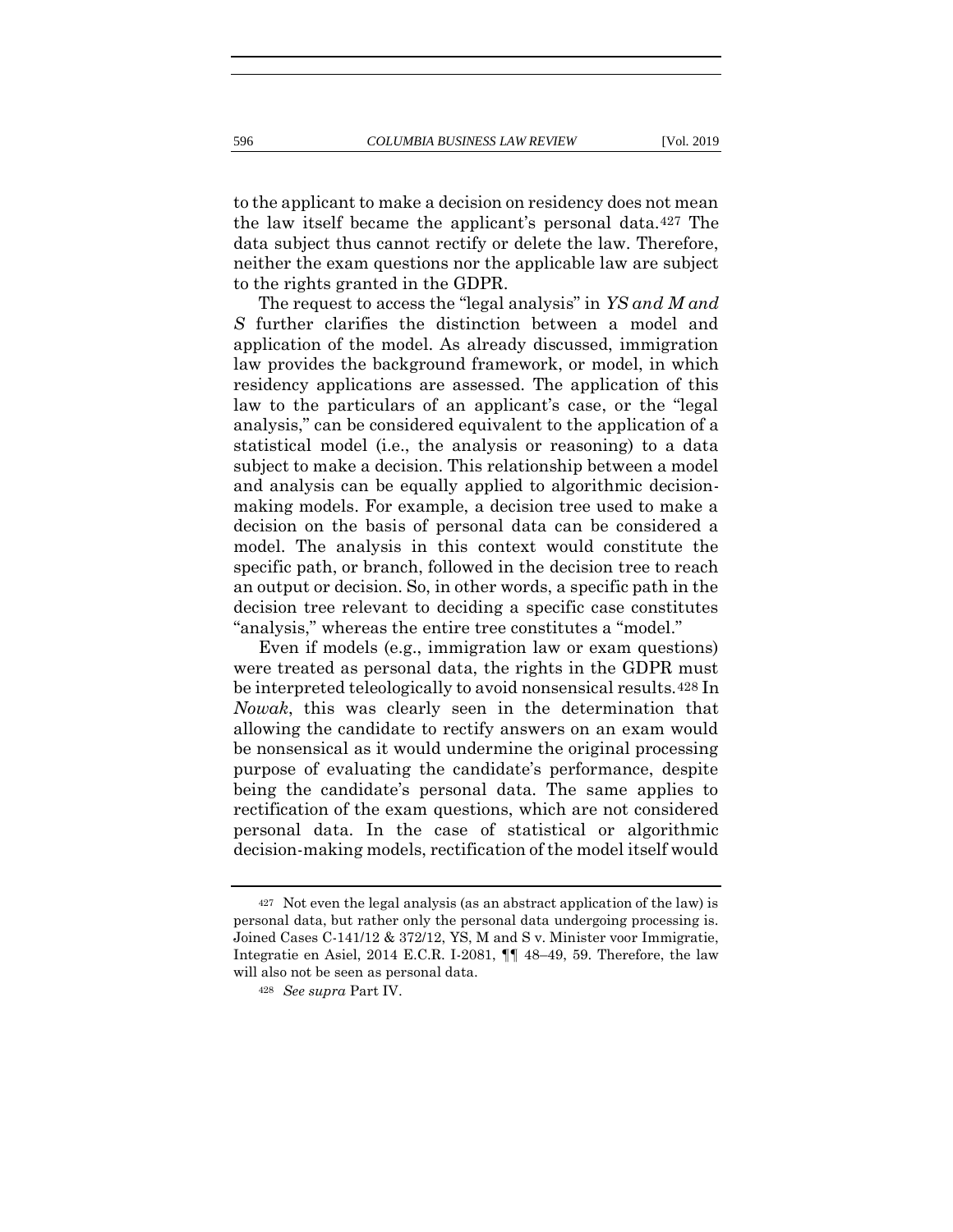to the applicant to make a decision on residency does not mean the law itself became the applicant's personal data.427 The data subject thus cannot rectify or delete the law. Therefore, neither the exam questions nor the applicable law are subject to the rights granted in the GDPR.

The request to access the "legal analysis" in *YS and M and S* further clarifies the distinction between a model and application of the model. As already discussed, immigration law provides the background framework, or model, in which residency applications are assessed. The application of this law to the particulars of an applicant's case, or the "legal analysis," can be considered equivalent to the application of a statistical model (i.e., the analysis or reasoning) to a data subject to make a decision. This relationship between a model and analysis can be equally applied to algorithmic decisionmaking models. For example, a decision tree used to make a decision on the basis of personal data can be considered a model. The analysis in this context would constitute the specific path, or branch, followed in the decision tree to reach an output or decision. So, in other words, a specific path in the decision tree relevant to deciding a specific case constitutes "analysis," whereas the entire tree constitutes a "model."

Even if models (e.g., immigration law or exam questions) were treated as personal data, the rights in the GDPR must be interpreted teleologically to avoid nonsensical results.428 In *Nowak*, this was clearly seen in the determination that allowing the candidate to rectify answers on an exam would be nonsensical as it would undermine the original processing purpose of evaluating the candidate's performance, despite being the candidate's personal data. The same applies to rectification of the exam questions, which are not considered personal data. In the case of statistical or algorithmic decision-making models, rectification of the model itself would

<sup>427</sup> Not even the legal analysis (as an abstract application of the law) is personal data, but rather only the personal data undergoing processing is. Joined Cases C-141/12 & 372/12, YS, M and S v. Minister voor Immigratie, Integratie en Asiel, 2014 E.C.R. I-2081, ¶¶ 48–49, 59. Therefore, the law will also not be seen as personal data.

<sup>428</sup> *See supra* Part IV.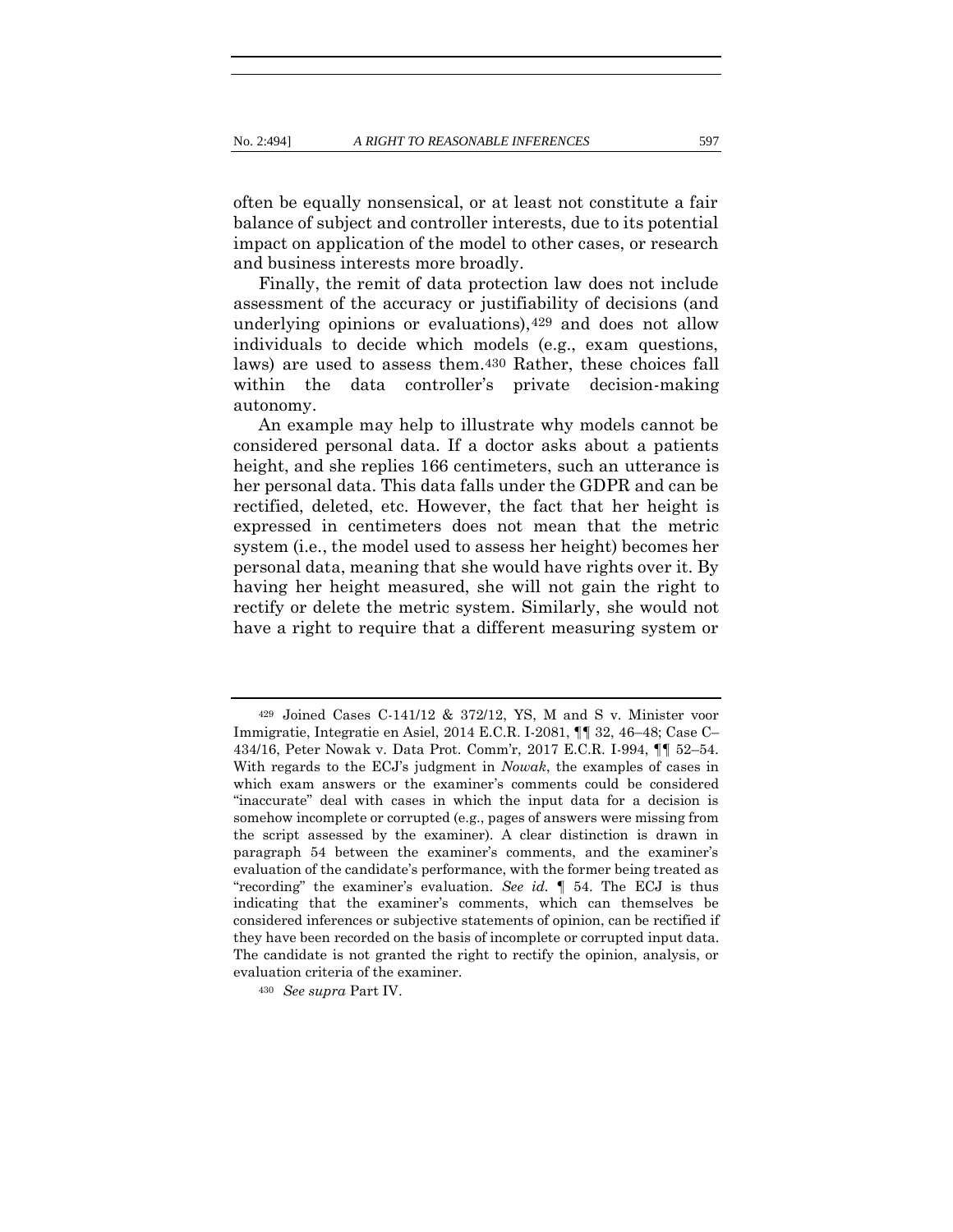often be equally nonsensical, or at least not constitute a fair balance of subject and controller interests, due to its potential impact on application of the model to other cases, or research and business interests more broadly.

Finally, the remit of data protection law does not include assessment of the accuracy or justifiability of decisions (and underlying opinions or evaluations),429 and does not allow individuals to decide which models (e.g., exam questions, laws) are used to assess them.430 Rather, these choices fall within the data controller's private decision-making autonomy.

An example may help to illustrate why models cannot be considered personal data. If a doctor asks about a patients height, and she replies 166 centimeters, such an utterance is her personal data. This data falls under the GDPR and can be rectified, deleted, etc. However, the fact that her height is expressed in centimeters does not mean that the metric system (i.e., the model used to assess her height) becomes her personal data, meaning that she would have rights over it. By having her height measured, she will not gain the right to rectify or delete the metric system. Similarly, she would not have a right to require that a different measuring system or

<sup>429</sup> Joined Cases C-141/12 & 372/12, YS, M and S v. Minister voor Immigratie, Integratie en Asiel, 2014 E.C.R. I-2081, ¶¶ 32, 46–48; Case C– 434/16, Peter Nowak v. Data Prot. Comm'r, 2017 E.C.R. I-994, ¶¶ 52–54. With regards to the ECJ's judgment in *Nowak*, the examples of cases in which exam answers or the examiner's comments could be considered "inaccurate" deal with cases in which the input data for a decision is somehow incomplete or corrupted (e.g., pages of answers were missing from the script assessed by the examiner). A clear distinction is drawn in paragraph 54 between the examiner's comments, and the examiner's evaluation of the candidate's performance, with the former being treated as "recording" the examiner's evaluation. *See id.* ¶ 54. The ECJ is thus indicating that the examiner's comments, which can themselves be considered inferences or subjective statements of opinion, can be rectified if they have been recorded on the basis of incomplete or corrupted input data. The candidate is not granted the right to rectify the opinion, analysis, or evaluation criteria of the examiner.

<sup>430</sup> *See supra* Part IV.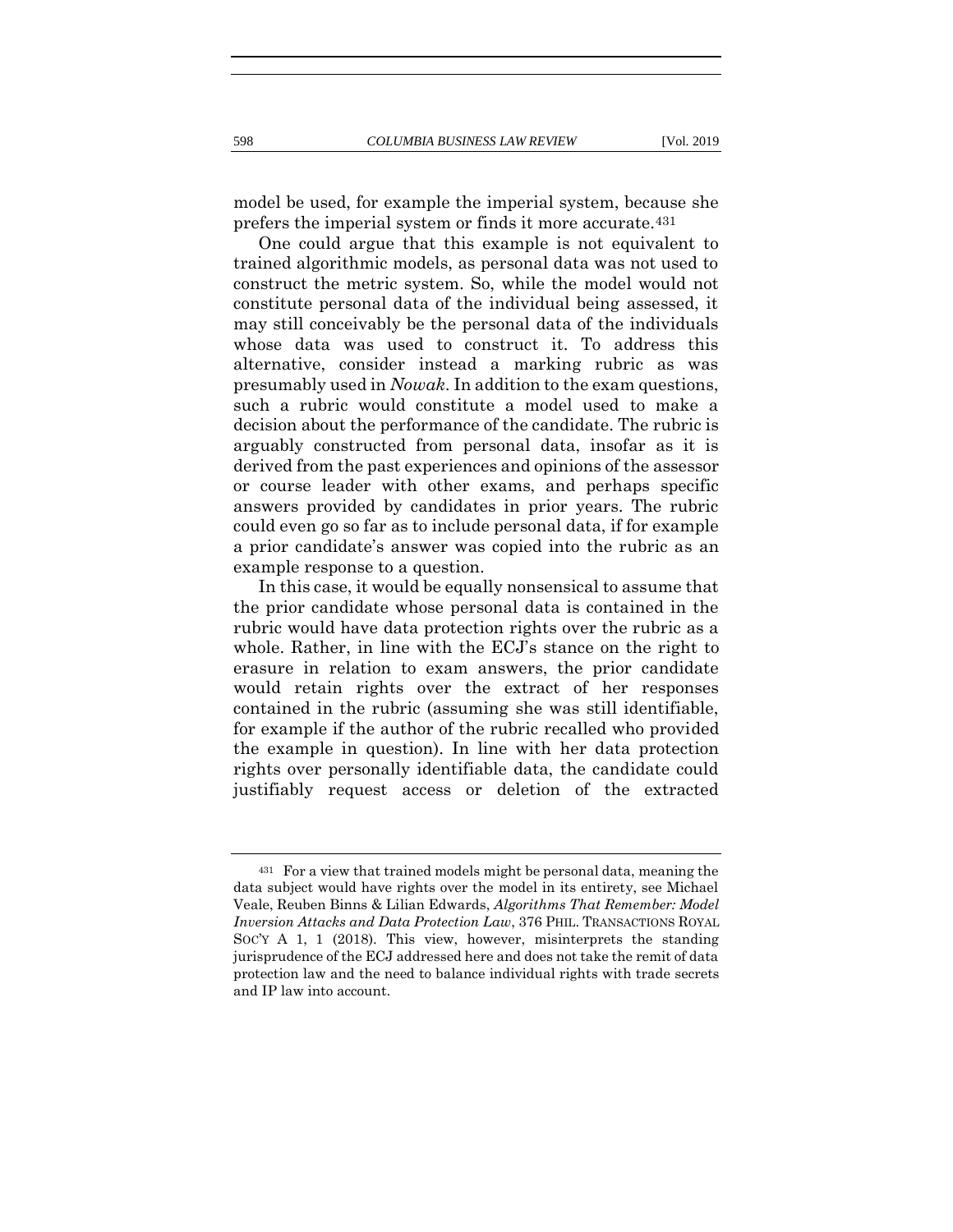model be used, for example the imperial system, because she prefers the imperial system or finds it more accurate.431

One could argue that this example is not equivalent to trained algorithmic models, as personal data was not used to construct the metric system. So, while the model would not constitute personal data of the individual being assessed, it may still conceivably be the personal data of the individuals whose data was used to construct it. To address this alternative, consider instead a marking rubric as was presumably used in *Nowak*. In addition to the exam questions, such a rubric would constitute a model used to make a decision about the performance of the candidate. The rubric is arguably constructed from personal data, insofar as it is derived from the past experiences and opinions of the assessor or course leader with other exams, and perhaps specific answers provided by candidates in prior years. The rubric could even go so far as to include personal data, if for example a prior candidate's answer was copied into the rubric as an example response to a question.

In this case, it would be equally nonsensical to assume that the prior candidate whose personal data is contained in the rubric would have data protection rights over the rubric as a whole. Rather, in line with the ECJ's stance on the right to erasure in relation to exam answers, the prior candidate would retain rights over the extract of her responses contained in the rubric (assuming she was still identifiable, for example if the author of the rubric recalled who provided the example in question). In line with her data protection rights over personally identifiable data, the candidate could justifiably request access or deletion of the extracted

<sup>431</sup> For a view that trained models might be personal data, meaning the data subject would have rights over the model in its entirety, see Michael Veale, Reuben Binns & Lilian Edwards, *Algorithms That Remember: Model Inversion Attacks and Data Protection Law*, 376 PHIL. TRANSACTIONS ROYAL SOC'Y A 1, 1 (2018). This view, however, misinterprets the standing jurisprudence of the ECJ addressed here and does not take the remit of data protection law and the need to balance individual rights with trade secrets and IP law into account.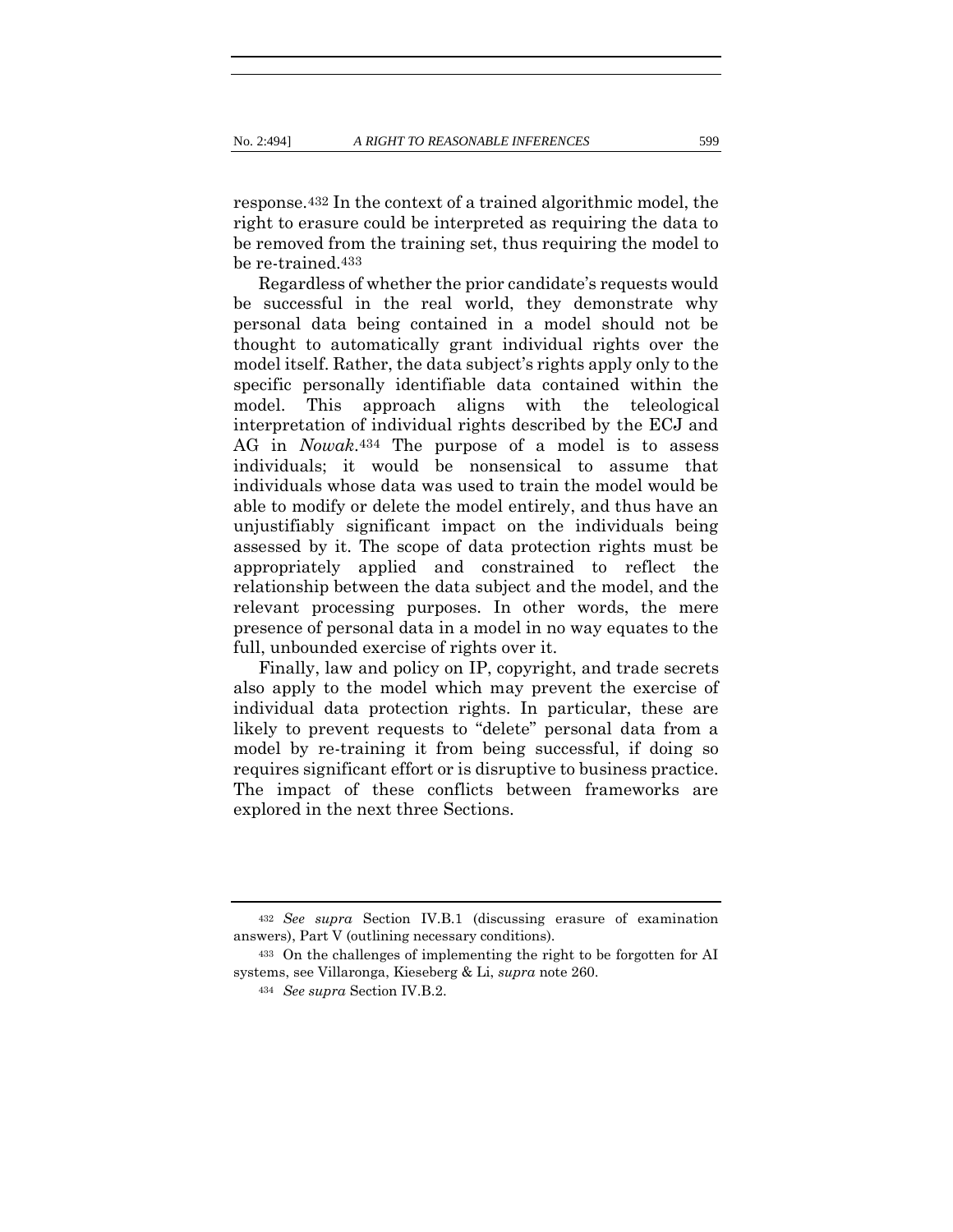response.432 In the context of a trained algorithmic model, the right to erasure could be interpreted as requiring the data to be removed from the training set, thus requiring the model to be re-trained.433

Regardless of whether the prior candidate's requests would be successful in the real world, they demonstrate why personal data being contained in a model should not be thought to automatically grant individual rights over the model itself. Rather, the data subject's rights apply only to the specific personally identifiable data contained within the model. This approach aligns with the teleological interpretation of individual rights described by the ECJ and AG in *Nowak*.434 The purpose of a model is to assess individuals; it would be nonsensical to assume that individuals whose data was used to train the model would be able to modify or delete the model entirely, and thus have an unjustifiably significant impact on the individuals being assessed by it. The scope of data protection rights must be appropriately applied and constrained to reflect the relationship between the data subject and the model, and the relevant processing purposes. In other words, the mere presence of personal data in a model in no way equates to the full, unbounded exercise of rights over it.

Finally, law and policy on IP, copyright, and trade secrets also apply to the model which may prevent the exercise of individual data protection rights. In particular, these are likely to prevent requests to "delete" personal data from a model by re-training it from being successful, if doing so requires significant effort or is disruptive to business practice. The impact of these conflicts between frameworks are explored in the next three Sections.

<sup>432</sup> *See supra* Section IV.B.1 (discussing erasure of examination answers), Part V (outlining necessary conditions).

<sup>433</sup> On the challenges of implementing the right to be forgotten for AI systems, see Villaronga, Kieseberg & Li, *supra* note [260.](#page-57-0)

<sup>434</sup> *See supra* Section IV.B.2.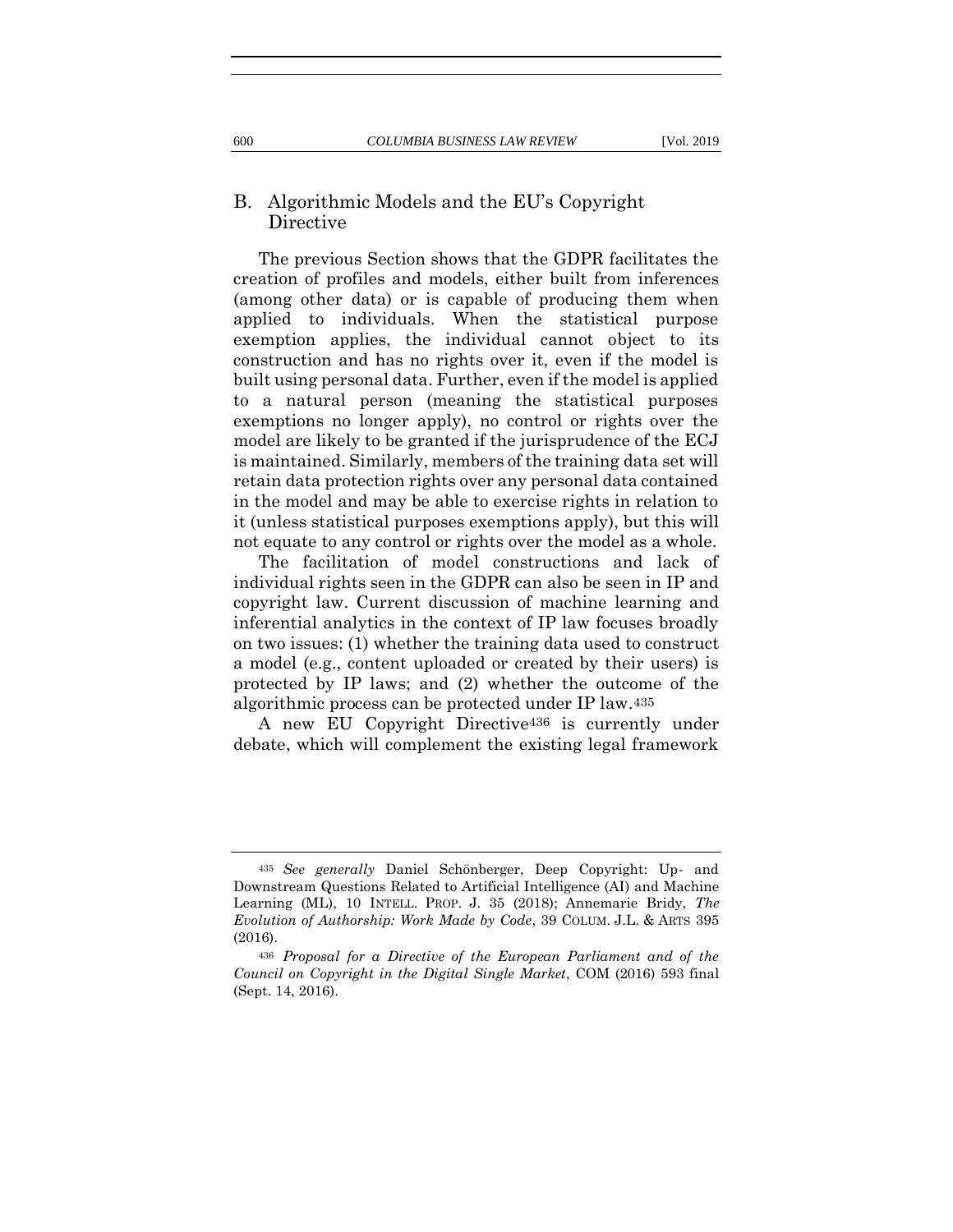### B. Algorithmic Models and the EU's Copyright Directive

The previous Section shows that the GDPR facilitates the creation of profiles and models, either built from inferences (among other data) or is capable of producing them when applied to individuals. When the statistical purpose exemption applies, the individual cannot object to its construction and has no rights over it, even if the model is built using personal data. Further, even if the model is applied to a natural person (meaning the statistical purposes exemptions no longer apply), no control or rights over the model are likely to be granted if the jurisprudence of the ECJ is maintained. Similarly, members of the training data set will retain data protection rights over any personal data contained in the model and may be able to exercise rights in relation to it (unless statistical purposes exemptions apply), but this will not equate to any control or rights over the model as a whole.

The facilitation of model constructions and lack of individual rights seen in the GDPR can also be seen in IP and copyright law. Current discussion of machine learning and inferential analytics in the context of IP law focuses broadly on two issues: (1) whether the training data used to construct a model (e.g., content uploaded or created by their users) is protected by IP laws; and (2) whether the outcome of the algorithmic process can be protected under IP law.435

A new EU Copyright Directive436 is currently under debate, which will complement the existing legal framework

<sup>435</sup> *See generally* Daniel Schönberger, Deep Copyright: Up- and Downstream Questions Related to Artificial Intelligence (AI) and Machine Learning (ML), 10 INTELL. PROP. J. 35 (2018); Annemarie Bridy, *The Evolution of Authorship: Work Made by Code*, 39 COLUM. J.L. & ARTS 395 (2016).

<sup>436</sup> *Proposal for a Directive of the European Parliament and of the Council on Copyright in the Digital Single Market*, COM (2016) 593 final (Sept. 14, 2016).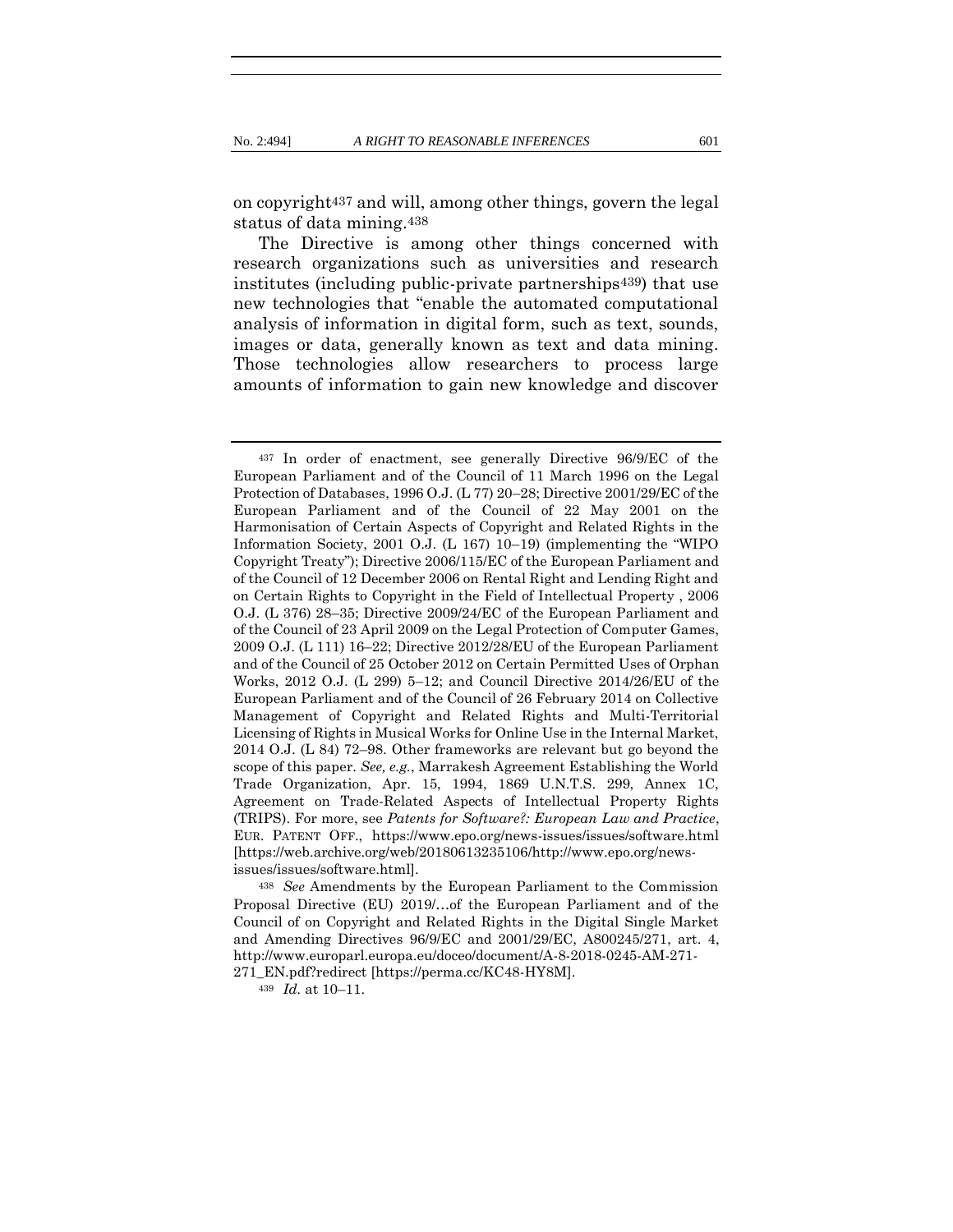on copyright437 and will, among other things, govern the legal status of data mining.438

The Directive is among other things concerned with research organizations such as universities and research institutes (including public-private partnerships<sup>439</sup>) that use new technologies that "enable the automated computational analysis of information in digital form, such as text, sounds, images or data, generally known as text and data mining. Those technologies allow researchers to process large amounts of information to gain new knowledge and discover

<sup>438</sup> *See* Amendments by the European Parliament to the Commission Proposal Directive (EU) 2019/…of the European Parliament and of the Council of on Copyright and Related Rights in the Digital Single Market and Amending Directives 96/9/EC and 2001/29/EC, A800245/271, art. 4, http://www.europarl.europa.eu/doceo/document/A-8-2018-0245-AM-271-

271\_EN.pdf?redirect [https://perma.cc/KC48-HY8M].

<sup>439</sup> *Id.* at 10–11.

<sup>437</sup> In order of enactment, see generally Directive 96/9/EC of the European Parliament and of the Council of 11 March 1996 on the Legal Protection of Databases, 1996 O.J. (L 77) 20–28; Directive 2001/29/EC of the European Parliament and of the Council of 22 May 2001 on the Harmonisation of Certain Aspects of Copyright and Related Rights in the Information Society, 2001 O.J. (L 167) 10–19) (implementing the "WIPO Copyright Treaty"); Directive 2006/115/EC of the European Parliament and of the Council of 12 December 2006 on Rental Right and Lending Right and on Certain Rights to Copyright in the Field of Intellectual Property , 2006 O.J. (L 376) 28–35; Directive 2009/24/EC of the European Parliament and of the Council of 23 April 2009 on the Legal Protection of Computer Games, 2009 O.J. (L 111) 16–22; Directive 2012/28/EU of the European Parliament and of the Council of 25 October 2012 on Certain Permitted Uses of Orphan Works, 2012 O.J. (L 299) 5–12; and Council Directive 2014/26/EU of the European Parliament and of the Council of 26 February 2014 on Collective Management of Copyright and Related Rights and Multi-Territorial Licensing of Rights in Musical Works for Online Use in the Internal Market, 2014 O.J. (L 84) 72–98. Other frameworks are relevant but go beyond the scope of this paper. *See, e.g.*, Marrakesh Agreement Establishing the World Trade Organization, Apr. 15, 1994, 1869 U.N.T.S. 299, Annex 1C, Agreement on Trade-Related Aspects of Intellectual Property Rights (TRIPS). For more, see *Patents for Software?: European Law and Practice*, EUR. PATENT OFF., https://www.epo.org/news-issues/issues/software.html [https://web.archive.org/web/20180613235106/http://www.epo.org/newsissues/issues/software.html].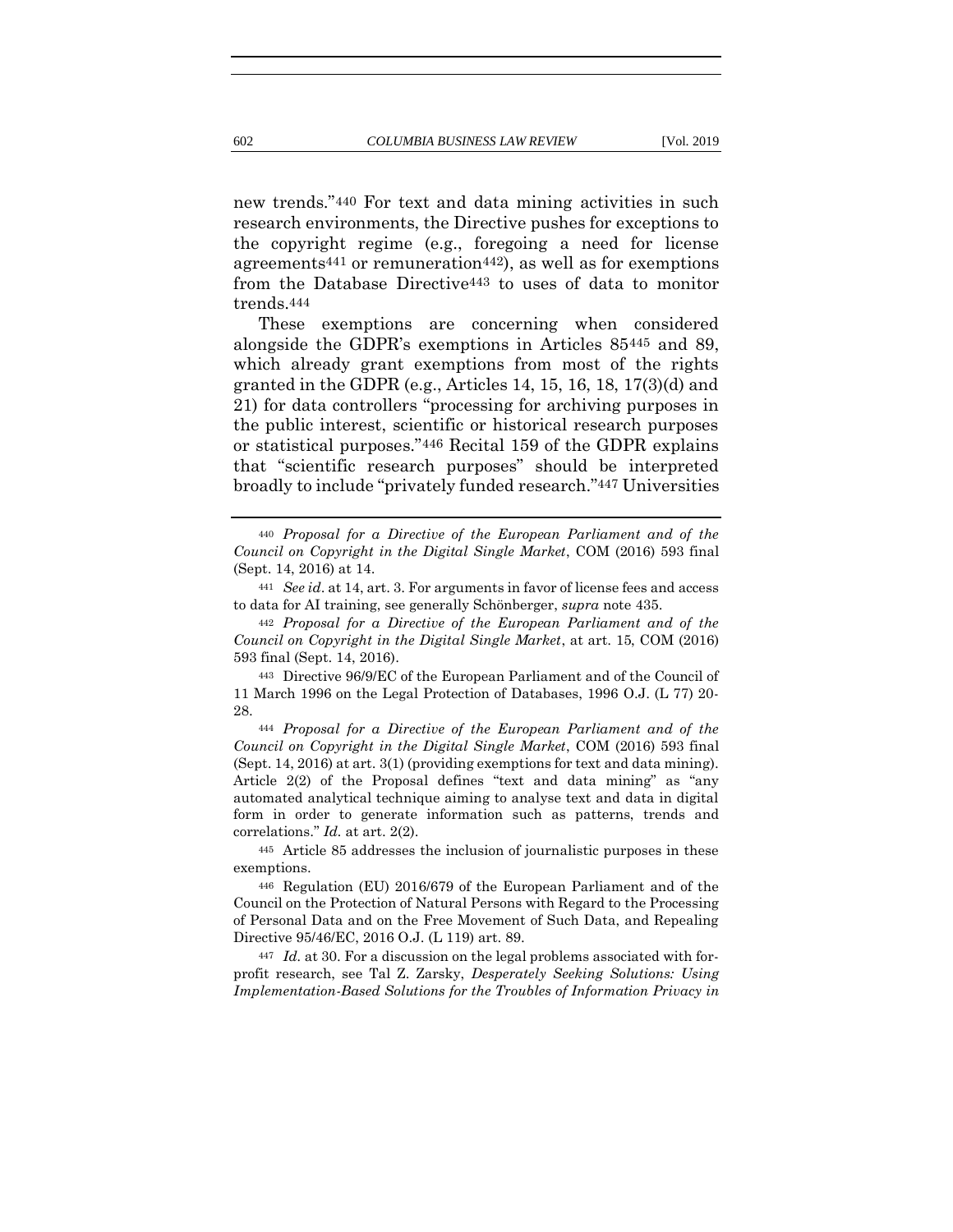new trends."440 For text and data mining activities in such research environments, the Directive pushes for exceptions to the copyright regime (e.g., foregoing a need for license agreements441 or remuneration442), as well as for exemptions from the Database Directive443 to uses of data to monitor trends.444

These exemptions are concerning when considered alongside the GDPR's exemptions in Articles 85445 and 89, which already grant exemptions from most of the rights granted in the GDPR (e.g., Articles 14, 15, 16, 18, 17(3)(d) and 21) for data controllers "processing for archiving purposes in the public interest, scientific or historical research purposes or statistical purposes."446 Recital 159 of the GDPR explains that "scientific research purposes" should be interpreted broadly to include "privately funded research."447 Universities

<sup>441</sup> *See id*. at 14, art. 3. For arguments in favor of license fees and access to data for AI training, see generally Schönberger, *supra* note [435.](#page-106-0)

<sup>442</sup> *Proposal for a Directive of the European Parliament and of the Council on Copyright in the Digital Single Market*, at art. 15, COM (2016) 593 final (Sept. 14, 2016).

<sup>443</sup> Directive 96/9/EC of the European Parliament and of the Council of 11 March 1996 on the Legal Protection of Databases, 1996 O.J. (L 77) 20- 28.

<sup>444</sup> *Proposal for a Directive of the European Parliament and of the Council on Copyright in the Digital Single Market*, COM (2016) 593 final (Sept. 14, 2016) at art. 3(1) (providing exemptions for text and data mining). Article 2(2) of the Proposal defines "text and data mining" as "any automated analytical technique aiming to analyse text and data in digital form in order to generate information such as patterns, trends and correlations." *Id.* at art. 2(2).

<sup>445</sup> Article 85 addresses the inclusion of journalistic purposes in these exemptions.

<sup>446</sup> Regulation (EU) 2016/679 of the European Parliament and of the Council on the Protection of Natural Persons with Regard to the Processing of Personal Data and on the Free Movement of Such Data, and Repealing Directive 95/46/EC, 2016 O.J. (L 119) art. 89.

<sup>447</sup> *Id.* at 30. For a discussion on the legal problems associated with forprofit research, see Tal Z. Zarsky, *Desperately Seeking Solutions: Using Implementation-Based Solutions for the Troubles of Information Privacy in* 

<sup>440</sup> *Proposal for a Directive of the European Parliament and of the Council on Copyright in the Digital Single Market*, COM (2016) 593 final (Sept. 14, 2016) at 14.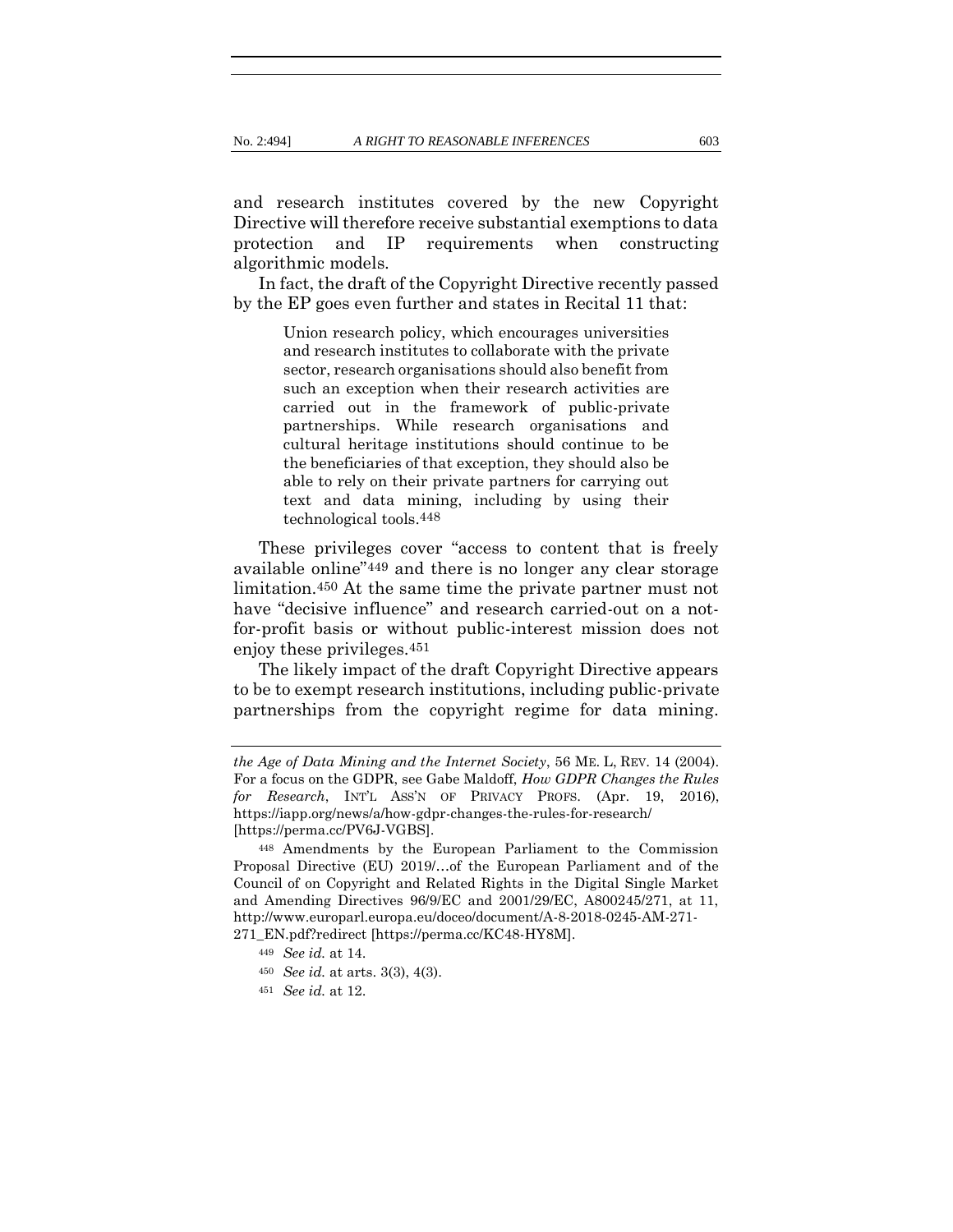and research institutes covered by the new Copyright Directive will therefore receive substantial exemptions to data protection and IP requirements when constructing algorithmic models.

In fact, the draft of the Copyright Directive recently passed by the EP goes even further and states in Recital 11 that:

> Union research policy, which encourages universities and research institutes to collaborate with the private sector, research organisations should also benefit from such an exception when their research activities are carried out in the framework of public-private partnerships. While research organisations and cultural heritage institutions should continue to be the beneficiaries of that exception, they should also be able to rely on their private partners for carrying out text and data mining, including by using their technological tools.448

These privileges cover "access to content that is freely available online"449 and there is no longer any clear storage limitation.450 At the same time the private partner must not have "decisive influence" and research carried-out on a notfor-profit basis or without public-interest mission does not enjoy these privileges.451

The likely impact of the draft Copyright Directive appears to be to exempt research institutions, including public-private partnerships from the copyright regime for data mining.

*the Age of Data Mining and the Internet Society*, 56 ME. L, REV. 14 (2004). For a focus on the GDPR, see Gabe Maldoff, *How GDPR Changes the Rules for Research*, INT'L ASS'N OF PRIVACY PROFS. (Apr. 19, 2016), https://iapp.org/news/a/how-gdpr-changes-the-rules-for-research/ [https://perma.cc/PV6J-VGBS].

<sup>448</sup> Amendments by the European Parliament to the Commission Proposal Directive (EU) 2019/…of the European Parliament and of the Council of on Copyright and Related Rights in the Digital Single Market and Amending Directives 96/9/EC and 2001/29/EC, A800245/271, at 11, http://www.europarl.europa.eu/doceo/document/A-8-2018-0245-AM-271- 271\_EN.pdf?redirect [https://perma.cc/KC48-HY8M].

<sup>449</sup> *See id.* at 14.

<sup>450</sup> *See id.* at arts. 3(3), 4(3).

<sup>451</sup> *See id.* at 12.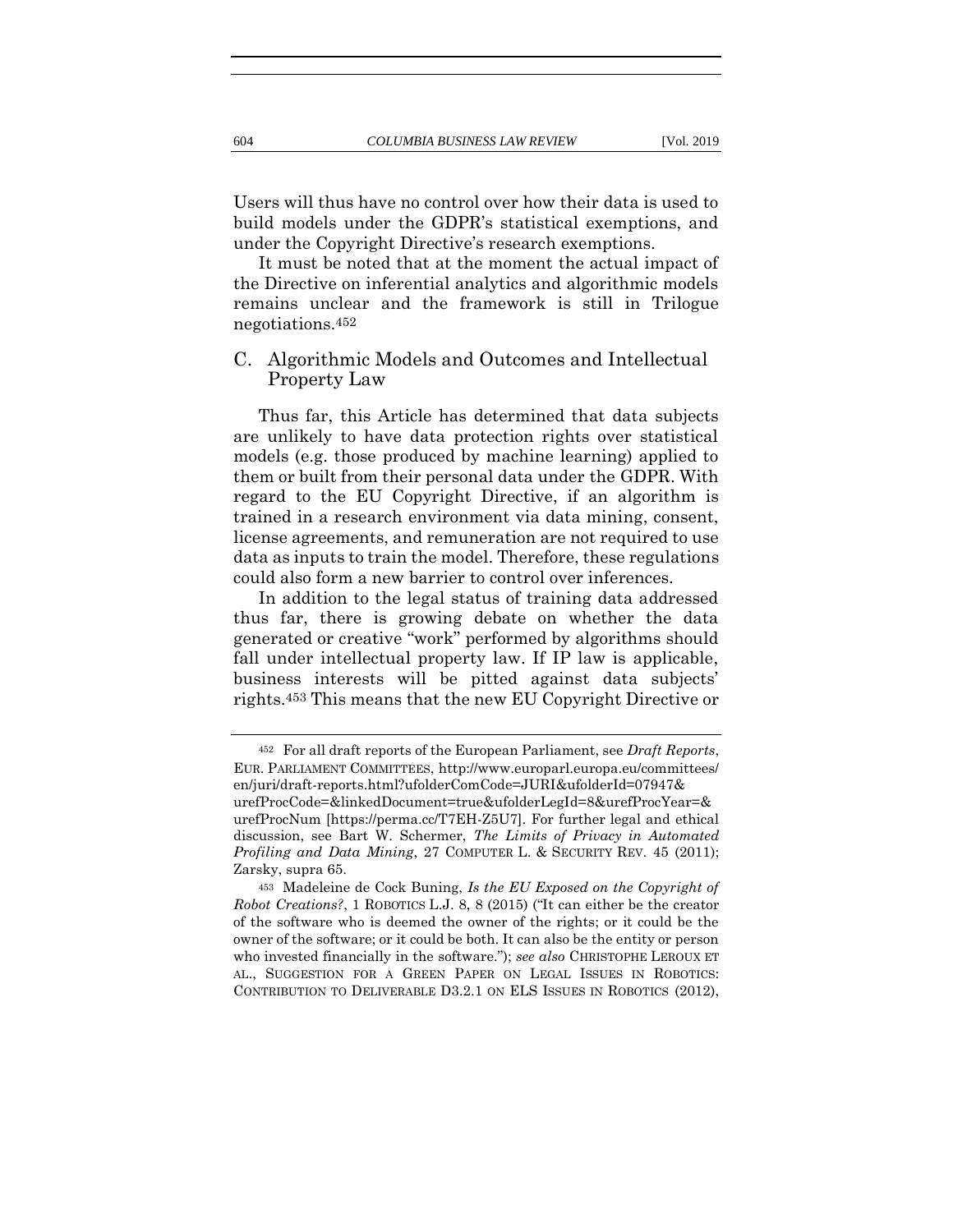Users will thus have no control over how their data is used to build models under the GDPR's statistical exemptions, and under the Copyright Directive's research exemptions.

It must be noted that at the moment the actual impact of the Directive on inferential analytics and algorithmic models remains unclear and the framework is still in Trilogue negotiations.452

# C. Algorithmic Models and Outcomes and Intellectual Property Law

Thus far, this Article has determined that data subjects are unlikely to have data protection rights over statistical models (e.g. those produced by machine learning) applied to them or built from their personal data under the GDPR. With regard to the EU Copyright Directive, if an algorithm is trained in a research environment via data mining, consent, license agreements, and remuneration are not required to use data as inputs to train the model. Therefore, these regulations could also form a new barrier to control over inferences.

In addition to the legal status of training data addressed thus far, there is growing debate on whether the data generated or creative "work" performed by algorithms should fall under intellectual property law. If IP law is applicable, business interests will be pitted against data subjects' rights.453 This means that the new EU Copyright Directive or

<sup>452</sup> For all draft reports of the European Parliament, see *Draft Reports*, EUR. PARLIAMENT COMMITTEES, http://www.europarl.europa.eu/committees/ en/juri/draft-reports.html?ufolderComCode=JURI&ufolderId=07947& urefProcCode=&linkedDocument=true&ufolderLegId=8&urefProcYear=& urefProcNum [https://perma.cc/T7EH-Z5U7]. For further legal and ethical discussion, see Bart W. Schermer, *The Limits of Privacy in Automated Profiling and Data Mining*, 27 COMPUTER L. & SECURITY REV. 45 (2011); Zarsky, supra [65.](#page-18-0)

<sup>453</sup> Madeleine de Cock Buning, *Is the EU Exposed on the Copyright of Robot Creations?*, 1 ROBOTICS L.J. 8, 8 (2015) ("It can either be the creator of the software who is deemed the owner of the rights; or it could be the owner of the software; or it could be both. It can also be the entity or person who invested financially in the software."); *see also* CHRISTOPHE LEROUX ET AL., SUGGESTION FOR A GREEN PAPER ON LEGAL ISSUES IN ROBOTICS: CONTRIBUTION TO DELIVERABLE D3.2.1 ON ELS ISSUES IN ROBOTICS (2012),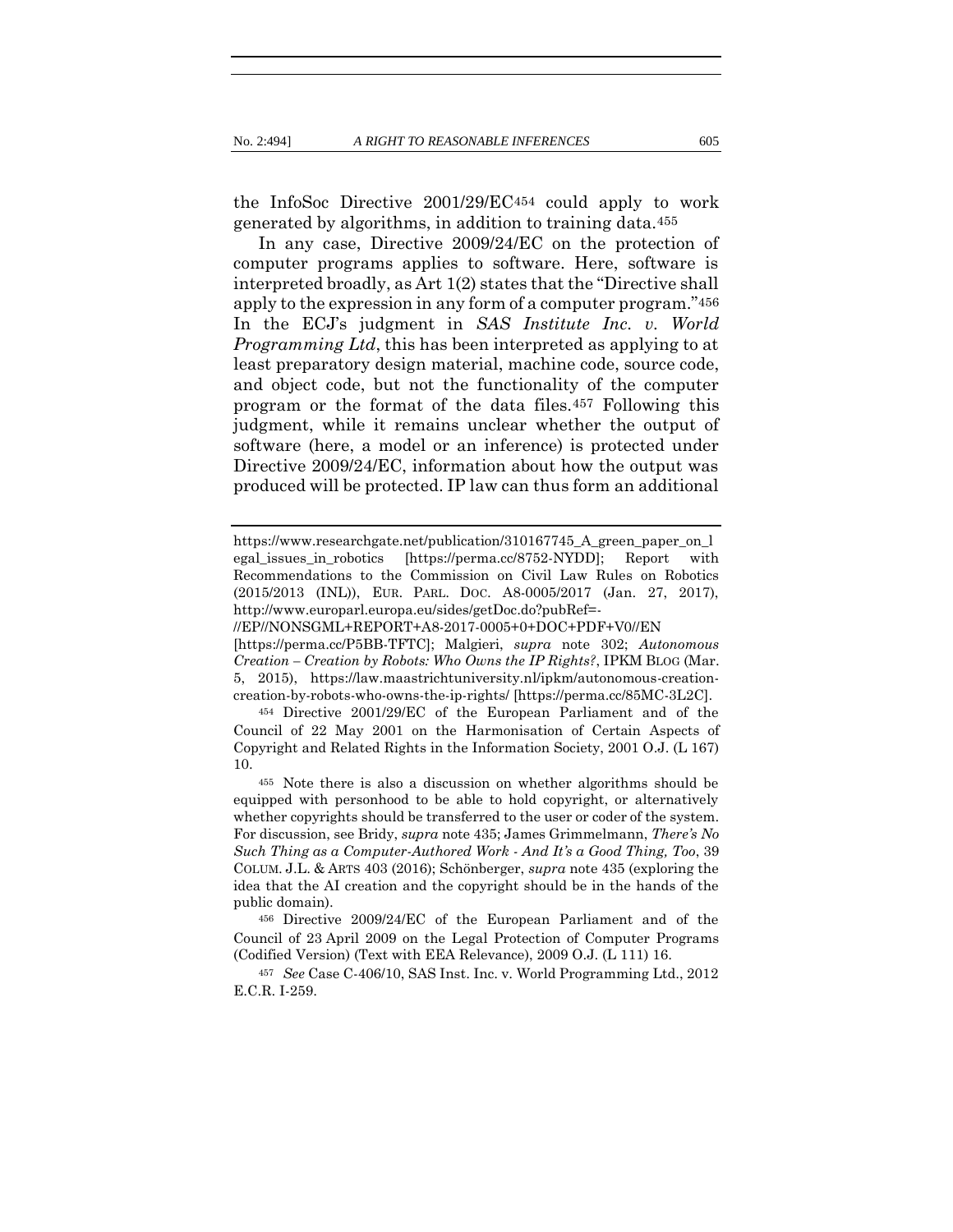the InfoSoc Directive 2001/29/EC454 could apply to work generated by algorithms, in addition to training data.455

In any case, Directive 2009/24/EC on the protection of computer programs applies to software. Here, software is interpreted broadly, as Art 1(2) states that the "Directive shall apply to the expression in any form of a computer program."456 In the ECJ's judgment in *SAS Institute Inc. v. World Programming Ltd*, this has been interpreted as applying to at least preparatory design material, machine code, source code, and object code, but not the functionality of the computer program or the format of the data files.457 Following this judgment, while it remains unclear whether the output of software (here, a model or an inference) is protected under Directive 2009/24/EC, information about how the output was produced will be protected. IP law can thus form an additional

[https://perma.cc/P5BB-TFTC]; Malgieri, *supra* note [302;](#page-66-0) *Autonomous Creation – Creation by Robots: Who Owns the IP Rights?*, IPKM BLOG (Mar. 5, 2015), https://law.maastrichtuniversity.nl/ipkm/autonomous-creationcreation-by-robots-who-owns-the-ip-rights/ [https://perma.cc/85MC-3L2C].

<sup>454</sup> Directive 2001/29/EC of the European Parliament and of the Council of 22 May 2001 on the Harmonisation of Certain Aspects of Copyright and Related Rights in the Information Society, 2001 O.J. (L 167) 10.

<sup>455</sup> Note there is also a discussion on whether algorithms should be equipped with personhood to be able to hold copyright, or alternatively whether copyrights should be transferred to the user or coder of the system. For discussion, see Bridy, *supra* not[e 435;](#page-106-0) James Grimmelmann, *There's No Such Thing as a Computer-Authored Work - And It's a Good Thing, Too*, 39 COLUM. J.L. & ARTS 403 (2016); Schönberger, *supra* not[e 435](#page-106-0) (exploring the idea that the AI creation and the copyright should be in the hands of the public domain).

<sup>456</sup> Directive 2009/24/EC of the European Parliament and of the Council of 23 April 2009 on the Legal Protection of Computer Programs (Codified Version) (Text with EEA Relevance), 2009 O.J. (L 111) 16.

<sup>457</sup> *See* Case C-406/10, SAS Inst. Inc. v. World Programming Ltd., 2012 E.C.R. I-259.

https://www.researchgate.net/publication/310167745 A green paper\_on\_l egal\_issues\_in\_robotics [https://perma.cc/8752-NYDD]; Report with Recommendations to the Commission on Civil Law Rules on Robotics (2015/2013 (INL)), EUR. PARL. DOC. A8-0005/2017 (Jan. 27, 2017), http://www.europarl.europa.eu/sides/getDoc.do?pubRef=-

<sup>//</sup>EP//NONSGML+REPORT+A8-2017-0005+0+DOC+PDF+V0//EN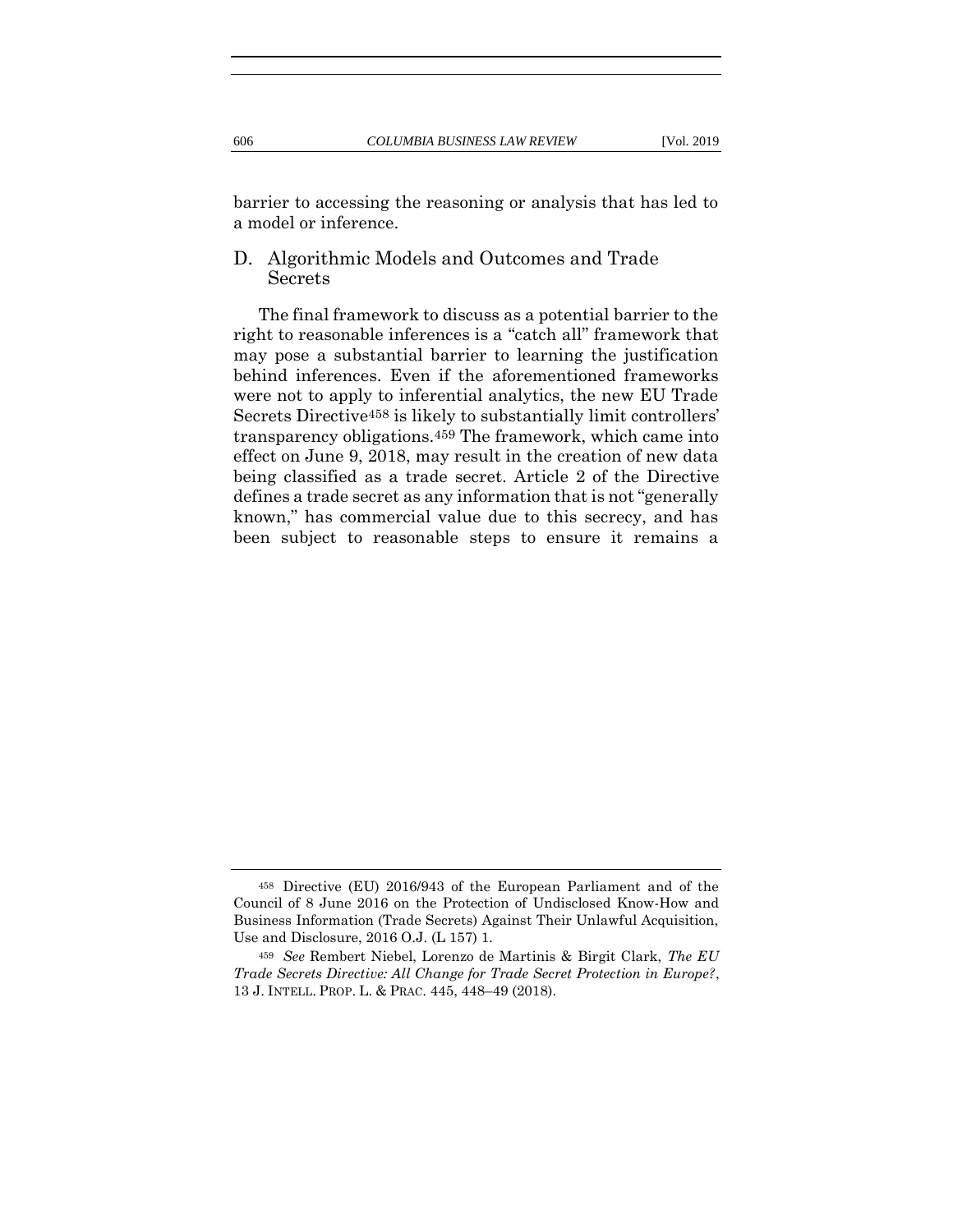barrier to accessing the reasoning or analysis that has led to a model or inference.

D. Algorithmic Models and Outcomes and Trade Secrets

The final framework to discuss as a potential barrier to the right to reasonable inferences is a "catch all" framework that may pose a substantial barrier to learning the justification behind inferences. Even if the aforementioned frameworks were not to apply to inferential analytics, the new EU Trade Secrets Directive458 is likely to substantially limit controllers' transparency obligations.459 The framework, which came into effect on June 9, 2018, may result in the creation of new data being classified as a trade secret. Article 2 of the Directive defines a trade secret as any information that is not "generally known," has commercial value due to this secrecy, and has been subject to reasonable steps to ensure it remains a

<sup>458</sup> Directive (EU) 2016/943 of the European Parliament and of the Council of 8 June 2016 on the Protection of Undisclosed Know-How and Business Information (Trade Secrets) Against Their Unlawful Acquisition, Use and Disclosure, 2016 O.J. (L 157) 1.

<sup>459</sup> *See* Rembert Niebel, Lorenzo de Martinis & Birgit Clark, *The EU Trade Secrets Directive: All Change for Trade Secret Protection in Europe?*, 13 J. INTELL. PROP. L. & PRAC. 445, 448–49 (2018).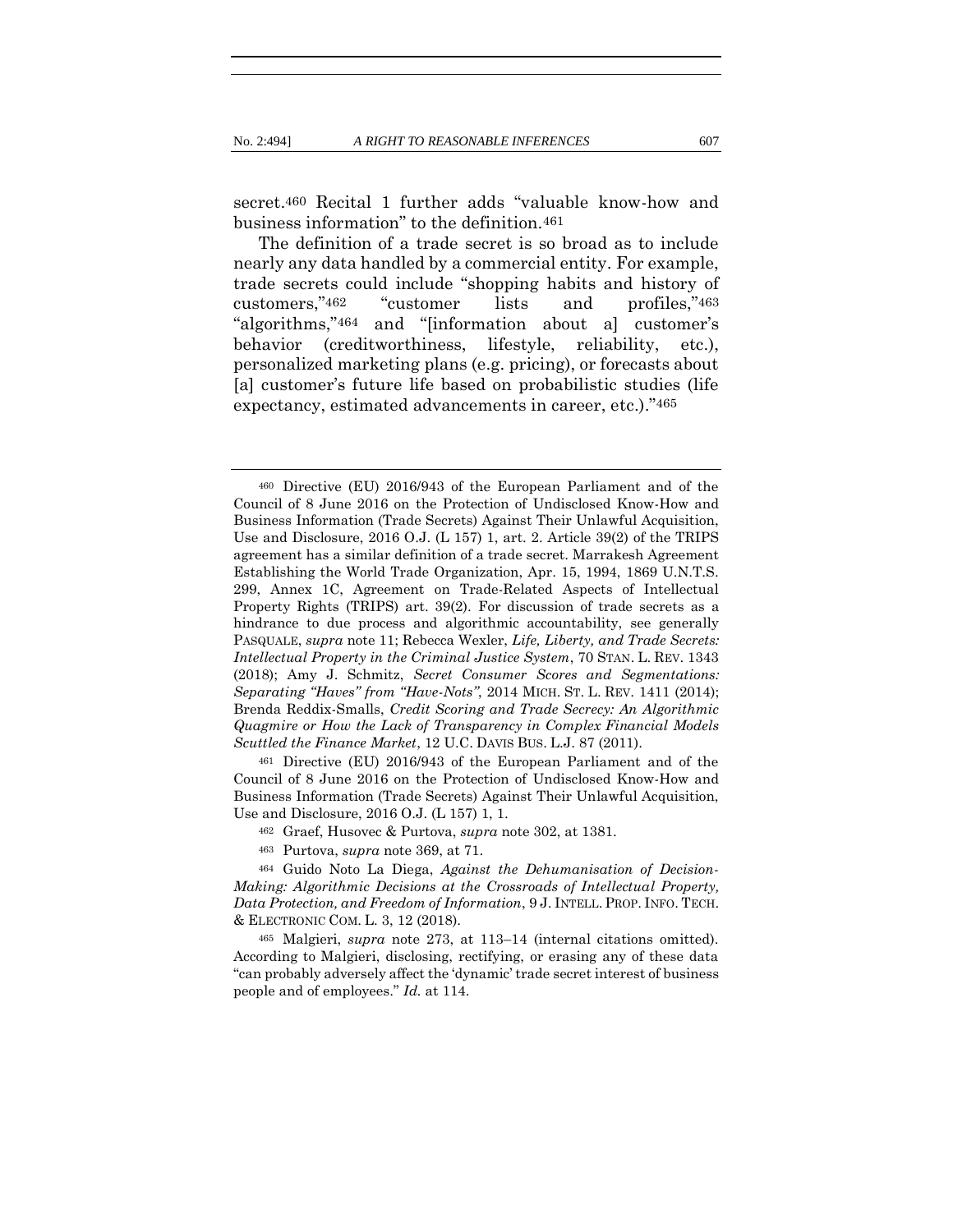secret.460 Recital 1 further adds "valuable know-how and business information" to the definition.461

The definition of a trade secret is so broad as to include nearly any data handled by a commercial entity. For example, trade secrets could include "shopping habits and history of customers,"462 "customer lists and profiles,"463 "algorithms,"464 and "[information about a] customer's behavior (creditworthiness, lifestyle, reliability, etc.), personalized marketing plans (e.g. pricing), or forecasts about [a] customer's future life based on probabilistic studies (life expectancy, estimated advancements in career, etc.)."465

<sup>461</sup> Directive (EU) 2016/943 of the European Parliament and of the Council of 8 June 2016 on the Protection of Undisclosed Know-How and Business Information (Trade Secrets) Against Their Unlawful Acquisition, Use and Disclosure, 2016 O.J. (L 157) 1, 1.

- <sup>462</sup> Graef, Husovec & Purtova, *supra* note [302,](#page-66-0) at 1381.
- <sup>463</sup> Purtova, *supra* note [369,](#page-83-0) at 71.

<sup>464</sup> Guido Noto La Diega, *Against the Dehumanisation of Decision-Making: Algorithmic Decisions at the Crossroads of Intellectual Property, Data Protection, and Freedom of Information*, 9 J. INTELL.PROP. INFO. TECH. & ELECTRONIC COM. L. 3, 12 (2018).

<sup>465</sup> Malgieri, *supra* note [273,](#page-60-0) at 113–14 (internal citations omitted). According to Malgieri, disclosing, rectifying, or erasing any of these data "can probably adversely affect the 'dynamic' trade secret interest of business people and of employees." *Id.* at 114.

<sup>460</sup> Directive (EU) 2016/943 of the European Parliament and of the Council of 8 June 2016 on the Protection of Undisclosed Know-How and Business Information (Trade Secrets) Against Their Unlawful Acquisition, Use and Disclosure, 2016 O.J. (L 157) 1, art. 2. Article 39(2) of the TRIPS agreement has a similar definition of a trade secret. Marrakesh Agreement Establishing the World Trade Organization, Apr. 15, 1994, 1869 U.N.T.S. 299, Annex 1C, Agreement on Trade-Related Aspects of Intellectual Property Rights (TRIPS) art. 39(2). For discussion of trade secrets as a hindrance to due process and algorithmic accountability, see generally PASQUALE, *supra* not[e 11;](#page-8-0) Rebecca Wexler, *Life, Liberty, and Trade Secrets: Intellectual Property in the Criminal Justice System*, 70 STAN. L. REV. 1343 (2018); Amy J. Schmitz, *Secret Consumer Scores and Segmentations: Separating "Haves" from "Have-Nots"*, 2014 MICH. ST. L. REV. 1411 (2014); Brenda Reddix-Smalls, *Credit Scoring and Trade Secrecy: An Algorithmic Quagmire or How the Lack of Transparency in Complex Financial Models Scuttled the Finance Market*, 12 U.C. DAVIS BUS. L.J. 87 (2011).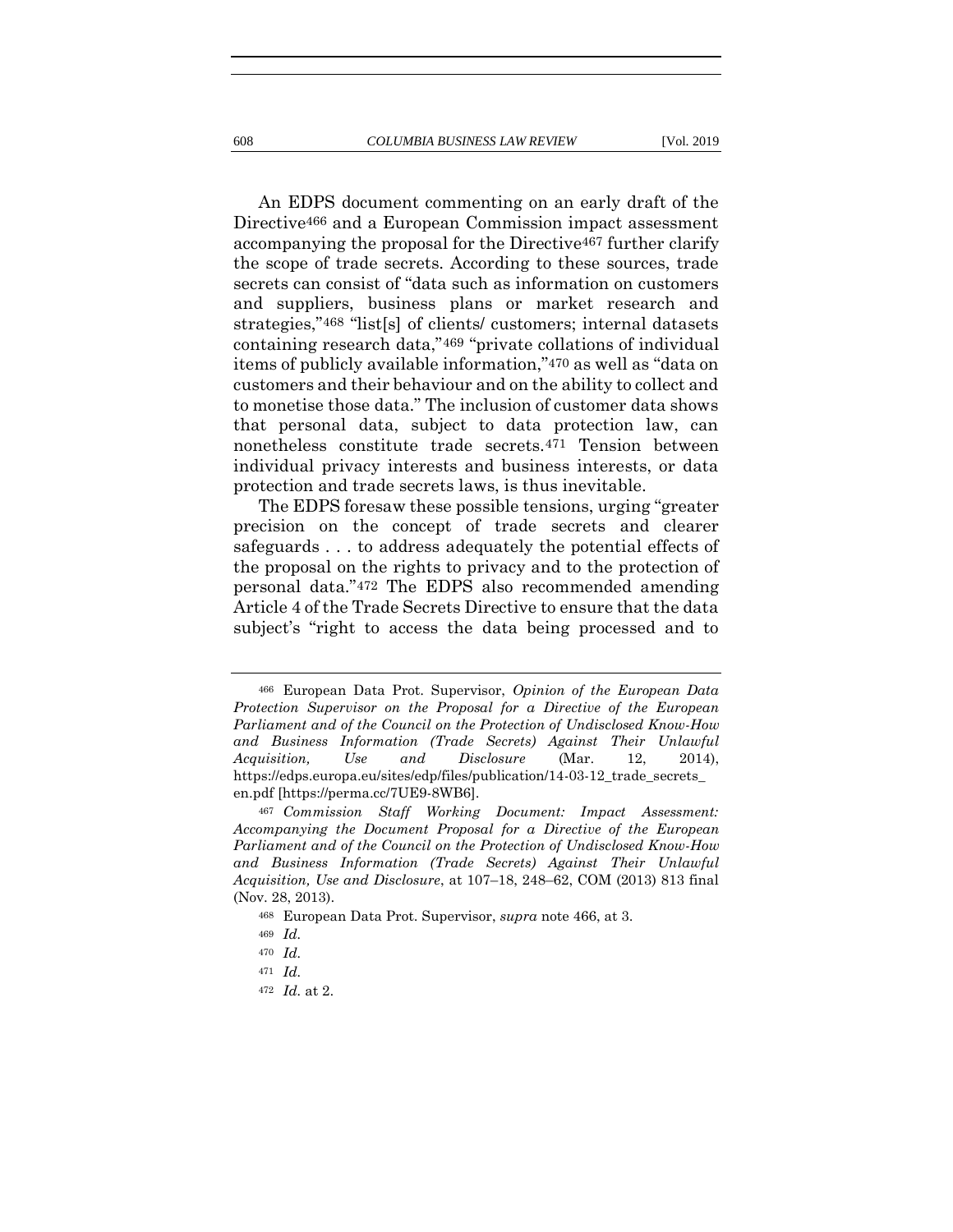<span id="page-114-0"></span>An EDPS document commenting on an early draft of the Directive466 and a European Commission impact assessment accompanying the proposal for the Directive467 further clarify the scope of trade secrets. According to these sources, trade secrets can consist of "data such as information on customers

and suppliers, business plans or market research and strategies,"468 "list[s] of clients/ customers; internal datasets containing research data,"469 "private collations of individual items of publicly available information,"470 as well as "data on customers and their behaviour and on the ability to collect and to monetise those data." The inclusion of customer data shows that personal data, subject to data protection law, can nonetheless constitute trade secrets.471 Tension between individual privacy interests and business interests, or data protection and trade secrets laws, is thus inevitable.

The EDPS foresaw these possible tensions, urging "greater precision on the concept of trade secrets and clearer safeguards . . . to address adequately the potential effects of the proposal on the rights to privacy and to the protection of personal data."472 The EDPS also recommended amending Article 4 of the Trade Secrets Directive to ensure that the data subject's "right to access the data being processed and to

<sup>466</sup> European Data Prot. Supervisor, *Opinion of the European Data Protection Supervisor on the Proposal for a Directive of the European Parliament and of the Council on the Protection of Undisclosed Know-How and Business Information (Trade Secrets) Against Their Unlawful Acquisition, Use and Disclosure* (Mar. 12, 2014), https://edps.europa.eu/sites/edp/files/publication/14-03-12\_trade\_secrets\_ en.pdf [https://perma.cc/7UE9-8WB6].

<sup>467</sup> *Commission Staff Working Document: Impact Assessment: Accompanying the Document Proposal for a Directive of the European Parliament and of the Council on the Protection of Undisclosed Know-How and Business Information (Trade Secrets) Against Their Unlawful Acquisition, Use and Disclosure*, at 107–18, 248–62, COM (2013) 813 final (Nov. 28, 2013).

<sup>468</sup> European Data Prot. Supervisor, *supra* note [466,](#page-114-0) at 3.

<sup>469</sup> *Id.* 

<sup>470</sup> *Id.* 

<sup>471</sup> *Id.* 

<sup>472</sup> *Id.* at 2.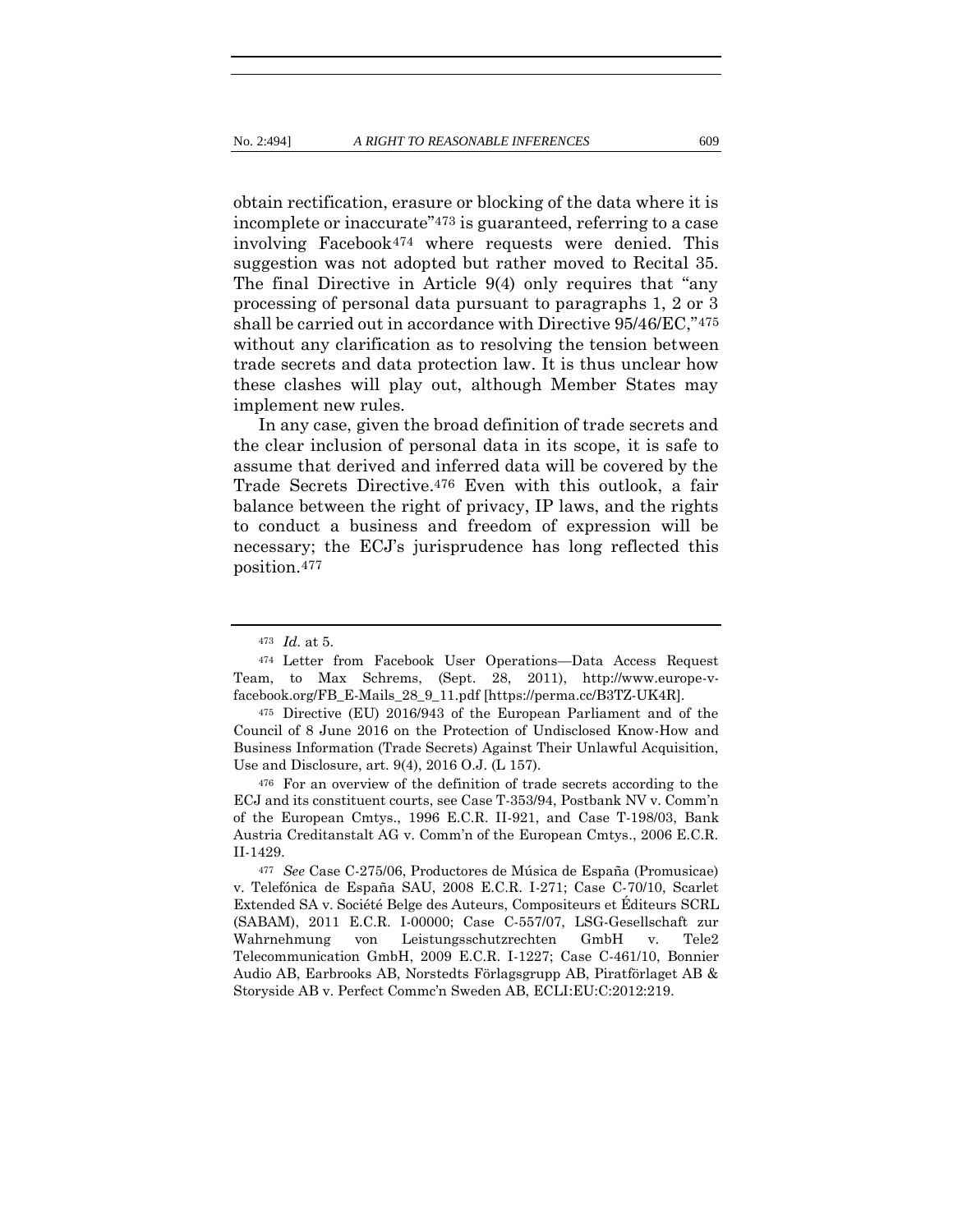<span id="page-115-0"></span>obtain rectification, erasure or blocking of the data where it is incomplete or inaccurate"<sup>473</sup> is guaranteed, referring to a case involving Facebook474 where requests were denied. This suggestion was not adopted but rather moved to Recital 35. The final Directive in Article 9(4) only requires that "any processing of personal data pursuant to paragraphs 1, 2 or 3 shall be carried out in accordance with Directive 95/46/EC,"475 without any clarification as to resolving the tension between trade secrets and data protection law. It is thus unclear how these clashes will play out, although Member States may implement new rules.

In any case, given the broad definition of trade secrets and the clear inclusion of personal data in its scope, it is safe to assume that derived and inferred data will be covered by the Trade Secrets Directive.476 Even with this outlook, a fair balance between the right of privacy, IP laws, and the rights to conduct a business and freedom of expression will be necessary; the ECJ's jurisprudence has long reflected this position.477

<sup>473</sup> *Id.* at 5.

<sup>474</sup> Letter from Facebook User Operations—Data Access Request Team, to Max Schrems, (Sept. 28, 2011), http://www.europe-vfacebook.org/FB\_E-Mails\_28\_9\_11.pdf [https://perma.cc/B3TZ-UK4R].

<sup>475</sup> Directive (EU) 2016/943 of the European Parliament and of the Council of 8 June 2016 on the Protection of Undisclosed Know-How and Business Information (Trade Secrets) Against Their Unlawful Acquisition, Use and Disclosure, art. 9(4), 2016 O.J. (L 157).

<sup>476</sup> For an overview of the definition of trade secrets according to the ECJ and its constituent courts, see Case T-353/94, Postbank NV v. Comm'n of the European Cmtys., 1996 E.C.R. II-921, and Case T-198/03, Bank Austria Creditanstalt AG v. Comm'n of the European Cmtys., 2006 E.C.R. II-1429.

<sup>477</sup> *See* Case C-275/06, Productores de Música de España (Promusicae) v. Telefónica de España SAU, 2008 E.C.R. I-271; Case C-70/10, Scarlet Extended SA v. Société Belge des Auteurs, Compositeurs et Éditeurs SCRL (SABAM), 2011 E.C.R. I-00000; Case C-557/07, LSG-Gesellschaft zur Wahrnehmung von Leistungsschutzrechten GmbH v. Tele2 Telecommunication GmbH, 2009 E.C.R. I-1227; Case C-461/10, Bonnier Audio AB, Earbrooks AB, Norstedts Förlagsgrupp AB, Piratförlaget AB & Storyside AB v. Perfect Commc'n Sweden AB, ECLI:EU:C:2012:219.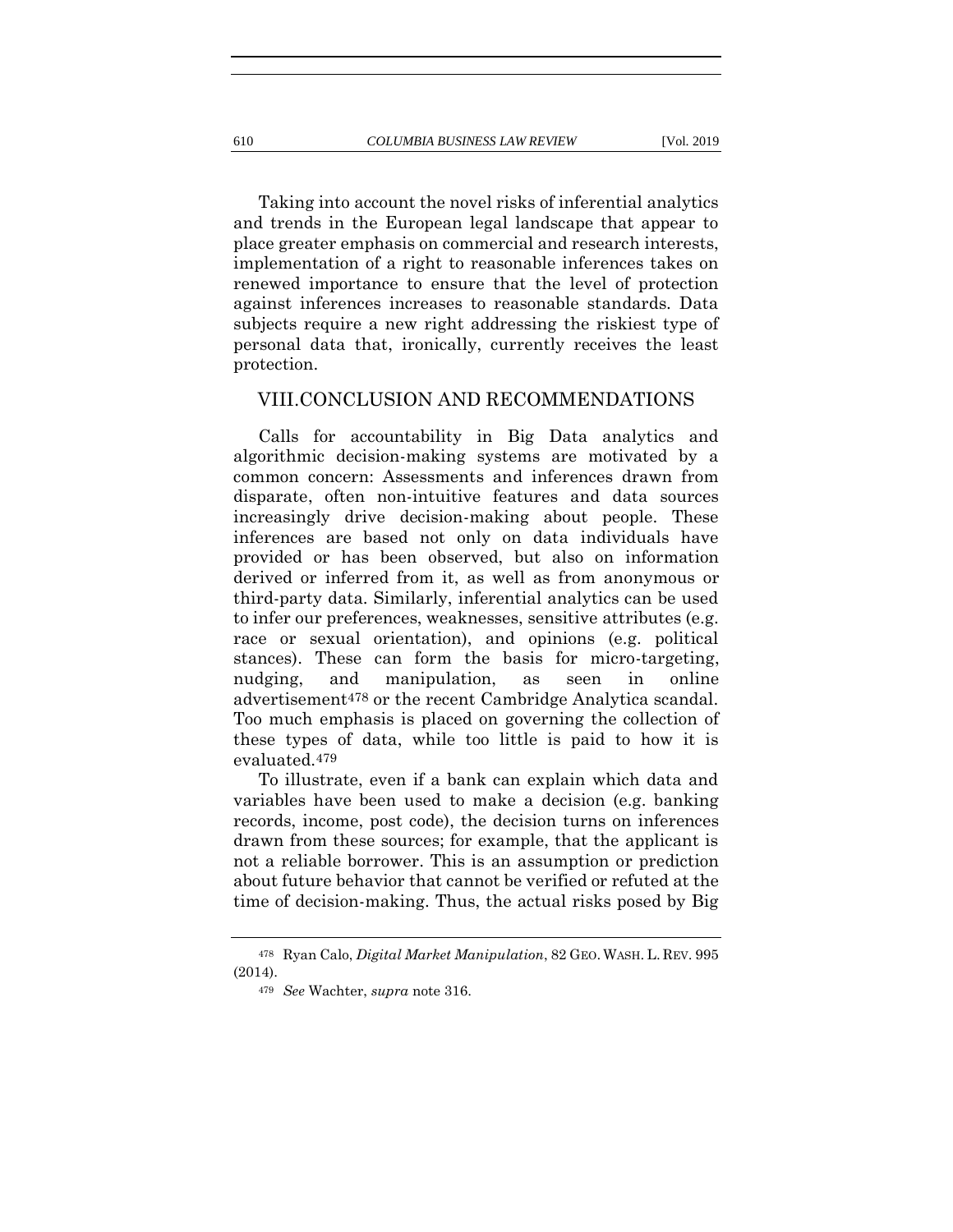Taking into account the novel risks of inferential analytics and trends in the European legal landscape that appear to place greater emphasis on commercial and research interests, implementation of a right to reasonable inferences takes on renewed importance to ensure that the level of protection against inferences increases to reasonable standards. Data subjects require a new right addressing the riskiest type of personal data that, ironically, currently receives the least protection.

#### VIII.CONCLUSION AND RECOMMENDATIONS

Calls for accountability in Big Data analytics and algorithmic decision-making systems are motivated by a common concern: Assessments and inferences drawn from disparate, often non-intuitive features and data sources increasingly drive decision-making about people. These inferences are based not only on data individuals have provided or has been observed, but also on information derived or inferred from it, as well as from anonymous or third-party data. Similarly, inferential analytics can be used to infer our preferences, weaknesses, sensitive attributes (e.g. race or sexual orientation), and opinions (e.g. political stances). These can form the basis for micro-targeting, nudging, and manipulation, as seen in online advertisement478 or the recent Cambridge Analytica scandal. Too much emphasis is placed on governing the collection of these types of data, while too little is paid to how it is evaluated.479

To illustrate, even if a bank can explain which data and variables have been used to make a decision (e.g. banking records, income, post code), the decision turns on inferences drawn from these sources; for example, that the applicant is not a reliable borrower. This is an assumption or prediction about future behavior that cannot be verified or refuted at the time of decision-making. Thus, the actual risks posed by Big

<sup>478</sup> Ryan Calo, *Digital Market Manipulation*, 82 GEO. WASH. L. REV. 995 (2014).

<sup>479</sup> *See* Wachter, *supra* not[e 316.](#page-70-0)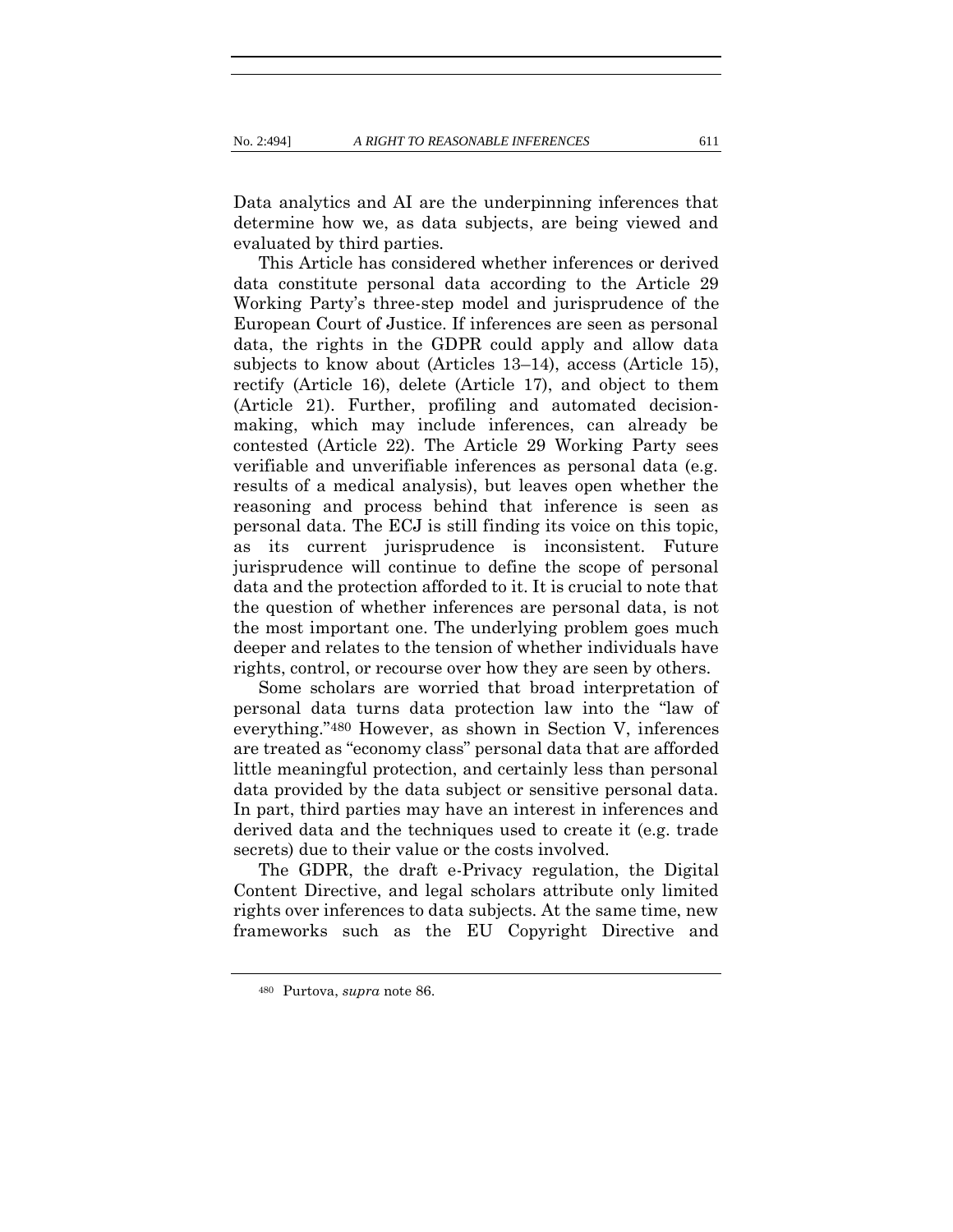Data analytics and AI are the underpinning inferences that determine how we, as data subjects, are being viewed and evaluated by third parties.

This Article has considered whether inferences or derived data constitute personal data according to the Article 29 Working Party's three-step model and jurisprudence of the European Court of Justice. If inferences are seen as personal data, the rights in the GDPR could apply and allow data subjects to know about (Articles 13–14), access (Article 15), rectify (Article 16), delete (Article 17), and object to them (Article 21). Further, profiling and automated decisionmaking, which may include inferences, can already be contested (Article 22). The Article 29 Working Party sees verifiable and unverifiable inferences as personal data (e.g. results of a medical analysis), but leaves open whether the reasoning and process behind that inference is seen as personal data. The ECJ is still finding its voice on this topic, as its current jurisprudence is inconsistent. Future jurisprudence will continue to define the scope of personal data and the protection afforded to it. It is crucial to note that the question of whether inferences are personal data, is not the most important one. The underlying problem goes much deeper and relates to the tension of whether individuals have rights, control, or recourse over how they are seen by others.

Some scholars are worried that broad interpretation of personal data turns data protection law into the "law of everything."480 However, as shown in Section V, inferences are treated as "economy class" personal data that are afforded little meaningful protection, and certainly less than personal data provided by the data subject or sensitive personal data. In part, third parties may have an interest in inferences and derived data and the techniques used to create it (e.g. trade secrets) due to their value or the costs involved.

The GDPR, the draft e-Privacy regulation, the Digital Content Directive, and legal scholars attribute only limited rights over inferences to data subjects. At the same time, new frameworks such as the EU Copyright Directive and

<sup>480</sup> Purtova, *supra* note [86.](#page-23-0)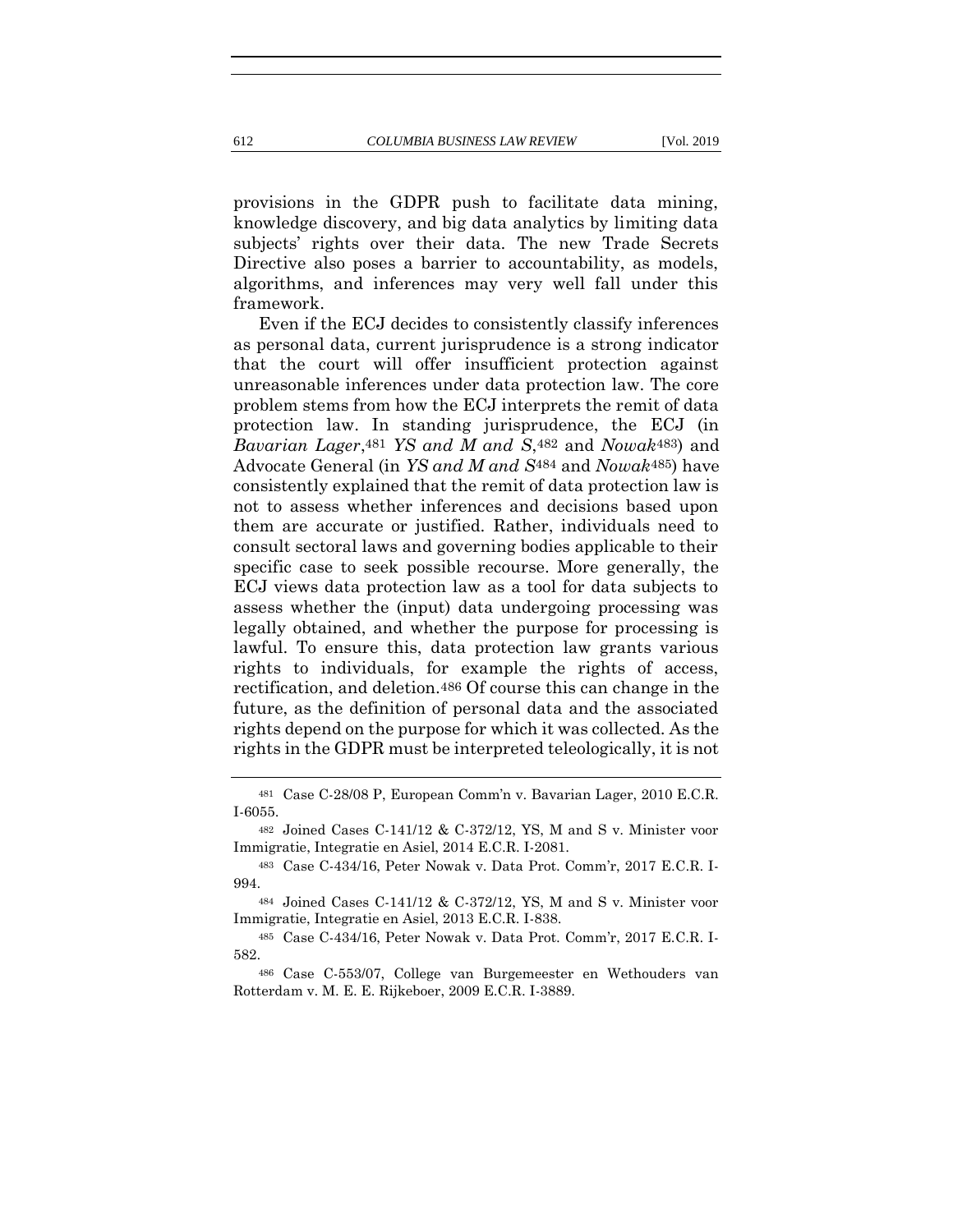provisions in the GDPR push to facilitate data mining, knowledge discovery, and big data analytics by limiting data subjects' rights over their data. The new Trade Secrets Directive also poses a barrier to accountability, as models, algorithms, and inferences may very well fall under this framework.

Even if the ECJ decides to consistently classify inferences as personal data, current jurisprudence is a strong indicator that the court will offer insufficient protection against unreasonable inferences under data protection law. The core problem stems from how the ECJ interprets the remit of data protection law. In standing jurisprudence, the ECJ (in *Bavarian Lager*,481 *YS and M and S*,482 and *Nowak*483) and Advocate General (in *YS and M and S*484 and *Nowak*485) have consistently explained that the remit of data protection law is not to assess whether inferences and decisions based upon them are accurate or justified. Rather, individuals need to consult sectoral laws and governing bodies applicable to their specific case to seek possible recourse. More generally, the ECJ views data protection law as a tool for data subjects to assess whether the (input) data undergoing processing was legally obtained, and whether the purpose for processing is lawful. To ensure this, data protection law grants various rights to individuals, for example the rights of access, rectification, and deletion.486 Of course this can change in the future, as the definition of personal data and the associated rights depend on the purpose for which it was collected. As the rights in the GDPR must be interpreted teleologically, it is not

<sup>481</sup> Case C-28/08 P, European Comm'n v. Bavarian Lager, 2010 E.C.R. I-6055.

<sup>482</sup> Joined Cases C-141/12 & C-372/12, YS, M and S v. Minister voor Immigratie, Integratie en Asiel, 2014 E.C.R. I-2081.

<sup>483</sup> Case C-434/16, Peter Nowak v. Data Prot. Comm'r, 2017 E.C.R. I-994.

<sup>484</sup> Joined Cases C-141/12 & C-372/12, YS, M and S v. Minister voor Immigratie, Integratie en Asiel, 2013 E.C.R. I-838.

<sup>485</sup> Case C-434/16, Peter Nowak v. Data Prot. Comm'r, 2017 E.C.R. I-582.

<sup>486</sup> Case C-553/07, College van Burgemeester en Wethouders van Rotterdam v. M. E. E. Rijkeboer, 2009 E.C.R. I-3889.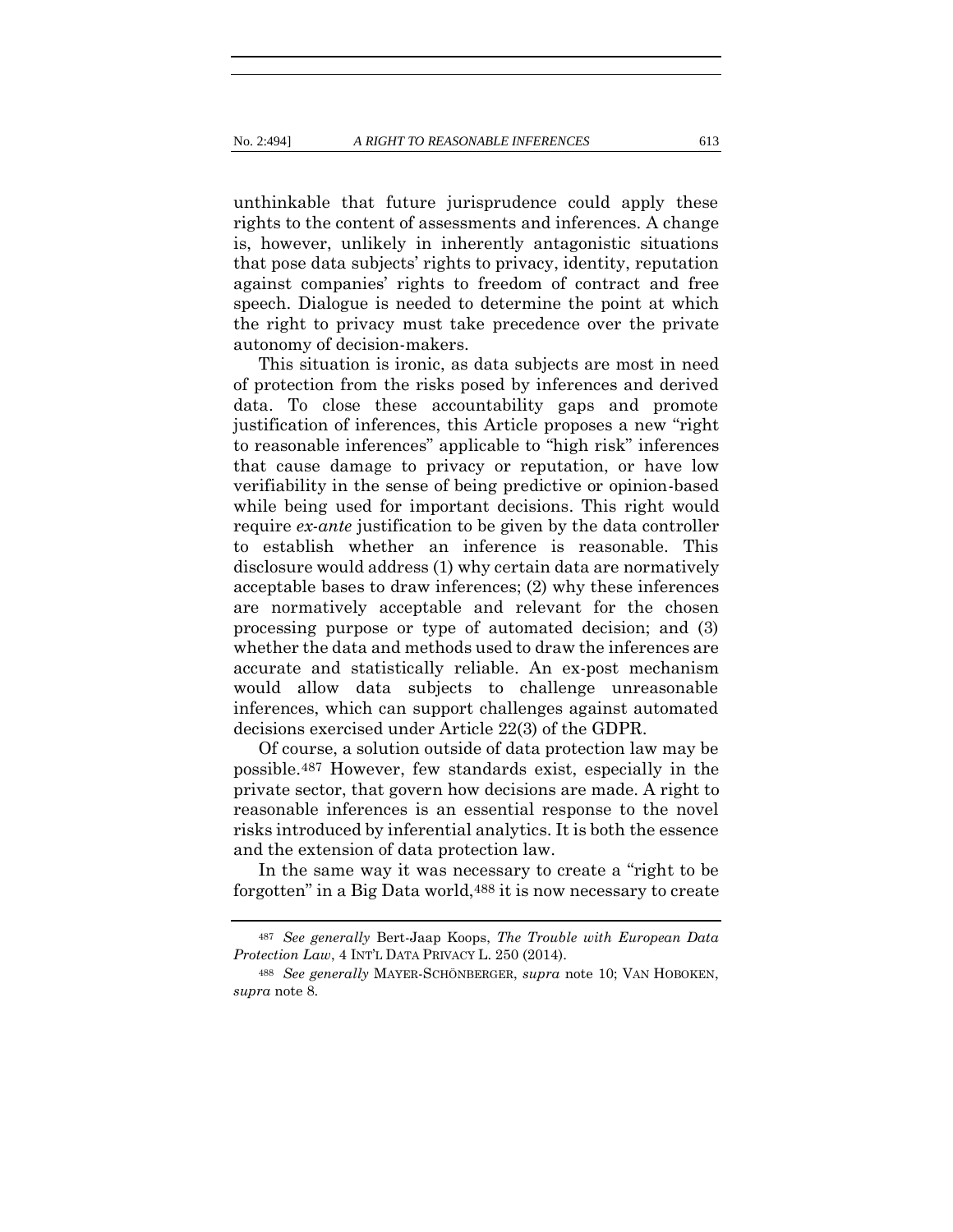unthinkable that future jurisprudence could apply these rights to the content of assessments and inferences. A change is, however, unlikely in inherently antagonistic situations that pose data subjects' rights to privacy, identity, reputation against companies' rights to freedom of contract and free speech. Dialogue is needed to determine the point at which the right to privacy must take precedence over the private autonomy of decision-makers.

This situation is ironic, as data subjects are most in need of protection from the risks posed by inferences and derived data. To close these accountability gaps and promote justification of inferences, this Article proposes a new "right to reasonable inferences" applicable to "high risk" inferences that cause damage to privacy or reputation, or have low verifiability in the sense of being predictive or opinion-based while being used for important decisions. This right would require *ex-ante* justification to be given by the data controller to establish whether an inference is reasonable. This disclosure would address (1) why certain data are normatively acceptable bases to draw inferences; (2) why these inferences are normatively acceptable and relevant for the chosen processing purpose or type of automated decision; and (3) whether the data and methods used to draw the inferences are accurate and statistically reliable. An ex-post mechanism would allow data subjects to challenge unreasonable inferences, which can support challenges against automated decisions exercised under Article 22(3) of the GDPR.

Of course, a solution outside of data protection law may be possible.487 However, few standards exist, especially in the private sector, that govern how decisions are made. A right to reasonable inferences is an essential response to the novel risks introduced by inferential analytics. It is both the essence and the extension of data protection law.

In the same way it was necessary to create a "right to be forgotten" in a Big Data world,488 it is now necessary to create

<sup>487</sup> *See generally* Bert-Jaap Koops, *The Trouble with European Data Protection Law*, 4 INT'L DATA PRIVACY L. 250 (2014).

<sup>488</sup> *See generally* MAYER-SCHÖNBERGER, *supra* note [10;](#page-8-1) VAN HOBOKEN, *supra* note [8.](#page-7-0)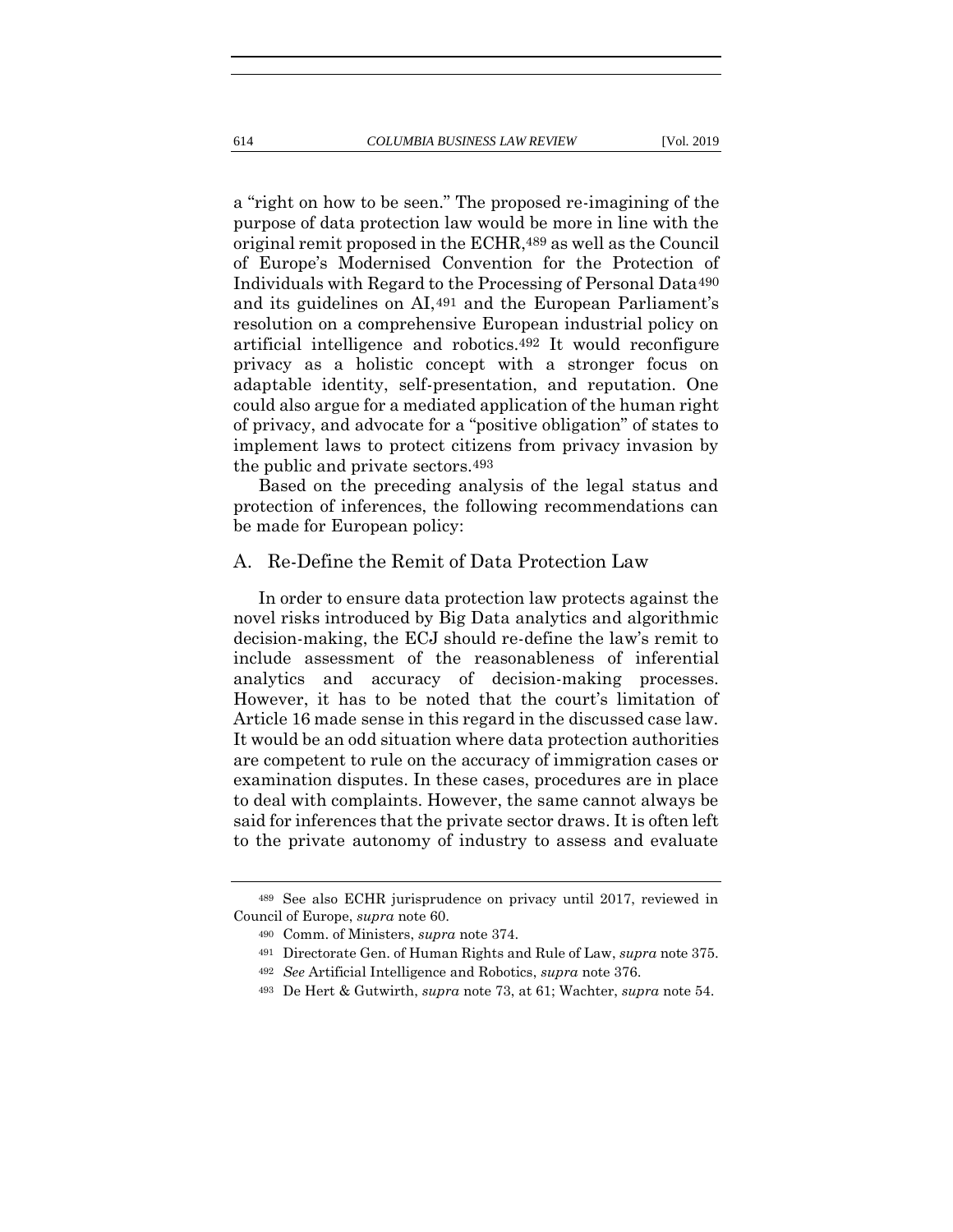a "right on how to be seen." The proposed re-imagining of the purpose of data protection law would be more in line with the original remit proposed in the ECHR,489 as well as the Council of Europe's Modernised Convention for the Protection of Individuals with Regard to the Processing of Personal Data490 and its guidelines on AI,491 and the European Parliament's resolution on a comprehensive European industrial policy on artificial intelligence and robotics.492 It would reconfigure privacy as a holistic concept with a stronger focus on adaptable identity, self-presentation, and reputation. One could also argue for a mediated application of the human right of privacy, and advocate for a "positive obligation" of states to implement laws to protect citizens from privacy invasion by the public and private sectors.493

Based on the preceding analysis of the legal status and protection of inferences, the following recommendations can be made for European policy:

#### A. Re-Define the Remit of Data Protection Law

In order to ensure data protection law protects against the novel risks introduced by Big Data analytics and algorithmic decision-making, the ECJ should re-define the law's remit to include assessment of the reasonableness of inferential analytics and accuracy of decision-making processes. However, it has to be noted that the court's limitation of Article 16 made sense in this regard in the discussed case law. It would be an odd situation where data protection authorities are competent to rule on the accuracy of immigration cases or examination disputes. In these cases, procedures are in place to deal with complaints. However, the same cannot always be said for inferences that the private sector draws. It is often left to the private autonomy of industry to assess and evaluate

<sup>489</sup> See also ECHR jurisprudence on privacy until 2017, reviewed in Council of Europe, *supra* note [60.](#page-17-0)

<sup>490</sup> Comm. of Ministers, *supra* note [374.](#page-85-0)

<sup>491</sup> Directorate Gen. of Human Rights and Rule of Law, *supra* not[e 375.](#page-85-1)

<sup>492</sup> *See* Artificial Intelligence and Robotics, *supra* note [376.](#page-85-2)

<sup>493</sup> De Hert & Gutwirth, *supra* note [73,](#page-20-0) at 61; Wachter, *supra* not[e 54.](#page-16-0)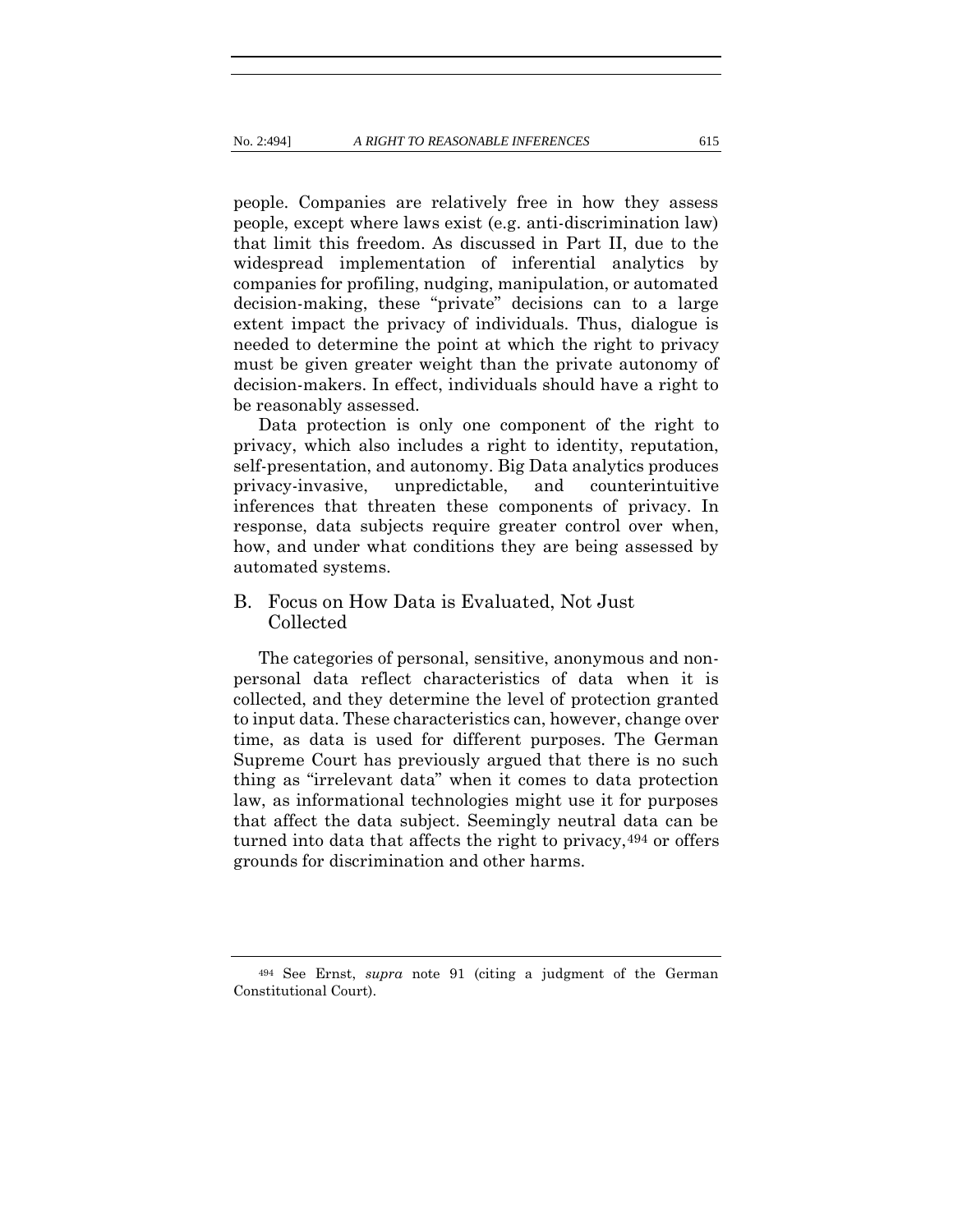people. Companies are relatively free in how they assess people, except where laws exist (e.g. anti-discrimination law) that limit this freedom. As discussed in Part II, due to the widespread implementation of inferential analytics by companies for profiling, nudging, manipulation, or automated decision-making, these "private" decisions can to a large extent impact the privacy of individuals. Thus, dialogue is needed to determine the point at which the right to privacy must be given greater weight than the private autonomy of decision-makers. In effect, individuals should have a right to be reasonably assessed.

Data protection is only one component of the right to privacy, which also includes a right to identity, reputation, self-presentation, and autonomy. Big Data analytics produces privacy-invasive, unpredictable, and counterintuitive inferences that threaten these components of privacy. In response, data subjects require greater control over when, how, and under what conditions they are being assessed by automated systems.

# B. Focus on How Data is Evaluated, Not Just Collected

The categories of personal, sensitive, anonymous and nonpersonal data reflect characteristics of data when it is collected, and they determine the level of protection granted to input data. These characteristics can, however, change over time, as data is used for different purposes. The German Supreme Court has previously argued that there is no such thing as "irrelevant data" when it comes to data protection law, as informational technologies might use it for purposes that affect the data subject. Seemingly neutral data can be turned into data that affects the right to privacy,494 or offers grounds for discrimination and other harms.

<sup>494</sup> See Ernst, *supra* note [91](#page-24-0) (citing a judgment of the German Constitutional Court).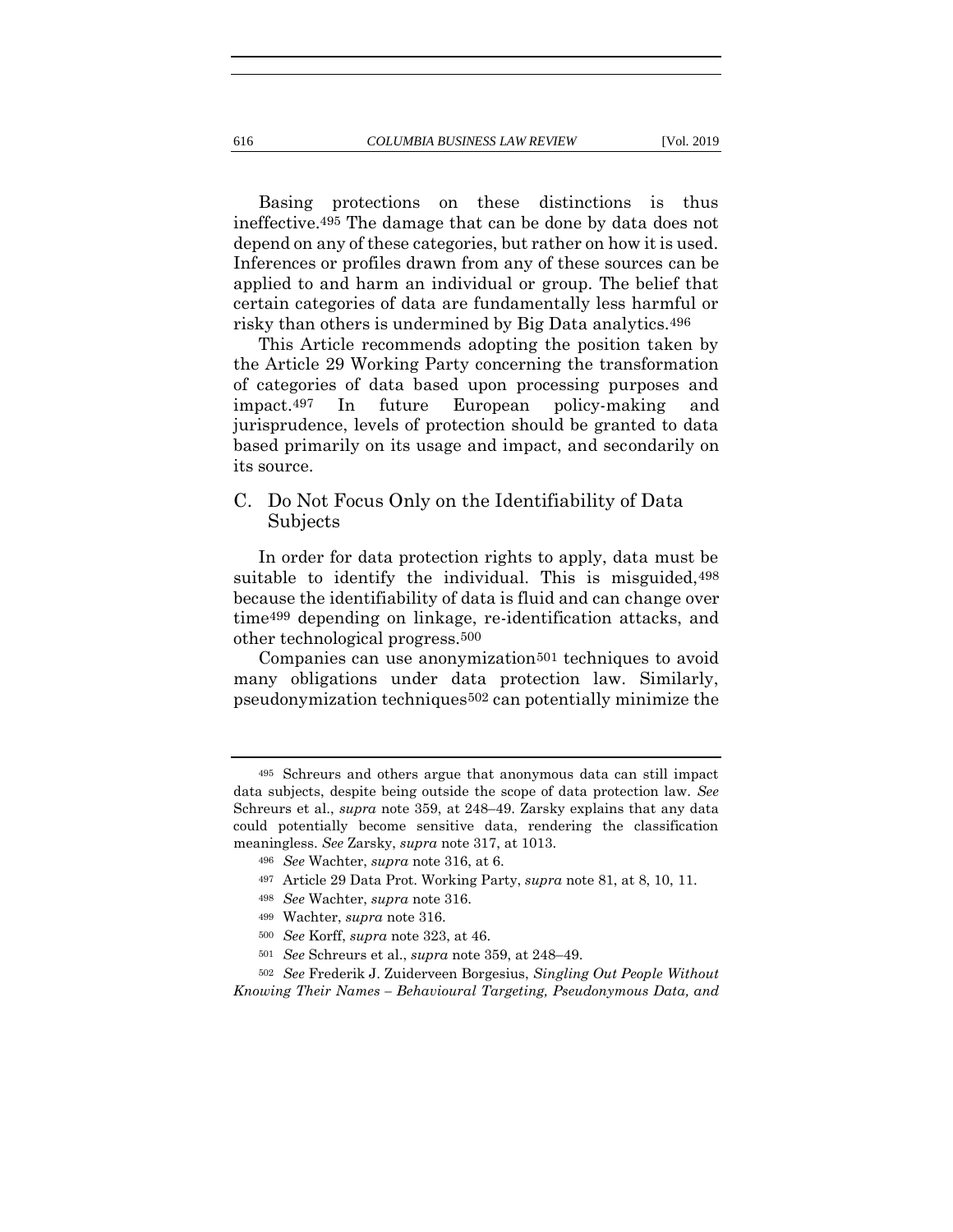Basing protections on these distinctions is thus ineffective.495 The damage that can be done by data does not depend on any of these categories, but rather on how it is used. Inferences or profiles drawn from any of these sources can be applied to and harm an individual or group. The belief that certain categories of data are fundamentally less harmful or

This Article recommends adopting the position taken by the Article 29 Working Party concerning the transformation of categories of data based upon processing purposes and impact.497 In future European policy-making and jurisprudence, levels of protection should be granted to data based primarily on its usage and impact, and secondarily on its source.

risky than others is undermined by Big Data analytics.496

#### C. Do Not Focus Only on the Identifiability of Data Subjects

In order for data protection rights to apply, data must be suitable to identify the individual. This is misguided,498 because the identifiability of data is fluid and can change over time499 depending on linkage, re-identification attacks, and other technological progress.500

Companies can use anonymization<sup>501</sup> techniques to avoid many obligations under data protection law. Similarly, pseudonymization techniques502 can potentially minimize the

<sup>495</sup> Schreurs and others argue that anonymous data can still impact data subjects, despite being outside the scope of data protection law. *See*  Schreurs et al., *supra* note [359,](#page-81-0) at 248–49. Zarsky explains that any data could potentially become sensitive data, rendering the classification meaningless. *See* Zarsky, *supra* note [317,](#page-70-1) at 1013.

<sup>496</sup> *See* Wachter, *supra* not[e 316,](#page-70-0) at 6.

<sup>497</sup> Article 29 Data Prot. Working Party, *supra* note [81,](#page-22-0) at 8, 10, 11.

<sup>498</sup> *See* Wachter, *supra* not[e 316.](#page-70-0)

<sup>499</sup> Wachter, *supra* note [316.](#page-70-0)

<sup>500</sup> *See* Korff, *supra* note [323,](#page-72-0) at 46.

<sup>501</sup> *See* Schreurs et al., *supra* note [359,](#page-81-0) at 248–49.

<sup>502</sup> *See* Frederik J. Zuiderveen Borgesius, *Singling Out People Without Knowing Their Names – Behavioural Targeting, Pseudonymous Data, and*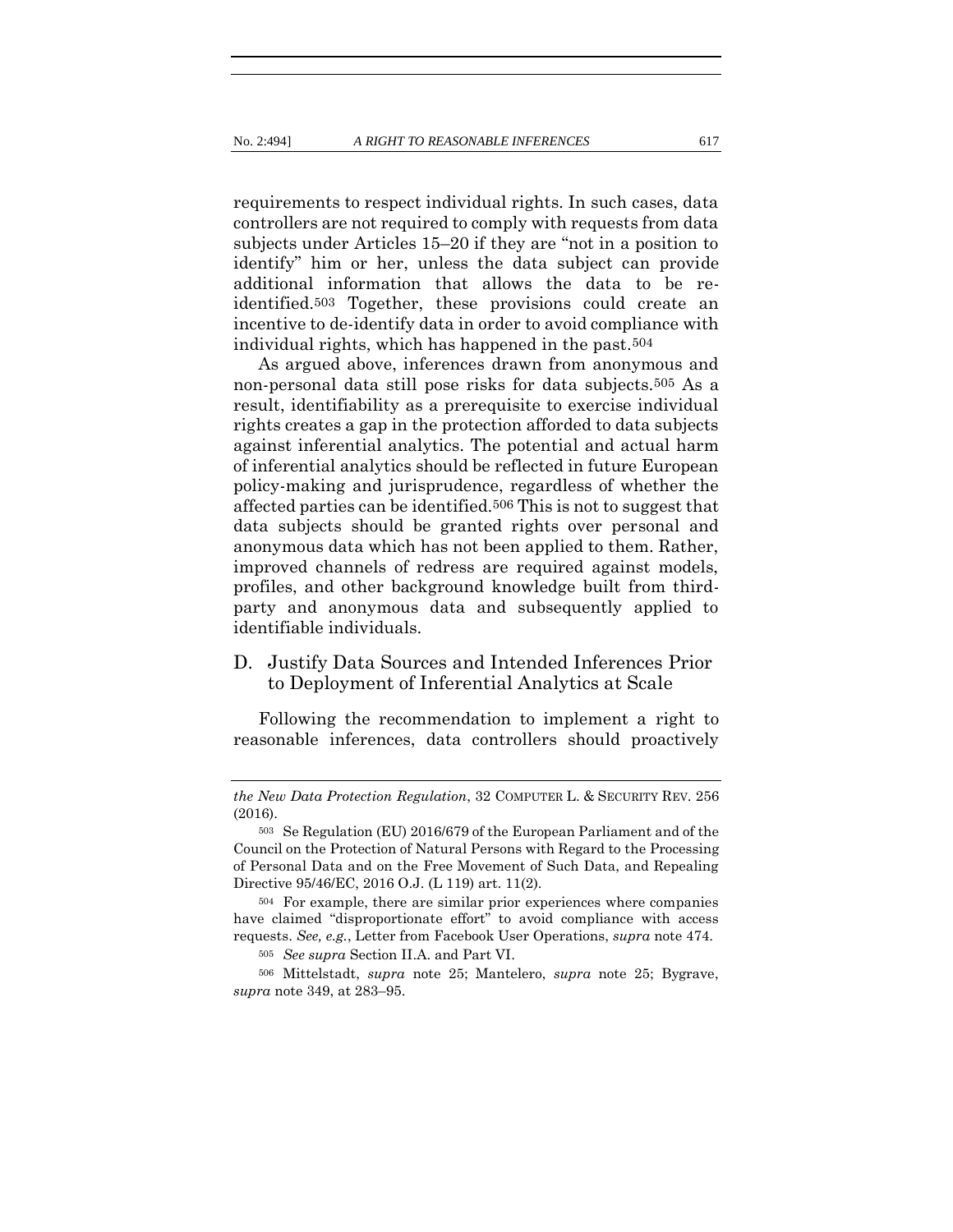requirements to respect individual rights. In such cases, data controllers are not required to comply with requests from data subjects under Articles 15–20 if they are "not in a position to identify" him or her, unless the data subject can provide additional information that allows the data to be reidentified.503 Together, these provisions could create an incentive to de-identify data in order to avoid compliance with individual rights, which has happened in the past.504

As argued above, inferences drawn from anonymous and non-personal data still pose risks for data subjects.505 As a result, identifiability as a prerequisite to exercise individual rights creates a gap in the protection afforded to data subjects against inferential analytics. The potential and actual harm of inferential analytics should be reflected in future European policy-making and jurisprudence, regardless of whether the affected parties can be identified.506 This is not to suggest that data subjects should be granted rights over personal and anonymous data which has not been applied to them. Rather, improved channels of redress are required against models, profiles, and other background knowledge built from thirdparty and anonymous data and subsequently applied to identifiable individuals.

# D. Justify Data Sources and Intended Inferences Prior to Deployment of Inferential Analytics at Scale

Following the recommendation to implement a right to reasonable inferences, data controllers should proactively

*the New Data Protection Regulation*, 32 COMPUTER L. & SECURITY REV. 256 (2016).

<sup>503</sup> Se Regulation (EU) 2016/679 of the European Parliament and of the Council on the Protection of Natural Persons with Regard to the Processing of Personal Data and on the Free Movement of Such Data, and Repealing Directive 95/46/EC, 2016 O.J. (L 119) art. 11(2).

<sup>504</sup> For example, there are similar prior experiences where companies have claimed "disproportionate effort" to avoid compliance with access requests. *See, e.g.*, Letter from Facebook User Operations, *supra* not[e 474.](#page-115-0)

<sup>505</sup> *See supra* Section II.A. and Part VI.

<sup>506</sup> Mittelstadt, *supra* note [25;](#page-12-0) Mantelero, *supra* note [25;](#page-12-0) Bygrave, *supra* note [349,](#page-79-0) at 283–95.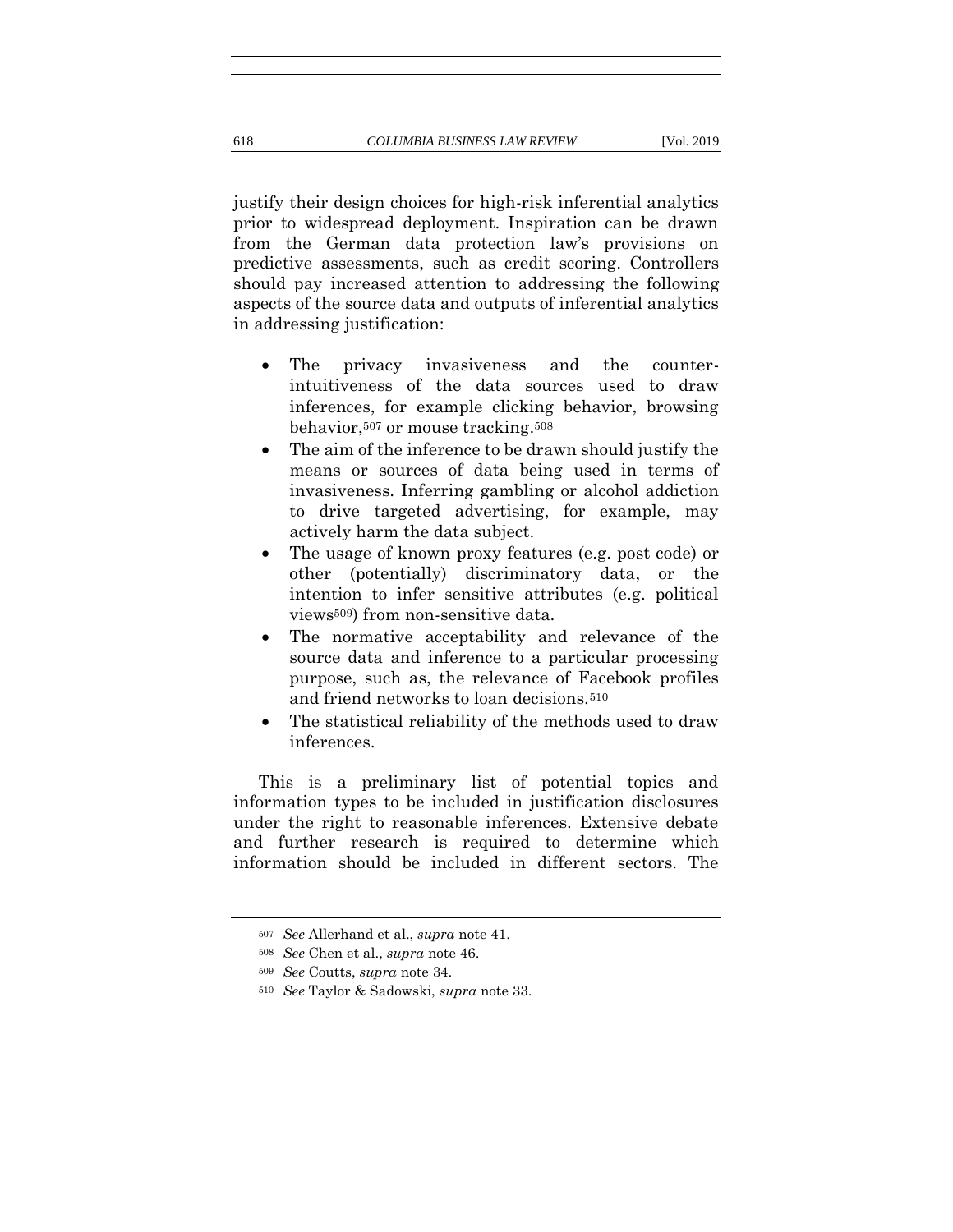justify their design choices for high-risk inferential analytics prior to widespread deployment. Inspiration can be drawn from the German data protection law's provisions on predictive assessments, such as credit scoring. Controllers should pay increased attention to addressing the following aspects of the source data and outputs of inferential analytics in addressing justification:

- The privacy invasiveness and the counterintuitiveness of the data sources used to draw inferences, for example clicking behavior, browsing behavior,<sup>507</sup> or mouse tracking.<sup>508</sup>
- The aim of the inference to be drawn should justify the means or sources of data being used in terms of invasiveness. Inferring gambling or alcohol addiction to drive targeted advertising, for example, may actively harm the data subject.
- The usage of known proxy features (e.g. post code) or other (potentially) discriminatory data, or the intention to infer sensitive attributes (e.g. political views509) from non-sensitive data.
- The normative acceptability and relevance of the source data and inference to a particular processing purpose, such as, the relevance of Facebook profiles and friend networks to loan decisions.<sup>510</sup>
- The statistical reliability of the methods used to draw inferences.

This is a preliminary list of potential topics and information types to be included in justification disclosures under the right to reasonable inferences. Extensive debate and further research is required to determine which information should be included in different sectors. The

<sup>507</sup> *See* Allerhand et al., *supra* note [41.](#page-14-0)

<sup>508</sup> *See* Chen et al., *supra* not[e 46.](#page-15-0)

<sup>509</sup> *See* Coutts, *supra* note [34.](#page-13-0)

<sup>510</sup> *See* Taylor & Sadowski, *supra* note [33.](#page-13-1)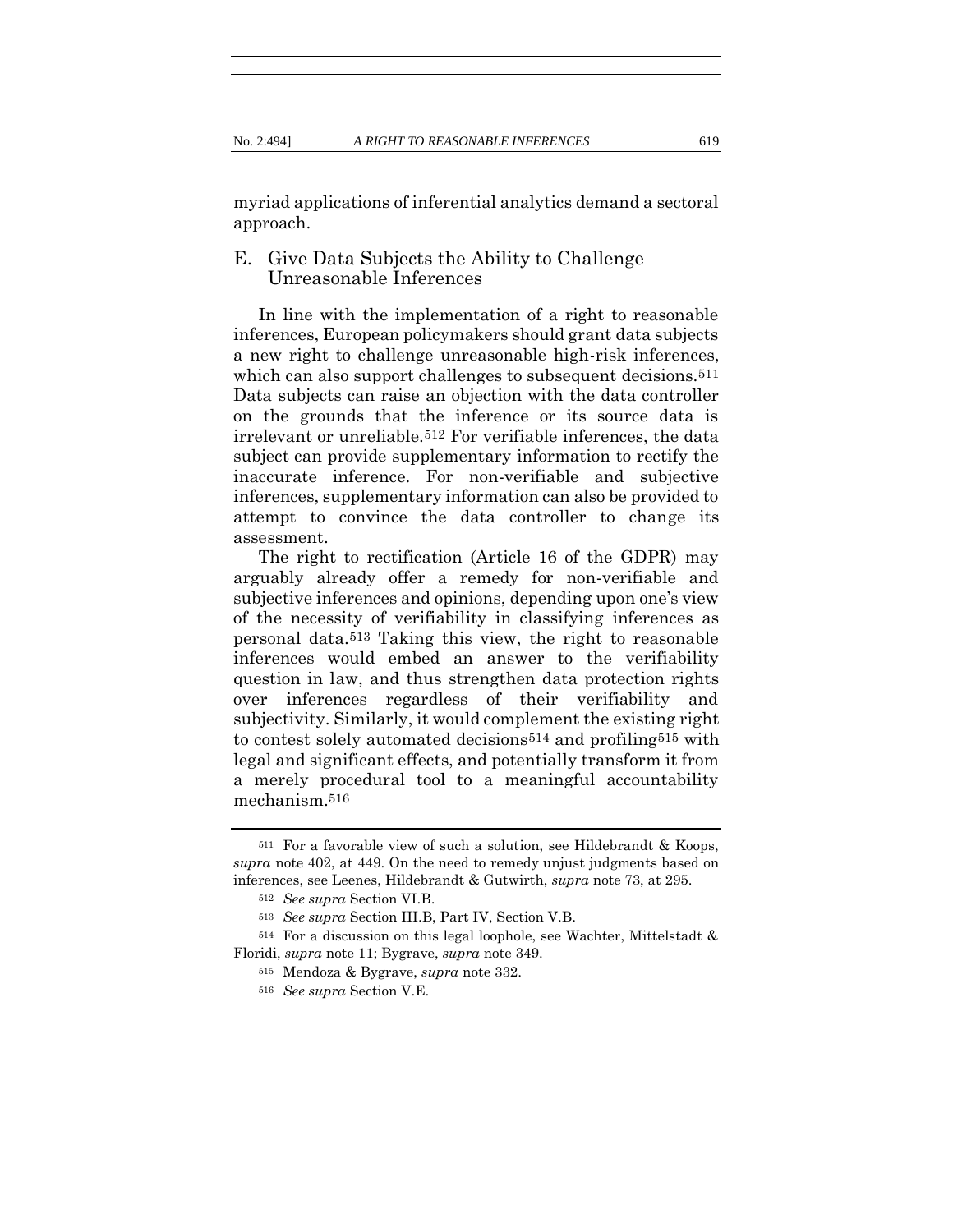myriad applications of inferential analytics demand a sectoral approach.

### E. Give Data Subjects the Ability to Challenge Unreasonable Inferences

In line with the implementation of a right to reasonable inferences, European policymakers should grant data subjects a new right to challenge unreasonable high-risk inferences, which can also support challenges to subsequent decisions.<sup>511</sup> Data subjects can raise an objection with the data controller on the grounds that the inference or its source data is irrelevant or unreliable.512 For verifiable inferences, the data subject can provide supplementary information to rectify the inaccurate inference. For non-verifiable and subjective inferences, supplementary information can also be provided to attempt to convince the data controller to change its assessment.

The right to rectification (Article 16 of the GDPR) may arguably already offer a remedy for non-verifiable and subjective inferences and opinions, depending upon one's view of the necessity of verifiability in classifying inferences as personal data.513 Taking this view, the right to reasonable inferences would embed an answer to the verifiability question in law, and thus strengthen data protection rights over inferences regardless of their verifiability and subjectivity. Similarly, it would complement the existing right to contest solely automated decisions514 and profiling515 with legal and significant effects, and potentially transform it from a merely procedural tool to a meaningful accountability mechanism.516

<sup>511</sup> For a favorable view of such a solution, see Hildebrandt & Koops, *supra* not[e 402,](#page-94-0) at 449. On the need to remedy unjust judgments based on inferences, see Leenes, Hildebrandt & Gutwirth, *supra* not[e 73,](#page-20-0) at 295.

<sup>512</sup> *See supra* Section VI.B.

<sup>513</sup> *See supra* Section III.B, Part IV, Section V.B.

<sup>514</sup> For a discussion on this legal loophole, see Wachter, Mittelstadt & Floridi, *supra* note [11;](#page-8-0) Bygrave, *supra* note [349.](#page-79-0)

<sup>515</sup> Mendoza & Bygrave, *supra* note [332.](#page-74-0)

<sup>516</sup> *See supra* Section V.E.